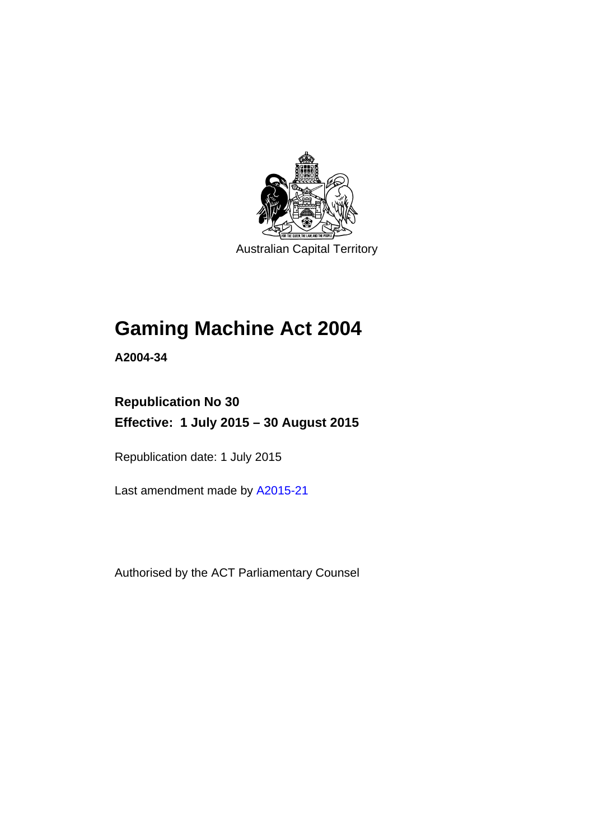

Australian Capital Territory

# **Gaming Machine Act 2004**

**A2004-34** 

# **Republication No 30 Effective: 1 July 2015 – 30 August 2015**

Republication date: 1 July 2015

Last amendment made by [A2015-21](http://www.legislation.act.gov.au/a/2015-21)

Authorised by the ACT Parliamentary Counsel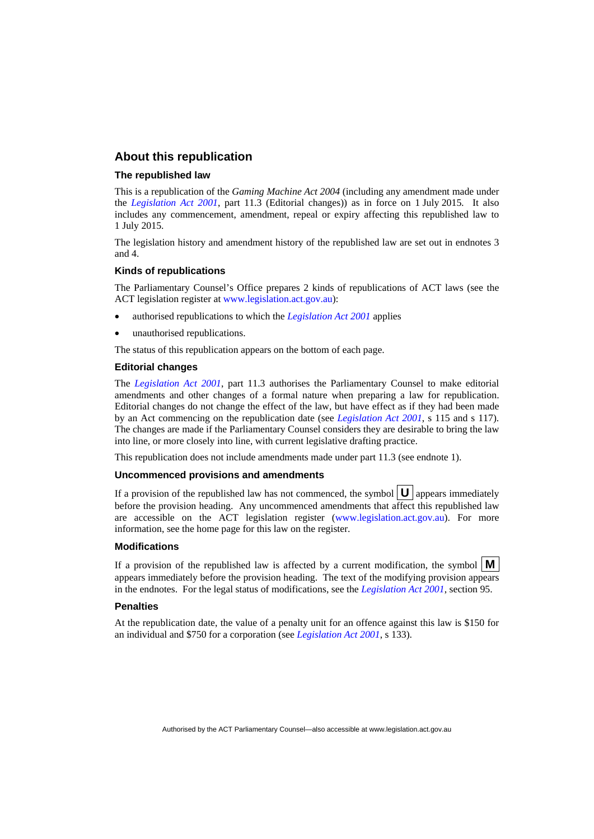#### **About this republication**

#### **The republished law**

This is a republication of the *Gaming Machine Act 2004* (including any amendment made under the *[Legislation Act 2001](http://www.legislation.act.gov.au/a/2001-14)*, part 11.3 (Editorial changes)) as in force on 1 July 2015*.* It also includes any commencement, amendment, repeal or expiry affecting this republished law to 1 July 2015.

The legislation history and amendment history of the republished law are set out in endnotes 3 and 4.

#### **Kinds of republications**

The Parliamentary Counsel's Office prepares 2 kinds of republications of ACT laws (see the ACT legislation register at [www.legislation.act.gov.au](http://www.legislation.act.gov.au/)):

- authorised republications to which the *[Legislation Act 2001](http://www.legislation.act.gov.au/a/2001-14)* applies
- unauthorised republications.

The status of this republication appears on the bottom of each page.

#### **Editorial changes**

The *[Legislation Act 2001](http://www.legislation.act.gov.au/a/2001-14)*, part 11.3 authorises the Parliamentary Counsel to make editorial amendments and other changes of a formal nature when preparing a law for republication. Editorial changes do not change the effect of the law, but have effect as if they had been made by an Act commencing on the republication date (see *[Legislation Act 2001](http://www.legislation.act.gov.au/a/2001-14)*, s 115 and s 117). The changes are made if the Parliamentary Counsel considers they are desirable to bring the law into line, or more closely into line, with current legislative drafting practice.

This republication does not include amendments made under part 11.3 (see endnote 1).

#### **Uncommenced provisions and amendments**

If a provision of the republished law has not commenced, the symbol  $\mathbf{U}$  appears immediately before the provision heading. Any uncommenced amendments that affect this republished law are accessible on the ACT legislation register [\(www.legislation.act.gov.au\)](http://www.legislation.act.gov.au/). For more information, see the home page for this law on the register.

#### **Modifications**

If a provision of the republished law is affected by a current modification, the symbol  $\mathbf{M}$ appears immediately before the provision heading. The text of the modifying provision appears in the endnotes. For the legal status of modifications, see the *[Legislation Act 2001](http://www.legislation.act.gov.au/a/2001-14)*, section 95.

#### **Penalties**

At the republication date, the value of a penalty unit for an offence against this law is \$150 for an individual and \$750 for a corporation (see *[Legislation Act 2001](http://www.legislation.act.gov.au/a/2001-14)*, s 133).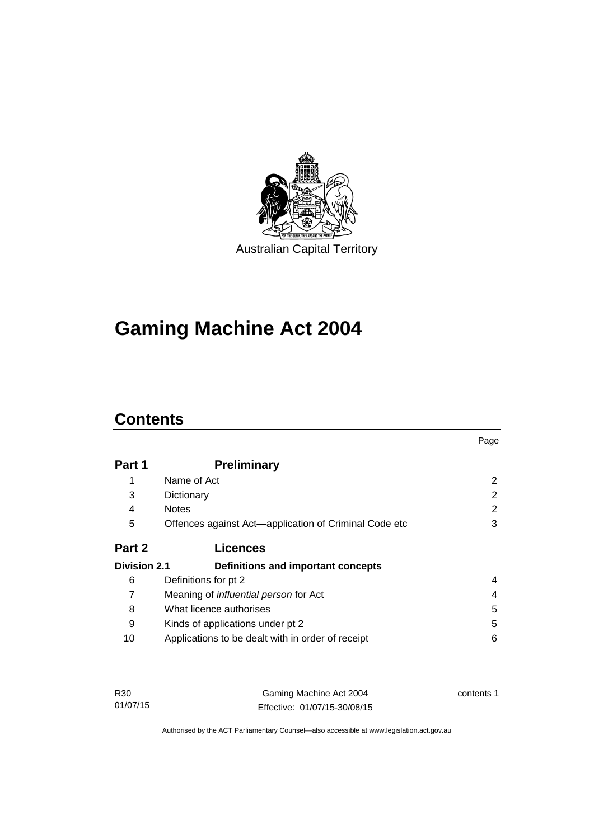

# **Gaming Machine Act 2004**

# **Contents**

|                     |                                                       | Page          |
|---------------------|-------------------------------------------------------|---------------|
| Part 1              | <b>Preliminary</b>                                    |               |
|                     | Name of Act                                           | 2             |
| 3                   | Dictionary                                            | $\mathcal{P}$ |
| 4                   | <b>Notes</b>                                          | 2             |
| 5                   | Offences against Act—application of Criminal Code etc | 3             |
| Part 2              | <b>Licences</b>                                       |               |
| <b>Division 2.1</b> | Definitions and important concepts                    |               |
| 6                   | Definitions for pt 2                                  | 4             |
| 7                   | Meaning of <i>influential person</i> for Act          | 4             |
| 8                   | What licence authorises                               | 5             |
| 9                   | Kinds of applications under pt 2                      | 5             |
| 10                  | Applications to be dealt with in order of receipt     | 6             |

| R30      | Gaming Machine Act 2004      | contents 1 |
|----------|------------------------------|------------|
| 01/07/15 | Effective: 01/07/15-30/08/15 |            |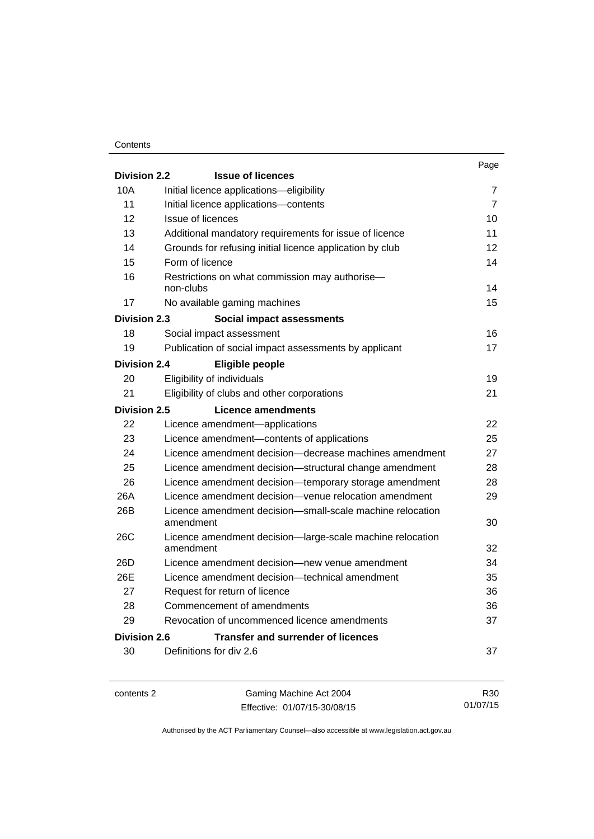#### **Contents**

|                     |                                                                        | Page           |
|---------------------|------------------------------------------------------------------------|----------------|
| <b>Division 2.2</b> | <b>Issue of licences</b>                                               |                |
| 10A                 | Initial licence applications-eligibility                               | 7              |
| 11                  | Initial licence applications-contents                                  | $\overline{7}$ |
| 12                  | <b>Issue of licences</b>                                               | 10             |
| 13                  | Additional mandatory requirements for issue of licence                 | 11             |
| 14                  | Grounds for refusing initial licence application by club               | 12             |
| 15                  | Form of licence                                                        | 14             |
| 16                  | Restrictions on what commission may authorise-<br>non-clubs            | 14             |
| 17                  | No available gaming machines                                           | 15             |
| <b>Division 2.3</b> | Social impact assessments                                              |                |
| 18                  | Social impact assessment                                               | 16             |
| 19                  | Publication of social impact assessments by applicant                  | 17             |
| <b>Division 2.4</b> | Eligible people                                                        |                |
| 20                  | Eligibility of individuals                                             | 19             |
| 21                  | Eligibility of clubs and other corporations                            | 21             |
| <b>Division 2.5</b> | Licence amendments                                                     |                |
| 22                  | Licence amendment-applications                                         | 22             |
| 23                  | Licence amendment-contents of applications                             | 25             |
| 24                  | Licence amendment decision—decrease machines amendment                 | 27             |
| 25                  | Licence amendment decision-structural change amendment                 | 28             |
| 26                  | Licence amendment decision-temporary storage amendment                 | 28             |
| 26A                 | Licence amendment decision-venue relocation amendment                  | 29             |
| 26B                 | Licence amendment decision-small-scale machine relocation<br>amendment | 30             |
| <b>26C</b>          | Licence amendment decision-large-scale machine relocation              |                |
|                     | amendment                                                              | 32             |
| 26D                 | Licence amendment decision-new venue amendment                         | 34             |
| 26E                 | Licence amendment decision—technical amendment                         | 35             |
| 27                  | Request for return of licence                                          | 36             |
| 28                  | Commencement of amendments                                             | 36             |
| 29                  | Revocation of uncommenced licence amendments                           | 37             |
| Division 2.6        | <b>Transfer and surrender of licences</b>                              |                |
| 30                  | Definitions for div 2.6                                                | 37             |
|                     |                                                                        |                |

contents 2 Gaming Machine Act 2004 Effective: 01/07/15-30/08/15

R30 01/07/15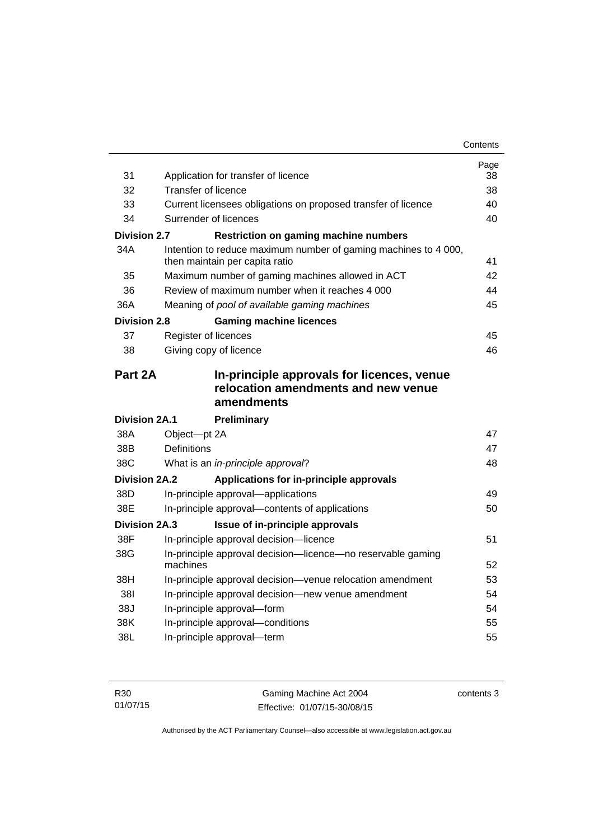| 31                   |                                                                                                   | Page<br>38 |
|----------------------|---------------------------------------------------------------------------------------------------|------------|
| 32                   | Application for transfer of licence<br>Transfer of licence                                        | 38         |
| 33                   |                                                                                                   | 40         |
|                      | Current licensees obligations on proposed transfer of licence                                     |            |
| 34                   | Surrender of licences                                                                             | 40         |
| <b>Division 2.7</b>  | <b>Restriction on gaming machine numbers</b>                                                      |            |
| 34A                  | Intention to reduce maximum number of gaming machines to 4 000,<br>then maintain per capita ratio | 41         |
| 35                   | Maximum number of gaming machines allowed in ACT                                                  | 42         |
| 36                   | Review of maximum number when it reaches 4 000                                                    | 44         |
| 36A                  | Meaning of pool of available gaming machines                                                      | 45         |
| <b>Division 2.8</b>  | <b>Gaming machine licences</b>                                                                    |            |
| 37                   | Register of licences                                                                              | 45         |
| 38                   | Giving copy of licence                                                                            | 46         |
| Part 2A              | In-principle approvals for licences, venue<br>relocation amendments and new venue                 |            |
|                      | amendments                                                                                        |            |
| <b>Division 2A.1</b> | <b>Preliminary</b>                                                                                |            |
| 38A                  | Object-pt 2A                                                                                      | 47         |
| 38B                  | <b>Definitions</b>                                                                                | 47         |
| 38C                  | What is an in-principle approval?                                                                 | 48         |
| <b>Division 2A.2</b> | Applications for in-principle approvals                                                           |            |
| 38D                  | In-principle approval-applications                                                                | 49         |
| 38E                  | In-principle approval—contents of applications                                                    | 50         |
| Division 2A.3        | Issue of in-principle approvals                                                                   |            |
| 38F                  | In-principle approval decision-licence                                                            | 51         |
| 38G                  | In-principle approval decision-licence-no reservable gaming<br>machines                           | 52         |
| 38H                  | In-principle approval decision-venue relocation amendment                                         | 53         |
| 381                  | In-principle approval decision-new venue amendment                                                | 54         |
| 38J                  | In-principle approval-form                                                                        | 54         |
| 38K                  | In-principle approval-conditions                                                                  | 55         |
| 38L                  | In-principle approval-term                                                                        | 55         |

| R <sub>30</sub> | Gaming Machine Act 2004      | contents 3 |
|-----------------|------------------------------|------------|
| 01/07/15        | Effective: 01/07/15-30/08/15 |            |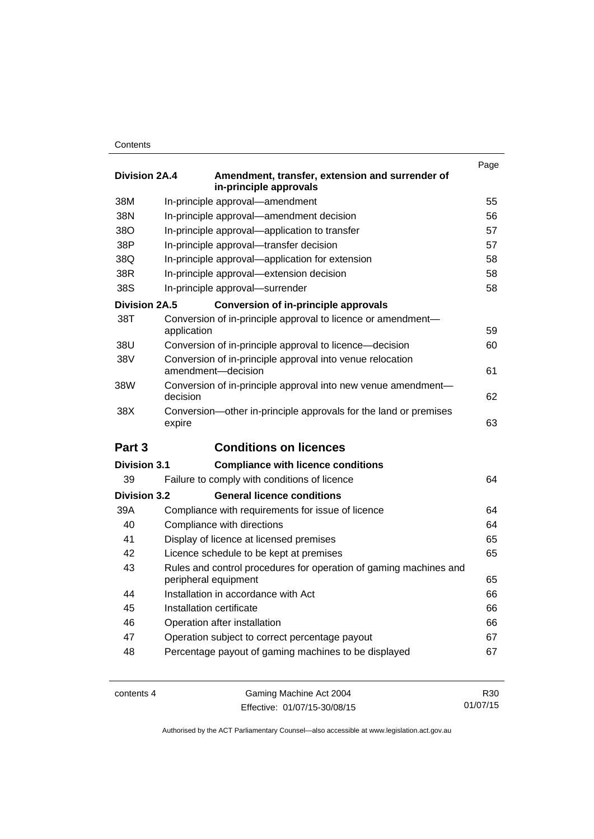#### **Contents**

| <b>Division 2A.4</b> | Amendment, transfer, extension and surrender of<br>in-principle approvals                 | Page |
|----------------------|-------------------------------------------------------------------------------------------|------|
| 38M                  | In-principle approval-amendment                                                           | 55   |
| 38N                  | In-principle approval-amendment decision                                                  | 56   |
| 38O                  | In-principle approval-application to transfer                                             | 57   |
| 38P                  | In-principle approval-transfer decision                                                   | 57   |
| 38Q                  | In-principle approval-application for extension                                           | 58   |
| 38R                  | In-principle approval-extension decision                                                  | 58   |
| 38S                  | In-principle approval-surrender                                                           | 58   |
| <b>Division 2A.5</b> | <b>Conversion of in-principle approvals</b>                                               |      |
| 38T                  | Conversion of in-principle approval to licence or amendment-<br>application               | 59   |
| 38U                  | Conversion of in-principle approval to licence—decision                                   | 60   |
| 38V                  | Conversion of in-principle approval into venue relocation<br>amendment-decision           | 61   |
| 38W                  | Conversion of in-principle approval into new venue amendment-<br>decision                 | 62   |
| 38X                  | Conversion—other in-principle approvals for the land or premises<br>expire                | 63   |
| Part 3               | <b>Conditions on licences</b>                                                             |      |
| <b>Division 3.1</b>  | <b>Compliance with licence conditions</b>                                                 |      |
| 39                   | Failure to comply with conditions of licence                                              | 64   |
| <b>Division 3.2</b>  | <b>General licence conditions</b>                                                         |      |
| 39A                  | Compliance with requirements for issue of licence                                         | 64   |
| 40                   | Compliance with directions                                                                | 64   |
| 41                   | Display of licence at licensed premises                                                   | 65   |
| 42                   | Licence schedule to be kept at premises                                                   | 65   |
| 43                   | Rules and control procedures for operation of gaming machines and<br>peripheral equipment | 65   |
| 44                   | Installation in accordance with Act                                                       | 66   |
| 45                   | Installation certificate                                                                  | 66   |
| 46                   | Operation after installation                                                              | 66   |
| 47                   | Operation subject to correct percentage payout                                            | 67   |
| 48                   | Percentage payout of gaming machines to be displayed                                      | 67   |

contents 4 Gaming Machine Act 2004 Effective: 01/07/15-30/08/15

R30 01/07/15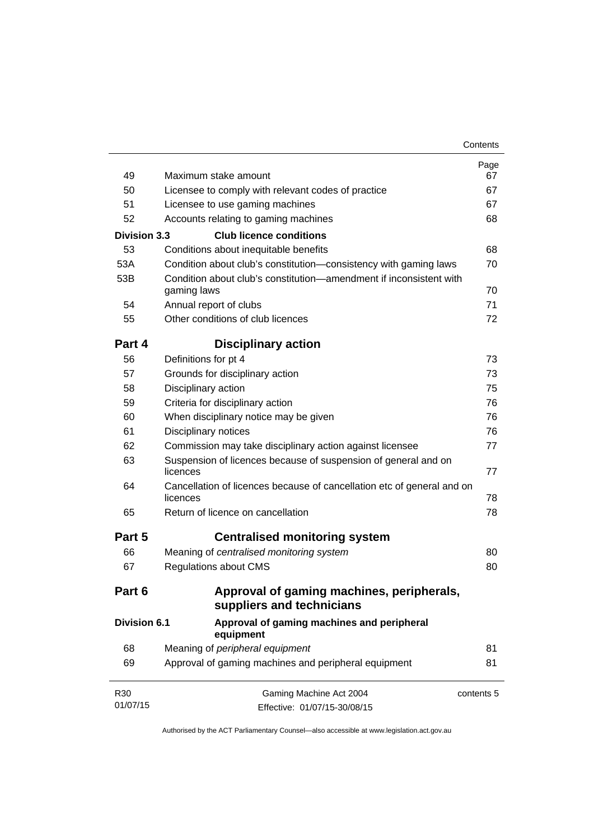| 49                  | Maximum stake amount                                                               | Page<br>67 |
|---------------------|------------------------------------------------------------------------------------|------------|
| 50                  | Licensee to comply with relevant codes of practice                                 | 67         |
| 51                  | Licensee to use gaming machines                                                    | 67         |
| 52                  | Accounts relating to gaming machines                                               | 68         |
| <b>Division 3.3</b> | <b>Club licence conditions</b>                                                     |            |
| 53                  | Conditions about inequitable benefits                                              | 68         |
| 53A                 | Condition about club's constitution-consistency with gaming laws                   | 70         |
| 53B                 | Condition about club's constitution—amendment if inconsistent with                 | 70         |
| 54                  | gaming laws<br>Annual report of clubs                                              | 71         |
| 55                  | Other conditions of club licences                                                  | 72         |
|                     |                                                                                    |            |
| Part 4              | <b>Disciplinary action</b>                                                         |            |
| 56                  | Definitions for pt 4                                                               | 73         |
| 57                  | Grounds for disciplinary action                                                    | 73         |
| 58                  | Disciplinary action                                                                | 75         |
| 59                  | Criteria for disciplinary action                                                   | 76         |
| 60                  | When disciplinary notice may be given                                              | 76         |
| 61                  | Disciplinary notices                                                               | 76         |
| 62                  | Commission may take disciplinary action against licensee                           | 77         |
| 63                  | Suspension of licences because of suspension of general and on<br>licences         | 77         |
| 64                  | Cancellation of licences because of cancellation etc of general and on<br>licences | 78         |
| 65                  | Return of licence on cancellation                                                  | 78         |
| Part 5              | <b>Centralised monitoring system</b>                                               |            |
| 66                  | Meaning of centralised monitoring system                                           | 80         |
| 67                  | <b>Regulations about CMS</b>                                                       | 80         |
| Part 6              | Approval of gaming machines, peripherals,<br>suppliers and technicians             |            |
| <b>Division 6.1</b> | Approval of gaming machines and peripheral<br>equipment                            |            |
| 68                  | Meaning of peripheral equipment                                                    | 81         |
| 69                  | Approval of gaming machines and peripheral equipment                               | 81         |
| R30                 | Gaming Machine Act 2004                                                            | contents 5 |
| 01/07/15            | Effective: 01/07/15-30/08/15                                                       |            |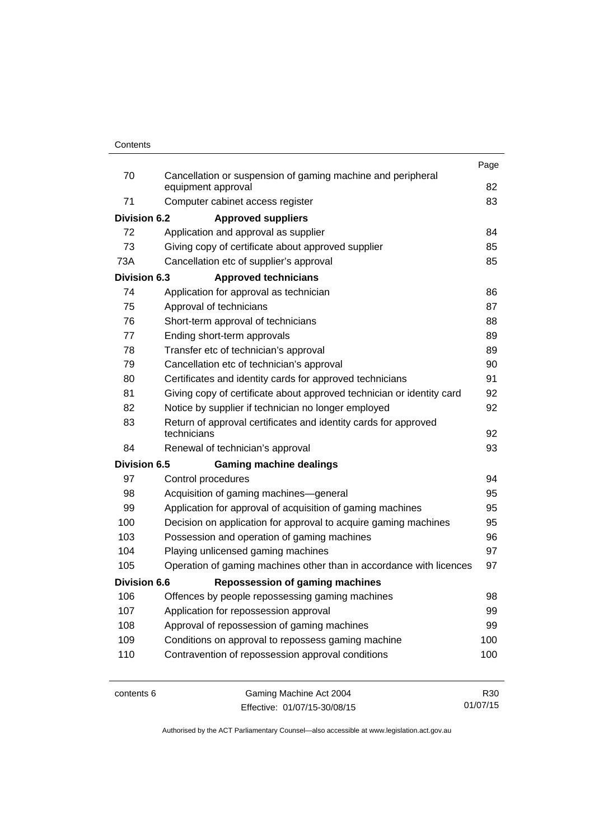|                     |                                                                                   | Page |
|---------------------|-----------------------------------------------------------------------------------|------|
| 70                  | Cancellation or suspension of gaming machine and peripheral<br>equipment approval | 82   |
| 71                  | Computer cabinet access register                                                  | 83   |
| <b>Division 6.2</b> | <b>Approved suppliers</b>                                                         |      |
| 72                  | Application and approval as supplier                                              | 84   |
| 73                  | Giving copy of certificate about approved supplier                                | 85   |
| 73A                 | Cancellation etc of supplier's approval                                           | 85   |
| <b>Division 6.3</b> | <b>Approved technicians</b>                                                       |      |
| 74                  | Application for approval as technician                                            | 86   |
| 75                  | Approval of technicians                                                           | 87   |
| 76                  | Short-term approval of technicians                                                | 88   |
| 77                  | Ending short-term approvals                                                       | 89   |
| 78                  | Transfer etc of technician's approval                                             | 89   |
| 79                  | Cancellation etc of technician's approval                                         | 90   |
| 80                  | Certificates and identity cards for approved technicians                          | 91   |
| 81                  | Giving copy of certificate about approved technician or identity card             | 92   |
| 82                  | Notice by supplier if technician no longer employed                               | 92   |
| 83                  | Return of approval certificates and identity cards for approved<br>technicians    | 92   |
| 84                  | Renewal of technician's approval                                                  | 93   |
| <b>Division 6.5</b> | <b>Gaming machine dealings</b>                                                    |      |
| 97                  | Control procedures                                                                | 94   |
| 98                  | Acquisition of gaming machines-general                                            | 95   |
| 99                  | Application for approval of acquisition of gaming machines                        | 95   |
| 100                 | Decision on application for approval to acquire gaming machines                   | 95   |
| 103                 | Possession and operation of gaming machines                                       | 96   |
| 104                 | Playing unlicensed gaming machines                                                | 97   |
| 105                 | Operation of gaming machines other than in accordance with licences               | 97   |
| <b>Division 6.6</b> | <b>Repossession of gaming machines</b>                                            |      |
| 106                 | Offences by people repossessing gaming machines                                   | 98   |
| 107                 | Application for repossession approval                                             | 99   |
| 108                 | Approval of repossession of gaming machines                                       | 99   |
| 109                 | Conditions on approval to repossess gaming machine                                | 100  |
| 110                 | Contravention of repossession approval conditions                                 | 100  |
|                     |                                                                                   |      |
|                     |                                                                                   |      |

contents 6 Gaming Machine Act 2004 Effective: 01/07/15-30/08/15

R30 01/07/15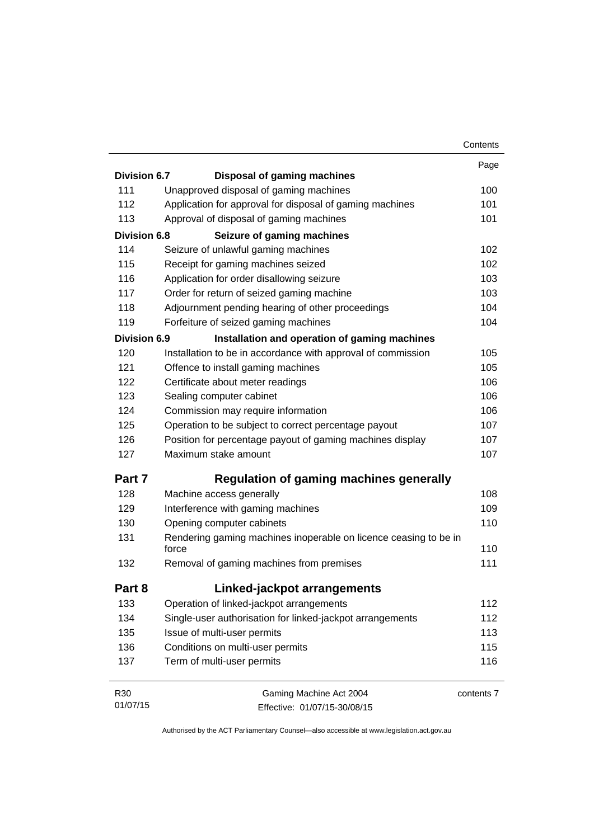|                     |                                                                           | Contents   |
|---------------------|---------------------------------------------------------------------------|------------|
|                     |                                                                           | Page       |
| <b>Division 6.7</b> | <b>Disposal of gaming machines</b>                                        |            |
| 111                 | Unapproved disposal of gaming machines                                    | 100        |
| 112                 | Application for approval for disposal of gaming machines                  | 101        |
| 113                 | Approval of disposal of gaming machines                                   | 101        |
| <b>Division 6.8</b> | Seizure of gaming machines                                                |            |
| 114                 | Seizure of unlawful gaming machines                                       | 102        |
| 115                 | Receipt for gaming machines seized                                        | 102        |
| 116                 | Application for order disallowing seizure                                 | 103        |
| 117                 | Order for return of seized gaming machine                                 | 103        |
| 118                 | Adjournment pending hearing of other proceedings                          | 104        |
| 119                 | Forfeiture of seized gaming machines                                      | 104        |
| Division 6.9        | Installation and operation of gaming machines                             |            |
| 120                 | Installation to be in accordance with approval of commission              | 105        |
| 121                 | Offence to install gaming machines                                        | 105        |
| 122                 | Certificate about meter readings                                          | 106        |
| 123                 | Sealing computer cabinet                                                  | 106        |
| 124                 | Commission may require information                                        | 106        |
| 125                 | Operation to be subject to correct percentage payout                      | 107        |
| 126                 | Position for percentage payout of gaming machines display                 | 107        |
| 127                 | Maximum stake amount                                                      | 107        |
| Part 7              | Regulation of gaming machines generally                                   |            |
| 128                 | Machine access generally                                                  | 108        |
| 129                 | Interference with gaming machines                                         | 109        |
| 130                 | Opening computer cabinets                                                 | 110        |
| 131                 | Rendering gaming machines inoperable on licence ceasing to be in<br>force | 110        |
| 132                 | Removal of gaming machines from premises                                  | 111        |
| Part 8              | Linked-jackpot arrangements                                               |            |
| 133                 | Operation of linked-jackpot arrangements                                  | 112        |
| 134                 | Single-user authorisation for linked-jackpot arrangements                 | 112        |
| 135                 | Issue of multi-user permits                                               | 113        |
| 136                 | Conditions on multi-user permits                                          | 115        |
| 137                 | Term of multi-user permits                                                | 116        |
| R <sub>30</sub>     | Gaming Machine Act 2004                                                   | contents 7 |
| 01/07/15            | Effective: 01/07/15-30/08/15                                              |            |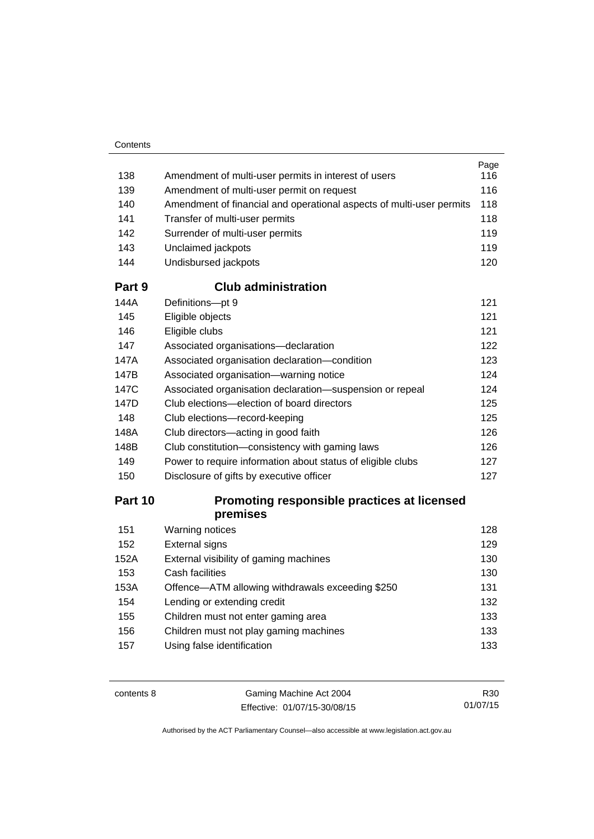#### **Contents**

|     |                                                                      | Page |
|-----|----------------------------------------------------------------------|------|
| 138 | Amendment of multi-user permits in interest of users                 | 116  |
| 139 | Amendment of multi-user permit on request                            | 116  |
| 140 | Amendment of financial and operational aspects of multi-user permits | 118  |
| 141 | Transfer of multi-user permits                                       | 118  |
| 142 | Surrender of multi-user permits                                      | 119  |
| 143 | Unclaimed jackpots                                                   | 119  |
| 144 | Undisbursed jackpots                                                 | 120  |

#### **Part 9 [Club administration](#page-132-0)**

| 144A | Definitions-pt 9                                            | 121 |
|------|-------------------------------------------------------------|-----|
| 145  | Eligible objects                                            | 121 |
| 146  | Eligible clubs                                              | 121 |
| 147  | Associated organisations-declaration                        | 122 |
| 147A | Associated organisation declaration-condition               | 123 |
| 147B | Associated organisation-warning notice                      | 124 |
| 147C | Associated organisation declaration—suspension or repeal    | 124 |
| 147D | Club elections—election of board directors                  | 125 |
| 148  | Club elections-record-keeping                               | 125 |
| 148A | Club directors—acting in good faith                         | 126 |
| 148B | Club constitution—consistency with gaming laws              | 126 |
| 149  | Power to require information about status of eligible clubs | 127 |
| 150  | Disclosure of gifts by executive officer                    | 127 |

# **Part 10 [Promoting responsible practices at licensed](#page-139-0)  [premises](#page-139-0)**

| 151  | Warning notices                                  | 128 |
|------|--------------------------------------------------|-----|
| 152  | <b>External signs</b>                            | 129 |
| 152A | External visibility of gaming machines           | 130 |
| 153  | Cash facilities                                  | 130 |
| 153A | Offence-ATM allowing withdrawals exceeding \$250 | 131 |
| 154  | Lending or extending credit                      | 132 |
| 155  | Children must not enter gaming area              | 133 |
| 156  | Children must not play gaming machines           | 133 |
| 157  | Using false identification                       | 133 |

contents 8 Gaming Machine Act 2004 Effective: 01/07/15-30/08/15

R30 01/07/15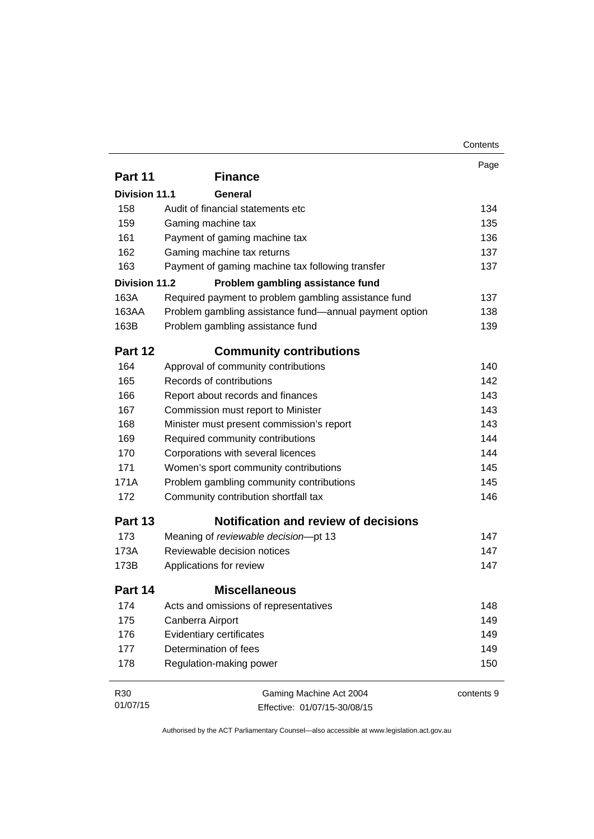|                      |                                                        | Page       |
|----------------------|--------------------------------------------------------|------------|
| Part 11              | <b>Finance</b>                                         |            |
| <b>Division 11.1</b> | General                                                |            |
| 158                  | Audit of financial statements etc                      | 134        |
| 159                  | Gaming machine tax                                     | 135        |
| 161                  | Payment of gaming machine tax                          | 136        |
| 162                  | Gaming machine tax returns                             | 137        |
| 163                  | Payment of gaming machine tax following transfer       | 137        |
| <b>Division 11.2</b> | Problem gambling assistance fund                       |            |
| 163A                 | Required payment to problem gambling assistance fund   | 137        |
| 163AA                | Problem gambling assistance fund-annual payment option | 138        |
| 163B                 | Problem gambling assistance fund                       | 139        |
| Part 12              | <b>Community contributions</b>                         |            |
| 164                  | Approval of community contributions                    | 140        |
| 165                  | Records of contributions                               | 142        |
| 166                  | Report about records and finances                      | 143        |
| 167                  | Commission must report to Minister                     | 143        |
| 168                  | Minister must present commission's report              | 143        |
| 169                  | Required community contributions                       | 144        |
| 170                  | Corporations with several licences                     | 144        |
| 171                  | Women's sport community contributions                  | 145        |
| 171A                 | Problem gambling community contributions               | 145        |
| 172                  | Community contribution shortfall tax                   | 146        |
| Part 13              | <b>Notification and review of decisions</b>            |            |
| 173                  | Meaning of reviewable decision-pt 13                   | 147        |
| 173A                 | Reviewable decision notices                            | 147        |
| 173B                 | Applications for review                                | 147        |
| Part 14              | <b>Miscellaneous</b>                                   |            |
| 174                  | Acts and omissions of representatives                  | 148        |
| 175                  | Canberra Airport                                       | 149        |
| 176                  | <b>Evidentiary certificates</b>                        | 149        |
| 177                  | Determination of fees                                  | 149        |
| 178                  | Regulation-making power                                | 150        |
| R30                  | Gaming Machine Act 2004                                | contents 9 |
| 01/07/15             | Effective: 01/07/15-30/08/15                           |            |

Effective: 01/07/15-30/08/15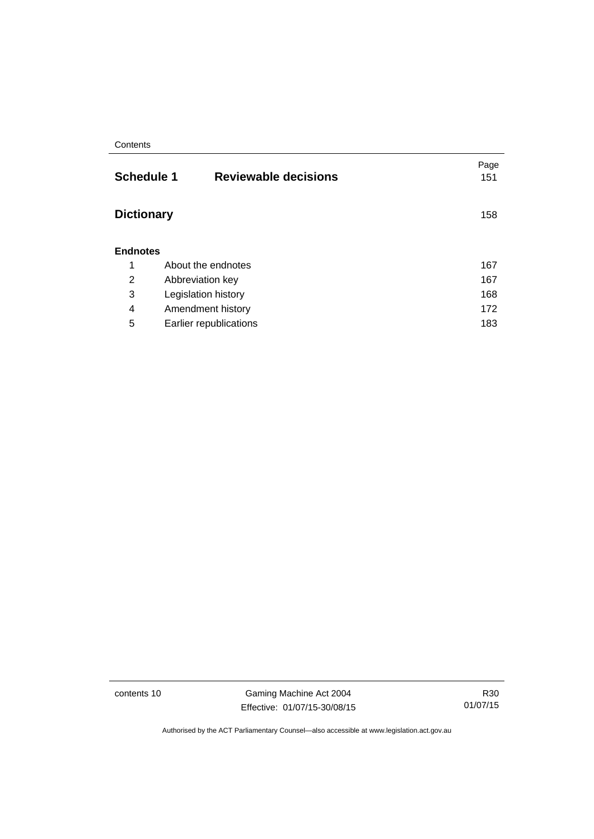#### **Contents**

| <b>Schedule 1</b> | <b>Reviewable decisions</b> | Page<br>151 |
|-------------------|-----------------------------|-------------|
| <b>Dictionary</b> |                             | 158         |
| <b>Endnotes</b>   |                             |             |
| 1                 | About the endnotes          | 167         |
| 2                 | Abbreviation key            | 167         |
| 3                 | Legislation history         | 168         |
| 4                 | Amendment history           | 172         |
| 5                 | Earlier republications      | 183         |

contents 10 Gaming Machine Act 2004 Effective: 01/07/15-30/08/15

R30 01/07/15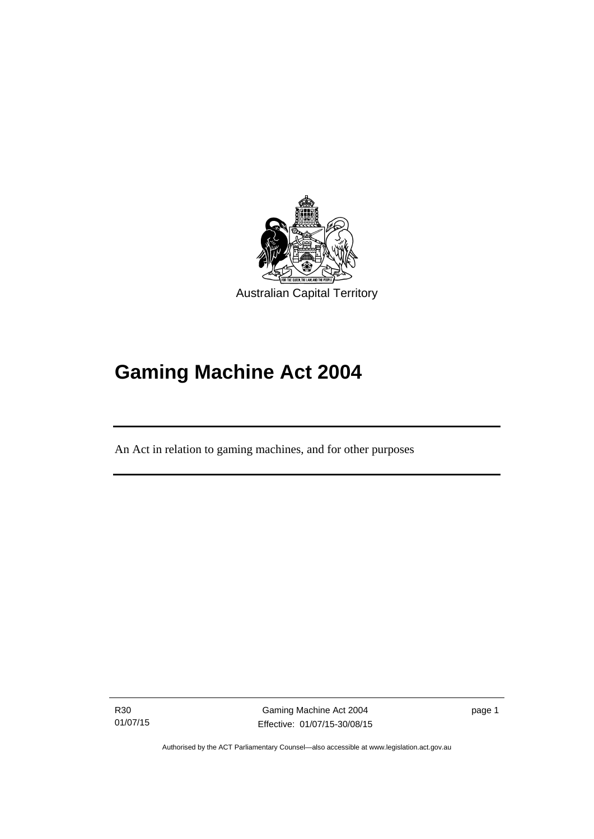

# **Gaming Machine Act 2004**

An Act in relation to gaming machines, and for other purposes

R30 01/07/15

Ī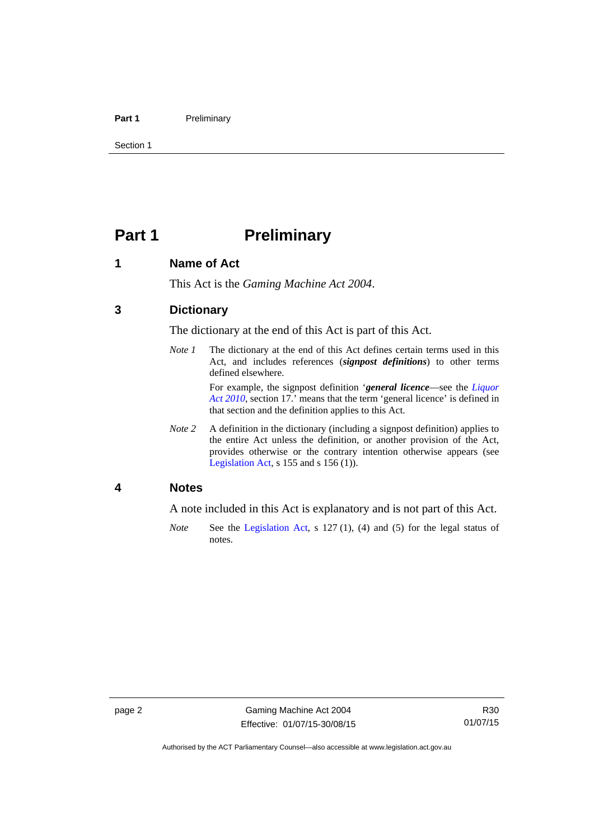#### Part 1 **Preliminary**

Section 1

# <span id="page-13-0"></span>**Part 1** Preliminary

#### <span id="page-13-1"></span>**1 Name of Act**

This Act is the *Gaming Machine Act 2004*.

### <span id="page-13-2"></span>**3 Dictionary**

The dictionary at the end of this Act is part of this Act.

*Note 1* The dictionary at the end of this Act defines certain terms used in this Act, and includes references (*signpost definitions*) to other terms defined elsewhere.

> For example, the signpost definition '*general licence*—see the *[Liquor](http://www.legislation.act.gov.au/a/2010-35)  [Act 2010](http://www.legislation.act.gov.au/a/2010-35)*, section 17.' means that the term 'general licence' is defined in that section and the definition applies to this Act.

*Note 2* A definition in the dictionary (including a signpost definition) applies to the entire Act unless the definition, or another provision of the Act, provides otherwise or the contrary intention otherwise appears (see [Legislation Act,](http://www.legislation.act.gov.au/a/2001-14)  $s$  155 and  $s$  156 (1)).

#### <span id="page-13-3"></span>**4 Notes**

A note included in this Act is explanatory and is not part of this Act.

*Note* See the [Legislation Act,](http://www.legislation.act.gov.au/a/2001-14) s 127 (1), (4) and (5) for the legal status of notes.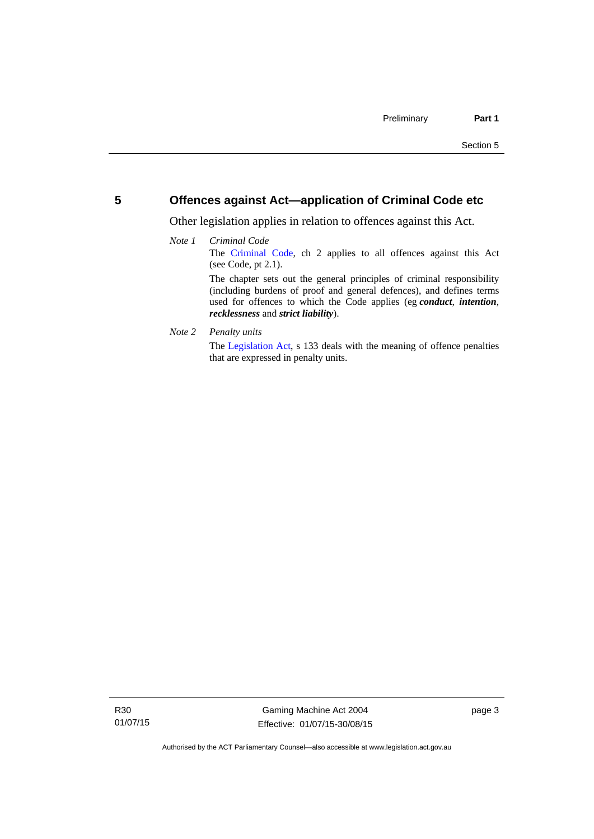#### <span id="page-14-0"></span>**5 Offences against Act—application of Criminal Code etc**

Other legislation applies in relation to offences against this Act.

#### *Note 1 Criminal Code* The [Criminal Code,](http://www.legislation.act.gov.au/a/2002-51) ch 2 applies to all offences against this Act (see Code, pt 2.1). The chapter sets out the general principles of criminal responsibility (including burdens of proof and general defences), and defines terms used for offences to which the Code applies (eg *conduct*, *intention*, *recklessness* and *strict liability*).

*Note 2 Penalty units* 

The [Legislation Act](http://www.legislation.act.gov.au/a/2001-14), s 133 deals with the meaning of offence penalties that are expressed in penalty units.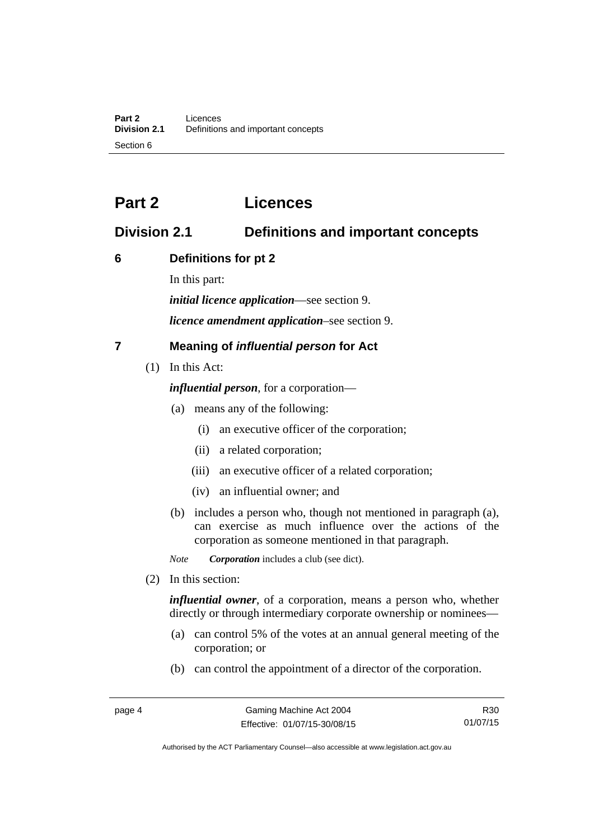# <span id="page-15-0"></span>**Part 2 Licences**

# <span id="page-15-1"></span>**Division 2.1 Definitions and important concepts**

## <span id="page-15-2"></span>**6 Definitions for pt 2**

In this part:

*initial licence application*—see section 9.

*licence amendment application*–see section 9.

# <span id="page-15-3"></span>**7 Meaning of** *influential person* **for Act**

(1) In this Act:

*influential person*, for a corporation—

- (a) means any of the following:
	- (i) an executive officer of the corporation;
	- (ii) a related corporation;
	- (iii) an executive officer of a related corporation;
	- (iv) an influential owner; and
- (b) includes a person who, though not mentioned in paragraph (a), can exercise as much influence over the actions of the corporation as someone mentioned in that paragraph.

*Note Corporation* includes a club (see dict).

(2) In this section:

*influential owner*, of a corporation, means a person who, whether directly or through intermediary corporate ownership or nominees—

- (a) can control 5% of the votes at an annual general meeting of the corporation; or
- (b) can control the appointment of a director of the corporation.

R30 01/07/15

Authorised by the ACT Parliamentary Counsel—also accessible at www.legislation.act.gov.au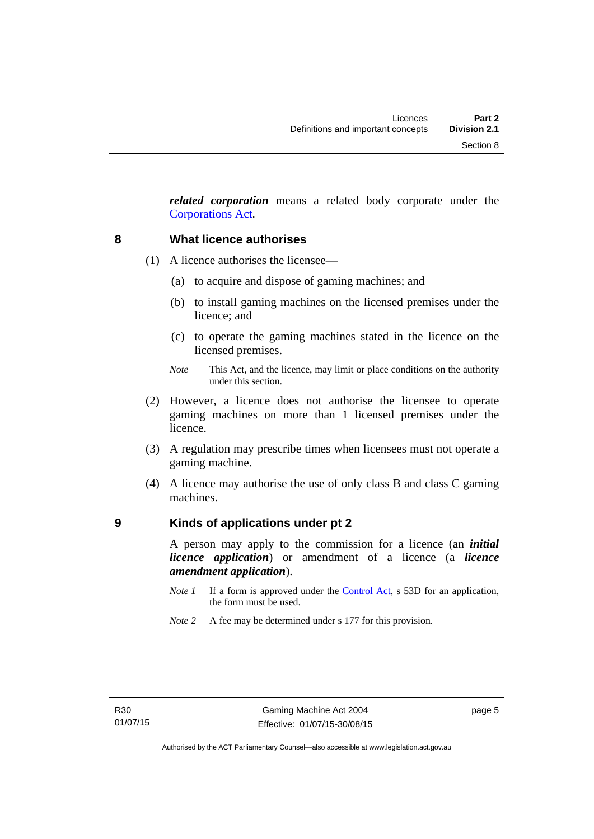*related corporation* means a related body corporate under the [Corporations Act](http://www.comlaw.gov.au/Series/C2004A00818).

#### <span id="page-16-0"></span>**8 What licence authorises**

- (1) A licence authorises the licensee—
	- (a) to acquire and dispose of gaming machines; and
	- (b) to install gaming machines on the licensed premises under the licence; and
	- (c) to operate the gaming machines stated in the licence on the licensed premises.
	- *Note* This Act, and the licence, may limit or place conditions on the authority under this section.
- (2) However, a licence does not authorise the licensee to operate gaming machines on more than 1 licensed premises under the licence.
- (3) A regulation may prescribe times when licensees must not operate a gaming machine.
- (4) A licence may authorise the use of only class B and class C gaming machines.

#### <span id="page-16-1"></span>**9 Kinds of applications under pt 2**

A person may apply to the commission for a licence (an *initial licence application*) or amendment of a licence (a *licence amendment application*).

- *Note 1* If a form is approved under the [Control Act,](http://www.legislation.act.gov.au/a/1999-46) s 53D for an application, the form must be used.
- *Note 2* A fee may be determined under s 177 for this provision.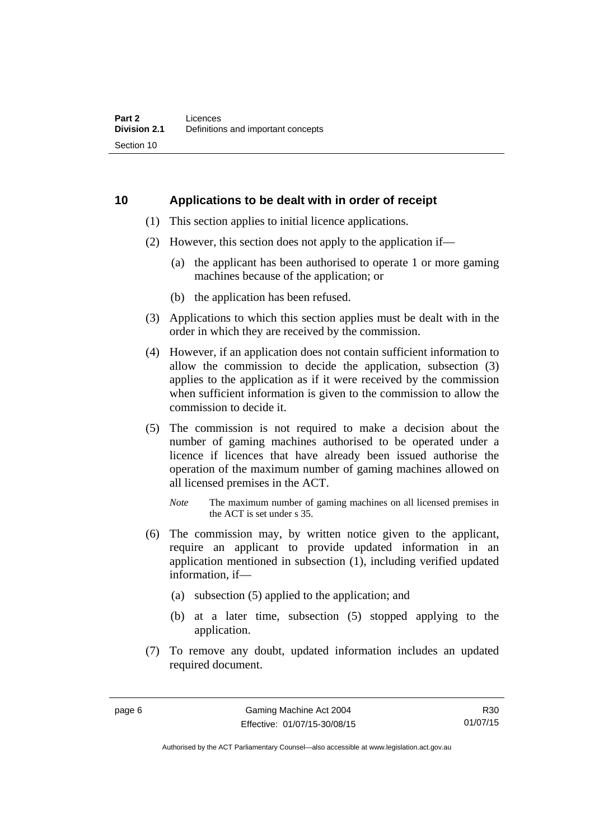### <span id="page-17-0"></span>**10 Applications to be dealt with in order of receipt**

- (1) This section applies to initial licence applications.
- (2) However, this section does not apply to the application if—
	- (a) the applicant has been authorised to operate 1 or more gaming machines because of the application; or
	- (b) the application has been refused.
- (3) Applications to which this section applies must be dealt with in the order in which they are received by the commission.
- (4) However, if an application does not contain sufficient information to allow the commission to decide the application, subsection (3) applies to the application as if it were received by the commission when sufficient information is given to the commission to allow the commission to decide it.
- (5) The commission is not required to make a decision about the number of gaming machines authorised to be operated under a licence if licences that have already been issued authorise the operation of the maximum number of gaming machines allowed on all licensed premises in the ACT.

- (6) The commission may, by written notice given to the applicant, require an applicant to provide updated information in an application mentioned in subsection (1), including verified updated information, if—
	- (a) subsection (5) applied to the application; and
	- (b) at a later time, subsection (5) stopped applying to the application.
- (7) To remove any doubt, updated information includes an updated required document.

*Note* The maximum number of gaming machines on all licensed premises in the ACT is set under s 35.

R30 01/07/15

Authorised by the ACT Parliamentary Counsel—also accessible at www.legislation.act.gov.au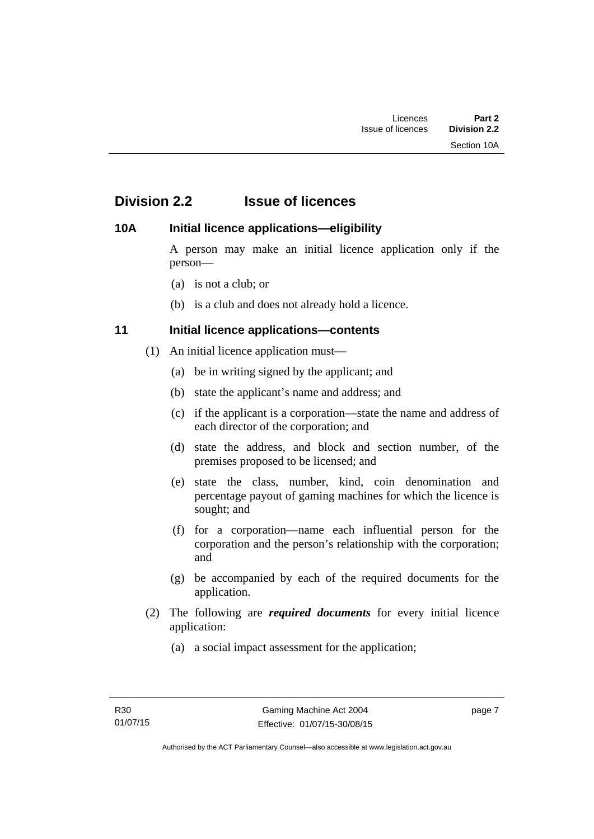# <span id="page-18-0"></span>**Division 2.2 Issue of licences**

## <span id="page-18-1"></span>**10A Initial licence applications—eligibility**

A person may make an initial licence application only if the person—

- (a) is not a club; or
- (b) is a club and does not already hold a licence.

# <span id="page-18-2"></span>**11 Initial licence applications—contents**

- (1) An initial licence application must—
	- (a) be in writing signed by the applicant; and
	- (b) state the applicant's name and address; and
	- (c) if the applicant is a corporation—state the name and address of each director of the corporation; and
	- (d) state the address, and block and section number, of the premises proposed to be licensed; and
	- (e) state the class, number, kind, coin denomination and percentage payout of gaming machines for which the licence is sought; and
	- (f) for a corporation—name each influential person for the corporation and the person's relationship with the corporation; and
	- (g) be accompanied by each of the required documents for the application.
- (2) The following are *required documents* for every initial licence application:
	- (a) a social impact assessment for the application;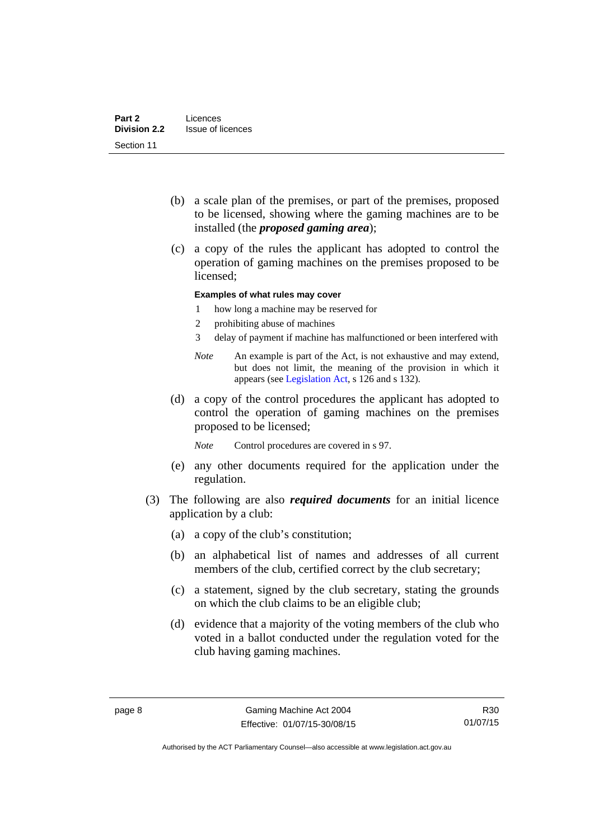- (b) a scale plan of the premises, or part of the premises, proposed to be licensed, showing where the gaming machines are to be installed (the *proposed gaming area*);
- (c) a copy of the rules the applicant has adopted to control the operation of gaming machines on the premises proposed to be licensed;

#### **Examples of what rules may cover**

- 1 how long a machine may be reserved for
- 2 prohibiting abuse of machines
- 3 delay of payment if machine has malfunctioned or been interfered with
- *Note* An example is part of the Act, is not exhaustive and may extend, but does not limit, the meaning of the provision in which it appears (see [Legislation Act,](http://www.legislation.act.gov.au/a/2001-14) s 126 and s 132).
- (d) a copy of the control procedures the applicant has adopted to control the operation of gaming machines on the premises proposed to be licensed;
	- *Note* Control procedures are covered in s 97.
- (e) any other documents required for the application under the regulation.
- (3) The following are also *required documents* for an initial licence application by a club:
	- (a) a copy of the club's constitution;
	- (b) an alphabetical list of names and addresses of all current members of the club, certified correct by the club secretary;
	- (c) a statement, signed by the club secretary, stating the grounds on which the club claims to be an eligible club;
	- (d) evidence that a majority of the voting members of the club who voted in a ballot conducted under the regulation voted for the club having gaming machines.

Authorised by the ACT Parliamentary Counsel—also accessible at www.legislation.act.gov.au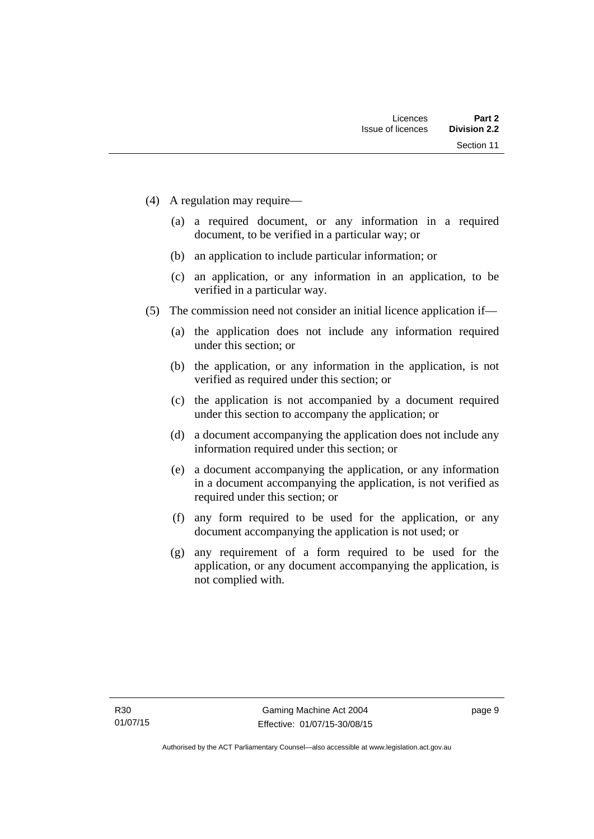- (4) A regulation may require—
	- (a) a required document, or any information in a required document, to be verified in a particular way; or
	- (b) an application to include particular information; or
	- (c) an application, or any information in an application, to be verified in a particular way.
- (5) The commission need not consider an initial licence application if—
	- (a) the application does not include any information required under this section; or
	- (b) the application, or any information in the application, is not verified as required under this section; or
	- (c) the application is not accompanied by a document required under this section to accompany the application; or
	- (d) a document accompanying the application does not include any information required under this section; or
	- (e) a document accompanying the application, or any information in a document accompanying the application, is not verified as required under this section; or
	- (f) any form required to be used for the application, or any document accompanying the application is not used; or
	- (g) any requirement of a form required to be used for the application, or any document accompanying the application, is not complied with.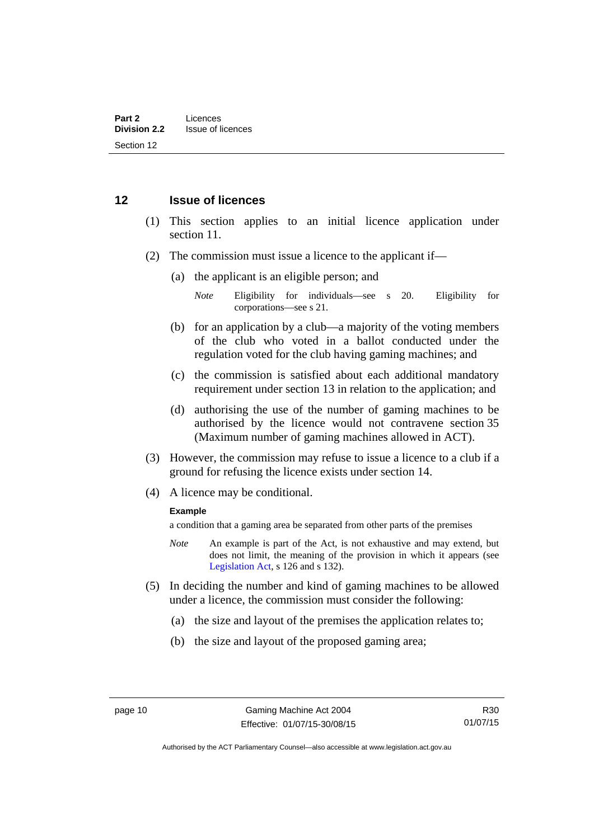#### <span id="page-21-0"></span>**12 Issue of licences**

- (1) This section applies to an initial licence application under section 11.
- (2) The commission must issue a licence to the applicant if—
	- (a) the applicant is an eligible person; and
		- *Note* Eligibility for individuals—see s 20. Eligibility for corporations—see s 21.
	- (b) for an application by a club—a majority of the voting members of the club who voted in a ballot conducted under the regulation voted for the club having gaming machines; and
	- (c) the commission is satisfied about each additional mandatory requirement under section 13 in relation to the application; and
	- (d) authorising the use of the number of gaming machines to be authorised by the licence would not contravene section 35 (Maximum number of gaming machines allowed in ACT).
- (3) However, the commission may refuse to issue a licence to a club if a ground for refusing the licence exists under section 14.
- (4) A licence may be conditional.

#### **Example**

a condition that a gaming area be separated from other parts of the premises

- *Note* An example is part of the Act, is not exhaustive and may extend, but does not limit, the meaning of the provision in which it appears (see [Legislation Act,](http://www.legislation.act.gov.au/a/2001-14) s 126 and s 132).
- (5) In deciding the number and kind of gaming machines to be allowed under a licence, the commission must consider the following:
	- (a) the size and layout of the premises the application relates to;
	- (b) the size and layout of the proposed gaming area;

R30 01/07/15

Authorised by the ACT Parliamentary Counsel—also accessible at www.legislation.act.gov.au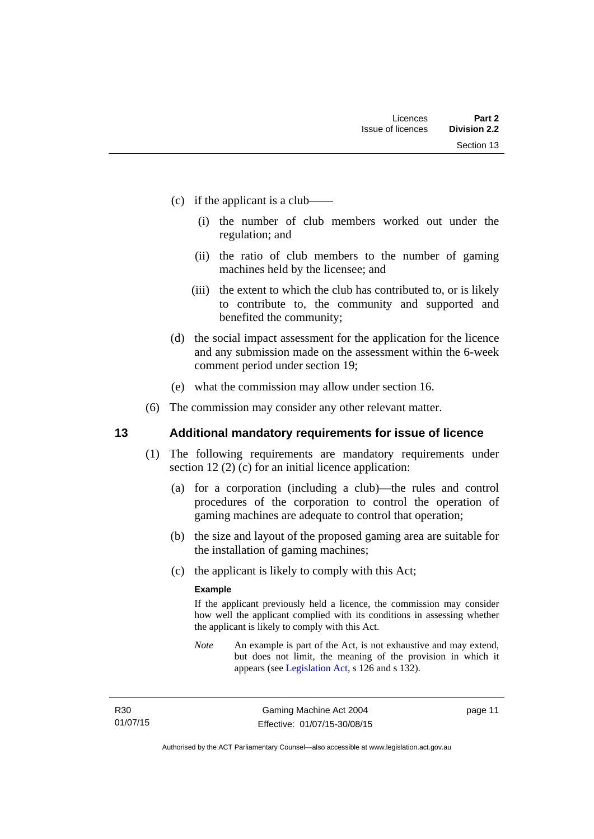- (c) if the applicant is a club——
	- (i) the number of club members worked out under the regulation; and
	- (ii) the ratio of club members to the number of gaming machines held by the licensee; and
	- (iii) the extent to which the club has contributed to, or is likely to contribute to, the community and supported and benefited the community;
- (d) the social impact assessment for the application for the licence and any submission made on the assessment within the 6-week comment period under section 19;
- (e) what the commission may allow under section 16.
- (6) The commission may consider any other relevant matter.

#### <span id="page-22-0"></span>**13 Additional mandatory requirements for issue of licence**

- (1) The following requirements are mandatory requirements under section 12 (2) (c) for an initial licence application:
	- (a) for a corporation (including a club)—the rules and control procedures of the corporation to control the operation of gaming machines are adequate to control that operation;
	- (b) the size and layout of the proposed gaming area are suitable for the installation of gaming machines;
	- (c) the applicant is likely to comply with this Act;

#### **Example**

If the applicant previously held a licence, the commission may consider how well the applicant complied with its conditions in assessing whether the applicant is likely to comply with this Act.

*Note* An example is part of the Act, is not exhaustive and may extend, but does not limit, the meaning of the provision in which it appears (see [Legislation Act,](http://www.legislation.act.gov.au/a/2001-14) s 126 and s 132).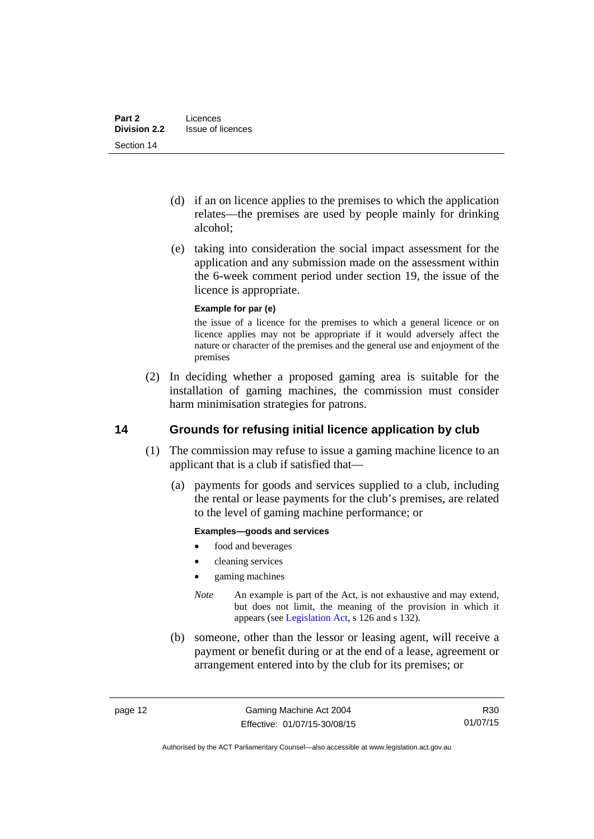- (d) if an on licence applies to the premises to which the application relates—the premises are used by people mainly for drinking alcohol;
- (e) taking into consideration the social impact assessment for the application and any submission made on the assessment within the 6-week comment period under section 19, the issue of the licence is appropriate.

#### **Example for par (e)**

the issue of a licence for the premises to which a general licence or on licence applies may not be appropriate if it would adversely affect the nature or character of the premises and the general use and enjoyment of the premises

 (2) In deciding whether a proposed gaming area is suitable for the installation of gaming machines, the commission must consider harm minimisation strategies for patrons.

## <span id="page-23-0"></span>**14 Grounds for refusing initial licence application by club**

- (1) The commission may refuse to issue a gaming machine licence to an applicant that is a club if satisfied that—
	- (a) payments for goods and services supplied to a club, including the rental or lease payments for the club's premises, are related to the level of gaming machine performance; or

#### **Examples—goods and services**

- food and beverages
- cleaning services
- gaming machines
- *Note* An example is part of the Act, is not exhaustive and may extend, but does not limit, the meaning of the provision in which it appears (see [Legislation Act,](http://www.legislation.act.gov.au/a/2001-14) s 126 and s 132).
- (b) someone, other than the lessor or leasing agent, will receive a payment or benefit during or at the end of a lease, agreement or arrangement entered into by the club for its premises; or

R30 01/07/15

Authorised by the ACT Parliamentary Counsel—also accessible at www.legislation.act.gov.au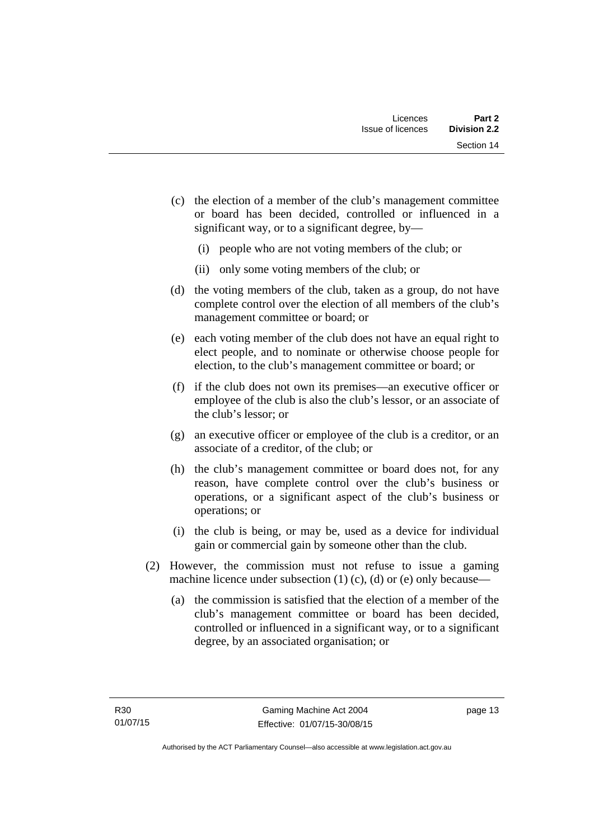- (c) the election of a member of the club's management committee or board has been decided, controlled or influenced in a significant way, or to a significant degree, by—
	- (i) people who are not voting members of the club; or
	- (ii) only some voting members of the club; or
- (d) the voting members of the club, taken as a group, do not have complete control over the election of all members of the club's management committee or board; or
- (e) each voting member of the club does not have an equal right to elect people, and to nominate or otherwise choose people for election, to the club's management committee or board; or
- (f) if the club does not own its premises—an executive officer or employee of the club is also the club's lessor, or an associate of the club's lessor; or
- (g) an executive officer or employee of the club is a creditor, or an associate of a creditor, of the club; or
- (h) the club's management committee or board does not, for any reason, have complete control over the club's business or operations, or a significant aspect of the club's business or operations; or
- (i) the club is being, or may be, used as a device for individual gain or commercial gain by someone other than the club.
- (2) However, the commission must not refuse to issue a gaming machine licence under subsection  $(1)$   $(c)$ ,  $(d)$  or  $(e)$  only because—
	- (a) the commission is satisfied that the election of a member of the club's management committee or board has been decided, controlled or influenced in a significant way, or to a significant degree, by an associated organisation; or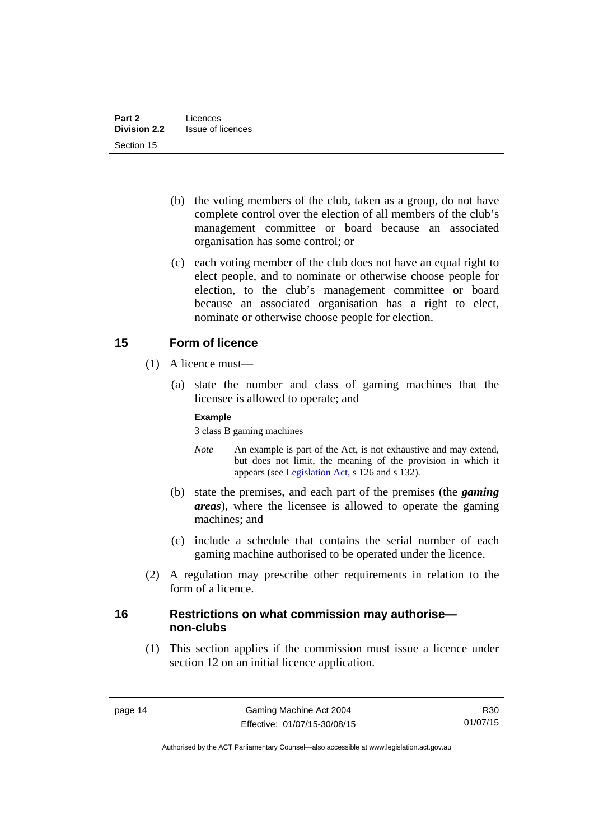- (b) the voting members of the club, taken as a group, do not have complete control over the election of all members of the club's management committee or board because an associated organisation has some control; or
- (c) each voting member of the club does not have an equal right to elect people, and to nominate or otherwise choose people for election, to the club's management committee or board because an associated organisation has a right to elect, nominate or otherwise choose people for election.

## <span id="page-25-0"></span>**15 Form of licence**

- (1) A licence must—
	- (a) state the number and class of gaming machines that the licensee is allowed to operate; and

#### **Example**

3 class B gaming machines

- *Note* An example is part of the Act, is not exhaustive and may extend, but does not limit, the meaning of the provision in which it appears (see [Legislation Act,](http://www.legislation.act.gov.au/a/2001-14) s 126 and s 132).
- (b) state the premises, and each part of the premises (the *gaming areas*), where the licensee is allowed to operate the gaming machines; and
- (c) include a schedule that contains the serial number of each gaming machine authorised to be operated under the licence.
- (2) A regulation may prescribe other requirements in relation to the form of a licence.

### <span id="page-25-1"></span>**16 Restrictions on what commission may authorise non-clubs**

 (1) This section applies if the commission must issue a licence under section 12 on an initial licence application.

R30 01/07/15

Authorised by the ACT Parliamentary Counsel—also accessible at www.legislation.act.gov.au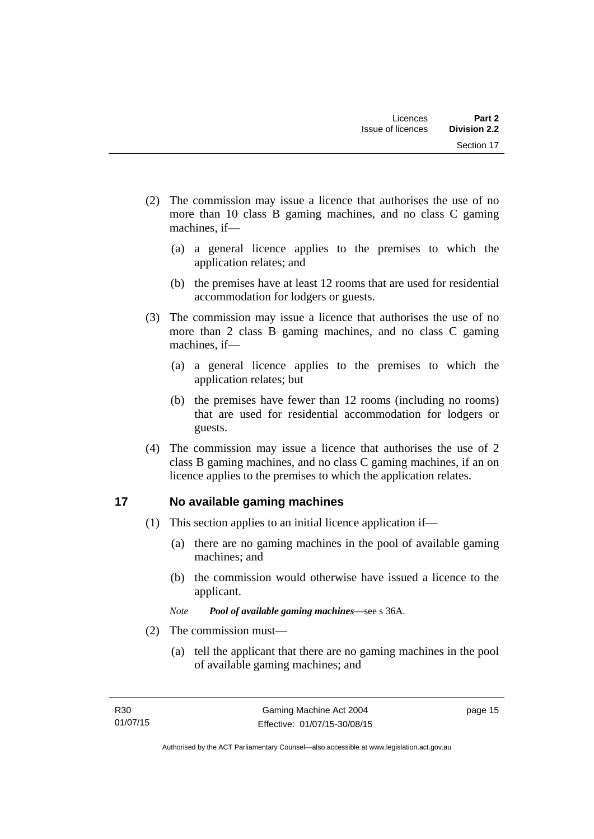- (2) The commission may issue a licence that authorises the use of no more than 10 class B gaming machines, and no class C gaming machines, if—
	- (a) a general licence applies to the premises to which the application relates; and
	- (b) the premises have at least 12 rooms that are used for residential accommodation for lodgers or guests.
- (3) The commission may issue a licence that authorises the use of no more than 2 class B gaming machines, and no class C gaming machines, if—
	- (a) a general licence applies to the premises to which the application relates; but
	- (b) the premises have fewer than 12 rooms (including no rooms) that are used for residential accommodation for lodgers or guests.
- (4) The commission may issue a licence that authorises the use of 2 class B gaming machines, and no class C gaming machines, if an on licence applies to the premises to which the application relates.

## <span id="page-26-0"></span>**17 No available gaming machines**

- (1) This section applies to an initial licence application if—
	- (a) there are no gaming machines in the pool of available gaming machines; and
	- (b) the commission would otherwise have issued a licence to the applicant.
	- *Note Pool of available gaming machines*—see s 36A.
- (2) The commission must—
	- (a) tell the applicant that there are no gaming machines in the pool of available gaming machines; and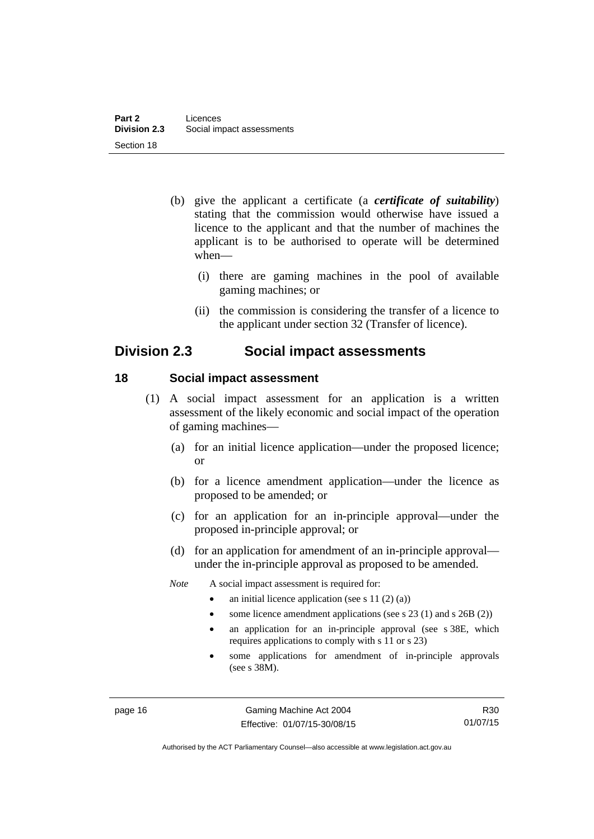- (b) give the applicant a certificate (a *certificate of suitability*) stating that the commission would otherwise have issued a licence to the applicant and that the number of machines the applicant is to be authorised to operate will be determined when—
	- (i) there are gaming machines in the pool of available gaming machines; or
	- (ii) the commission is considering the transfer of a licence to the applicant under section 32 (Transfer of licence).

# <span id="page-27-0"></span>**Division 2.3 Social impact assessments**

#### <span id="page-27-1"></span>**18 Social impact assessment**

- (1) A social impact assessment for an application is a written assessment of the likely economic and social impact of the operation of gaming machines—
	- (a) for an initial licence application—under the proposed licence; or
	- (b) for a licence amendment application—under the licence as proposed to be amended; or
	- (c) for an application for an in-principle approval—under the proposed in-principle approval; or
	- (d) for an application for amendment of an in-principle approval under the in-principle approval as proposed to be amended.
	- *Note* A social impact assessment is required for:
		- an initial licence application (see s 11 (2) (a))
		- some licence amendment applications (see s 23 (1) and s 26B (2))
		- an application for an in-principle approval (see s 38E, which requires applications to comply with s 11 or s 23)
		- some applications for amendment of in-principle approvals (see s 38M).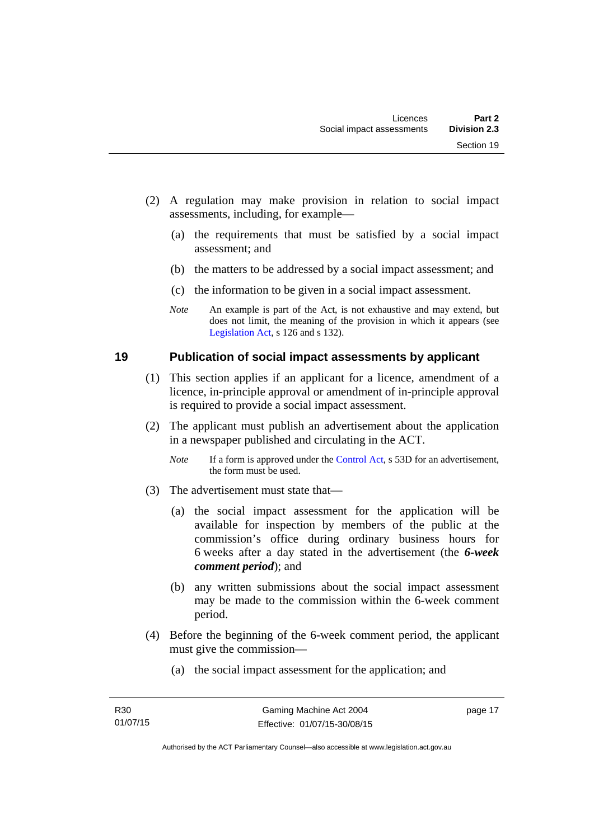- (2) A regulation may make provision in relation to social impact assessments, including, for example—
	- (a) the requirements that must be satisfied by a social impact assessment; and
	- (b) the matters to be addressed by a social impact assessment; and
	- (c) the information to be given in a social impact assessment.
	- *Note* An example is part of the Act, is not exhaustive and may extend, but does not limit, the meaning of the provision in which it appears (see [Legislation Act,](http://www.legislation.act.gov.au/a/2001-14) s 126 and s 132).

#### <span id="page-28-0"></span>**19 Publication of social impact assessments by applicant**

- (1) This section applies if an applicant for a licence, amendment of a licence, in-principle approval or amendment of in-principle approval is required to provide a social impact assessment.
- (2) The applicant must publish an advertisement about the application in a newspaper published and circulating in the ACT.
	- *Note* If a form is approved under the [Control Act,](http://www.legislation.act.gov.au/a/1999-46) s 53D for an advertisement, the form must be used.
- (3) The advertisement must state that—
	- (a) the social impact assessment for the application will be available for inspection by members of the public at the commission's office during ordinary business hours for 6 weeks after a day stated in the advertisement (the *6-week comment period*); and
	- (b) any written submissions about the social impact assessment may be made to the commission within the 6-week comment period.
- (4) Before the beginning of the 6-week comment period, the applicant must give the commission—
	- (a) the social impact assessment for the application; and

page 17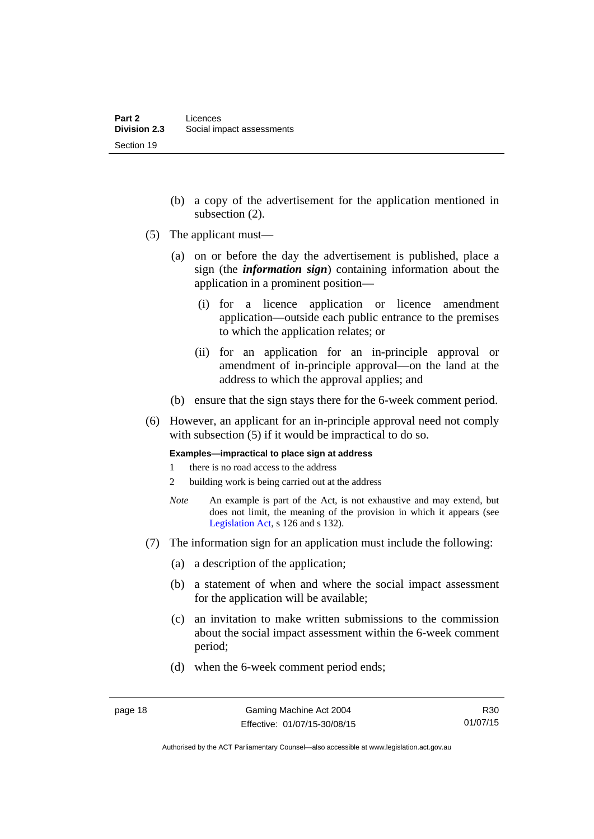- (b) a copy of the advertisement for the application mentioned in subsection (2).
- (5) The applicant must—
	- (a) on or before the day the advertisement is published, place a sign (the *information sign*) containing information about the application in a prominent position—
		- (i) for a licence application or licence amendment application—outside each public entrance to the premises to which the application relates; or
		- (ii) for an application for an in-principle approval or amendment of in-principle approval—on the land at the address to which the approval applies; and
	- (b) ensure that the sign stays there for the 6-week comment period.
- (6) However, an applicant for an in-principle approval need not comply with subsection (5) if it would be impractical to do so.

**Examples—impractical to place sign at address** 

- 1 there is no road access to the address
- 2 building work is being carried out at the address
- *Note* An example is part of the Act, is not exhaustive and may extend, but does not limit, the meaning of the provision in which it appears (see [Legislation Act,](http://www.legislation.act.gov.au/a/2001-14) s 126 and s 132).
- (7) The information sign for an application must include the following:
	- (a) a description of the application;
	- (b) a statement of when and where the social impact assessment for the application will be available;
	- (c) an invitation to make written submissions to the commission about the social impact assessment within the 6-week comment period;
	- (d) when the 6-week comment period ends;

Authorised by the ACT Parliamentary Counsel—also accessible at www.legislation.act.gov.au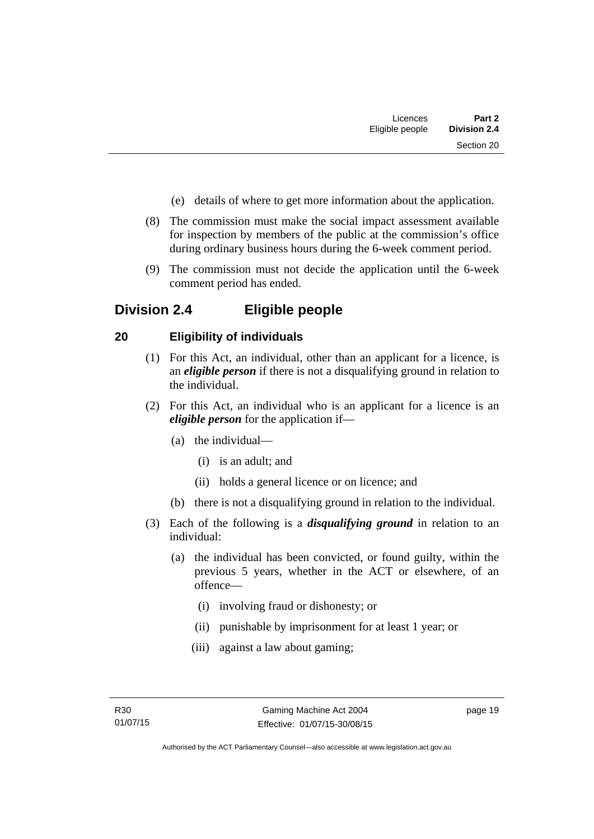- (e) details of where to get more information about the application.
- (8) The commission must make the social impact assessment available for inspection by members of the public at the commission's office during ordinary business hours during the 6-week comment period.
- (9) The commission must not decide the application until the 6-week comment period has ended.

# <span id="page-30-0"></span>**Division 2.4 Eligible people**

# <span id="page-30-1"></span>**20 Eligibility of individuals**

- (1) For this Act, an individual, other than an applicant for a licence, is an *eligible person* if there is not a disqualifying ground in relation to the individual.
- (2) For this Act, an individual who is an applicant for a licence is an *eligible person* for the application if—
	- (a) the individual—
		- (i) is an adult; and
		- (ii) holds a general licence or on licence; and
	- (b) there is not a disqualifying ground in relation to the individual.
- (3) Each of the following is a *disqualifying ground* in relation to an individual:
	- (a) the individual has been convicted, or found guilty, within the previous 5 years, whether in the ACT or elsewhere, of an offence—
		- (i) involving fraud or dishonesty; or
		- (ii) punishable by imprisonment for at least 1 year; or
		- (iii) against a law about gaming;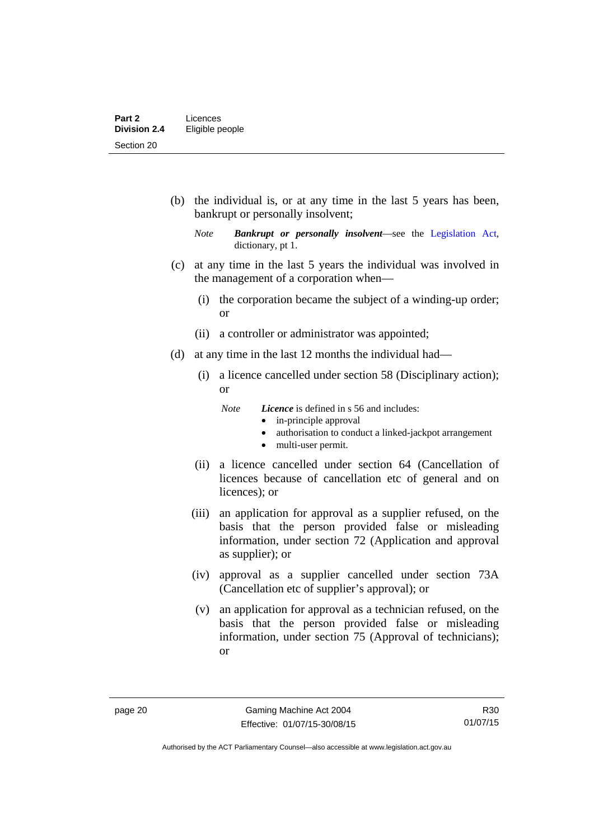(b) the individual is, or at any time in the last 5 years has been, bankrupt or personally insolvent;

- (c) at any time in the last 5 years the individual was involved in the management of a corporation when—
	- (i) the corporation became the subject of a winding-up order; or
	- (ii) a controller or administrator was appointed;
- (d) at any time in the last 12 months the individual had—
	- (i) a licence cancelled under section 58 (Disciplinary action); or
		- *Note Licence* is defined in s 56 and includes:
			- in-principle approval
			- authorisation to conduct a linked-jackpot arrangement
			- multi-user permit.
	- (ii) a licence cancelled under section 64 (Cancellation of licences because of cancellation etc of general and on licences); or
	- (iii) an application for approval as a supplier refused, on the basis that the person provided false or misleading information, under section 72 (Application and approval as supplier); or
	- (iv) approval as a supplier cancelled under section 73A (Cancellation etc of supplier's approval); or
	- (v) an application for approval as a technician refused, on the basis that the person provided false or misleading information, under section 75 (Approval of technicians); or

*Note Bankrupt or personally insolvent*—see the [Legislation Act,](http://www.legislation.act.gov.au/a/2001-14) dictionary, pt 1.

R30 01/07/15

Authorised by the ACT Parliamentary Counsel—also accessible at www.legislation.act.gov.au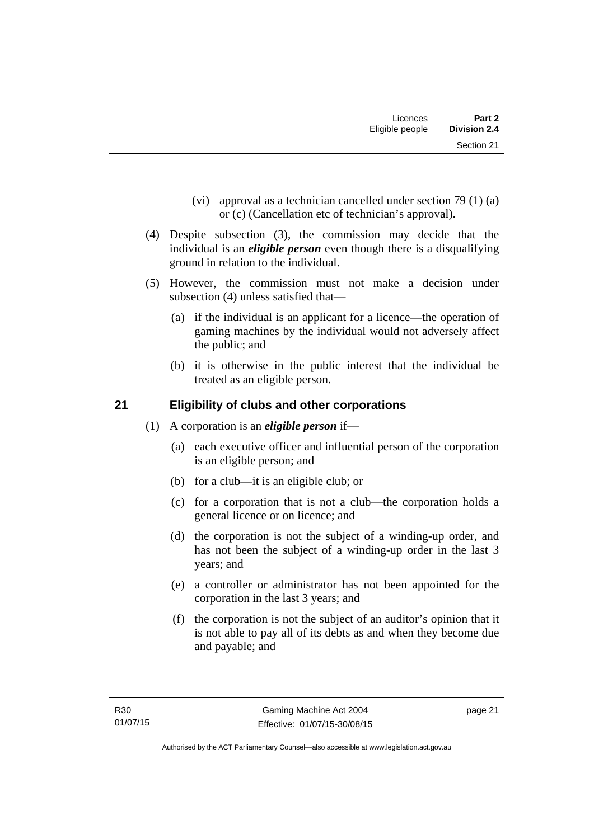- (vi) approval as a technician cancelled under section 79 (1) (a) or (c) (Cancellation etc of technician's approval).
- (4) Despite subsection (3), the commission may decide that the individual is an *eligible person* even though there is a disqualifying ground in relation to the individual.
- (5) However, the commission must not make a decision under subsection (4) unless satisfied that—
	- (a) if the individual is an applicant for a licence—the operation of gaming machines by the individual would not adversely affect the public; and
	- (b) it is otherwise in the public interest that the individual be treated as an eligible person.

# <span id="page-32-0"></span>**21 Eligibility of clubs and other corporations**

- (1) A corporation is an *eligible person* if—
	- (a) each executive officer and influential person of the corporation is an eligible person; and
	- (b) for a club—it is an eligible club; or
	- (c) for a corporation that is not a club—the corporation holds a general licence or on licence; and
	- (d) the corporation is not the subject of a winding-up order, and has not been the subject of a winding-up order in the last 3 years; and
	- (e) a controller or administrator has not been appointed for the corporation in the last 3 years; and
	- (f) the corporation is not the subject of an auditor's opinion that it is not able to pay all of its debts as and when they become due and payable; and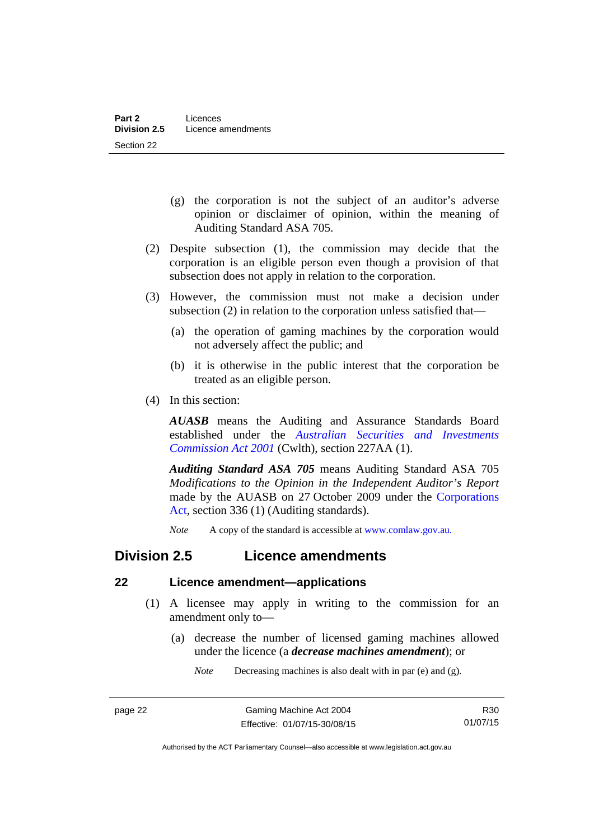- (g) the corporation is not the subject of an auditor's adverse opinion or disclaimer of opinion, within the meaning of Auditing Standard ASA 705.
- (2) Despite subsection (1), the commission may decide that the corporation is an eligible person even though a provision of that subsection does not apply in relation to the corporation.
- (3) However, the commission must not make a decision under subsection (2) in relation to the corporation unless satisfied that—
	- (a) the operation of gaming machines by the corporation would not adversely affect the public; and
	- (b) it is otherwise in the public interest that the corporation be treated as an eligible person.
- (4) In this section:

*AUASB* means the Auditing and Assurance Standards Board established under the *[Australian Securities and Investments](http://www.comlaw.gov.au/Series/C2004A00819)  [Commission Act 2001](http://www.comlaw.gov.au/Series/C2004A00819)* (Cwlth), section 227AA (1).

*Auditing Standard ASA 705* means Auditing Standard ASA 705 *Modifications to the Opinion in the Independent Auditor's Report* made by the AUASB on 27 October 2009 under the [Corporations](http://www.comlaw.gov.au/Series/C2004A00818)  [Act](http://www.comlaw.gov.au/Series/C2004A00818), section 336 (1) (Auditing standards).

*Note* A copy of the standard is accessible at [www.comlaw.gov.au.](http://www.comlaw.gov.au/) 

## <span id="page-33-0"></span>**Division 2.5 Licence amendments**

#### <span id="page-33-1"></span>**22 Licence amendment—applications**

- (1) A licensee may apply in writing to the commission for an amendment only to—
	- (a) decrease the number of licensed gaming machines allowed under the licence (a *decrease machines amendment*); or

*Note* Decreasing machines is also dealt with in par (e) and (g).

R30 01/07/15

Authorised by the ACT Parliamentary Counsel—also accessible at www.legislation.act.gov.au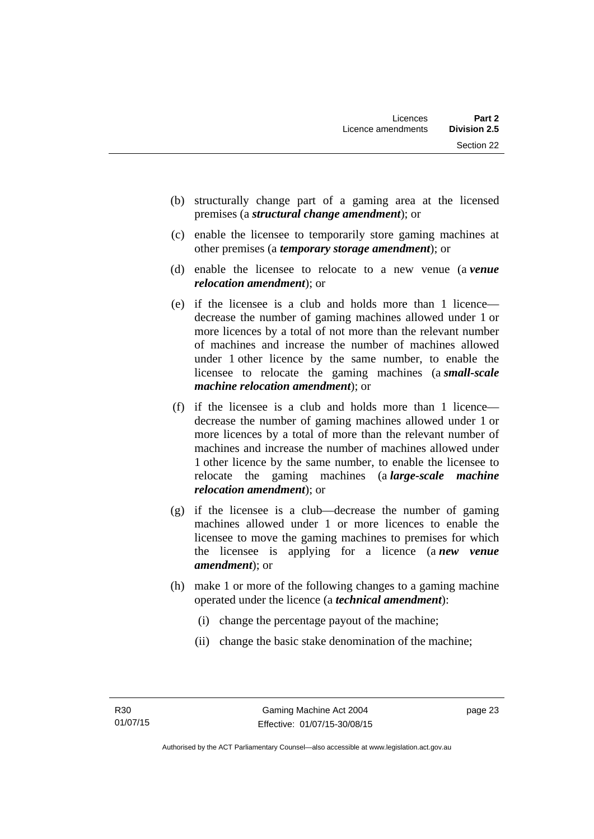- (b) structurally change part of a gaming area at the licensed premises (a *structural change amendment*); or
- (c) enable the licensee to temporarily store gaming machines at other premises (a *temporary storage amendment*); or
- (d) enable the licensee to relocate to a new venue (a *venue relocation amendment*); or
- (e) if the licensee is a club and holds more than 1 licence decrease the number of gaming machines allowed under 1 or more licences by a total of not more than the relevant number of machines and increase the number of machines allowed under 1 other licence by the same number, to enable the licensee to relocate the gaming machines (a *small-scale machine relocation amendment*); or
- (f) if the licensee is a club and holds more than 1 licence decrease the number of gaming machines allowed under 1 or more licences by a total of more than the relevant number of machines and increase the number of machines allowed under 1 other licence by the same number, to enable the licensee to relocate the gaming machines (a *large-scale machine relocation amendment*); or
- (g) if the licensee is a club—decrease the number of gaming machines allowed under 1 or more licences to enable the licensee to move the gaming machines to premises for which the licensee is applying for a licence (a *new venue amendment*); or
- (h) make 1 or more of the following changes to a gaming machine operated under the licence (a *technical amendment*):
	- (i) change the percentage payout of the machine;
	- (ii) change the basic stake denomination of the machine;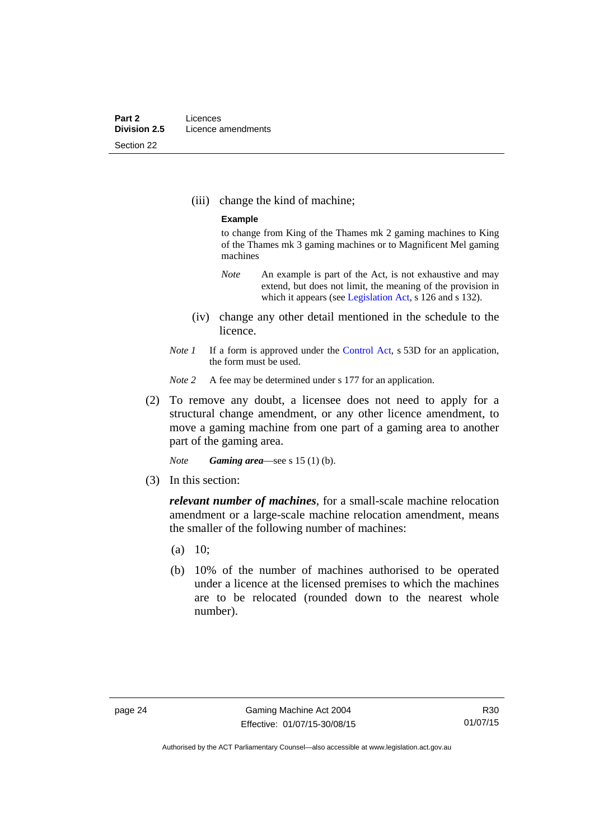(iii) change the kind of machine;

#### **Example**

to change from King of the Thames mk 2 gaming machines to King of the Thames mk 3 gaming machines or to Magnificent Mel gaming machines

- *Note* An example is part of the Act, is not exhaustive and may extend, but does not limit, the meaning of the provision in which it appears (see [Legislation Act,](http://www.legislation.act.gov.au/a/2001-14) s 126 and s 132).
- (iv) change any other detail mentioned in the schedule to the licence.
- *Note 1* If a form is approved under the [Control Act](http://www.legislation.act.gov.au/a/1999-46), s 53D for an application, the form must be used.
- *Note* 2 A fee may be determined under s 177 for an application.
- (2) To remove any doubt, a licensee does not need to apply for a structural change amendment, or any other licence amendment, to move a gaming machine from one part of a gaming area to another part of the gaming area.

*Note Gaming area*—see s 15 (1) (b).

(3) In this section:

*relevant number of machines*, for a small-scale machine relocation amendment or a large-scale machine relocation amendment, means the smaller of the following number of machines:

- (a) 10;
- (b) 10% of the number of machines authorised to be operated under a licence at the licensed premises to which the machines are to be relocated (rounded down to the nearest whole number).

R30 01/07/15

Authorised by the ACT Parliamentary Counsel—also accessible at www.legislation.act.gov.au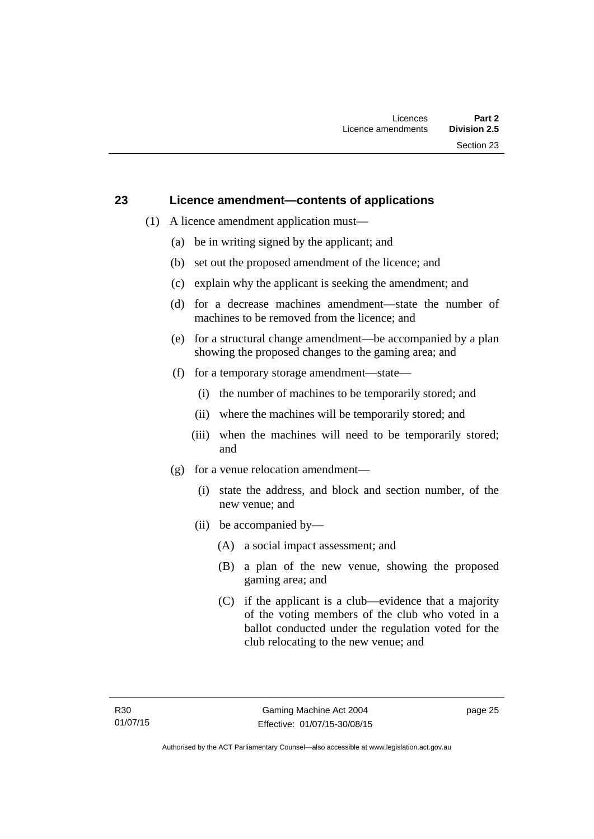### **23 Licence amendment—contents of applications**

- (1) A licence amendment application must—
	- (a) be in writing signed by the applicant; and
	- (b) set out the proposed amendment of the licence; and
	- (c) explain why the applicant is seeking the amendment; and
	- (d) for a decrease machines amendment—state the number of machines to be removed from the licence; and
	- (e) for a structural change amendment—be accompanied by a plan showing the proposed changes to the gaming area; and
	- (f) for a temporary storage amendment—state—
		- (i) the number of machines to be temporarily stored; and
		- (ii) where the machines will be temporarily stored; and
		- (iii) when the machines will need to be temporarily stored; and
	- (g) for a venue relocation amendment—
		- (i) state the address, and block and section number, of the new venue; and
		- (ii) be accompanied by—
			- (A) a social impact assessment; and
			- (B) a plan of the new venue, showing the proposed gaming area; and
			- (C) if the applicant is a club—evidence that a majority of the voting members of the club who voted in a ballot conducted under the regulation voted for the club relocating to the new venue; and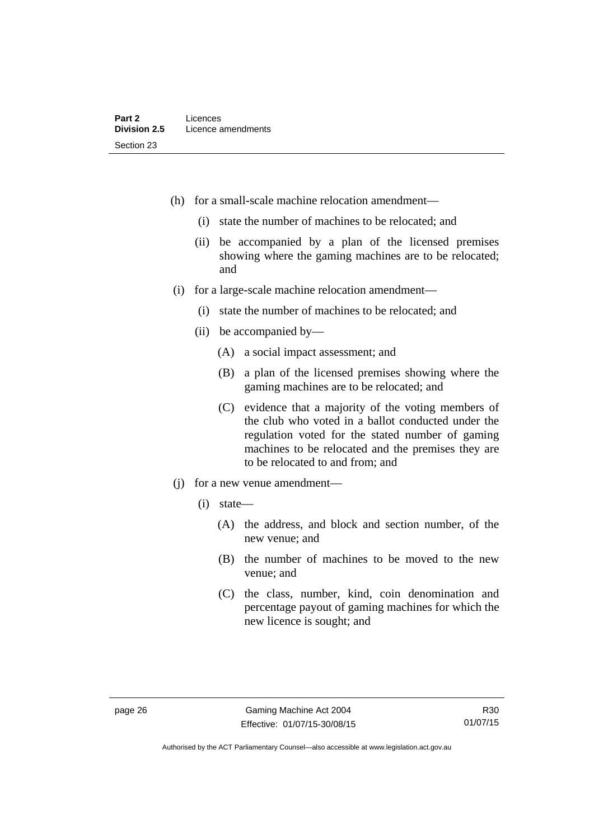- (h) for a small-scale machine relocation amendment—
	- (i) state the number of machines to be relocated; and
	- (ii) be accompanied by a plan of the licensed premises showing where the gaming machines are to be relocated; and
- (i) for a large-scale machine relocation amendment—
	- (i) state the number of machines to be relocated; and
	- (ii) be accompanied by—
		- (A) a social impact assessment; and
		- (B) a plan of the licensed premises showing where the gaming machines are to be relocated; and
		- (C) evidence that a majority of the voting members of the club who voted in a ballot conducted under the regulation voted for the stated number of gaming machines to be relocated and the premises they are to be relocated to and from; and
- (j) for a new venue amendment—
	- (i) state—
		- (A) the address, and block and section number, of the new venue; and
		- (B) the number of machines to be moved to the new venue; and
		- (C) the class, number, kind, coin denomination and percentage payout of gaming machines for which the new licence is sought; and

R30 01/07/15

Authorised by the ACT Parliamentary Counsel—also accessible at www.legislation.act.gov.au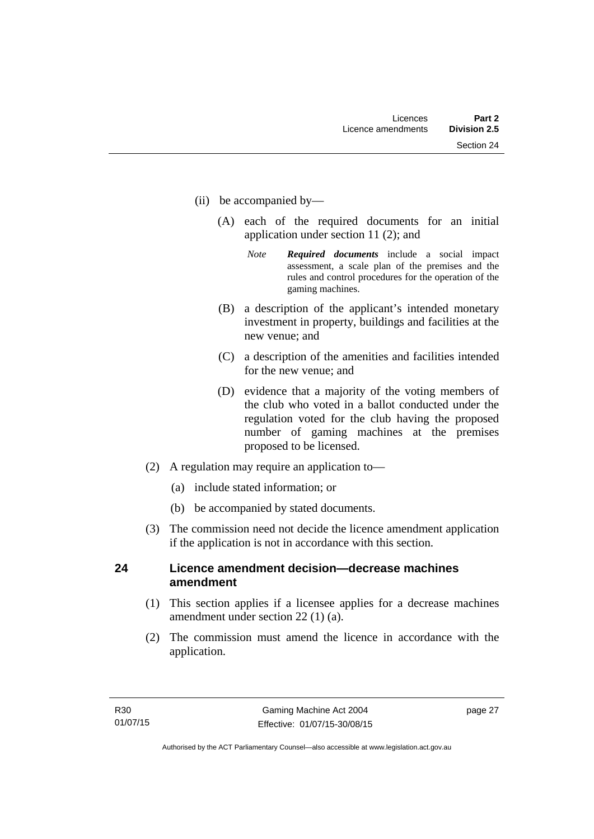- (ii) be accompanied by—
	- (A) each of the required documents for an initial application under section 11 (2); and
		- *Note Required documents* include a social impact assessment, a scale plan of the premises and the rules and control procedures for the operation of the gaming machines.
	- (B) a description of the applicant's intended monetary investment in property, buildings and facilities at the new venue; and
	- (C) a description of the amenities and facilities intended for the new venue; and
	- (D) evidence that a majority of the voting members of the club who voted in a ballot conducted under the regulation voted for the club having the proposed number of gaming machines at the premises proposed to be licensed.
- (2) A regulation may require an application to—
	- (a) include stated information; or
	- (b) be accompanied by stated documents.
- (3) The commission need not decide the licence amendment application if the application is not in accordance with this section.

# **24 Licence amendment decision—decrease machines amendment**

- (1) This section applies if a licensee applies for a decrease machines amendment under section 22 (1) (a).
- (2) The commission must amend the licence in accordance with the application.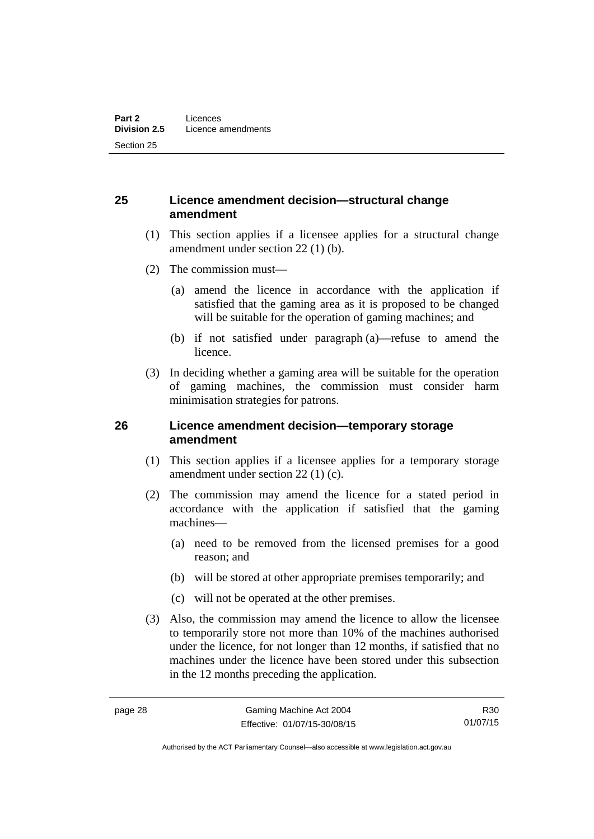### **25 Licence amendment decision—structural change amendment**

- (1) This section applies if a licensee applies for a structural change amendment under section 22 (1) (b).
- (2) The commission must—
	- (a) amend the licence in accordance with the application if satisfied that the gaming area as it is proposed to be changed will be suitable for the operation of gaming machines; and
	- (b) if not satisfied under paragraph (a)—refuse to amend the licence.
- (3) In deciding whether a gaming area will be suitable for the operation of gaming machines, the commission must consider harm minimisation strategies for patrons.

### **26 Licence amendment decision—temporary storage amendment**

- (1) This section applies if a licensee applies for a temporary storage amendment under section 22 (1) (c).
- (2) The commission may amend the licence for a stated period in accordance with the application if satisfied that the gaming machines—
	- (a) need to be removed from the licensed premises for a good reason; and
	- (b) will be stored at other appropriate premises temporarily; and
	- (c) will not be operated at the other premises.
- (3) Also, the commission may amend the licence to allow the licensee to temporarily store not more than 10% of the machines authorised under the licence, for not longer than 12 months, if satisfied that no machines under the licence have been stored under this subsection in the 12 months preceding the application.

R30 01/07/15

Authorised by the ACT Parliamentary Counsel—also accessible at www.legislation.act.gov.au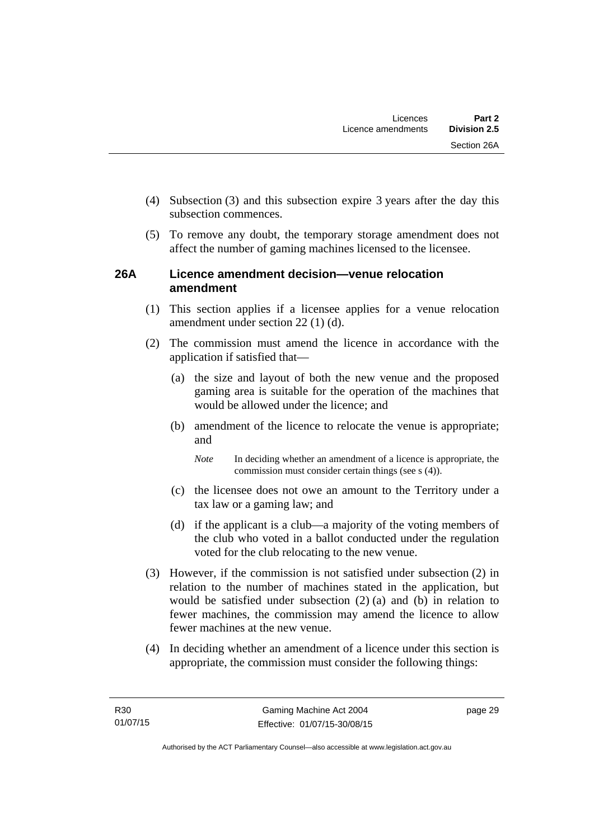- (4) Subsection (3) and this subsection expire 3 years after the day this subsection commences.
- (5) To remove any doubt, the temporary storage amendment does not affect the number of gaming machines licensed to the licensee.

### **26A Licence amendment decision—venue relocation amendment**

- (1) This section applies if a licensee applies for a venue relocation amendment under section 22 (1) (d).
- (2) The commission must amend the licence in accordance with the application if satisfied that—
	- (a) the size and layout of both the new venue and the proposed gaming area is suitable for the operation of the machines that would be allowed under the licence; and
	- (b) amendment of the licence to relocate the venue is appropriate; and

*Note* In deciding whether an amendment of a licence is appropriate, the commission must consider certain things (see s (4)).

- (c) the licensee does not owe an amount to the Territory under a tax law or a gaming law; and
- (d) if the applicant is a club—a majority of the voting members of the club who voted in a ballot conducted under the regulation voted for the club relocating to the new venue.
- (3) However, if the commission is not satisfied under subsection (2) in relation to the number of machines stated in the application, but would be satisfied under subsection (2) (a) and (b) in relation to fewer machines, the commission may amend the licence to allow fewer machines at the new venue.
- (4) In deciding whether an amendment of a licence under this section is appropriate, the commission must consider the following things: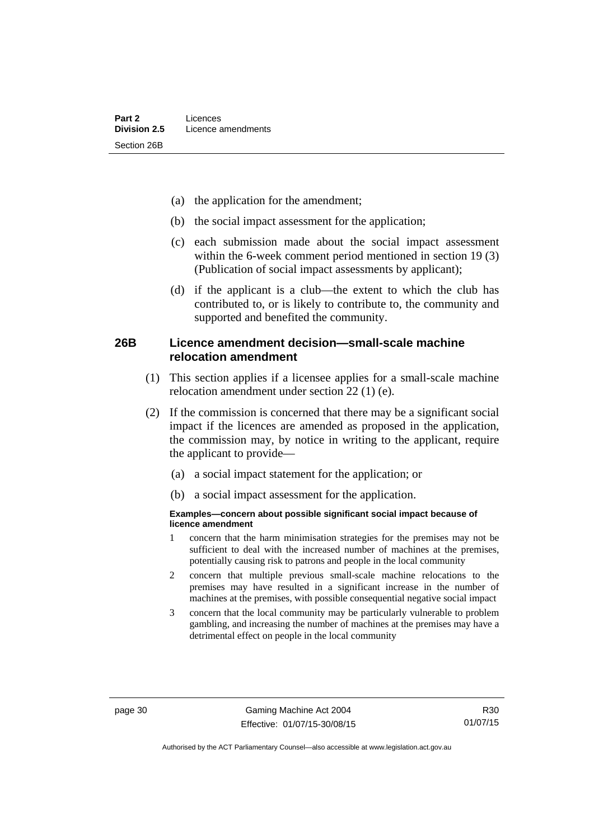- (a) the application for the amendment;
- (b) the social impact assessment for the application;
- (c) each submission made about the social impact assessment within the 6-week comment period mentioned in section 19 (3) (Publication of social impact assessments by applicant);
- (d) if the applicant is a club—the extent to which the club has contributed to, or is likely to contribute to, the community and supported and benefited the community.

### **26B Licence amendment decision—small-scale machine relocation amendment**

- (1) This section applies if a licensee applies for a small-scale machine relocation amendment under section 22 (1) (e).
- (2) If the commission is concerned that there may be a significant social impact if the licences are amended as proposed in the application, the commission may, by notice in writing to the applicant, require the applicant to provide—
	- (a) a social impact statement for the application; or
	- (b) a social impact assessment for the application.

#### **Examples—concern about possible significant social impact because of licence amendment**

- 1 concern that the harm minimisation strategies for the premises may not be sufficient to deal with the increased number of machines at the premises, potentially causing risk to patrons and people in the local community
- 2 concern that multiple previous small-scale machine relocations to the premises may have resulted in a significant increase in the number of machines at the premises, with possible consequential negative social impact
- 3 concern that the local community may be particularly vulnerable to problem gambling, and increasing the number of machines at the premises may have a detrimental effect on people in the local community

R30 01/07/15

Authorised by the ACT Parliamentary Counsel—also accessible at www.legislation.act.gov.au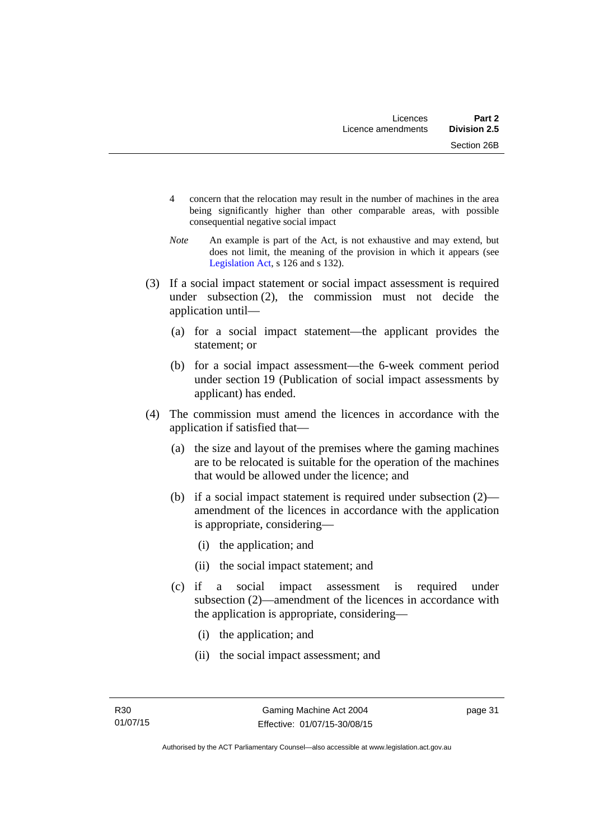- 4 concern that the relocation may result in the number of machines in the area being significantly higher than other comparable areas, with possible consequential negative social impact
- *Note* An example is part of the Act, is not exhaustive and may extend, but does not limit, the meaning of the provision in which it appears (see [Legislation Act,](http://www.legislation.act.gov.au/a/2001-14) s 126 and s 132).
- (3) If a social impact statement or social impact assessment is required under subsection (2), the commission must not decide the application until—
	- (a) for a social impact statement—the applicant provides the statement; or
	- (b) for a social impact assessment—the 6-week comment period under section 19 (Publication of social impact assessments by applicant) has ended.
- (4) The commission must amend the licences in accordance with the application if satisfied that—
	- (a) the size and layout of the premises where the gaming machines are to be relocated is suitable for the operation of the machines that would be allowed under the licence; and
	- (b) if a social impact statement is required under subsection (2) amendment of the licences in accordance with the application is appropriate, considering—
		- (i) the application; and
		- (ii) the social impact statement; and
	- (c) if a social impact assessment is required under subsection (2)—amendment of the licences in accordance with the application is appropriate, considering—
		- (i) the application; and
		- (ii) the social impact assessment; and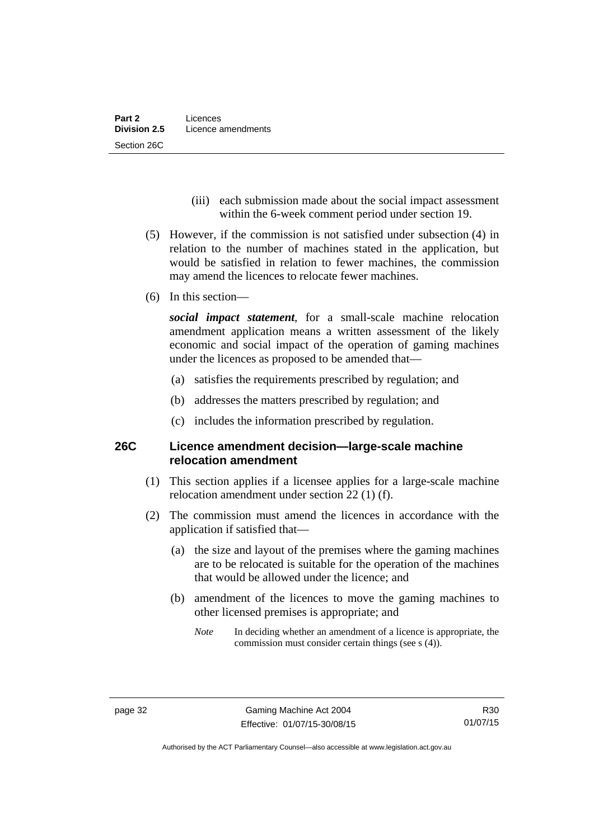- (iii) each submission made about the social impact assessment within the 6-week comment period under section 19.
- (5) However, if the commission is not satisfied under subsection (4) in relation to the number of machines stated in the application, but would be satisfied in relation to fewer machines, the commission may amend the licences to relocate fewer machines.
- (6) In this section—

*social impact statement*, for a small-scale machine relocation amendment application means a written assessment of the likely economic and social impact of the operation of gaming machines under the licences as proposed to be amended that—

- (a) satisfies the requirements prescribed by regulation; and
- (b) addresses the matters prescribed by regulation; and
- (c) includes the information prescribed by regulation.

### **26C Licence amendment decision—large-scale machine relocation amendment**

- (1) This section applies if a licensee applies for a large-scale machine relocation amendment under section 22 (1) (f).
- (2) The commission must amend the licences in accordance with the application if satisfied that—
	- (a) the size and layout of the premises where the gaming machines are to be relocated is suitable for the operation of the machines that would be allowed under the licence; and
	- (b) amendment of the licences to move the gaming machines to other licensed premises is appropriate; and
		- *Note* In deciding whether an amendment of a licence is appropriate, the commission must consider certain things (see s (4)).

R30 01/07/15

Authorised by the ACT Parliamentary Counsel—also accessible at www.legislation.act.gov.au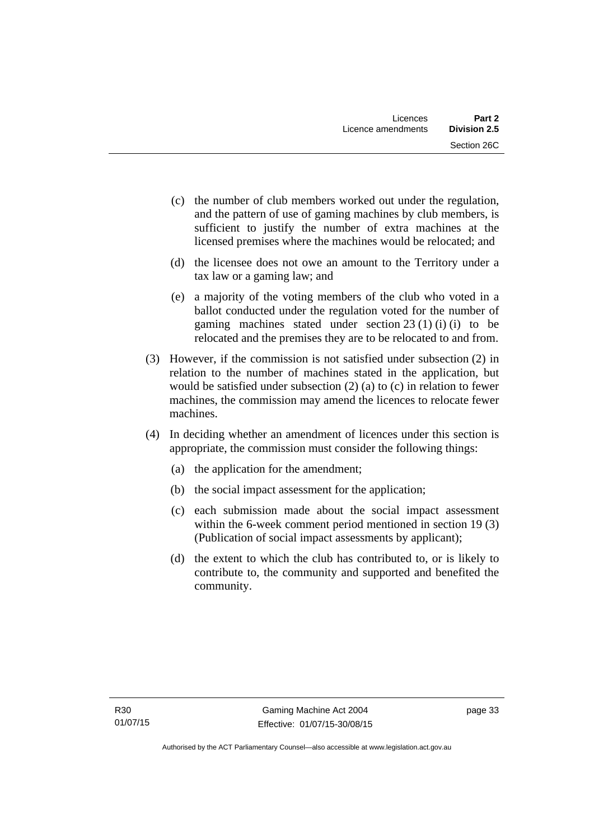- (c) the number of club members worked out under the regulation, and the pattern of use of gaming machines by club members, is sufficient to justify the number of extra machines at the licensed premises where the machines would be relocated; and
- (d) the licensee does not owe an amount to the Territory under a tax law or a gaming law; and
- (e) a majority of the voting members of the club who voted in a ballot conducted under the regulation voted for the number of gaming machines stated under section 23 (1) (i) (i) to be relocated and the premises they are to be relocated to and from.
- (3) However, if the commission is not satisfied under subsection (2) in relation to the number of machines stated in the application, but would be satisfied under subsection (2) (a) to (c) in relation to fewer machines, the commission may amend the licences to relocate fewer machines.
- (4) In deciding whether an amendment of licences under this section is appropriate, the commission must consider the following things:
	- (a) the application for the amendment;
	- (b) the social impact assessment for the application;
	- (c) each submission made about the social impact assessment within the 6-week comment period mentioned in section 19 (3) (Publication of social impact assessments by applicant);
	- (d) the extent to which the club has contributed to, or is likely to contribute to, the community and supported and benefited the community.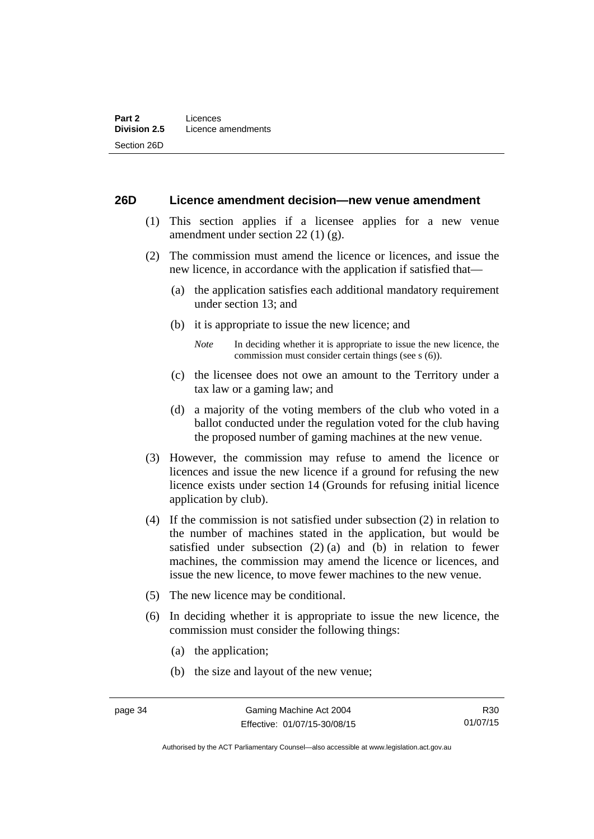#### **26D Licence amendment decision—new venue amendment**

- (1) This section applies if a licensee applies for a new venue amendment under section 22 (1) (g).
- (2) The commission must amend the licence or licences, and issue the new licence, in accordance with the application if satisfied that—
	- (a) the application satisfies each additional mandatory requirement under section 13; and
	- (b) it is appropriate to issue the new licence; and
		- *Note* In deciding whether it is appropriate to issue the new licence, the commission must consider certain things (see s (6)).
	- (c) the licensee does not owe an amount to the Territory under a tax law or a gaming law; and
	- (d) a majority of the voting members of the club who voted in a ballot conducted under the regulation voted for the club having the proposed number of gaming machines at the new venue.
- (3) However, the commission may refuse to amend the licence or licences and issue the new licence if a ground for refusing the new licence exists under section 14 (Grounds for refusing initial licence application by club).
- (4) If the commission is not satisfied under subsection (2) in relation to the number of machines stated in the application, but would be satisfied under subsection (2) (a) and (b) in relation to fewer machines, the commission may amend the licence or licences, and issue the new licence, to move fewer machines to the new venue.
- (5) The new licence may be conditional.
- (6) In deciding whether it is appropriate to issue the new licence, the commission must consider the following things:
	- (a) the application;
	- (b) the size and layout of the new venue;

Authorised by the ACT Parliamentary Counsel—also accessible at www.legislation.act.gov.au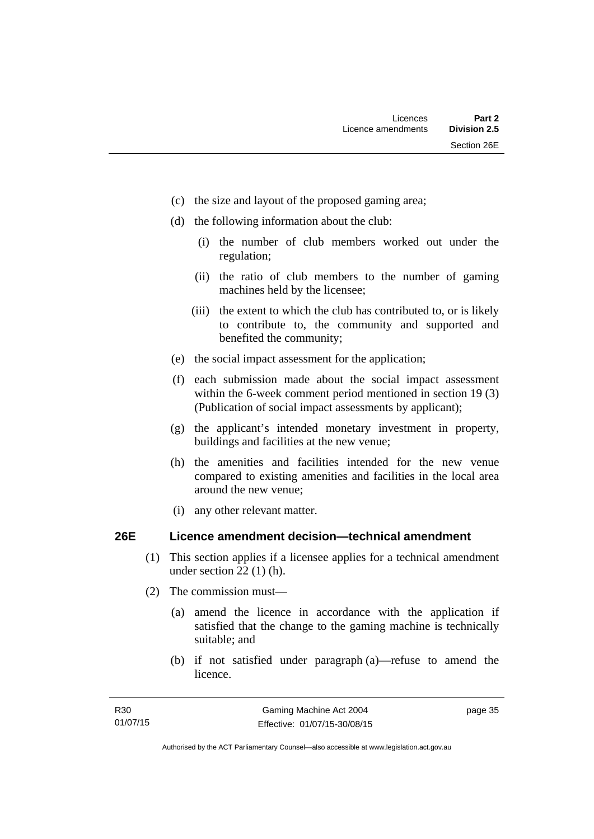- (c) the size and layout of the proposed gaming area;
- (d) the following information about the club:
	- (i) the number of club members worked out under the regulation;
	- (ii) the ratio of club members to the number of gaming machines held by the licensee;
	- (iii) the extent to which the club has contributed to, or is likely to contribute to, the community and supported and benefited the community;
- (e) the social impact assessment for the application;
- (f) each submission made about the social impact assessment within the 6-week comment period mentioned in section 19 (3) (Publication of social impact assessments by applicant);
- (g) the applicant's intended monetary investment in property, buildings and facilities at the new venue;
- (h) the amenities and facilities intended for the new venue compared to existing amenities and facilities in the local area around the new venue;
- (i) any other relevant matter.

### **26E Licence amendment decision—technical amendment**

- (1) This section applies if a licensee applies for a technical amendment under section 22 (1) (h).
- (2) The commission must—
	- (a) amend the licence in accordance with the application if satisfied that the change to the gaming machine is technically suitable; and
	- (b) if not satisfied under paragraph (a)—refuse to amend the licence.

page 35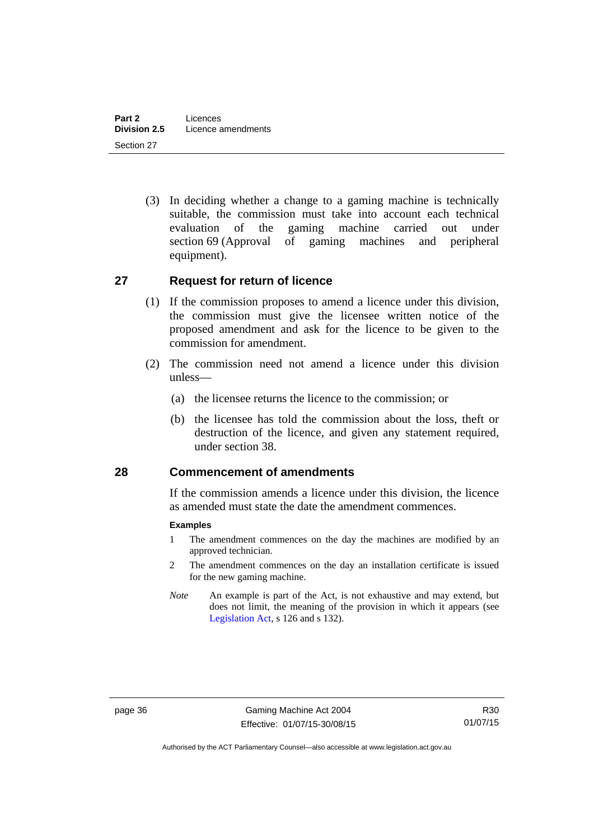(3) In deciding whether a change to a gaming machine is technically suitable, the commission must take into account each technical evaluation of the gaming machine carried out under section 69 (Approval of gaming machines and peripheral equipment).

### **27 Request for return of licence**

- (1) If the commission proposes to amend a licence under this division, the commission must give the licensee written notice of the proposed amendment and ask for the licence to be given to the commission for amendment.
- (2) The commission need not amend a licence under this division unless—
	- (a) the licensee returns the licence to the commission; or
	- (b) the licensee has told the commission about the loss, theft or destruction of the licence, and given any statement required, under section 38.

### **28 Commencement of amendments**

If the commission amends a licence under this division, the licence as amended must state the date the amendment commences.

#### **Examples**

- 1 The amendment commences on the day the machines are modified by an approved technician.
- 2 The amendment commences on the day an installation certificate is issued for the new gaming machine.
- *Note* An example is part of the Act, is not exhaustive and may extend, but does not limit, the meaning of the provision in which it appears (see [Legislation Act,](http://www.legislation.act.gov.au/a/2001-14) s 126 and s 132).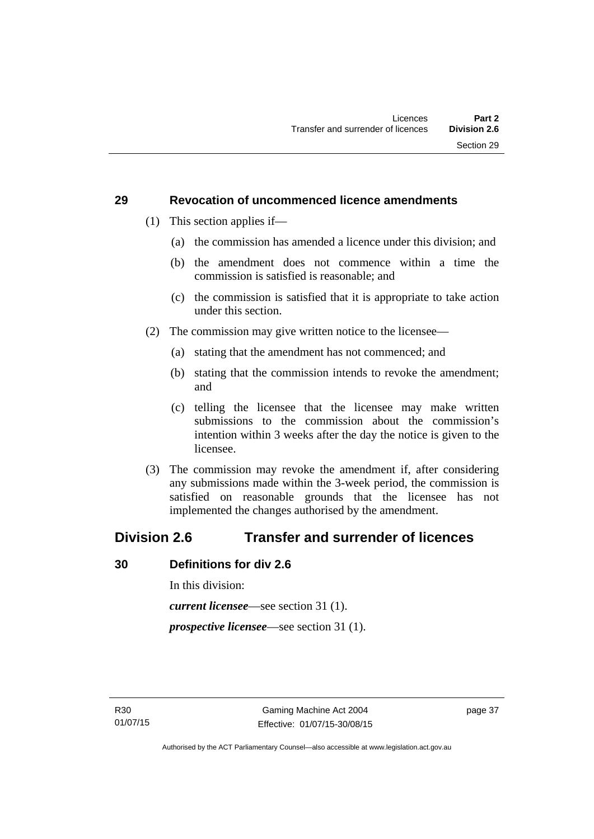### **29 Revocation of uncommenced licence amendments**

- (1) This section applies if—
	- (a) the commission has amended a licence under this division; and
	- (b) the amendment does not commence within a time the commission is satisfied is reasonable; and
	- (c) the commission is satisfied that it is appropriate to take action under this section.
- (2) The commission may give written notice to the licensee—
	- (a) stating that the amendment has not commenced; and
	- (b) stating that the commission intends to revoke the amendment; and
	- (c) telling the licensee that the licensee may make written submissions to the commission about the commission's intention within 3 weeks after the day the notice is given to the licensee.
- (3) The commission may revoke the amendment if, after considering any submissions made within the 3-week period, the commission is satisfied on reasonable grounds that the licensee has not implemented the changes authorised by the amendment.

# **Division 2.6 Transfer and surrender of licences**

## **30 Definitions for div 2.6**

In this division:

*current licensee*—see section 31 (1).

*prospective licensee*—see section 31 (1).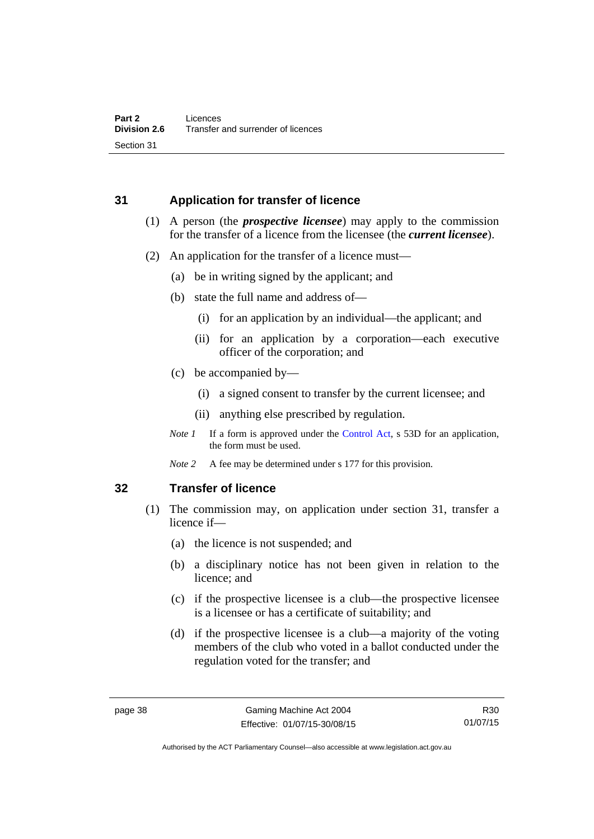## **31 Application for transfer of licence**

- (1) A person (the *prospective licensee*) may apply to the commission for the transfer of a licence from the licensee (the *current licensee*).
- (2) An application for the transfer of a licence must—
	- (a) be in writing signed by the applicant; and
	- (b) state the full name and address of—
		- (i) for an application by an individual—the applicant; and
		- (ii) for an application by a corporation—each executive officer of the corporation; and
	- (c) be accompanied by—
		- (i) a signed consent to transfer by the current licensee; and
		- (ii) anything else prescribed by regulation.
	- *Note 1* If a form is approved under the [Control Act,](http://www.legislation.act.gov.au/a/1999-46) s 53D for an application, the form must be used.
	- *Note 2* A fee may be determined under s 177 for this provision.

### **32 Transfer of licence**

- (1) The commission may, on application under section 31, transfer a licence if—
	- (a) the licence is not suspended; and
	- (b) a disciplinary notice has not been given in relation to the licence; and
	- (c) if the prospective licensee is a club—the prospective licensee is a licensee or has a certificate of suitability; and
	- (d) if the prospective licensee is a club—a majority of the voting members of the club who voted in a ballot conducted under the regulation voted for the transfer; and

R30 01/07/15

Authorised by the ACT Parliamentary Counsel—also accessible at www.legislation.act.gov.au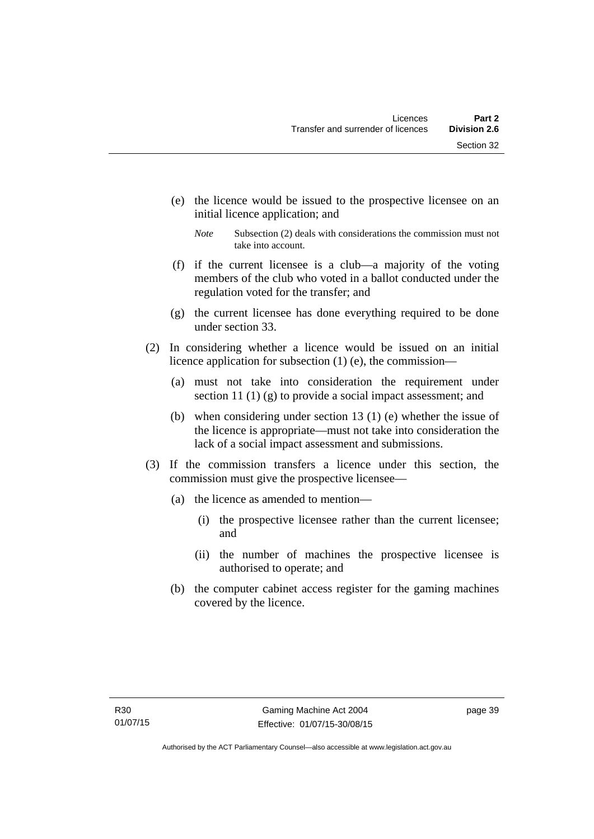- (e) the licence would be issued to the prospective licensee on an initial licence application; and
	- *Note* Subsection (2) deals with considerations the commission must not take into account.
- (f) if the current licensee is a club—a majority of the voting members of the club who voted in a ballot conducted under the regulation voted for the transfer; and
- (g) the current licensee has done everything required to be done under section 33.
- (2) In considering whether a licence would be issued on an initial licence application for subsection (1) (e), the commission—
	- (a) must not take into consideration the requirement under section 11 (1) (g) to provide a social impact assessment; and
	- (b) when considering under section 13 (1) (e) whether the issue of the licence is appropriate—must not take into consideration the lack of a social impact assessment and submissions.
- (3) If the commission transfers a licence under this section, the commission must give the prospective licensee—
	- (a) the licence as amended to mention—
		- (i) the prospective licensee rather than the current licensee; and
		- (ii) the number of machines the prospective licensee is authorised to operate; and
	- (b) the computer cabinet access register for the gaming machines covered by the licence.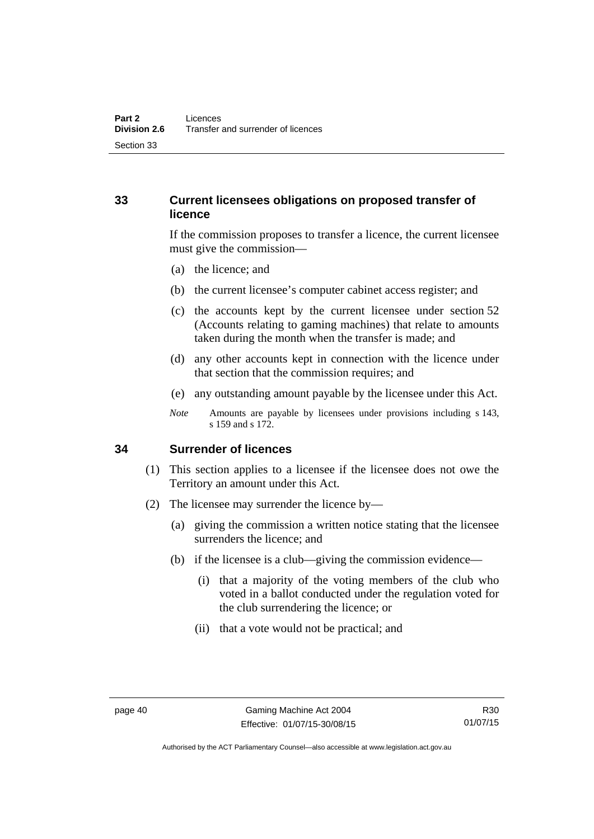# **33 Current licensees obligations on proposed transfer of licence**

If the commission proposes to transfer a licence, the current licensee must give the commission—

- (a) the licence; and
- (b) the current licensee's computer cabinet access register; and
- (c) the accounts kept by the current licensee under section 52 (Accounts relating to gaming machines) that relate to amounts taken during the month when the transfer is made; and
- (d) any other accounts kept in connection with the licence under that section that the commission requires; and
- (e) any outstanding amount payable by the licensee under this Act.
- *Note* Amounts are payable by licensees under provisions including s 143, s 159 and s 172.

### **34 Surrender of licences**

- (1) This section applies to a licensee if the licensee does not owe the Territory an amount under this Act.
- (2) The licensee may surrender the licence by—
	- (a) giving the commission a written notice stating that the licensee surrenders the licence; and
	- (b) if the licensee is a club—giving the commission evidence—
		- (i) that a majority of the voting members of the club who voted in a ballot conducted under the regulation voted for the club surrendering the licence; or
		- (ii) that a vote would not be practical; and

R30 01/07/15

Authorised by the ACT Parliamentary Counsel—also accessible at www.legislation.act.gov.au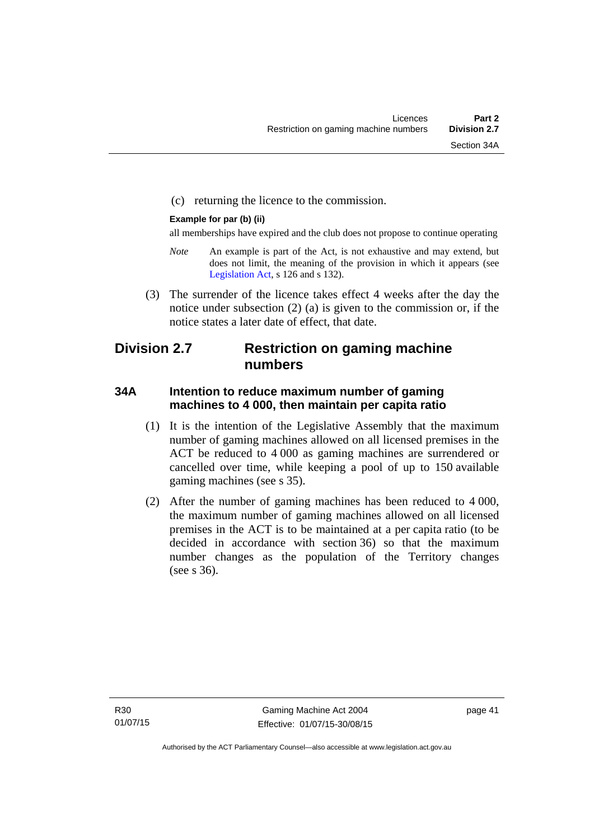(c) returning the licence to the commission.

#### **Example for par (b) (ii)**

all memberships have expired and the club does not propose to continue operating

- *Note* An example is part of the Act, is not exhaustive and may extend, but does not limit, the meaning of the provision in which it appears (see [Legislation Act,](http://www.legislation.act.gov.au/a/2001-14) s 126 and s 132).
- (3) The surrender of the licence takes effect 4 weeks after the day the notice under subsection (2) (a) is given to the commission or, if the notice states a later date of effect, that date.

# **Division 2.7 Restriction on gaming machine numbers**

# **34A Intention to reduce maximum number of gaming machines to 4 000, then maintain per capita ratio**

- (1) It is the intention of the Legislative Assembly that the maximum number of gaming machines allowed on all licensed premises in the ACT be reduced to 4 000 as gaming machines are surrendered or cancelled over time, while keeping a pool of up to 150 available gaming machines (see s 35).
- (2) After the number of gaming machines has been reduced to 4 000, the maximum number of gaming machines allowed on all licensed premises in the ACT is to be maintained at a per capita ratio (to be decided in accordance with section 36) so that the maximum number changes as the population of the Territory changes (see s 36).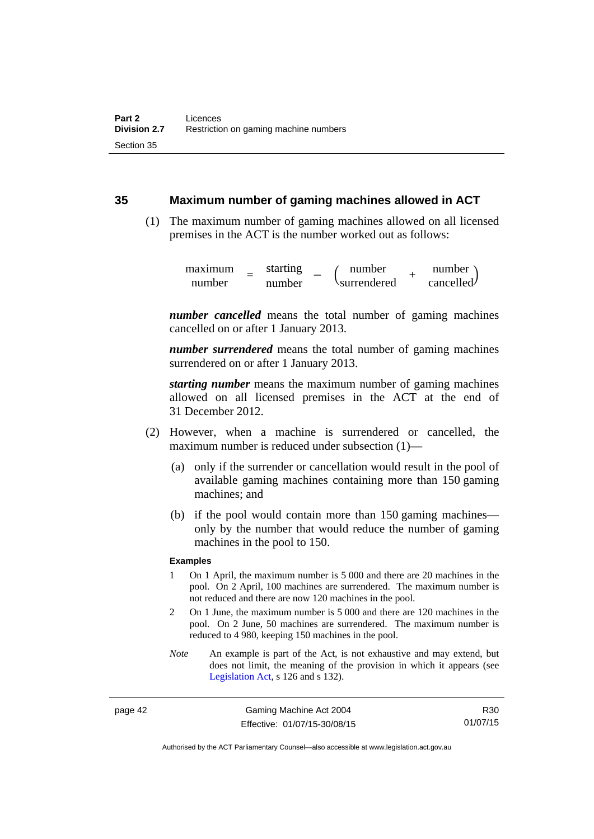### **35 Maximum number of gaming machines allowed in ACT**

 (1) The maximum number of gaming machines allowed on all licensed premises in the ACT is the number worked out as follows:

> maximum number = starting –  $\begin{pmatrix} \text{number} \\ \text{number} \end{pmatrix}$  =  $\begin{pmatrix} \text{number} \\ \text{surface} \end{pmatrix}$ surrendered *<sup>+</sup>* number cancelled

*number cancelled* means the total number of gaming machines cancelled on or after 1 January 2013.

*number surrendered* means the total number of gaming machines surrendered on or after 1 January 2013.

*starting number* means the maximum number of gaming machines allowed on all licensed premises in the ACT at the end of 31 December 2012.

- (2) However, when a machine is surrendered or cancelled, the maximum number is reduced under subsection (1)—
	- (a) only if the surrender or cancellation would result in the pool of available gaming machines containing more than 150 gaming machines; and
	- (b) if the pool would contain more than 150 gaming machines only by the number that would reduce the number of gaming machines in the pool to 150.

#### **Examples**

- 1 On 1 April, the maximum number is 5 000 and there are 20 machines in the pool. On 2 April, 100 machines are surrendered. The maximum number is not reduced and there are now 120 machines in the pool.
- 2 On 1 June, the maximum number is 5 000 and there are 120 machines in the pool. On 2 June, 50 machines are surrendered. The maximum number is reduced to 4 980, keeping 150 machines in the pool.
- *Note* An example is part of the Act, is not exhaustive and may extend, but does not limit, the meaning of the provision in which it appears (see [Legislation Act,](http://www.legislation.act.gov.au/a/2001-14) s 126 and s 132).

page 42 Gaming Machine Act 2004 Effective: 01/07/15-30/08/15

R30 01/07/15

Authorised by the ACT Parliamentary Counsel—also accessible at www.legislation.act.gov.au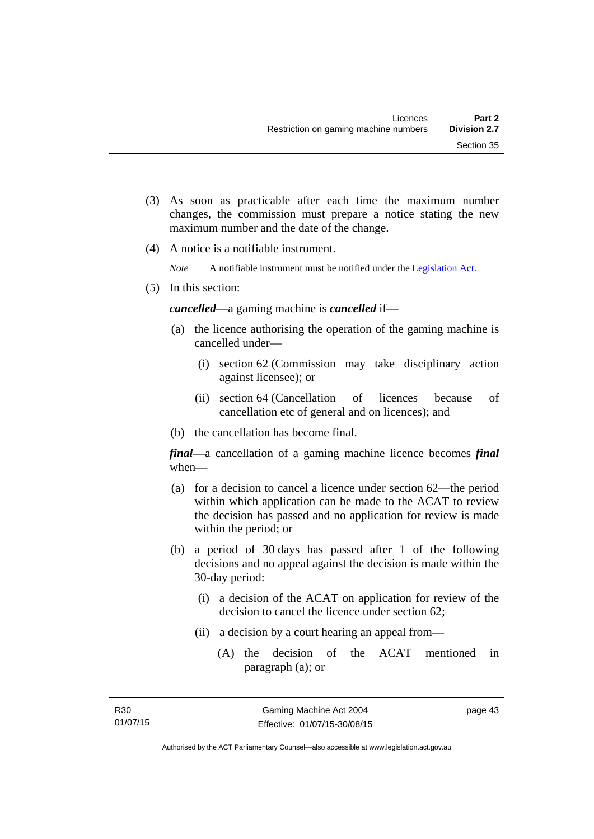- (3) As soon as practicable after each time the maximum number changes, the commission must prepare a notice stating the new maximum number and the date of the change.
- (4) A notice is a notifiable instrument.

*Note* A notifiable instrument must be notified under the [Legislation Act](http://www.legislation.act.gov.au/a/2001-14).

(5) In this section:

*cancelled*—a gaming machine is *cancelled* if—

- (a) the licence authorising the operation of the gaming machine is cancelled under—
	- (i) section 62 (Commission may take disciplinary action against licensee); or
	- (ii) section 64 (Cancellation of licences because of cancellation etc of general and on licences); and
- (b) the cancellation has become final.

*final*—a cancellation of a gaming machine licence becomes *final* when—

- (a) for a decision to cancel a licence under section 62—the period within which application can be made to the ACAT to review the decision has passed and no application for review is made within the period; or
- (b) a period of 30 days has passed after 1 of the following decisions and no appeal against the decision is made within the 30-day period:
	- (i) a decision of the ACAT on application for review of the decision to cancel the licence under section 62;
	- (ii) a decision by a court hearing an appeal from—
		- (A) the decision of the ACAT mentioned in paragraph (a); or

page 43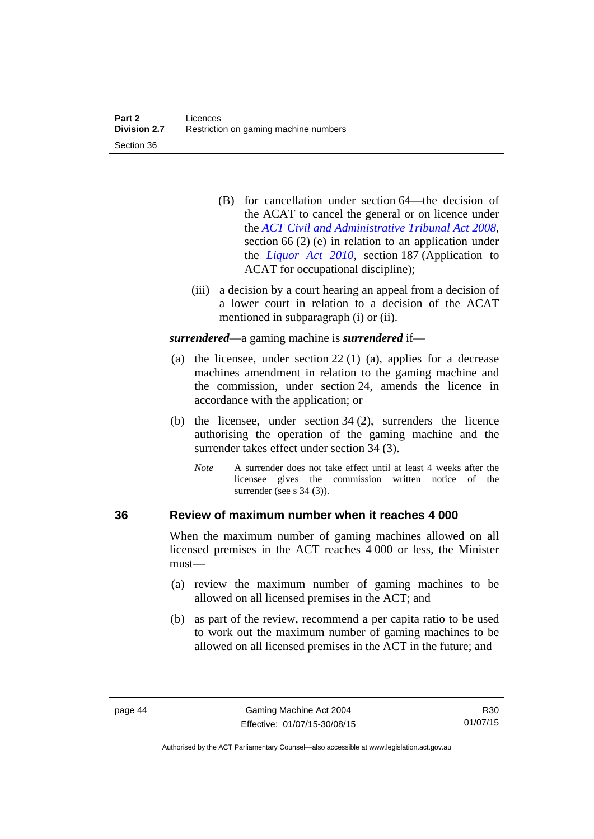- (B) for cancellation under section 64—the decision of the ACAT to cancel the general or on licence under the *[ACT Civil and Administrative Tribunal Act 2008](http://www.legislation.act.gov.au/a/2008-35)*, section 66 (2) (e) in relation to an application under the *[Liquor Act 2010](http://www.legislation.act.gov.au/a/2010-35)*, section 187 (Application to ACAT for occupational discipline);
- (iii) a decision by a court hearing an appeal from a decision of a lower court in relation to a decision of the ACAT mentioned in subparagraph (i) or (ii).

*surrendered*—a gaming machine is *surrendered* if—

- (a) the licensee, under section 22 (1) (a), applies for a decrease machines amendment in relation to the gaming machine and the commission, under section 24, amends the licence in accordance with the application; or
- (b) the licensee, under section 34 (2), surrenders the licence authorising the operation of the gaming machine and the surrender takes effect under section 34 (3).
	- *Note* A surrender does not take effect until at least 4 weeks after the licensee gives the commission written notice of the surrender (see s 34 (3)).

### **36 Review of maximum number when it reaches 4 000**

When the maximum number of gaming machines allowed on all licensed premises in the ACT reaches 4 000 or less, the Minister must—

- (a) review the maximum number of gaming machines to be allowed on all licensed premises in the ACT; and
- (b) as part of the review, recommend a per capita ratio to be used to work out the maximum number of gaming machines to be allowed on all licensed premises in the ACT in the future; and

Authorised by the ACT Parliamentary Counsel—also accessible at www.legislation.act.gov.au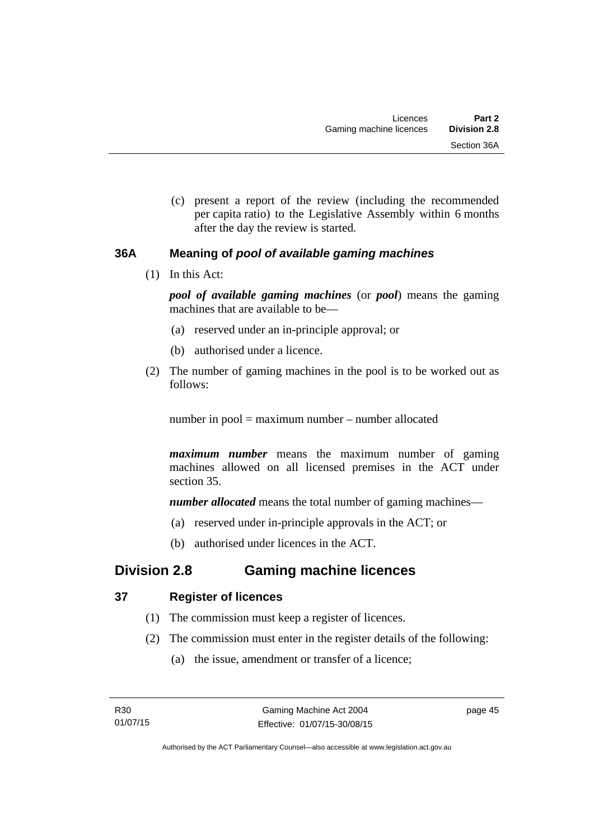(c) present a report of the review (including the recommended per capita ratio) to the Legislative Assembly within 6 months after the day the review is started.

# **36A Meaning of** *pool of available gaming machines*

(1) In this Act:

*pool of available gaming machines* (or *pool*) means the gaming machines that are available to be—

- (a) reserved under an in-principle approval; or
- (b) authorised under a licence.
- (2) The number of gaming machines in the pool is to be worked out as follows:

number in pool = maximum number – number allocated

*maximum number* means the maximum number of gaming machines allowed on all licensed premises in the ACT under section 35.

*number allocated* means the total number of gaming machines—

- (a) reserved under in-principle approvals in the ACT; or
- (b) authorised under licences in the ACT.

# **Division 2.8 Gaming machine licences**

# **37 Register of licences**

- (1) The commission must keep a register of licences.
- (2) The commission must enter in the register details of the following:
	- (a) the issue, amendment or transfer of a licence;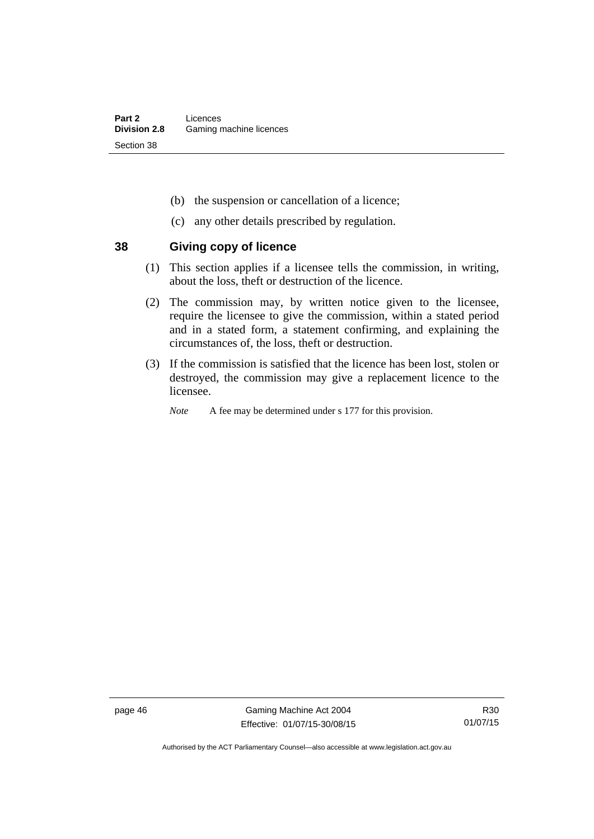- (b) the suspension or cancellation of a licence;
- (c) any other details prescribed by regulation.

### **38 Giving copy of licence**

- (1) This section applies if a licensee tells the commission, in writing, about the loss, theft or destruction of the licence.
- (2) The commission may, by written notice given to the licensee, require the licensee to give the commission, within a stated period and in a stated form, a statement confirming, and explaining the circumstances of, the loss, theft or destruction.
- (3) If the commission is satisfied that the licence has been lost, stolen or destroyed, the commission may give a replacement licence to the licensee.
	- *Note* A fee may be determined under s 177 for this provision.

page 46 Gaming Machine Act 2004 Effective: 01/07/15-30/08/15

Authorised by the ACT Parliamentary Counsel—also accessible at www.legislation.act.gov.au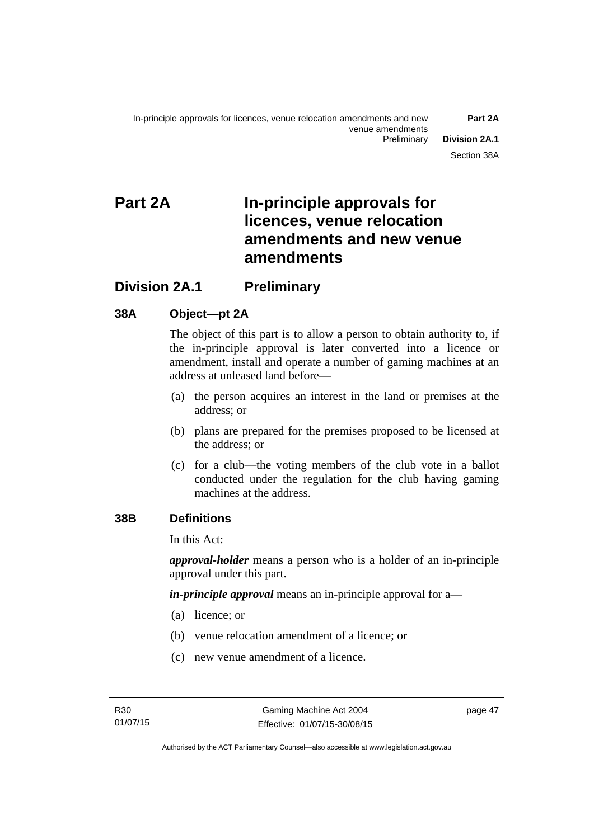# **Part 2A In-principle approvals for licences, venue relocation amendments and new venue amendments**

# **Division 2A.1 Preliminary**

# **38A Object—pt 2A**

The object of this part is to allow a person to obtain authority to, if the in-principle approval is later converted into a licence or amendment, install and operate a number of gaming machines at an address at unleased land before—

- (a) the person acquires an interest in the land or premises at the address; or
- (b) plans are prepared for the premises proposed to be licensed at the address; or
- (c) for a club—the voting members of the club vote in a ballot conducted under the regulation for the club having gaming machines at the address.

# **38B Definitions**

In this Act:

*approval-holder* means a person who is a holder of an in-principle approval under this part.

*in-principle approval* means an in-principle approval for a—

- (a) licence; or
- (b) venue relocation amendment of a licence; or
- (c) new venue amendment of a licence.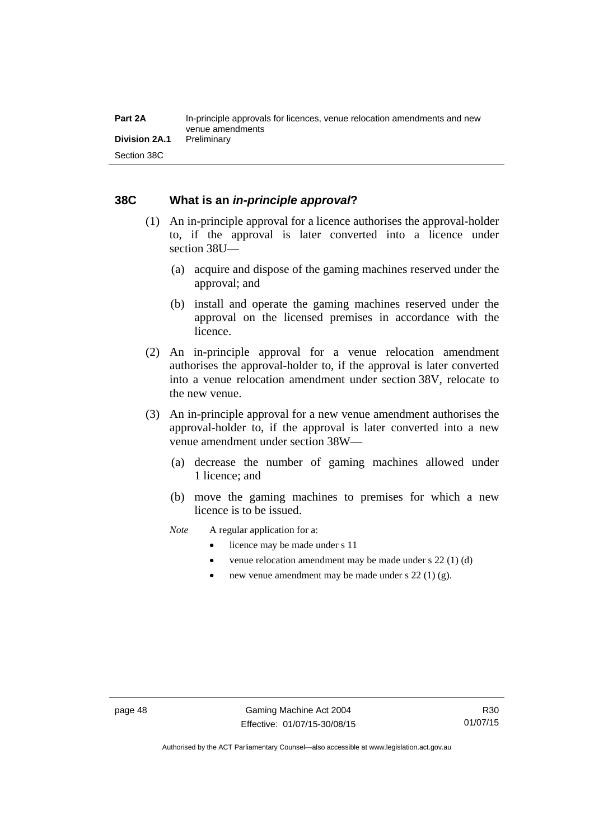### **38C What is an** *in-principle approval***?**

- (1) An in-principle approval for a licence authorises the approval-holder to, if the approval is later converted into a licence under section 38U—
	- (a) acquire and dispose of the gaming machines reserved under the approval; and
	- (b) install and operate the gaming machines reserved under the approval on the licensed premises in accordance with the licence.
- (2) An in-principle approval for a venue relocation amendment authorises the approval-holder to, if the approval is later converted into a venue relocation amendment under section 38V, relocate to the new venue.
- (3) An in-principle approval for a new venue amendment authorises the approval-holder to, if the approval is later converted into a new venue amendment under section 38W—
	- (a) decrease the number of gaming machines allowed under 1 licence; and
	- (b) move the gaming machines to premises for which a new licence is to be issued.
	- *Note* A regular application for a:
		- licence may be made under s 11
		- venue relocation amendment may be made under s 22 (1) (d)
		- new venue amendment may be made under s 22 (1) (g).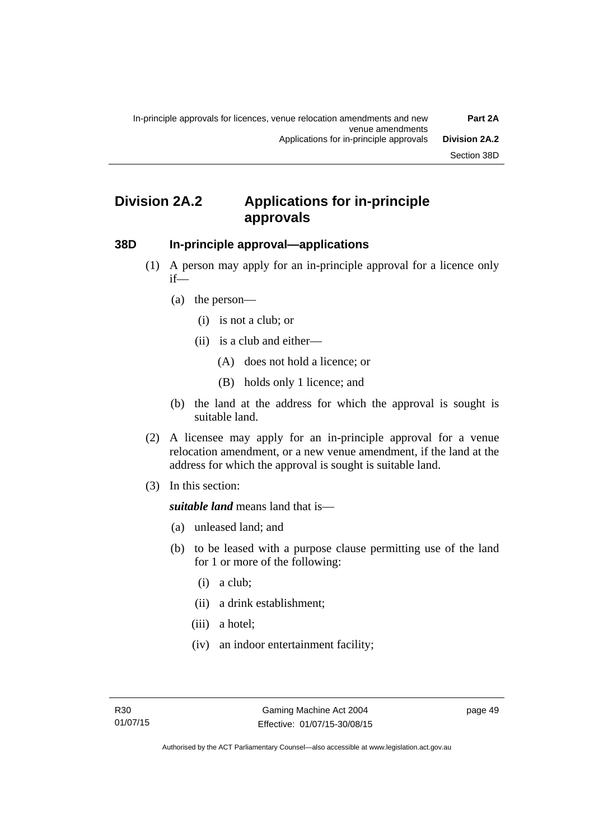# **Division 2A.2 Applications for in-principle approvals**

### **38D In-principle approval—applications**

- (1) A person may apply for an in-principle approval for a licence only if—
	- (a) the person—
		- (i) is not a club; or
		- (ii) is a club and either—
			- (A) does not hold a licence; or
			- (B) holds only 1 licence; and
	- (b) the land at the address for which the approval is sought is suitable land.
- (2) A licensee may apply for an in-principle approval for a venue relocation amendment, or a new venue amendment, if the land at the address for which the approval is sought is suitable land.
- (3) In this section:

*suitable land* means land that is—

- (a) unleased land; and
- (b) to be leased with a purpose clause permitting use of the land for 1 or more of the following:
	- (i) a club;
	- (ii) a drink establishment;
	- (iii) a hotel;
	- (iv) an indoor entertainment facility;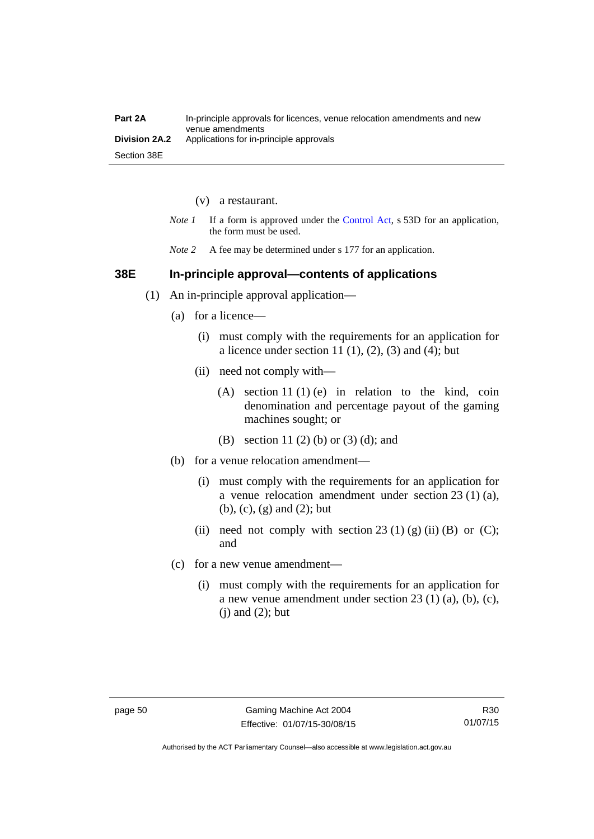| Part 2A       | In-principle approvals for licences, venue relocation amendments and new<br>venue amendments |
|---------------|----------------------------------------------------------------------------------------------|
| Division 2A.2 | Applications for in-principle approvals                                                      |
| Section 38E   |                                                                                              |

- (v) a restaurant.
- *Note 1* If a form is approved under the [Control Act](http://www.legislation.act.gov.au/a/1999-46), s 53D for an application, the form must be used.
- *Note* 2 A fee may be determined under s 177 for an application.

### **38E In-principle approval—contents of applications**

- (1) An in-principle approval application—
	- (a) for a licence—
		- (i) must comply with the requirements for an application for a licence under section 11 $(1)$ ,  $(2)$ ,  $(3)$  and  $(4)$ ; but
		- (ii) need not comply with—
			- (A) section 11 (1) (e) in relation to the kind, coin denomination and percentage payout of the gaming machines sought; or
			- (B) section 11 (2) (b) or (3) (d); and
	- (b) for a venue relocation amendment—
		- (i) must comply with the requirements for an application for a venue relocation amendment under section 23 (1) (a), (b), (c), (g) and (2); but
		- (ii) need not comply with section 23 (1) (g) (ii) (B) or (C); and
	- (c) for a new venue amendment—
		- (i) must comply with the requirements for an application for a new venue amendment under section 23 (1) (a), (b), (c),  $(i)$  and  $(2)$ ; but

Authorised by the ACT Parliamentary Counsel—also accessible at www.legislation.act.gov.au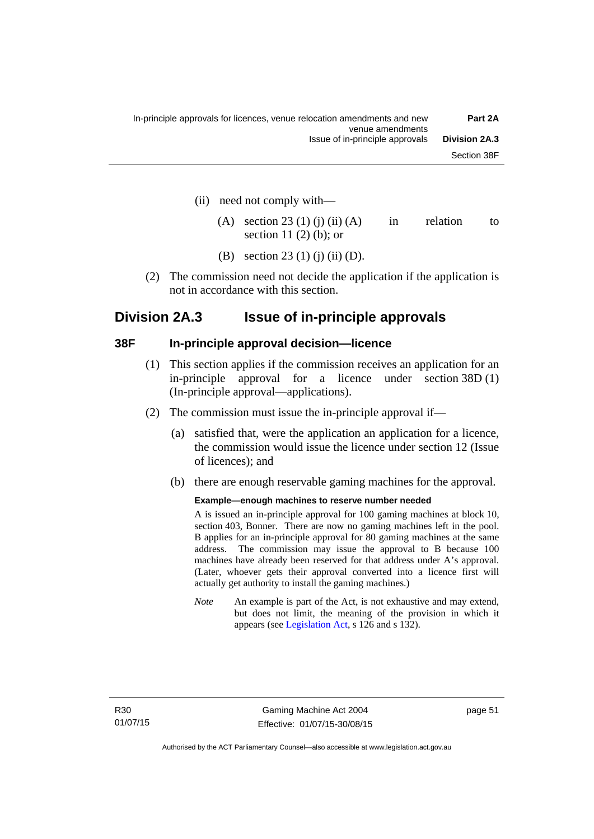- (ii) need not comply with—
	- (A) section 23 (1) (i) (ii) (A) in relation to section 11 $(2)$  $(b)$ ; or
	- (B) section 23 (1) (j) (ii) (D).
- (2) The commission need not decide the application if the application is not in accordance with this section.

# **Division 2A.3 Issue of in-principle approvals**

### **38F In-principle approval decision—licence**

- (1) This section applies if the commission receives an application for an in-principle approval for a licence under section 38D (1) (In-principle approval—applications).
- (2) The commission must issue the in-principle approval if—
	- (a) satisfied that, were the application an application for a licence, the commission would issue the licence under section 12 (Issue of licences); and
	- (b) there are enough reservable gaming machines for the approval.

#### **Example—enough machines to reserve number needed**

A is issued an in-principle approval for 100 gaming machines at block 10, section 403, Bonner. There are now no gaming machines left in the pool. B applies for an in-principle approval for 80 gaming machines at the same address. The commission may issue the approval to B because 100 machines have already been reserved for that address under A's approval. (Later, whoever gets their approval converted into a licence first will actually get authority to install the gaming machines.)

*Note* An example is part of the Act, is not exhaustive and may extend, but does not limit, the meaning of the provision in which it appears (see [Legislation Act,](http://www.legislation.act.gov.au/a/2001-14) s 126 and s 132).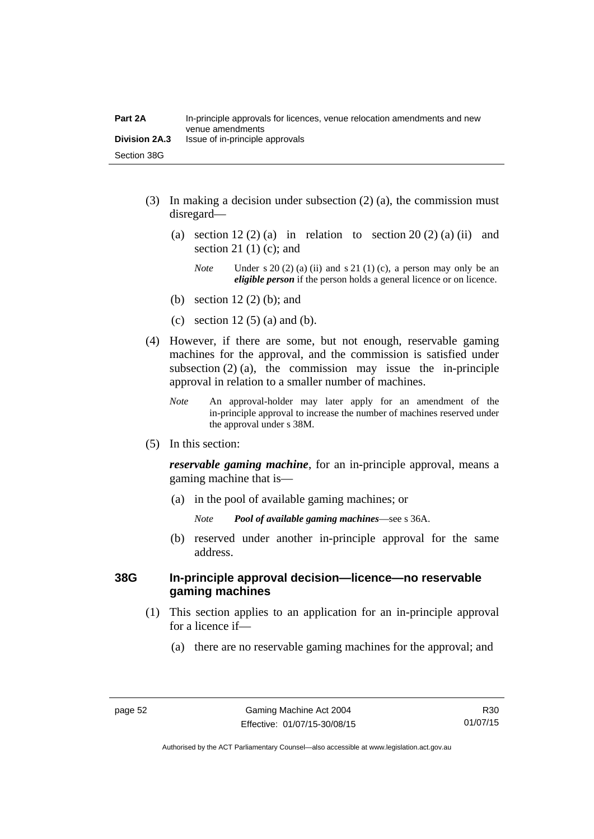| Part 2A              | In-principle approvals for licences, venue relocation amendments and new<br>venue amendments |
|----------------------|----------------------------------------------------------------------------------------------|
| <b>Division 2A.3</b> | Issue of in-principle approvals                                                              |
| Section 38G          |                                                                                              |

- (3) In making a decision under subsection (2) (a), the commission must disregard—
	- (a) section  $12(2)$  (a) in relation to section  $20(2)$  (a) (ii) and section 21 $(1)$  $(c)$ ; and
		- *Note* Under s 20 (2) (a) (ii) and s 21 (1) (c), a person may only be an *eligible person* if the person holds a general licence or on licence.
	- (b) section 12 (2) (b); and
	- (c) section 12  $(5)$  (a) and (b).
- (4) However, if there are some, but not enough, reservable gaming machines for the approval, and the commission is satisfied under subsection  $(2)$  (a), the commission may issue the in-principle approval in relation to a smaller number of machines.
	- *Note* An approval-holder may later apply for an amendment of the in-principle approval to increase the number of machines reserved under the approval under s 38M.
- (5) In this section:

*reservable gaming machine*, for an in-principle approval, means a gaming machine that is—

- (a) in the pool of available gaming machines; or
	- *Note Pool of available gaming machines*—see s 36A.
- (b) reserved under another in-principle approval for the same address.

### **38G In-principle approval decision—licence—no reservable gaming machines**

- (1) This section applies to an application for an in-principle approval for a licence if—
	- (a) there are no reservable gaming machines for the approval; and

Authorised by the ACT Parliamentary Counsel—also accessible at www.legislation.act.gov.au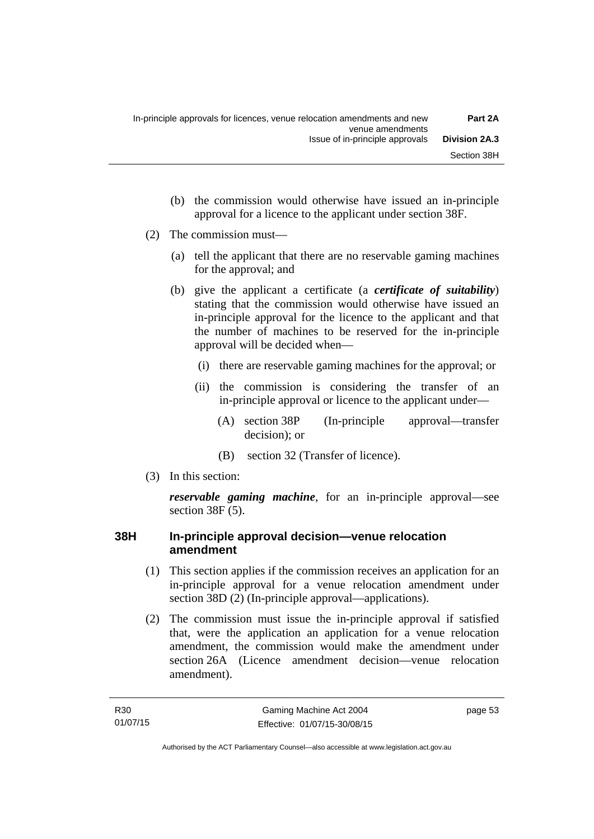- (b) the commission would otherwise have issued an in-principle approval for a licence to the applicant under section 38F.
- (2) The commission must—
	- (a) tell the applicant that there are no reservable gaming machines for the approval; and
	- (b) give the applicant a certificate (a *certificate of suitability*) stating that the commission would otherwise have issued an in-principle approval for the licence to the applicant and that the number of machines to be reserved for the in-principle approval will be decided when—
		- (i) there are reservable gaming machines for the approval; or
		- (ii) the commission is considering the transfer of an in-principle approval or licence to the applicant under—
			- (A) section 38P (In-principle approval—transfer decision); or
			- (B) section 32 (Transfer of licence).
- (3) In this section:

*reservable gaming machine*, for an in-principle approval—see section 38F (5).

# **38H In-principle approval decision—venue relocation amendment**

- (1) This section applies if the commission receives an application for an in-principle approval for a venue relocation amendment under section 38D (2) (In-principle approval—applications).
- (2) The commission must issue the in-principle approval if satisfied that, were the application an application for a venue relocation amendment, the commission would make the amendment under section 26A (Licence amendment decision—venue relocation amendment).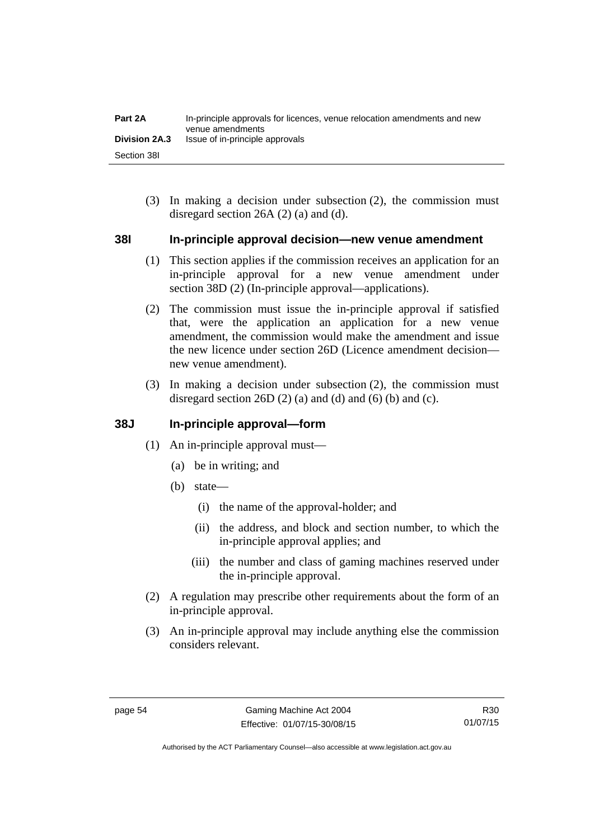| Part 2A              | In-principle approvals for licences, venue relocation amendments and new<br>venue amendments |
|----------------------|----------------------------------------------------------------------------------------------|
| <b>Division 2A.3</b> | Issue of in-principle approvals                                                              |
| Section 38I          |                                                                                              |

 (3) In making a decision under subsection (2), the commission must disregard section 26A (2) (a) and (d).

### **38I In-principle approval decision—new venue amendment**

- (1) This section applies if the commission receives an application for an in-principle approval for a new venue amendment under section 38D (2) (In-principle approval—applications).
- (2) The commission must issue the in-principle approval if satisfied that, were the application an application for a new venue amendment, the commission would make the amendment and issue the new licence under section 26D (Licence amendment decision new venue amendment).
- (3) In making a decision under subsection (2), the commission must disregard section 26D  $(2)$  (a) and  $(d)$  and  $(6)$  (b) and  $(c)$ .

### **38J In-principle approval—form**

- (1) An in-principle approval must—
	- (a) be in writing; and
	- (b) state—
		- (i) the name of the approval-holder; and
		- (ii) the address, and block and section number, to which the in-principle approval applies; and
		- (iii) the number and class of gaming machines reserved under the in-principle approval.
- (2) A regulation may prescribe other requirements about the form of an in-principle approval.
- (3) An in-principle approval may include anything else the commission considers relevant.

R30 01/07/15

Authorised by the ACT Parliamentary Counsel—also accessible at www.legislation.act.gov.au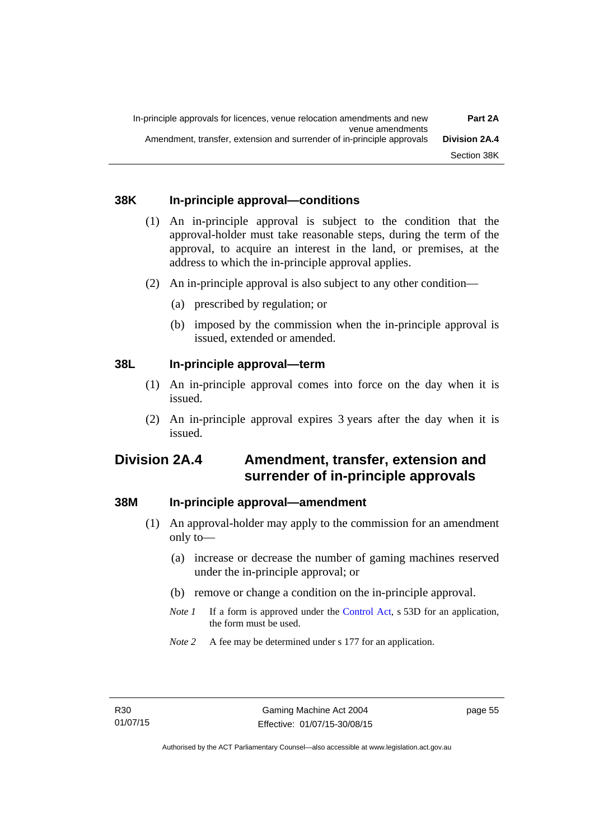### **38K In-principle approval—conditions**

- (1) An in-principle approval is subject to the condition that the approval-holder must take reasonable steps, during the term of the approval, to acquire an interest in the land, or premises, at the address to which the in-principle approval applies.
- (2) An in-principle approval is also subject to any other condition—
	- (a) prescribed by regulation; or
	- (b) imposed by the commission when the in-principle approval is issued, extended or amended.

### **38L In-principle approval—term**

- (1) An in-principle approval comes into force on the day when it is issued.
- (2) An in-principle approval expires 3 years after the day when it is issued.

# **Division 2A.4 Amendment, transfer, extension and surrender of in-principle approvals**

### **38M In-principle approval—amendment**

- (1) An approval-holder may apply to the commission for an amendment only to—
	- (a) increase or decrease the number of gaming machines reserved under the in-principle approval; or
	- (b) remove or change a condition on the in-principle approval.
	- *Note 1* If a form is approved under the [Control Act](http://www.legislation.act.gov.au/a/1999-46), s 53D for an application, the form must be used.
	- *Note* 2 A fee may be determined under s 177 for an application.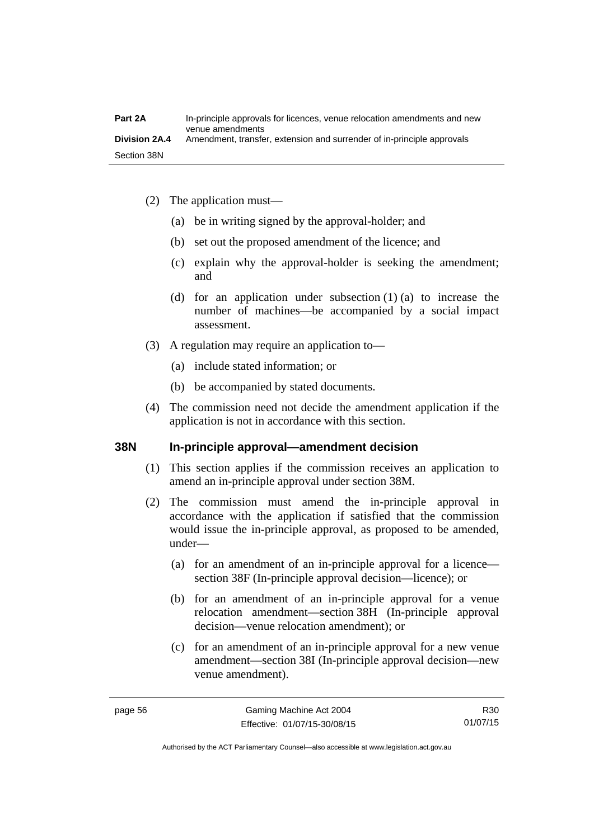- (2) The application must—
	- (a) be in writing signed by the approval-holder; and
	- (b) set out the proposed amendment of the licence; and
	- (c) explain why the approval-holder is seeking the amendment; and
	- (d) for an application under subsection (1) (a) to increase the number of machines—be accompanied by a social impact assessment.
- (3) A regulation may require an application to—
	- (a) include stated information; or
	- (b) be accompanied by stated documents.
- (4) The commission need not decide the amendment application if the application is not in accordance with this section.

### **38N In-principle approval—amendment decision**

- (1) This section applies if the commission receives an application to amend an in-principle approval under section 38M.
- (2) The commission must amend the in-principle approval in accordance with the application if satisfied that the commission would issue the in-principle approval, as proposed to be amended, under—
	- (a) for an amendment of an in-principle approval for a licence section 38F (In-principle approval decision—licence); or
	- (b) for an amendment of an in-principle approval for a venue relocation amendment—section 38H (In-principle approval decision—venue relocation amendment); or
	- (c) for an amendment of an in-principle approval for a new venue amendment—section 38I (In-principle approval decision—new venue amendment).

R30 01/07/15

Authorised by the ACT Parliamentary Counsel—also accessible at www.legislation.act.gov.au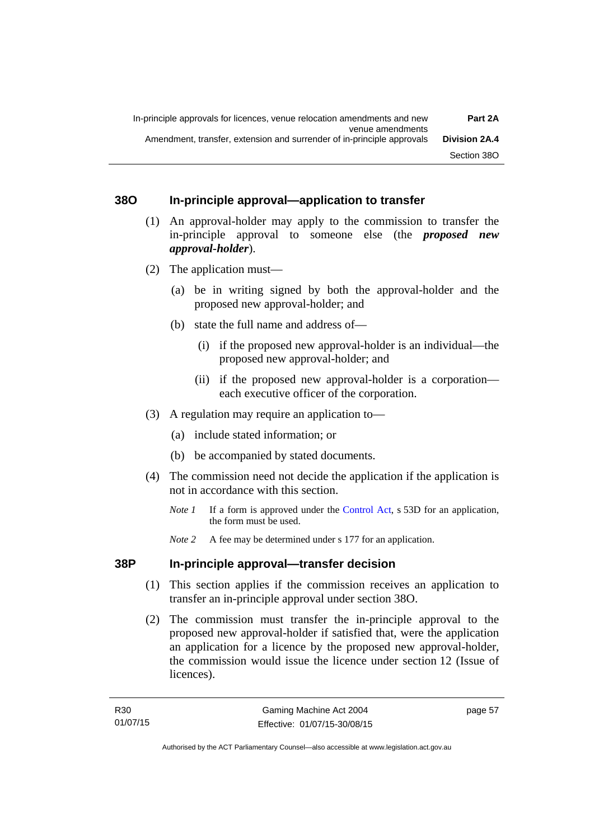# **38O In-principle approval—application to transfer**

- (1) An approval-holder may apply to the commission to transfer the in-principle approval to someone else (the *proposed new approval-holder*).
- (2) The application must—
	- (a) be in writing signed by both the approval-holder and the proposed new approval-holder; and
	- (b) state the full name and address of—
		- (i) if the proposed new approval-holder is an individual—the proposed new approval-holder; and
		- (ii) if the proposed new approval-holder is a corporation each executive officer of the corporation.
- (3) A regulation may require an application to—
	- (a) include stated information; or
	- (b) be accompanied by stated documents.
- (4) The commission need not decide the application if the application is not in accordance with this section.
	- *Note 1* If a form is approved under the [Control Act](http://www.legislation.act.gov.au/a/1999-46), s 53D for an application, the form must be used.
	- *Note* 2 A fee may be determined under s 177 for an application.

# **38P In-principle approval—transfer decision**

- (1) This section applies if the commission receives an application to transfer an in-principle approval under section 38O.
- (2) The commission must transfer the in-principle approval to the proposed new approval-holder if satisfied that, were the application an application for a licence by the proposed new approval-holder, the commission would issue the licence under section 12 (Issue of licences).

page 57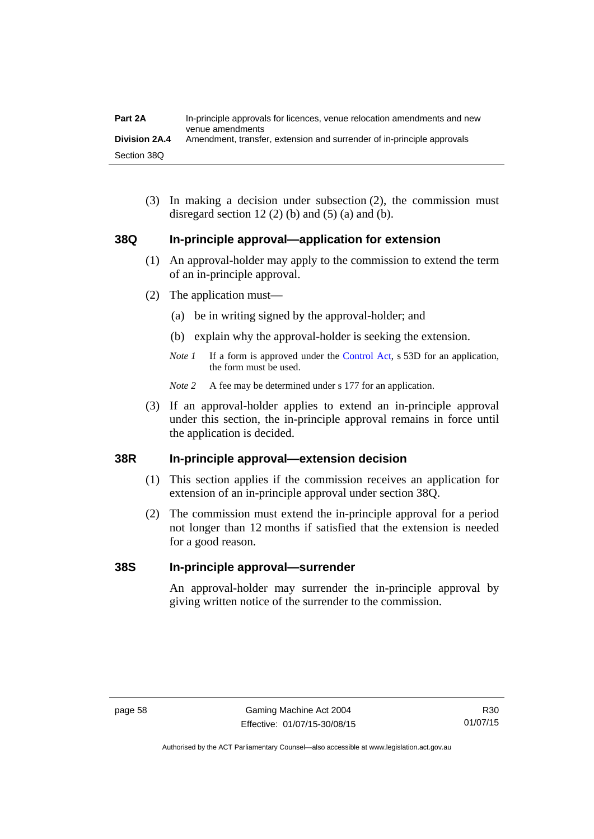| Part 2A              | In-principle approvals for licences, venue relocation amendments and new<br>venue amendments |
|----------------------|----------------------------------------------------------------------------------------------|
| <b>Division 2A.4</b> | Amendment, transfer, extension and surrender of in-principle approvals                       |
| Section 38Q          |                                                                                              |

 (3) In making a decision under subsection (2), the commission must disregard section 12 (2) (b) and (5) (a) and (b).

### **38Q In-principle approval—application for extension**

- (1) An approval-holder may apply to the commission to extend the term of an in-principle approval.
- (2) The application must—
	- (a) be in writing signed by the approval-holder; and
	- (b) explain why the approval-holder is seeking the extension.
	- *Note 1* If a form is approved under the [Control Act](http://www.legislation.act.gov.au/a/1999-46), s 53D for an application, the form must be used.
	- *Note* 2 A fee may be determined under s 177 for an application.
- (3) If an approval-holder applies to extend an in-principle approval under this section, the in-principle approval remains in force until the application is decided.

### **38R In-principle approval—extension decision**

- (1) This section applies if the commission receives an application for extension of an in-principle approval under section 38Q.
- (2) The commission must extend the in-principle approval for a period not longer than 12 months if satisfied that the extension is needed for a good reason.

#### **38S In-principle approval—surrender**

An approval-holder may surrender the in-principle approval by giving written notice of the surrender to the commission.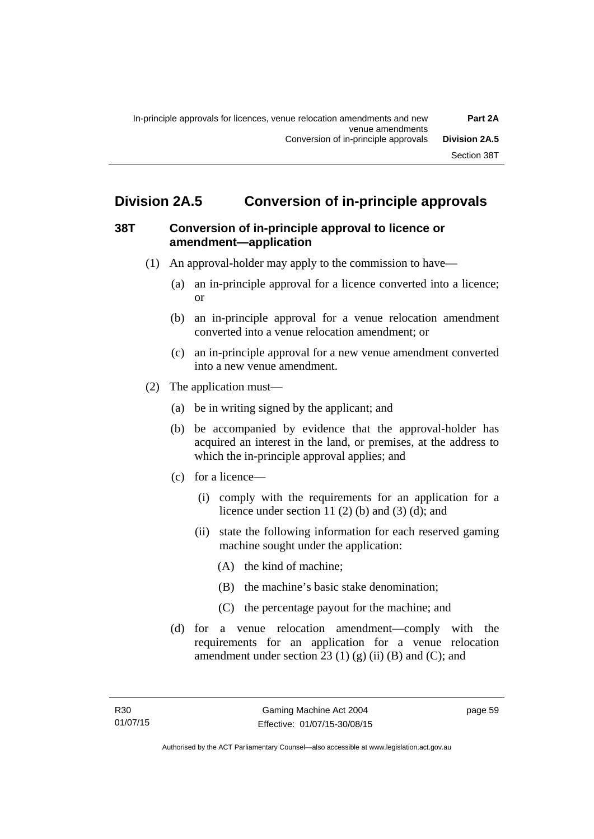# **Division 2A.5 Conversion of in-principle approvals**

## **38T Conversion of in-principle approval to licence or amendment—application**

- (1) An approval-holder may apply to the commission to have—
	- (a) an in-principle approval for a licence converted into a licence; or
	- (b) an in-principle approval for a venue relocation amendment converted into a venue relocation amendment; or
	- (c) an in-principle approval for a new venue amendment converted into a new venue amendment.
- (2) The application must—
	- (a) be in writing signed by the applicant; and
	- (b) be accompanied by evidence that the approval-holder has acquired an interest in the land, or premises, at the address to which the in-principle approval applies; and
	- (c) for a licence—
		- (i) comply with the requirements for an application for a licence under section 11 $(2)$  $(b)$  and  $(3)$  $(d)$ ; and
		- (ii) state the following information for each reserved gaming machine sought under the application:
			- (A) the kind of machine;
			- (B) the machine's basic stake denomination;
			- (C) the percentage payout for the machine; and
	- (d) for a venue relocation amendment—comply with the requirements for an application for a venue relocation amendment under section 23 (1) (g) (ii) (B) and (C); and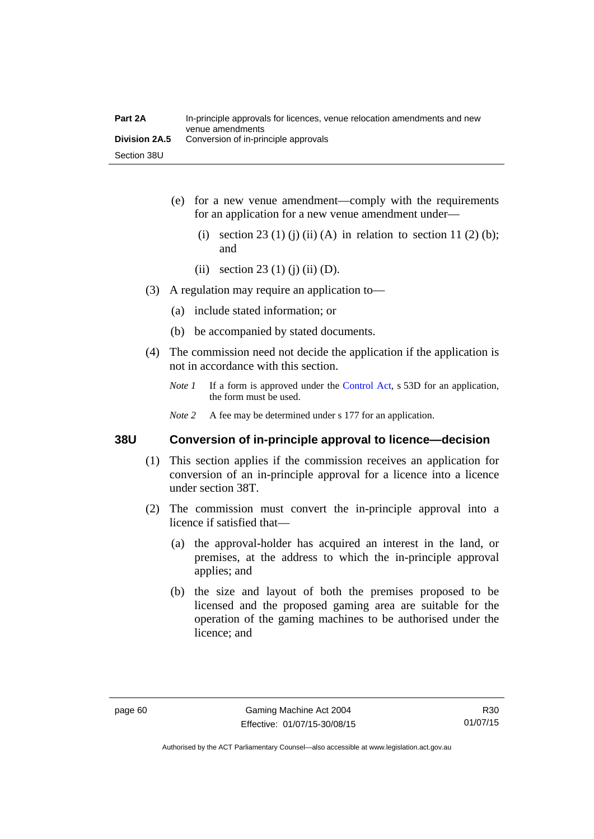| Part 2A       | In-principle approvals for licences, venue relocation amendments and new<br>venue amendments |
|---------------|----------------------------------------------------------------------------------------------|
| Division 2A.5 | Conversion of in-principle approvals                                                         |
| Section 38U   |                                                                                              |

- (e) for a new venue amendment—comply with the requirements for an application for a new venue amendment under—
	- (i) section 23 (1) (j) (ii) (A) in relation to section 11 (2) (b); and
	- (ii) section 23 (1) (j) (ii) (D).
- (3) A regulation may require an application to—
	- (a) include stated information; or
	- (b) be accompanied by stated documents.
- (4) The commission need not decide the application if the application is not in accordance with this section.
	- *Note 1* If a form is approved under the [Control Act](http://www.legislation.act.gov.au/a/1999-46), s 53D for an application, the form must be used.
	- *Note* 2 A fee may be determined under s 177 for an application.

#### **38U Conversion of in-principle approval to licence—decision**

- (1) This section applies if the commission receives an application for conversion of an in-principle approval for a licence into a licence under section 38T.
- (2) The commission must convert the in-principle approval into a licence if satisfied that—
	- (a) the approval-holder has acquired an interest in the land, or premises, at the address to which the in-principle approval applies; and
	- (b) the size and layout of both the premises proposed to be licensed and the proposed gaming area are suitable for the operation of the gaming machines to be authorised under the licence; and

R30 01/07/15

Authorised by the ACT Parliamentary Counsel—also accessible at www.legislation.act.gov.au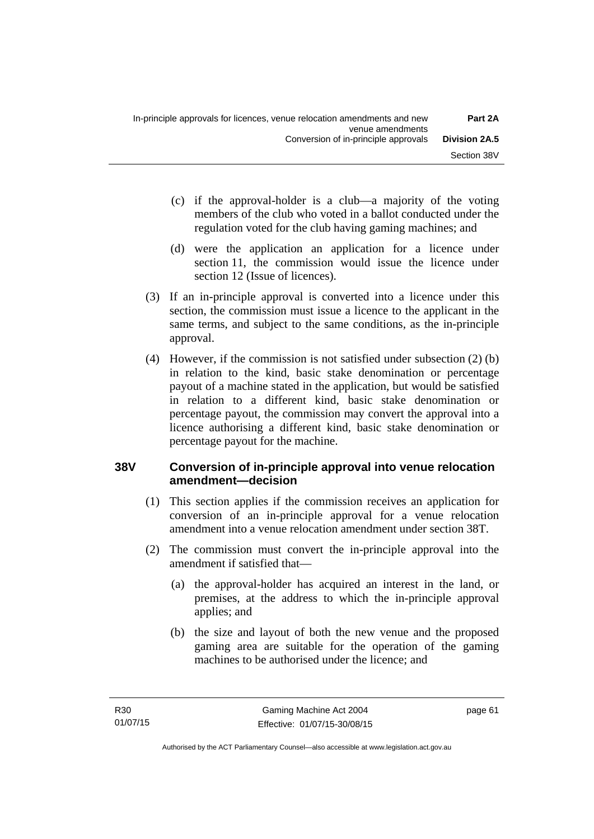- (c) if the approval-holder is a club—a majority of the voting members of the club who voted in a ballot conducted under the regulation voted for the club having gaming machines; and
- (d) were the application an application for a licence under section 11, the commission would issue the licence under section 12 (Issue of licences).
- (3) If an in-principle approval is converted into a licence under this section, the commission must issue a licence to the applicant in the same terms, and subject to the same conditions, as the in-principle approval.
- (4) However, if the commission is not satisfied under subsection (2) (b) in relation to the kind, basic stake denomination or percentage payout of a machine stated in the application, but would be satisfied in relation to a different kind, basic stake denomination or percentage payout, the commission may convert the approval into a licence authorising a different kind, basic stake denomination or percentage payout for the machine.

# **38V Conversion of in-principle approval into venue relocation amendment—decision**

- (1) This section applies if the commission receives an application for conversion of an in-principle approval for a venue relocation amendment into a venue relocation amendment under section 38T.
- (2) The commission must convert the in-principle approval into the amendment if satisfied that—
	- (a) the approval-holder has acquired an interest in the land, or premises, at the address to which the in-principle approval applies; and
	- (b) the size and layout of both the new venue and the proposed gaming area are suitable for the operation of the gaming machines to be authorised under the licence; and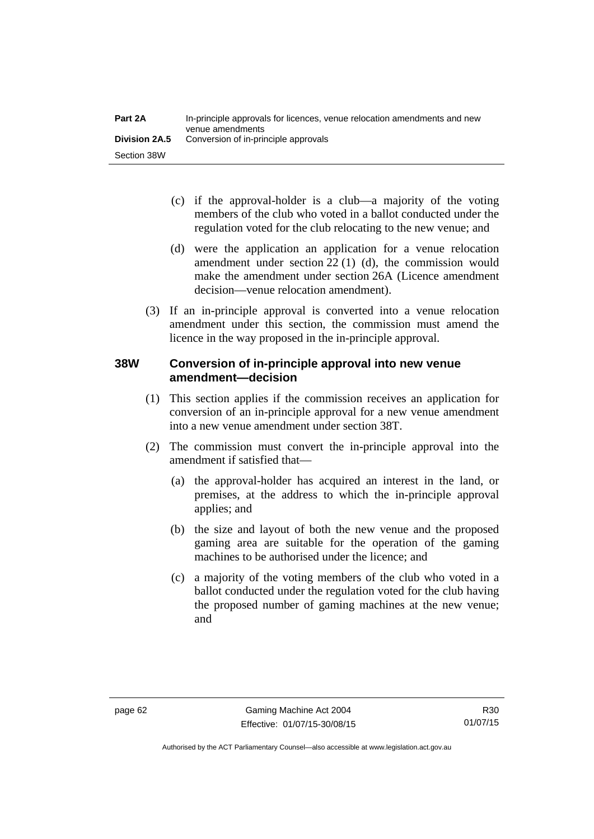- (c) if the approval-holder is a club—a majority of the voting members of the club who voted in a ballot conducted under the regulation voted for the club relocating to the new venue; and
- (d) were the application an application for a venue relocation amendment under section 22 (1) (d), the commission would make the amendment under section 26A (Licence amendment decision—venue relocation amendment).
- (3) If an in-principle approval is converted into a venue relocation amendment under this section, the commission must amend the licence in the way proposed in the in-principle approval.

# **38W Conversion of in-principle approval into new venue amendment—decision**

- (1) This section applies if the commission receives an application for conversion of an in-principle approval for a new venue amendment into a new venue amendment under section 38T.
- (2) The commission must convert the in-principle approval into the amendment if satisfied that—
	- (a) the approval-holder has acquired an interest in the land, or premises, at the address to which the in-principle approval applies; and
	- (b) the size and layout of both the new venue and the proposed gaming area are suitable for the operation of the gaming machines to be authorised under the licence; and
	- (c) a majority of the voting members of the club who voted in a ballot conducted under the regulation voted for the club having the proposed number of gaming machines at the new venue; and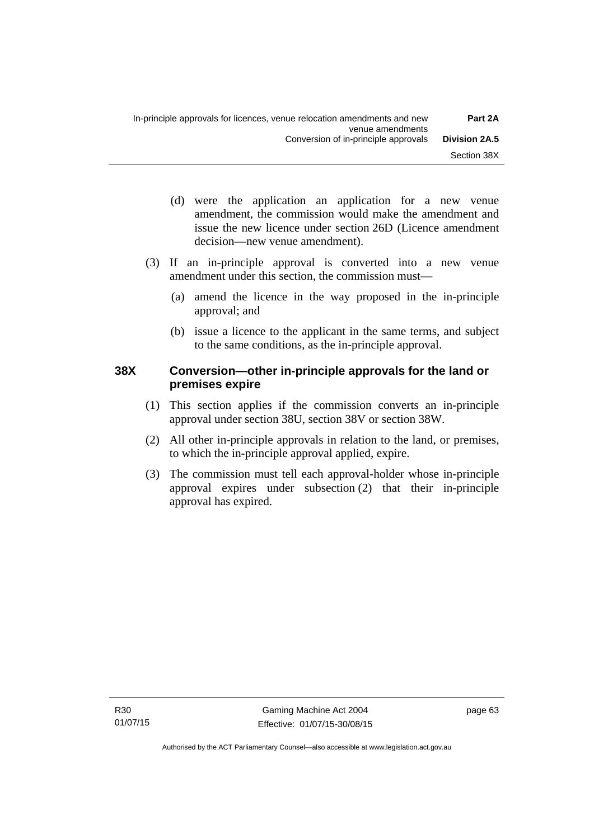- (d) were the application an application for a new venue amendment, the commission would make the amendment and issue the new licence under section 26D (Licence amendment decision—new venue amendment).
- (3) If an in-principle approval is converted into a new venue amendment under this section, the commission must—
	- (a) amend the licence in the way proposed in the in-principle approval; and
	- (b) issue a licence to the applicant in the same terms, and subject to the same conditions, as the in-principle approval.

# **38X Conversion—other in-principle approvals for the land or premises expire**

- (1) This section applies if the commission converts an in-principle approval under section 38U, section 38V or section 38W.
- (2) All other in-principle approvals in relation to the land, or premises, to which the in-principle approval applied, expire.
- (3) The commission must tell each approval-holder whose in-principle approval expires under subsection (2) that their in-principle approval has expired.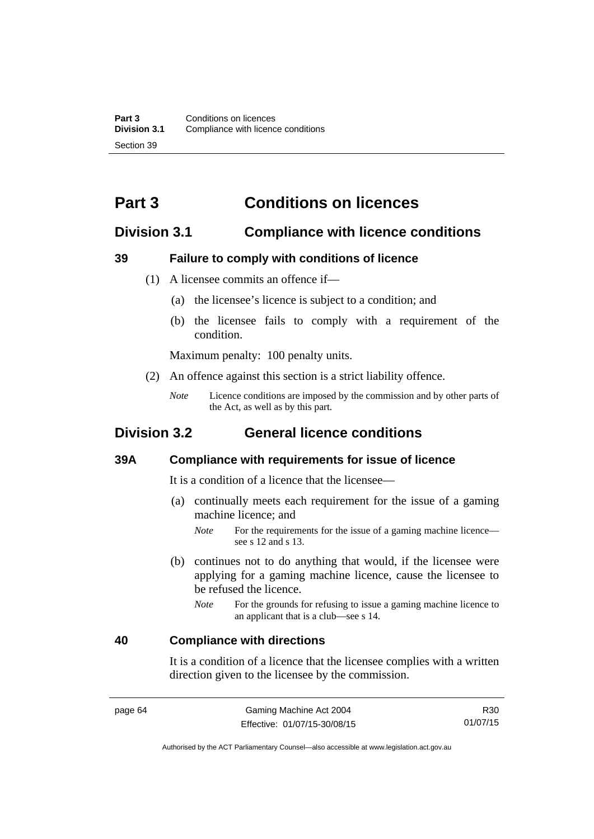# **Part 3 Conditions on licences**

# **Division 3.1 Compliance with licence conditions**

## **39 Failure to comply with conditions of licence**

- (1) A licensee commits an offence if—
	- (a) the licensee's licence is subject to a condition; and
	- (b) the licensee fails to comply with a requirement of the condition.

Maximum penalty: 100 penalty units.

- (2) An offence against this section is a strict liability offence.
	- *Note* Licence conditions are imposed by the commission and by other parts of the Act, as well as by this part.

# **Division 3.2 General licence conditions**

#### **39A Compliance with requirements for issue of licence**

It is a condition of a licence that the licensee—

- (a) continually meets each requirement for the issue of a gaming machine licence; and
	- *Note* For the requirements for the issue of a gaming machine licence see s 12 and s 13.
- (b) continues not to do anything that would, if the licensee were applying for a gaming machine licence, cause the licensee to be refused the licence.
	- *Note* For the grounds for refusing to issue a gaming machine licence to an applicant that is a club—see s 14.

### **40 Compliance with directions**

It is a condition of a licence that the licensee complies with a written direction given to the licensee by the commission.

Authorised by the ACT Parliamentary Counsel—also accessible at www.legislation.act.gov.au

R30 01/07/15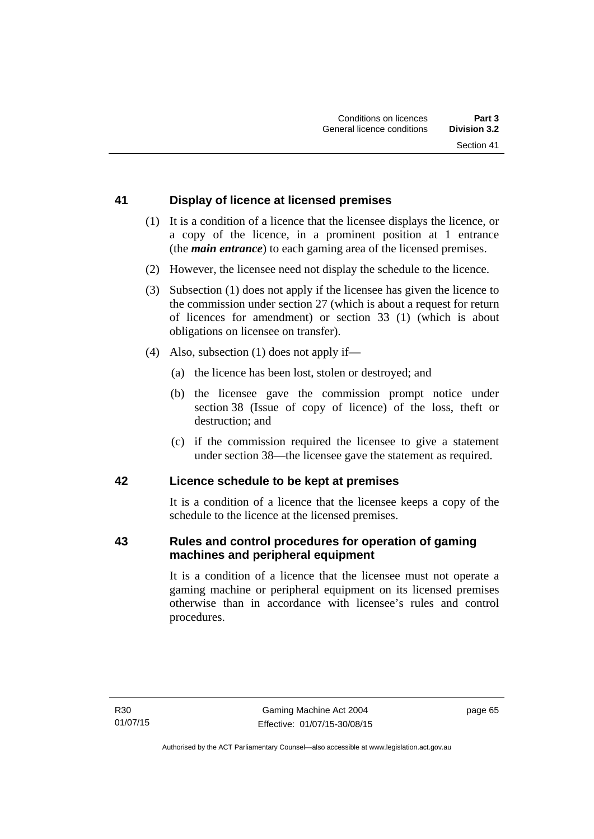# **41 Display of licence at licensed premises**

- (1) It is a condition of a licence that the licensee displays the licence, or a copy of the licence, in a prominent position at 1 entrance (the *main entrance*) to each gaming area of the licensed premises.
- (2) However, the licensee need not display the schedule to the licence.
- (3) Subsection (1) does not apply if the licensee has given the licence to the commission under section 27 (which is about a request for return of licences for amendment) or section 33 (1) (which is about obligations on licensee on transfer).
- (4) Also, subsection (1) does not apply if—
	- (a) the licence has been lost, stolen or destroyed; and
	- (b) the licensee gave the commission prompt notice under section 38 (Issue of copy of licence) of the loss, theft or destruction; and
	- (c) if the commission required the licensee to give a statement under section 38—the licensee gave the statement as required.

# **42 Licence schedule to be kept at premises**

It is a condition of a licence that the licensee keeps a copy of the schedule to the licence at the licensed premises.

# **43 Rules and control procedures for operation of gaming machines and peripheral equipment**

It is a condition of a licence that the licensee must not operate a gaming machine or peripheral equipment on its licensed premises otherwise than in accordance with licensee's rules and control procedures.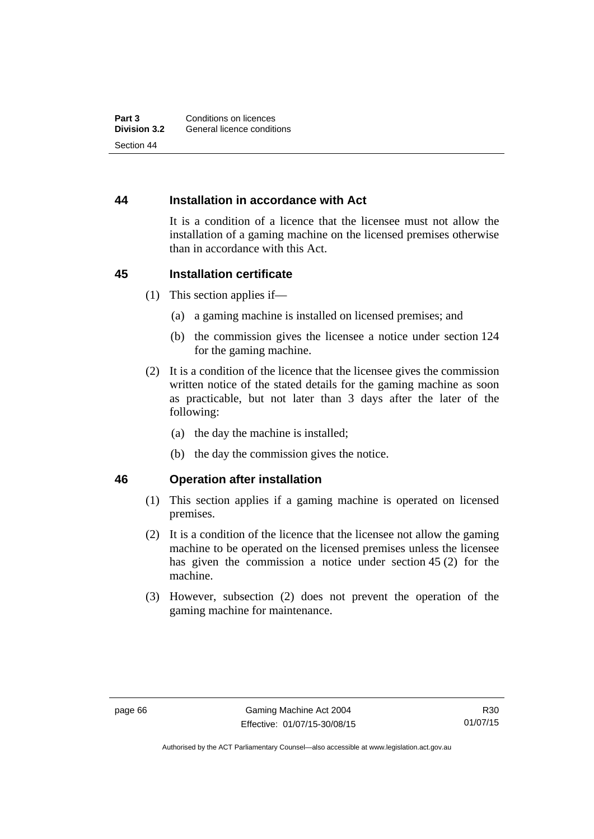# **44 Installation in accordance with Act**

It is a condition of a licence that the licensee must not allow the installation of a gaming machine on the licensed premises otherwise than in accordance with this Act.

### **45 Installation certificate**

- (1) This section applies if—
	- (a) a gaming machine is installed on licensed premises; and
	- (b) the commission gives the licensee a notice under section 124 for the gaming machine.
- (2) It is a condition of the licence that the licensee gives the commission written notice of the stated details for the gaming machine as soon as practicable, but not later than 3 days after the later of the following:
	- (a) the day the machine is installed;
	- (b) the day the commission gives the notice.

### **46 Operation after installation**

- (1) This section applies if a gaming machine is operated on licensed premises.
- (2) It is a condition of the licence that the licensee not allow the gaming machine to be operated on the licensed premises unless the licensee has given the commission a notice under section 45 (2) for the machine.
- (3) However, subsection (2) does not prevent the operation of the gaming machine for maintenance.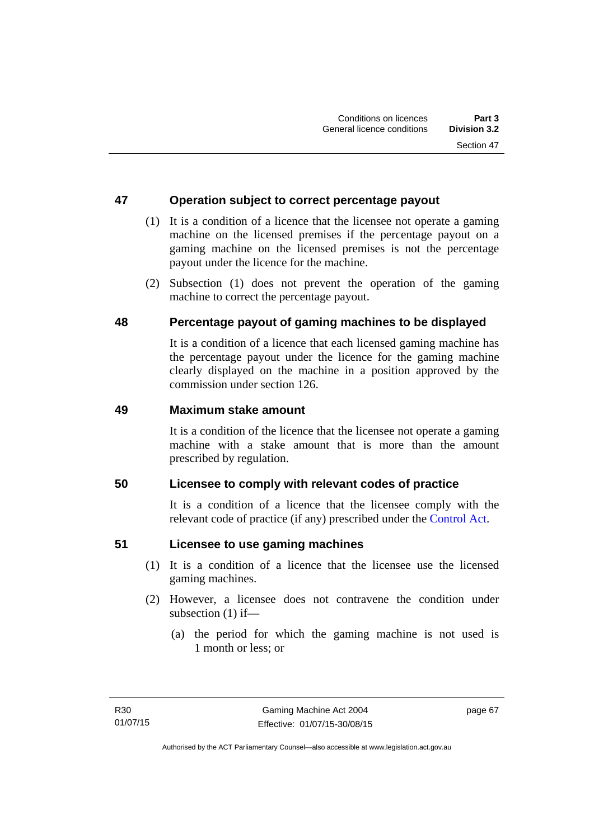# **47 Operation subject to correct percentage payout**

- (1) It is a condition of a licence that the licensee not operate a gaming machine on the licensed premises if the percentage payout on a gaming machine on the licensed premises is not the percentage payout under the licence for the machine.
- (2) Subsection (1) does not prevent the operation of the gaming machine to correct the percentage payout.

# **48 Percentage payout of gaming machines to be displayed**

It is a condition of a licence that each licensed gaming machine has the percentage payout under the licence for the gaming machine clearly displayed on the machine in a position approved by the commission under section 126.

# **49 Maximum stake amount**

It is a condition of the licence that the licensee not operate a gaming machine with a stake amount that is more than the amount prescribed by regulation.

### **50 Licensee to comply with relevant codes of practice**

It is a condition of a licence that the licensee comply with the relevant code of practice (if any) prescribed under the [Control Act.](http://www.legislation.act.gov.au/a/1999-46)

### **51 Licensee to use gaming machines**

- (1) It is a condition of a licence that the licensee use the licensed gaming machines.
- (2) However, a licensee does not contravene the condition under subsection (1) if—
	- (a) the period for which the gaming machine is not used is 1 month or less; or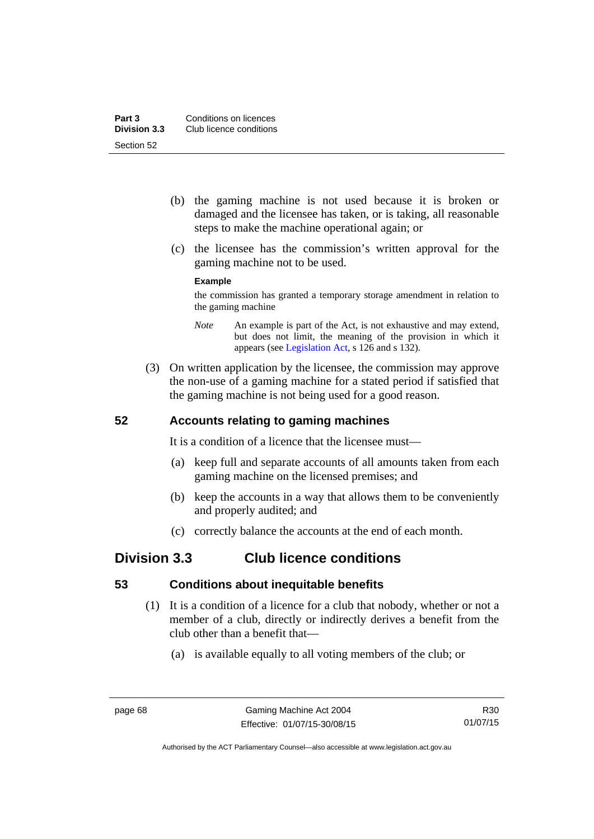- (b) the gaming machine is not used because it is broken or damaged and the licensee has taken, or is taking, all reasonable steps to make the machine operational again; or
- (c) the licensee has the commission's written approval for the gaming machine not to be used.

#### **Example**

the commission has granted a temporary storage amendment in relation to the gaming machine

- *Note* An example is part of the Act, is not exhaustive and may extend, but does not limit, the meaning of the provision in which it appears (see [Legislation Act,](http://www.legislation.act.gov.au/a/2001-14) s 126 and s 132).
- (3) On written application by the licensee, the commission may approve the non-use of a gaming machine for a stated period if satisfied that the gaming machine is not being used for a good reason.

### **52 Accounts relating to gaming machines**

It is a condition of a licence that the licensee must—

- (a) keep full and separate accounts of all amounts taken from each gaming machine on the licensed premises; and
- (b) keep the accounts in a way that allows them to be conveniently and properly audited; and
- (c) correctly balance the accounts at the end of each month.

# **Division 3.3 Club licence conditions**

### **53 Conditions about inequitable benefits**

- (1) It is a condition of a licence for a club that nobody, whether or not a member of a club, directly or indirectly derives a benefit from the club other than a benefit that—
	- (a) is available equally to all voting members of the club; or

R30 01/07/15

Authorised by the ACT Parliamentary Counsel—also accessible at www.legislation.act.gov.au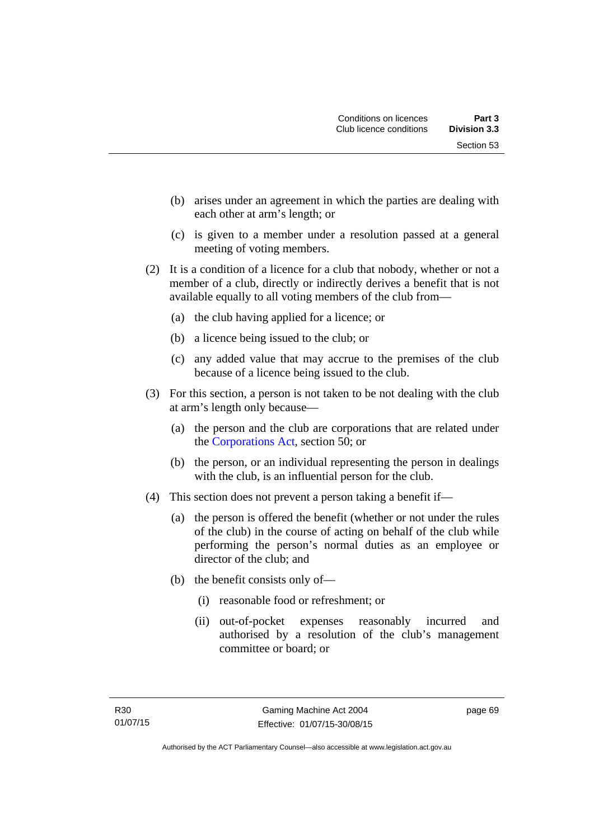- (b) arises under an agreement in which the parties are dealing with each other at arm's length; or
- (c) is given to a member under a resolution passed at a general meeting of voting members.
- (2) It is a condition of a licence for a club that nobody, whether or not a member of a club, directly or indirectly derives a benefit that is not available equally to all voting members of the club from—
	- (a) the club having applied for a licence; or
	- (b) a licence being issued to the club; or
	- (c) any added value that may accrue to the premises of the club because of a licence being issued to the club.
- (3) For this section, a person is not taken to be not dealing with the club at arm's length only because—
	- (a) the person and the club are corporations that are related under the [Corporations Act,](http://www.comlaw.gov.au/Series/C2004A00818) section 50; or
	- (b) the person, or an individual representing the person in dealings with the club, is an influential person for the club.
- (4) This section does not prevent a person taking a benefit if—
	- (a) the person is offered the benefit (whether or not under the rules of the club) in the course of acting on behalf of the club while performing the person's normal duties as an employee or director of the club; and
	- (b) the benefit consists only of—
		- (i) reasonable food or refreshment; or
		- (ii) out-of-pocket expenses reasonably incurred and authorised by a resolution of the club's management committee or board; or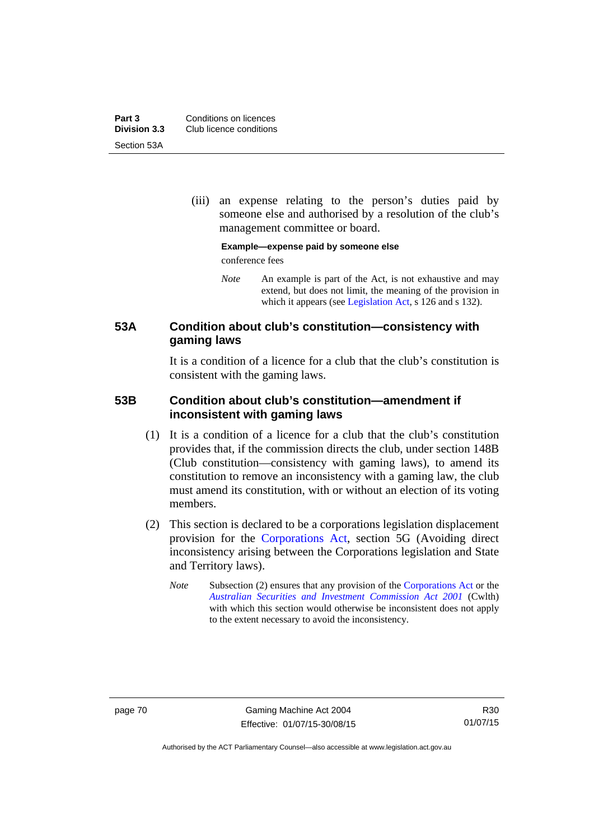**Part 3 Conditions on licences**<br>**Division 3.3** Club licence conditions **Division 3.3** Club licence conditions Section 53A

> (iii) an expense relating to the person's duties paid by someone else and authorised by a resolution of the club's management committee or board.

**Example—expense paid by someone else** 

conference fees

*Note* An example is part of the Act, is not exhaustive and may extend, but does not limit, the meaning of the provision in which it appears (see [Legislation Act,](http://www.legislation.act.gov.au/a/2001-14) s 126 and s 132).

# **53A Condition about club's constitution—consistency with gaming laws**

It is a condition of a licence for a club that the club's constitution is consistent with the gaming laws.

# **53B Condition about club's constitution—amendment if inconsistent with gaming laws**

- (1) It is a condition of a licence for a club that the club's constitution provides that, if the commission directs the club, under section 148B (Club constitution—consistency with gaming laws), to amend its constitution to remove an inconsistency with a gaming law, the club must amend its constitution, with or without an election of its voting members.
- (2) This section is declared to be a corporations legislation displacement provision for the [Corporations Act](http://www.comlaw.gov.au/Series/C2004A00818), section 5G (Avoiding direct inconsistency arising between the Corporations legislation and State and Territory laws).
	- *Note* Subsection (2) ensures that any provision of the [Corporations Act](http://www.comlaw.gov.au/Series/C2004A00818) or the *[Australian Securities and Investment Commission Act 2001](http://www.comlaw.gov.au/Series/C2004A00819)* (Cwlth) with which this section would otherwise be inconsistent does not apply to the extent necessary to avoid the inconsistency.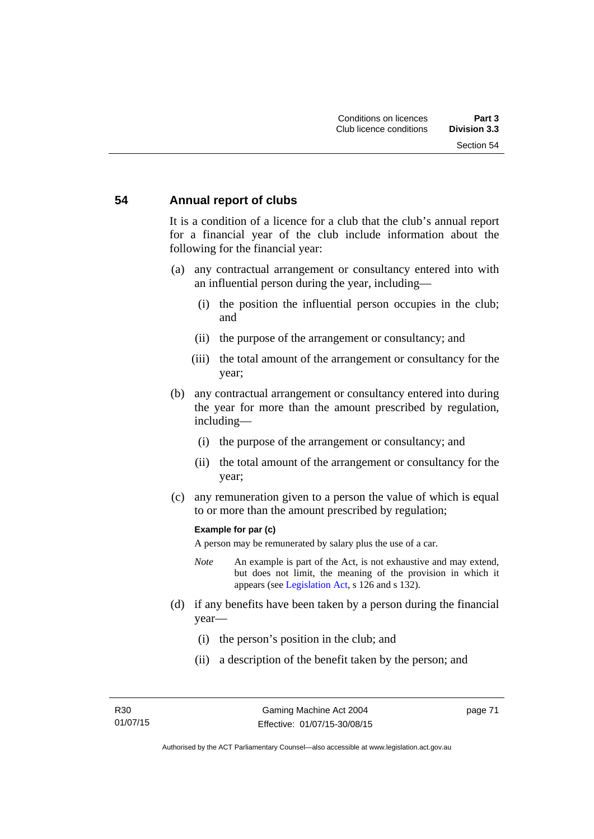#### **54 Annual report of clubs**

It is a condition of a licence for a club that the club's annual report for a financial year of the club include information about the following for the financial year:

- (a) any contractual arrangement or consultancy entered into with an influential person during the year, including—
	- (i) the position the influential person occupies in the club; and
	- (ii) the purpose of the arrangement or consultancy; and
	- (iii) the total amount of the arrangement or consultancy for the year;
- (b) any contractual arrangement or consultancy entered into during the year for more than the amount prescribed by regulation, including—
	- (i) the purpose of the arrangement or consultancy; and
	- (ii) the total amount of the arrangement or consultancy for the year;
- (c) any remuneration given to a person the value of which is equal to or more than the amount prescribed by regulation;

#### **Example for par (c)**

A person may be remunerated by salary plus the use of a car.

- *Note* An example is part of the Act, is not exhaustive and may extend, but does not limit, the meaning of the provision in which it appears (see [Legislation Act,](http://www.legislation.act.gov.au/a/2001-14) s 126 and s 132).
- (d) if any benefits have been taken by a person during the financial year—
	- (i) the person's position in the club; and
	- (ii) a description of the benefit taken by the person; and

page 71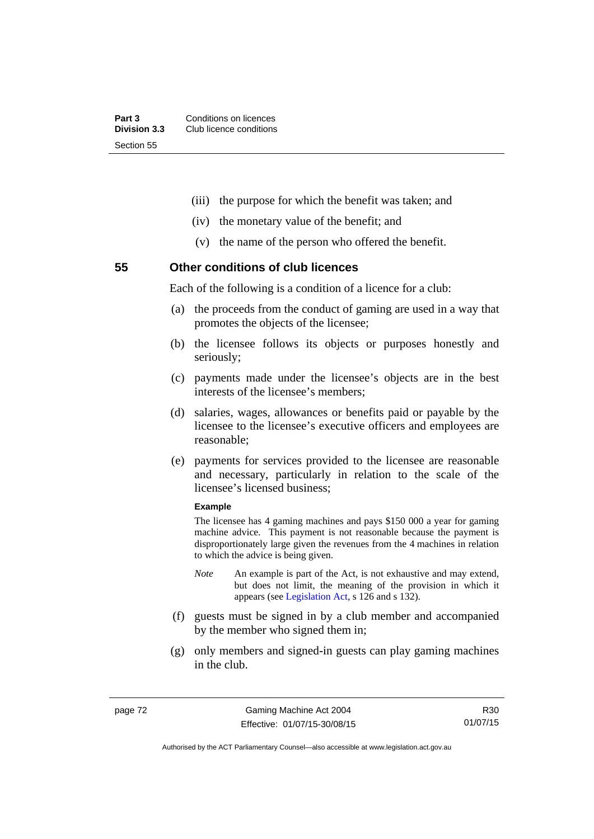- (iii) the purpose for which the benefit was taken; and
- (iv) the monetary value of the benefit; and
- (v) the name of the person who offered the benefit.

# **55 Other conditions of club licences**

Each of the following is a condition of a licence for a club:

- (a) the proceeds from the conduct of gaming are used in a way that promotes the objects of the licensee;
- (b) the licensee follows its objects or purposes honestly and seriously;
- (c) payments made under the licensee's objects are in the best interests of the licensee's members;
- (d) salaries, wages, allowances or benefits paid or payable by the licensee to the licensee's executive officers and employees are reasonable;
- (e) payments for services provided to the licensee are reasonable and necessary, particularly in relation to the scale of the licensee's licensed business;

#### **Example**

The licensee has 4 gaming machines and pays \$150 000 a year for gaming machine advice. This payment is not reasonable because the payment is disproportionately large given the revenues from the 4 machines in relation to which the advice is being given.

- *Note* An example is part of the Act, is not exhaustive and may extend, but does not limit, the meaning of the provision in which it appears (see [Legislation Act,](http://www.legislation.act.gov.au/a/2001-14) s 126 and s 132).
- (f) guests must be signed in by a club member and accompanied by the member who signed them in;
- (g) only members and signed-in guests can play gaming machines in the club.

R30 01/07/15

Authorised by the ACT Parliamentary Counsel—also accessible at www.legislation.act.gov.au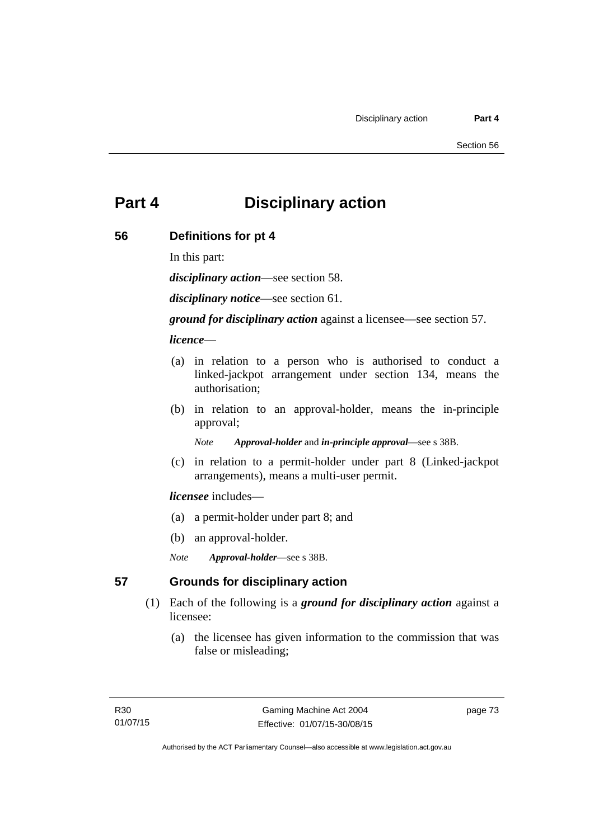# **Part 4 Disciplinary action**

# **56 Definitions for pt 4**

In this part:

*disciplinary action*—see section 58.

*disciplinary notice*—see section 61.

*ground for disciplinary action* against a licensee—see section 57.

*licence*—

- (a) in relation to a person who is authorised to conduct a linked-jackpot arrangement under section 134, means the authorisation;
- (b) in relation to an approval-holder, means the in-principle approval;

*Note Approval-holder* and *in-principle approval*—see s 38B.

 (c) in relation to a permit-holder under part 8 (Linked-jackpot arrangements), means a multi-user permit.

#### *licensee* includes—

- (a) a permit-holder under part 8; and
- (b) an approval-holder.
- *Note Approval-holder*—see s 38B.

# **57 Grounds for disciplinary action**

- (1) Each of the following is a *ground for disciplinary action* against a licensee:
	- (a) the licensee has given information to the commission that was false or misleading;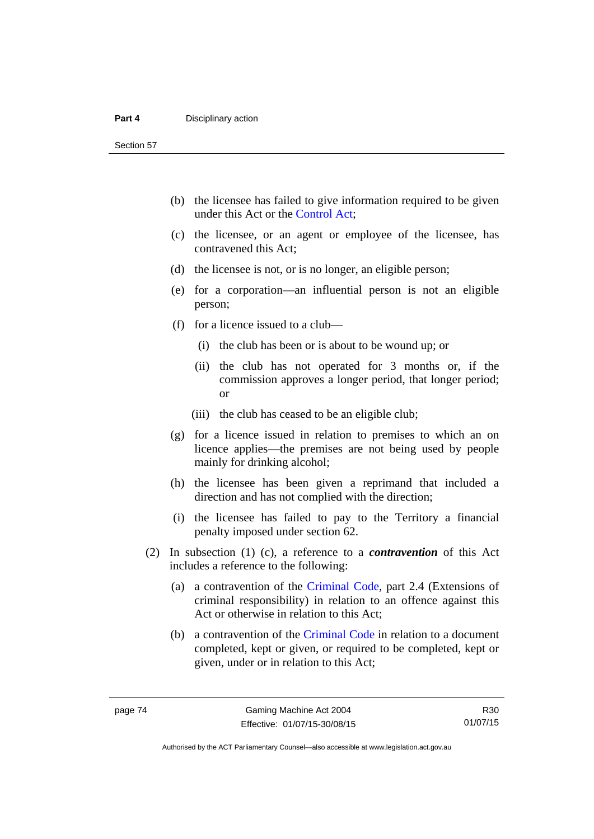Section 57

- (b) the licensee has failed to give information required to be given under this Act or the [Control Act;](http://www.legislation.act.gov.au/a/1999-46)
- (c) the licensee, or an agent or employee of the licensee, has contravened this Act;
- (d) the licensee is not, or is no longer, an eligible person;
- (e) for a corporation—an influential person is not an eligible person;
- (f) for a licence issued to a club—
	- (i) the club has been or is about to be wound up; or
	- (ii) the club has not operated for 3 months or, if the commission approves a longer period, that longer period; or
	- (iii) the club has ceased to be an eligible club;
- (g) for a licence issued in relation to premises to which an on licence applies—the premises are not being used by people mainly for drinking alcohol;
- (h) the licensee has been given a reprimand that included a direction and has not complied with the direction;
- (i) the licensee has failed to pay to the Territory a financial penalty imposed under section 62.
- (2) In subsection (1) (c), a reference to a *contravention* of this Act includes a reference to the following:
	- (a) a contravention of the [Criminal Code](http://www.legislation.act.gov.au/a/2002-51), part 2.4 (Extensions of criminal responsibility) in relation to an offence against this Act or otherwise in relation to this Act;
	- (b) a contravention of the [Criminal Code](http://www.legislation.act.gov.au/a/2002-51) in relation to a document completed, kept or given, or required to be completed, kept or given, under or in relation to this Act;

Authorised by the ACT Parliamentary Counsel—also accessible at www.legislation.act.gov.au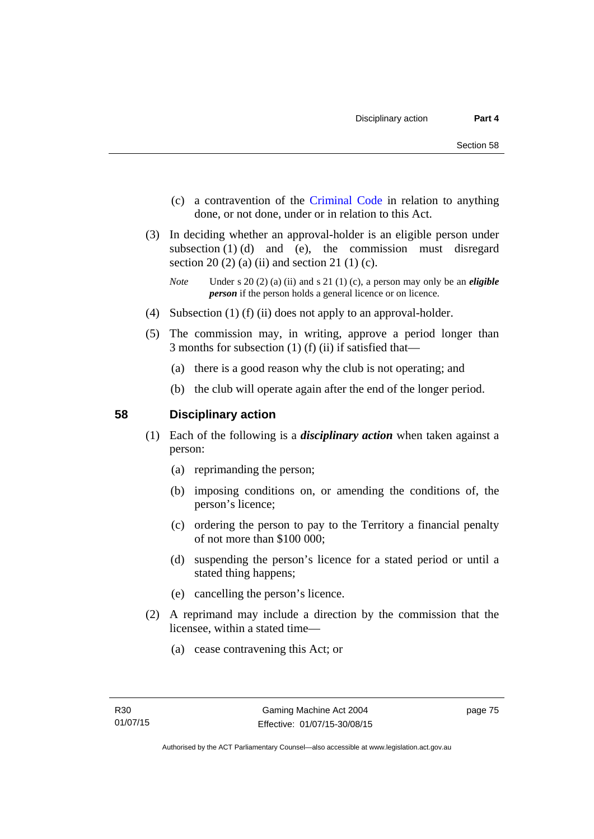- (c) a contravention of the [Criminal Code](http://www.legislation.act.gov.au/a/2002-51) in relation to anything done, or not done, under or in relation to this Act.
- (3) In deciding whether an approval-holder is an eligible person under subsection  $(1)$   $(d)$  and  $(e)$ , the commission must disregard section 20 (2) (a) (ii) and section 21 (1) (c).

- (4) Subsection (1) (f) (ii) does not apply to an approval-holder.
- (5) The commission may, in writing, approve a period longer than 3 months for subsection (1) (f) (ii) if satisfied that—
	- (a) there is a good reason why the club is not operating; and
	- (b) the club will operate again after the end of the longer period.

# **58 Disciplinary action**

- (1) Each of the following is a *disciplinary action* when taken against a person:
	- (a) reprimanding the person;
	- (b) imposing conditions on, or amending the conditions of, the person's licence;
	- (c) ordering the person to pay to the Territory a financial penalty of not more than \$100 000;
	- (d) suspending the person's licence for a stated period or until a stated thing happens;
	- (e) cancelling the person's licence.
- (2) A reprimand may include a direction by the commission that the licensee, within a stated time—
	- (a) cease contravening this Act; or

*Note* Under s 20 (2) (a) (ii) and s 21 (1) (c), a person may only be an *eligible person* if the person holds a general licence or on licence.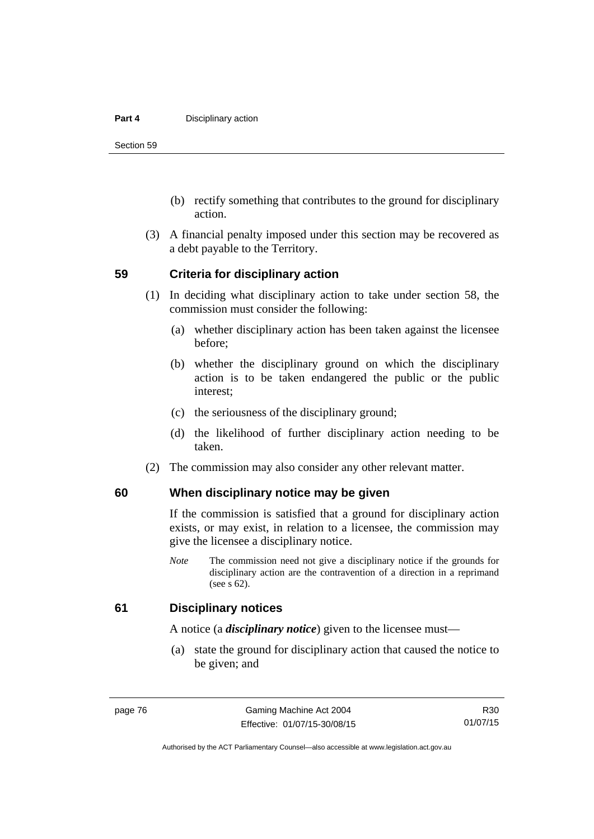#### **Part 4 Disciplinary action**

Section 59

- (b) rectify something that contributes to the ground for disciplinary action.
- (3) A financial penalty imposed under this section may be recovered as a debt payable to the Territory.

#### **59 Criteria for disciplinary action**

- (1) In deciding what disciplinary action to take under section 58, the commission must consider the following:
	- (a) whether disciplinary action has been taken against the licensee before;
	- (b) whether the disciplinary ground on which the disciplinary action is to be taken endangered the public or the public interest;
	- (c) the seriousness of the disciplinary ground;
	- (d) the likelihood of further disciplinary action needing to be taken.
- (2) The commission may also consider any other relevant matter.

### **60 When disciplinary notice may be given**

If the commission is satisfied that a ground for disciplinary action exists, or may exist, in relation to a licensee, the commission may give the licensee a disciplinary notice.

*Note* The commission need not give a disciplinary notice if the grounds for disciplinary action are the contravention of a direction in a reprimand (see s 62).

#### **61 Disciplinary notices**

A notice (a *disciplinary notice*) given to the licensee must—

 (a) state the ground for disciplinary action that caused the notice to be given; and

R30 01/07/15

Authorised by the ACT Parliamentary Counsel—also accessible at www.legislation.act.gov.au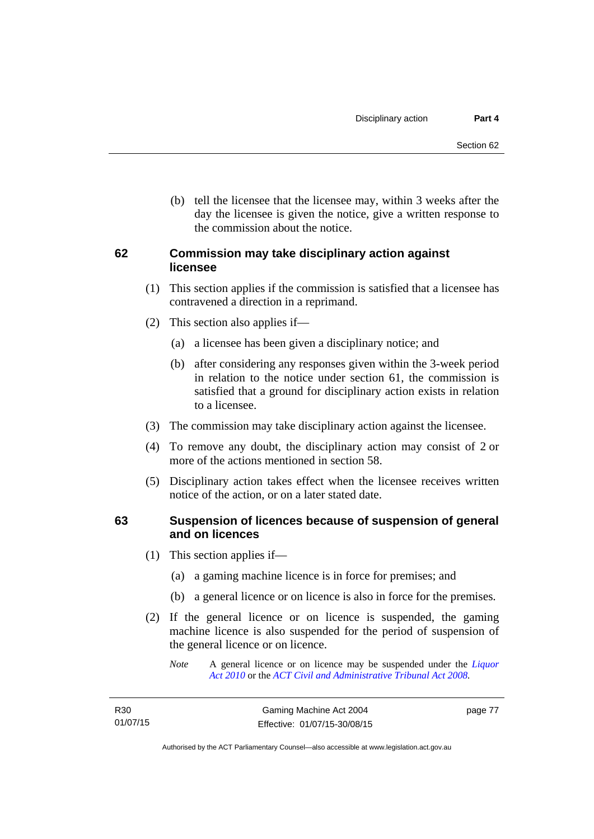(b) tell the licensee that the licensee may, within 3 weeks after the day the licensee is given the notice, give a written response to the commission about the notice.

# **62 Commission may take disciplinary action against licensee**

- (1) This section applies if the commission is satisfied that a licensee has contravened a direction in a reprimand.
- (2) This section also applies if—
	- (a) a licensee has been given a disciplinary notice; and
	- (b) after considering any responses given within the 3-week period in relation to the notice under section 61, the commission is satisfied that a ground for disciplinary action exists in relation to a licensee.
- (3) The commission may take disciplinary action against the licensee.
- (4) To remove any doubt, the disciplinary action may consist of 2 or more of the actions mentioned in section 58.
- (5) Disciplinary action takes effect when the licensee receives written notice of the action, or on a later stated date.

# **63 Suspension of licences because of suspension of general and on licences**

- (1) This section applies if—
	- (a) a gaming machine licence is in force for premises; and
	- (b) a general licence or on licence is also in force for the premises.
- (2) If the general licence or on licence is suspended, the gaming machine licence is also suspended for the period of suspension of the general licence or on licence.
	- *Note* A general licence or on licence may be suspended under the *[Liquor](http://www.legislation.act.gov.au/a/2010-35)  [Act 2010](http://www.legislation.act.gov.au/a/2010-35)* or the *[ACT Civil and Administrative Tribunal Act 2008.](http://www.legislation.act.gov.au/a/2008-35)*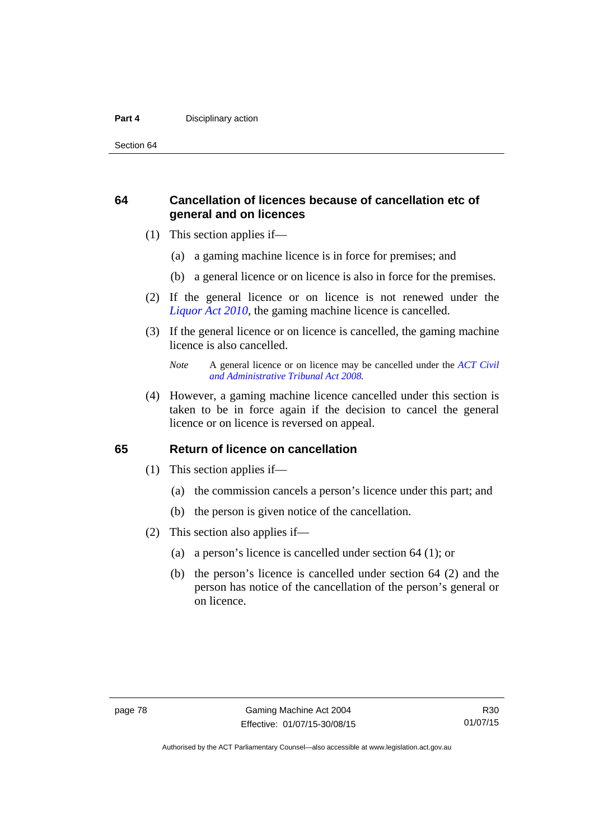#### **Part 4 Disciplinary action**

Section 64

# **64 Cancellation of licences because of cancellation etc of general and on licences**

- (1) This section applies if—
	- (a) a gaming machine licence is in force for premises; and
	- (b) a general licence or on licence is also in force for the premises.
- (2) If the general licence or on licence is not renewed under the *[Liquor Act 2010](http://www.legislation.act.gov.au/a/2010-35)*, the gaming machine licence is cancelled.
- (3) If the general licence or on licence is cancelled, the gaming machine licence is also cancelled.

 (4) However, a gaming machine licence cancelled under this section is taken to be in force again if the decision to cancel the general licence or on licence is reversed on appeal.

#### **65 Return of licence on cancellation**

- (1) This section applies if—
	- (a) the commission cancels a person's licence under this part; and
	- (b) the person is given notice of the cancellation.
- (2) This section also applies if—
	- (a) a person's licence is cancelled under section 64 (1); or
	- (b) the person's licence is cancelled under section 64 (2) and the person has notice of the cancellation of the person's general or on licence.

*Note* A general licence or on licence may be cancelled under the *[ACT Civil](http://www.legislation.act.gov.au/a/2008-35)  [and Administrative Tribunal Act 2008](http://www.legislation.act.gov.au/a/2008-35).*

Authorised by the ACT Parliamentary Counsel—also accessible at www.legislation.act.gov.au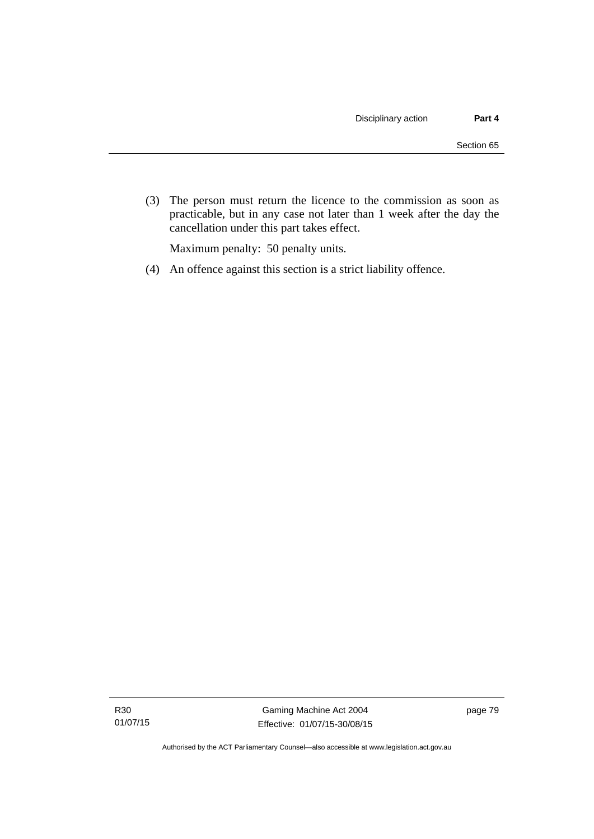(3) The person must return the licence to the commission as soon as practicable, but in any case not later than 1 week after the day the cancellation under this part takes effect.

Maximum penalty: 50 penalty units.

(4) An offence against this section is a strict liability offence.

R30 01/07/15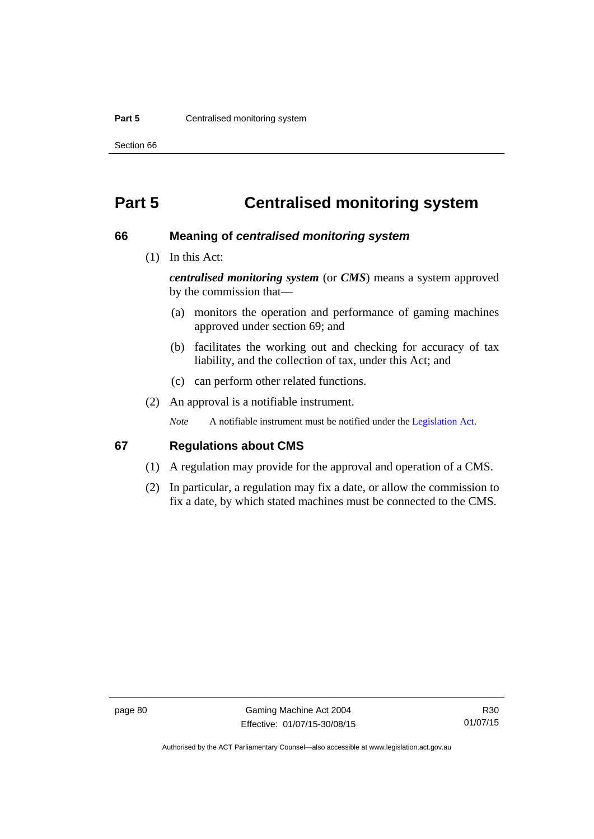#### **Part 5 Centralised monitoring system**

Section 66

# **Part 5 Centralised monitoring system**

#### **66 Meaning of** *centralised monitoring system*

(1) In this Act:

*centralised monitoring system* (or *CMS*) means a system approved by the commission that—

- (a) monitors the operation and performance of gaming machines approved under section 69; and
- (b) facilitates the working out and checking for accuracy of tax liability, and the collection of tax, under this Act; and
- (c) can perform other related functions.
- (2) An approval is a notifiable instrument.

*Note* A notifiable instrument must be notified under the [Legislation Act](http://www.legislation.act.gov.au/a/2001-14).

### **67 Regulations about CMS**

- (1) A regulation may provide for the approval and operation of a CMS.
- (2) In particular, a regulation may fix a date, or allow the commission to fix a date, by which stated machines must be connected to the CMS.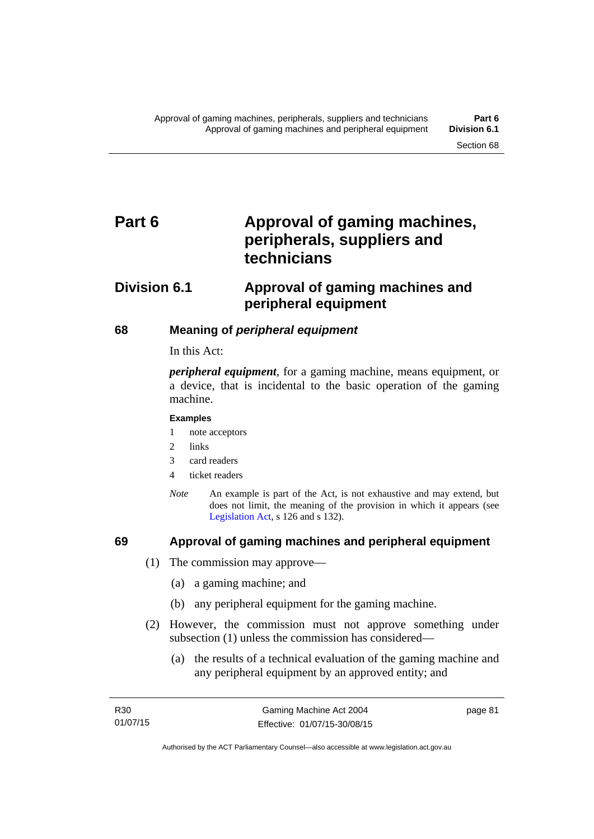# Part 6 **Approval of gaming machines, peripherals, suppliers and technicians**

# **Division 6.1 Approval of gaming machines and peripheral equipment**

# **68 Meaning of** *peripheral equipment*

In this Act:

*peripheral equipment*, for a gaming machine, means equipment, or a device, that is incidental to the basic operation of the gaming machine.

#### **Examples**

- 1 note acceptors
- 2 links
- 3 card readers
- 4 ticket readers
- *Note* An example is part of the Act, is not exhaustive and may extend, but does not limit, the meaning of the provision in which it appears (see [Legislation Act,](http://www.legislation.act.gov.au/a/2001-14) s 126 and s 132).

# **69 Approval of gaming machines and peripheral equipment**

- (1) The commission may approve—
	- (a) a gaming machine; and
	- (b) any peripheral equipment for the gaming machine.
- (2) However, the commission must not approve something under subsection (1) unless the commission has considered—
	- (a) the results of a technical evaluation of the gaming machine and any peripheral equipment by an approved entity; and

page 81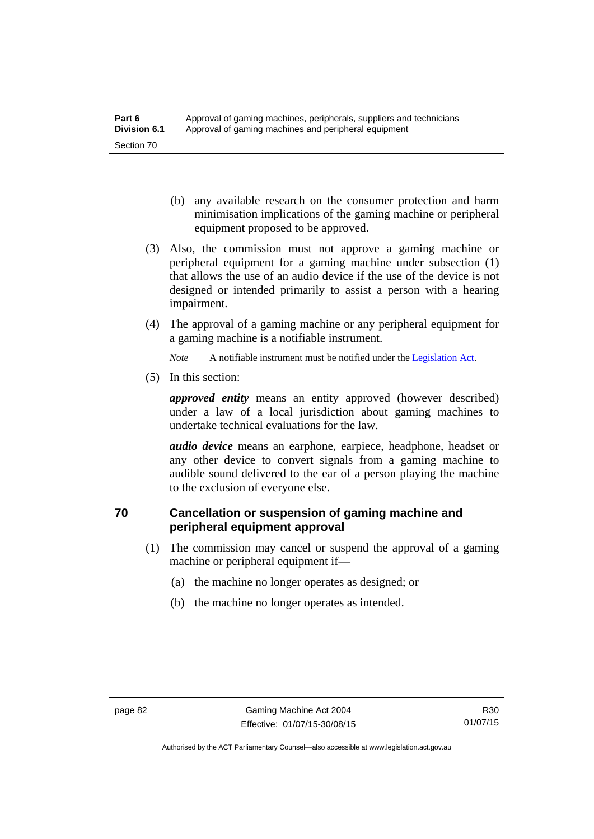- (b) any available research on the consumer protection and harm minimisation implications of the gaming machine or peripheral equipment proposed to be approved.
- (3) Also, the commission must not approve a gaming machine or peripheral equipment for a gaming machine under subsection (1) that allows the use of an audio device if the use of the device is not designed or intended primarily to assist a person with a hearing impairment.
- (4) The approval of a gaming machine or any peripheral equipment for a gaming machine is a notifiable instrument.

*Note* A notifiable instrument must be notified under the [Legislation Act](http://www.legislation.act.gov.au/a/2001-14).

(5) In this section:

*approved entity* means an entity approved (however described) under a law of a local jurisdiction about gaming machines to undertake technical evaluations for the law.

*audio device* means an earphone, earpiece, headphone, headset or any other device to convert signals from a gaming machine to audible sound delivered to the ear of a person playing the machine to the exclusion of everyone else.

# **70 Cancellation or suspension of gaming machine and peripheral equipment approval**

- (1) The commission may cancel or suspend the approval of a gaming machine or peripheral equipment if—
	- (a) the machine no longer operates as designed; or
	- (b) the machine no longer operates as intended.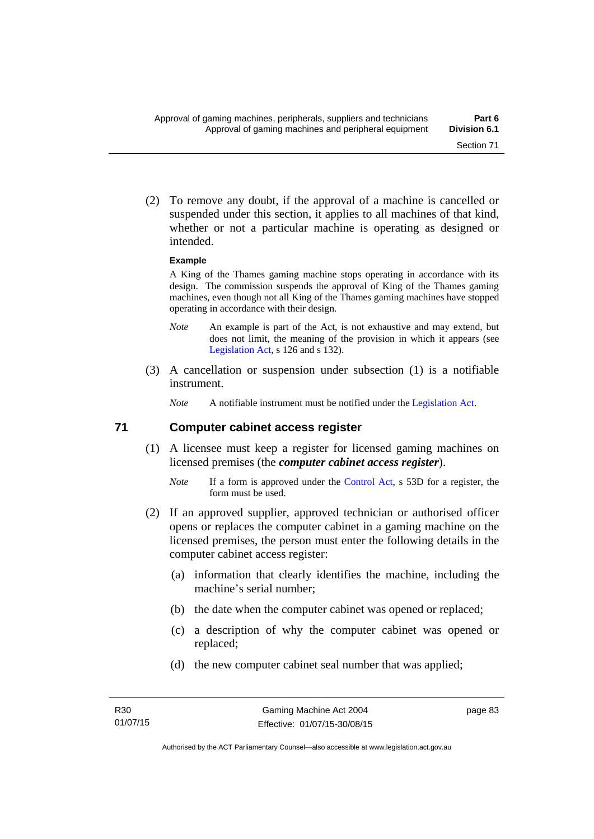(2) To remove any doubt, if the approval of a machine is cancelled or suspended under this section, it applies to all machines of that kind, whether or not a particular machine is operating as designed or intended.

#### **Example**

A King of the Thames gaming machine stops operating in accordance with its design. The commission suspends the approval of King of the Thames gaming machines, even though not all King of the Thames gaming machines have stopped operating in accordance with their design.

- *Note* An example is part of the Act, is not exhaustive and may extend, but does not limit, the meaning of the provision in which it appears (see [Legislation Act,](http://www.legislation.act.gov.au/a/2001-14) s 126 and s 132).
- (3) A cancellation or suspension under subsection (1) is a notifiable instrument.

*Note* A notifiable instrument must be notified under the [Legislation Act](http://www.legislation.act.gov.au/a/2001-14).

### **71 Computer cabinet access register**

- (1) A licensee must keep a register for licensed gaming machines on licensed premises (the *computer cabinet access register*).
	- *Note* If a form is approved under the [Control Act,](http://www.legislation.act.gov.au/a/1999-46/) s 53D for a register, the form must be used.
- (2) If an approved supplier, approved technician or authorised officer opens or replaces the computer cabinet in a gaming machine on the licensed premises, the person must enter the following details in the computer cabinet access register:
	- (a) information that clearly identifies the machine, including the machine's serial number;
	- (b) the date when the computer cabinet was opened or replaced;
	- (c) a description of why the computer cabinet was opened or replaced;
	- (d) the new computer cabinet seal number that was applied;

page 83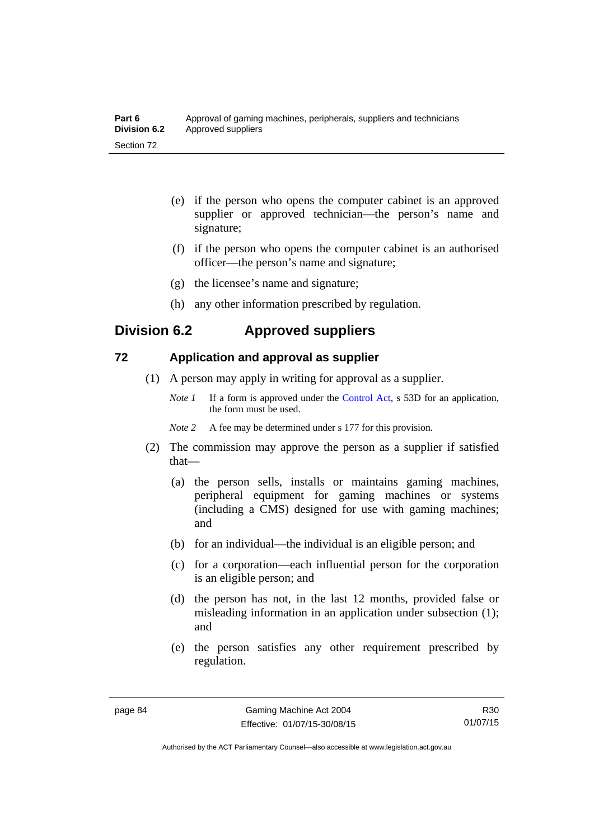| Part 6       | Approval of gaming machines, peripherals, suppliers and technicians |
|--------------|---------------------------------------------------------------------|
| Division 6.2 | Approved suppliers                                                  |
| Section 72   |                                                                     |

- (e) if the person who opens the computer cabinet is an approved supplier or approved technician—the person's name and signature;
- (f) if the person who opens the computer cabinet is an authorised officer—the person's name and signature;
- (g) the licensee's name and signature;
- (h) any other information prescribed by regulation.

# **Division 6.2 Approved suppliers**

# **72 Application and approval as supplier**

- (1) A person may apply in writing for approval as a supplier.
	- *Note 1* If a form is approved under the [Control Act,](http://www.legislation.act.gov.au/a/1999-46) s 53D for an application, the form must be used.
	- *Note* 2 A fee may be determined under s 177 for this provision.
- (2) The commission may approve the person as a supplier if satisfied that—
	- (a) the person sells, installs or maintains gaming machines, peripheral equipment for gaming machines or systems (including a CMS) designed for use with gaming machines; and
	- (b) for an individual—the individual is an eligible person; and
	- (c) for a corporation—each influential person for the corporation is an eligible person; and
	- (d) the person has not, in the last 12 months, provided false or misleading information in an application under subsection (1); and
	- (e) the person satisfies any other requirement prescribed by regulation.

R30 01/07/15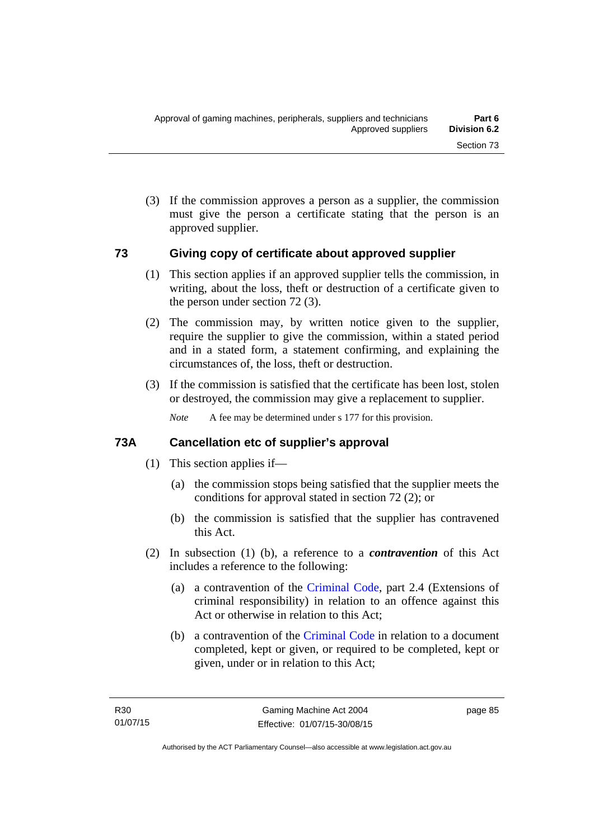(3) If the commission approves a person as a supplier, the commission must give the person a certificate stating that the person is an approved supplier.

### **73 Giving copy of certificate about approved supplier**

- (1) This section applies if an approved supplier tells the commission, in writing, about the loss, theft or destruction of a certificate given to the person under section 72 (3).
- (2) The commission may, by written notice given to the supplier, require the supplier to give the commission, within a stated period and in a stated form, a statement confirming, and explaining the circumstances of, the loss, theft or destruction.
- (3) If the commission is satisfied that the certificate has been lost, stolen or destroyed, the commission may give a replacement to supplier.

*Note* A fee may be determined under s 177 for this provision.

# **73A Cancellation etc of supplier's approval**

- (1) This section applies if—
	- (a) the commission stops being satisfied that the supplier meets the conditions for approval stated in section 72 (2); or
	- (b) the commission is satisfied that the supplier has contravened this Act.
- (2) In subsection (1) (b), a reference to a *contravention* of this Act includes a reference to the following:
	- (a) a contravention of the [Criminal Code](http://www.legislation.act.gov.au/a/2002-51), part 2.4 (Extensions of criminal responsibility) in relation to an offence against this Act or otherwise in relation to this Act;
	- (b) a contravention of the [Criminal Code](http://www.legislation.act.gov.au/a/2002-51) in relation to a document completed, kept or given, or required to be completed, kept or given, under or in relation to this Act;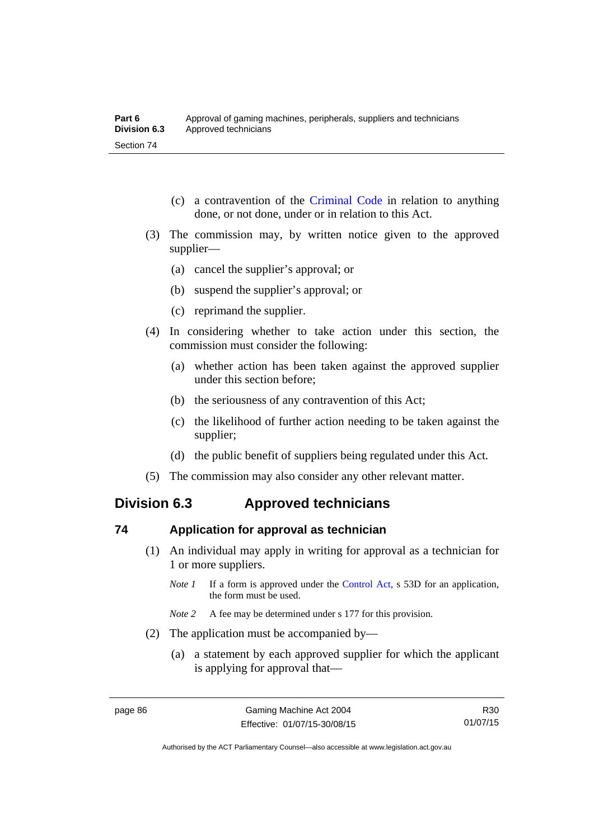- (c) a contravention of the [Criminal Code](http://www.legislation.act.gov.au/a/2002-51) in relation to anything done, or not done, under or in relation to this Act.
- (3) The commission may, by written notice given to the approved supplier—
	- (a) cancel the supplier's approval; or
	- (b) suspend the supplier's approval; or
	- (c) reprimand the supplier.
- (4) In considering whether to take action under this section, the commission must consider the following:
	- (a) whether action has been taken against the approved supplier under this section before;
	- (b) the seriousness of any contravention of this Act;
	- (c) the likelihood of further action needing to be taken against the supplier;
	- (d) the public benefit of suppliers being regulated under this Act.
- (5) The commission may also consider any other relevant matter.

# **Division 6.3 Approved technicians**

### **74 Application for approval as technician**

- (1) An individual may apply in writing for approval as a technician for 1 or more suppliers.
	- *Note 1* If a form is approved under the [Control Act,](http://www.legislation.act.gov.au/a/1999-46) s 53D for an application, the form must be used.
	- *Note* 2 A fee may be determined under s 177 for this provision.
- (2) The application must be accompanied by—
	- (a) a statement by each approved supplier for which the applicant is applying for approval that—

R30 01/07/15

Authorised by the ACT Parliamentary Counsel—also accessible at www.legislation.act.gov.au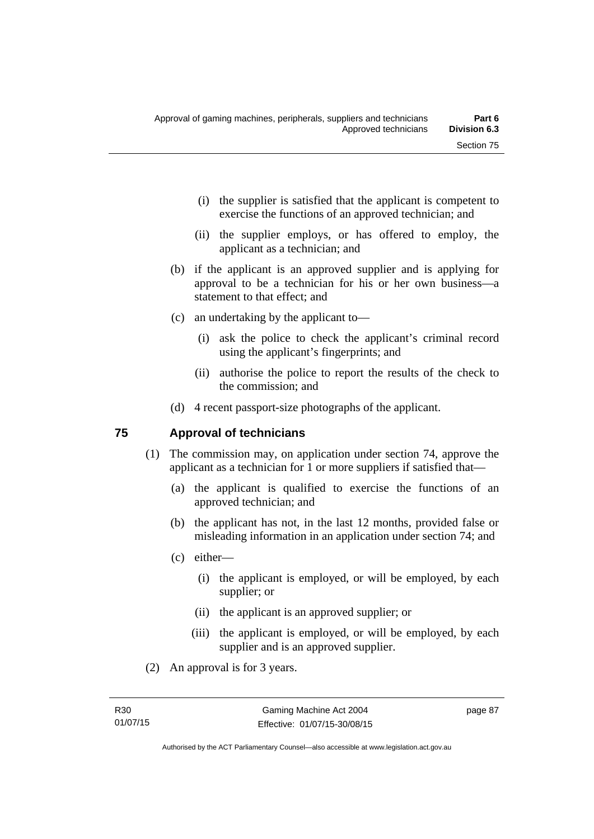- (i) the supplier is satisfied that the applicant is competent to exercise the functions of an approved technician; and
- (ii) the supplier employs, or has offered to employ, the applicant as a technician; and
- (b) if the applicant is an approved supplier and is applying for approval to be a technician for his or her own business—a statement to that effect; and
- (c) an undertaking by the applicant to—
	- (i) ask the police to check the applicant's criminal record using the applicant's fingerprints; and
	- (ii) authorise the police to report the results of the check to the commission; and
- (d) 4 recent passport-size photographs of the applicant.

# **75 Approval of technicians**

- (1) The commission may, on application under section 74, approve the applicant as a technician for 1 or more suppliers if satisfied that—
	- (a) the applicant is qualified to exercise the functions of an approved technician; and
	- (b) the applicant has not, in the last 12 months, provided false or misleading information in an application under section 74; and
	- (c) either—
		- (i) the applicant is employed, or will be employed, by each supplier; or
		- (ii) the applicant is an approved supplier; or
		- (iii) the applicant is employed, or will be employed, by each supplier and is an approved supplier.
- (2) An approval is for 3 years.

page 87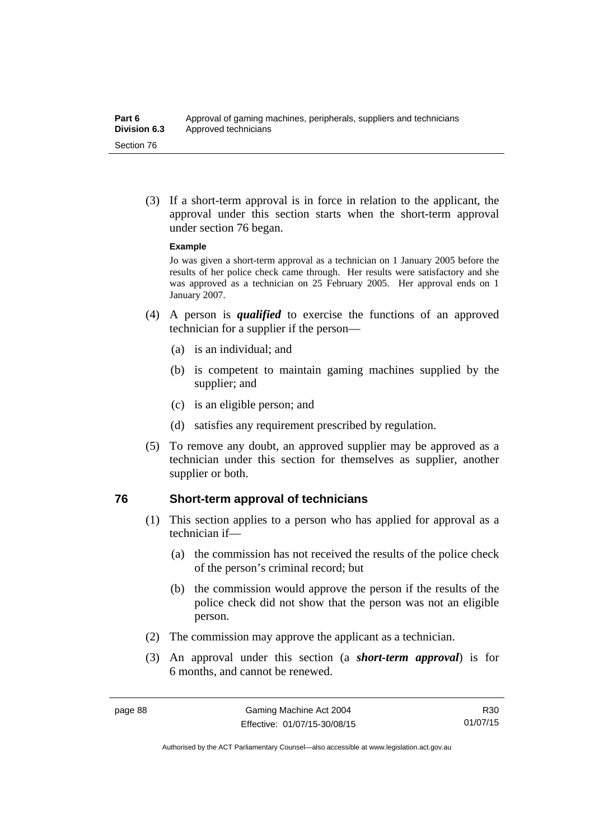(3) If a short-term approval is in force in relation to the applicant, the approval under this section starts when the short-term approval under section 76 began.

#### **Example**

Jo was given a short-term approval as a technician on 1 January 2005 before the results of her police check came through. Her results were satisfactory and she was approved as a technician on 25 February 2005. Her approval ends on 1 January 2007.

- (4) A person is *qualified* to exercise the functions of an approved technician for a supplier if the person—
	- (a) is an individual; and
	- (b) is competent to maintain gaming machines supplied by the supplier; and
	- (c) is an eligible person; and
	- (d) satisfies any requirement prescribed by regulation.
- (5) To remove any doubt, an approved supplier may be approved as a technician under this section for themselves as supplier, another supplier or both.

### **76 Short-term approval of technicians**

- (1) This section applies to a person who has applied for approval as a technician if—
	- (a) the commission has not received the results of the police check of the person's criminal record; but
	- (b) the commission would approve the person if the results of the police check did not show that the person was not an eligible person.
- (2) The commission may approve the applicant as a technician.
- (3) An approval under this section (a *short-term approval*) is for 6 months, and cannot be renewed.

R30 01/07/15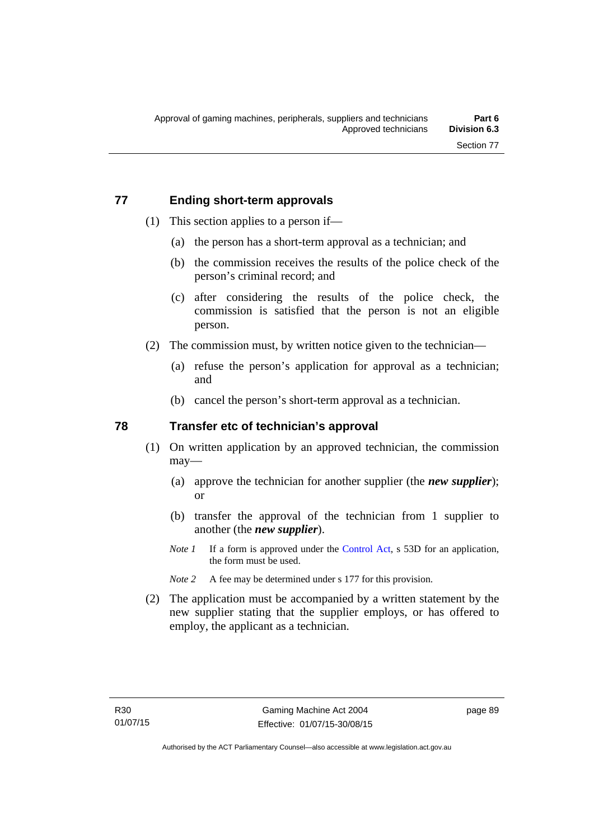# **77 Ending short-term approvals**

- (1) This section applies to a person if—
	- (a) the person has a short-term approval as a technician; and
	- (b) the commission receives the results of the police check of the person's criminal record; and
	- (c) after considering the results of the police check, the commission is satisfied that the person is not an eligible person.
- (2) The commission must, by written notice given to the technician—
	- (a) refuse the person's application for approval as a technician; and
	- (b) cancel the person's short-term approval as a technician.

# **78 Transfer etc of technician's approval**

- (1) On written application by an approved technician, the commission may—
	- (a) approve the technician for another supplier (the *new supplier*); or
	- (b) transfer the approval of the technician from 1 supplier to another (the *new supplier*).
	- *Note 1* If a form is approved under the [Control Act,](http://www.legislation.act.gov.au/a/1999-46) s 53D for an application, the form must be used.
	- *Note* 2 A fee may be determined under s 177 for this provision.
- (2) The application must be accompanied by a written statement by the new supplier stating that the supplier employs, or has offered to employ, the applicant as a technician.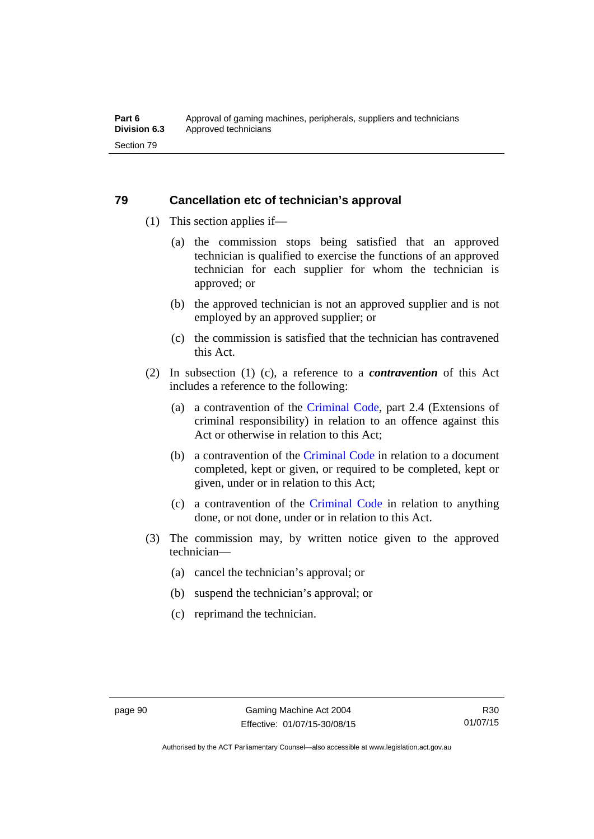# **79 Cancellation etc of technician's approval**

- (1) This section applies if—
	- (a) the commission stops being satisfied that an approved technician is qualified to exercise the functions of an approved technician for each supplier for whom the technician is approved; or
	- (b) the approved technician is not an approved supplier and is not employed by an approved supplier; or
	- (c) the commission is satisfied that the technician has contravened this Act.
- (2) In subsection (1) (c), a reference to a *contravention* of this Act includes a reference to the following:
	- (a) a contravention of the [Criminal Code](http://www.legislation.act.gov.au/a/2002-51), part 2.4 (Extensions of criminal responsibility) in relation to an offence against this Act or otherwise in relation to this Act;
	- (b) a contravention of the [Criminal Code](http://www.legislation.act.gov.au/a/2002-51) in relation to a document completed, kept or given, or required to be completed, kept or given, under or in relation to this Act;
	- (c) a contravention of the [Criminal Code](http://www.legislation.act.gov.au/a/2002-51) in relation to anything done, or not done, under or in relation to this Act.
- (3) The commission may, by written notice given to the approved technician—
	- (a) cancel the technician's approval; or
	- (b) suspend the technician's approval; or
	- (c) reprimand the technician.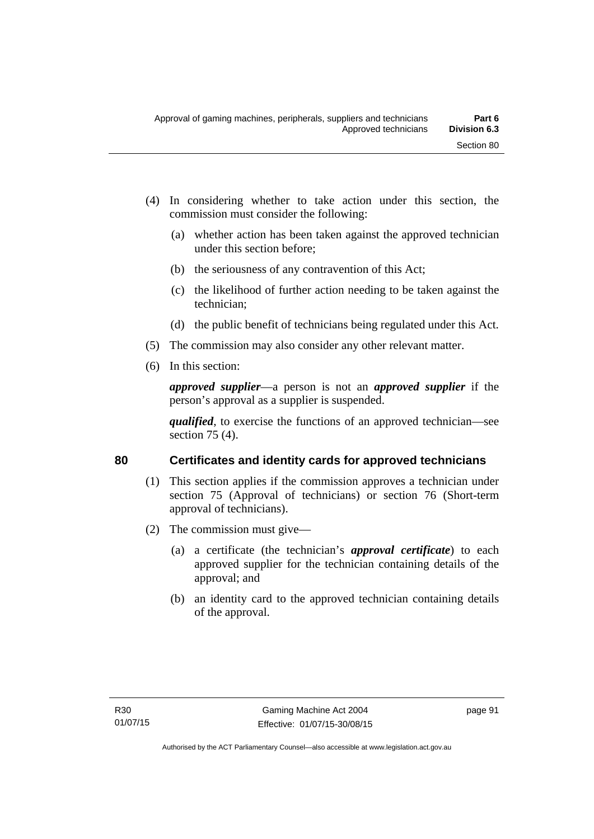- (4) In considering whether to take action under this section, the commission must consider the following:
	- (a) whether action has been taken against the approved technician under this section before;
	- (b) the seriousness of any contravention of this Act;
	- (c) the likelihood of further action needing to be taken against the technician;
	- (d) the public benefit of technicians being regulated under this Act.
- (5) The commission may also consider any other relevant matter.
- (6) In this section:

*approved supplier*—a person is not an *approved supplier* if the person's approval as a supplier is suspended.

*qualified*, to exercise the functions of an approved technician—see section 75 (4).

# **80 Certificates and identity cards for approved technicians**

- (1) This section applies if the commission approves a technician under section 75 (Approval of technicians) or section 76 (Short-term approval of technicians).
- (2) The commission must give—
	- (a) a certificate (the technician's *approval certificate*) to each approved supplier for the technician containing details of the approval; and
	- (b) an identity card to the approved technician containing details of the approval.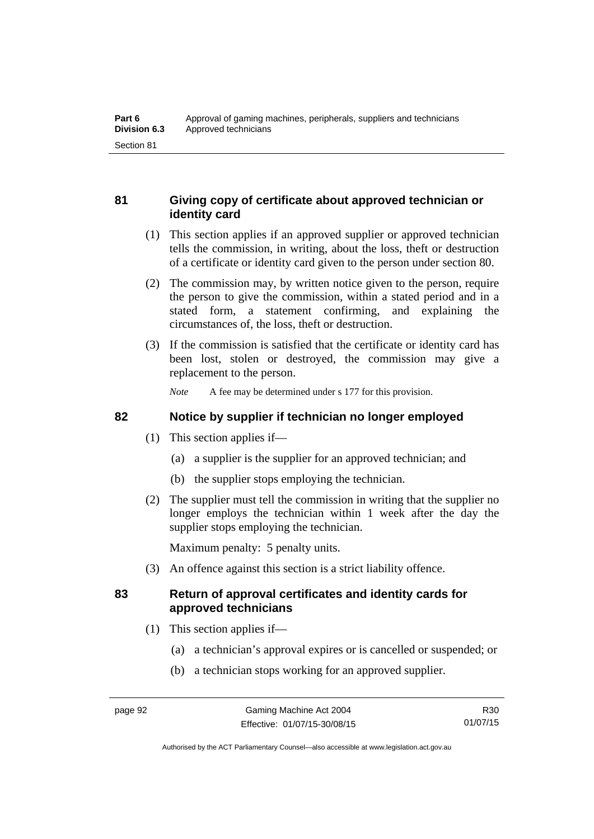# **81 Giving copy of certificate about approved technician or identity card**

- (1) This section applies if an approved supplier or approved technician tells the commission, in writing, about the loss, theft or destruction of a certificate or identity card given to the person under section 80.
- (2) The commission may, by written notice given to the person, require the person to give the commission, within a stated period and in a stated form, a statement confirming, and explaining the circumstances of, the loss, theft or destruction.
- (3) If the commission is satisfied that the certificate or identity card has been lost, stolen or destroyed, the commission may give a replacement to the person.

*Note* A fee may be determined under s 177 for this provision.

# **82 Notice by supplier if technician no longer employed**

- (1) This section applies if—
	- (a) a supplier is the supplier for an approved technician; and
	- (b) the supplier stops employing the technician.
- (2) The supplier must tell the commission in writing that the supplier no longer employs the technician within 1 week after the day the supplier stops employing the technician.

Maximum penalty: 5 penalty units.

(3) An offence against this section is a strict liability offence.

# **83 Return of approval certificates and identity cards for approved technicians**

- (1) This section applies if—
	- (a) a technician's approval expires or is cancelled or suspended; or
	- (b) a technician stops working for an approved supplier.

Authorised by the ACT Parliamentary Counsel—also accessible at www.legislation.act.gov.au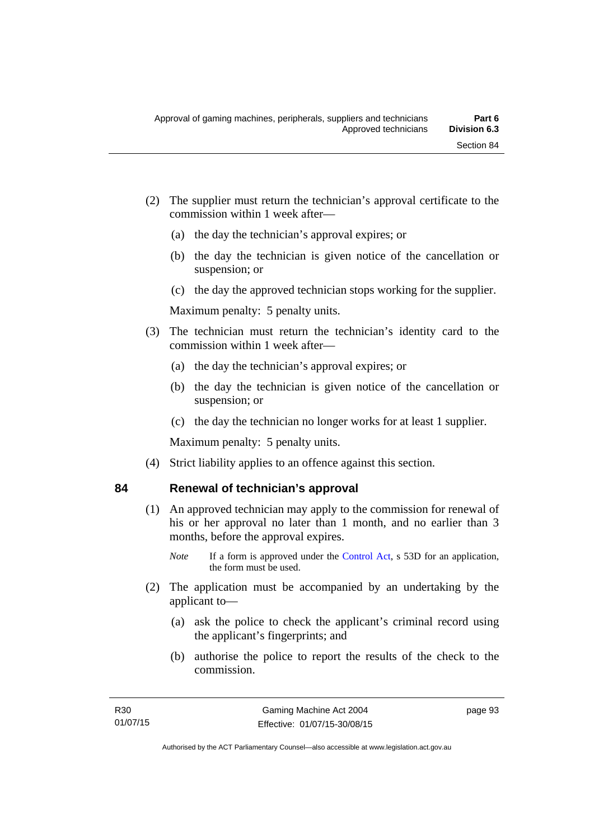- (2) The supplier must return the technician's approval certificate to the commission within 1 week after—
	- (a) the day the technician's approval expires; or
	- (b) the day the technician is given notice of the cancellation or suspension; or
	- (c) the day the approved technician stops working for the supplier.

Maximum penalty: 5 penalty units.

- (3) The technician must return the technician's identity card to the commission within 1 week after—
	- (a) the day the technician's approval expires; or
	- (b) the day the technician is given notice of the cancellation or suspension; or
	- (c) the day the technician no longer works for at least 1 supplier.

Maximum penalty: 5 penalty units.

(4) Strict liability applies to an offence against this section.

### **84 Renewal of technician's approval**

- (1) An approved technician may apply to the commission for renewal of his or her approval no later than 1 month, and no earlier than 3 months, before the approval expires.
	- *Note* If a form is approved under the [Control Act,](http://www.legislation.act.gov.au/a/1999-46) s 53D for an application, the form must be used.
- (2) The application must be accompanied by an undertaking by the applicant to—
	- (a) ask the police to check the applicant's criminal record using the applicant's fingerprints; and
	- (b) authorise the police to report the results of the check to the commission.

page 93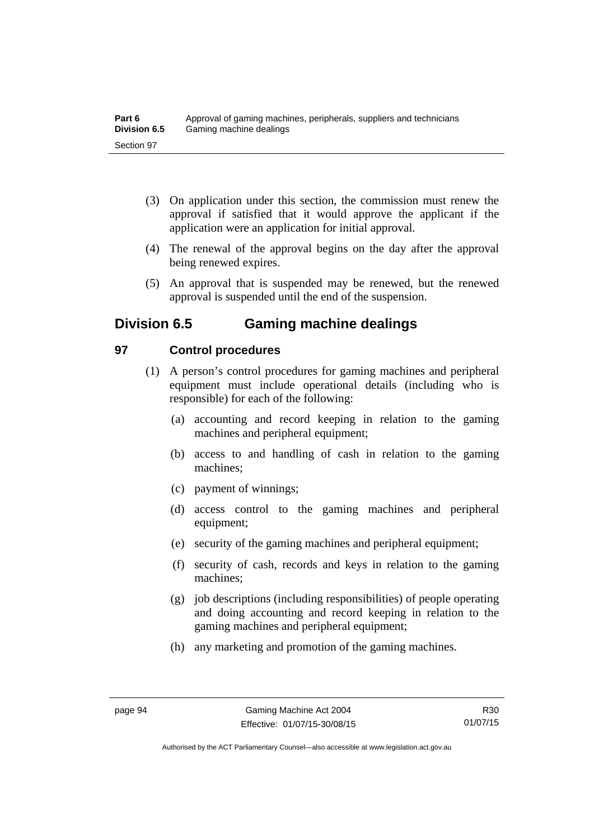- (3) On application under this section, the commission must renew the approval if satisfied that it would approve the applicant if the application were an application for initial approval.
- (4) The renewal of the approval begins on the day after the approval being renewed expires.
- (5) An approval that is suspended may be renewed, but the renewed approval is suspended until the end of the suspension.

# **Division 6.5 Gaming machine dealings**

# **97 Control procedures**

- (1) A person's control procedures for gaming machines and peripheral equipment must include operational details (including who is responsible) for each of the following:
	- (a) accounting and record keeping in relation to the gaming machines and peripheral equipment;
	- (b) access to and handling of cash in relation to the gaming machines;
	- (c) payment of winnings;
	- (d) access control to the gaming machines and peripheral equipment;
	- (e) security of the gaming machines and peripheral equipment;
	- (f) security of cash, records and keys in relation to the gaming machines;
	- (g) job descriptions (including responsibilities) of people operating and doing accounting and record keeping in relation to the gaming machines and peripheral equipment;
	- (h) any marketing and promotion of the gaming machines.

R30 01/07/15

Authorised by the ACT Parliamentary Counsel—also accessible at www.legislation.act.gov.au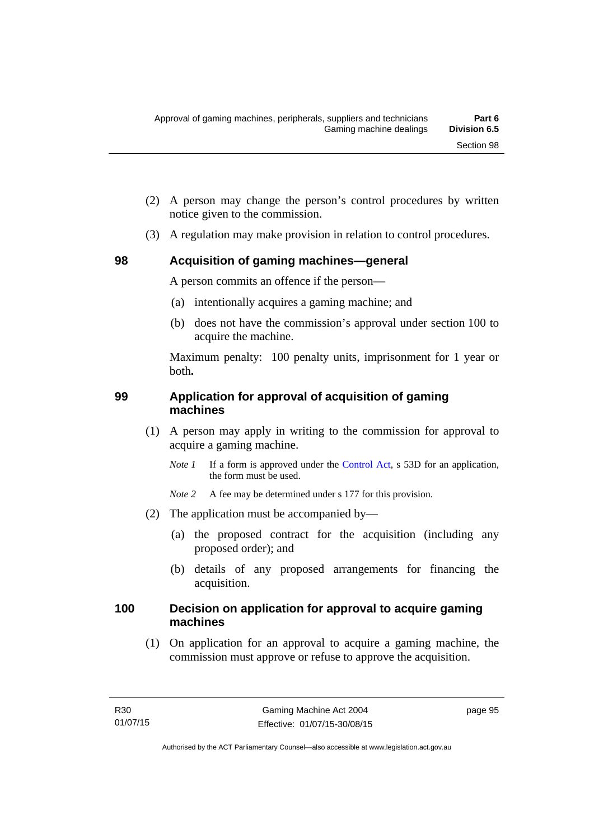- (2) A person may change the person's control procedures by written notice given to the commission.
- (3) A regulation may make provision in relation to control procedures.

# **98 Acquisition of gaming machines—general**

A person commits an offence if the person—

- (a) intentionally acquires a gaming machine; and
- (b) does not have the commission's approval under section 100 to acquire the machine.

Maximum penalty: 100 penalty units, imprisonment for 1 year or both**.**

# **99 Application for approval of acquisition of gaming machines**

- (1) A person may apply in writing to the commission for approval to acquire a gaming machine.
	- *Note 1* If a form is approved under the [Control Act,](http://www.legislation.act.gov.au/a/1999-46) s 53D for an application, the form must be used.

*Note* 2 A fee may be determined under s 177 for this provision.

- (2) The application must be accompanied by—
	- (a) the proposed contract for the acquisition (including any proposed order); and
	- (b) details of any proposed arrangements for financing the acquisition.

# **100 Decision on application for approval to acquire gaming machines**

(1) On application for an approval to acquire a gaming machine, the commission must approve or refuse to approve the acquisition.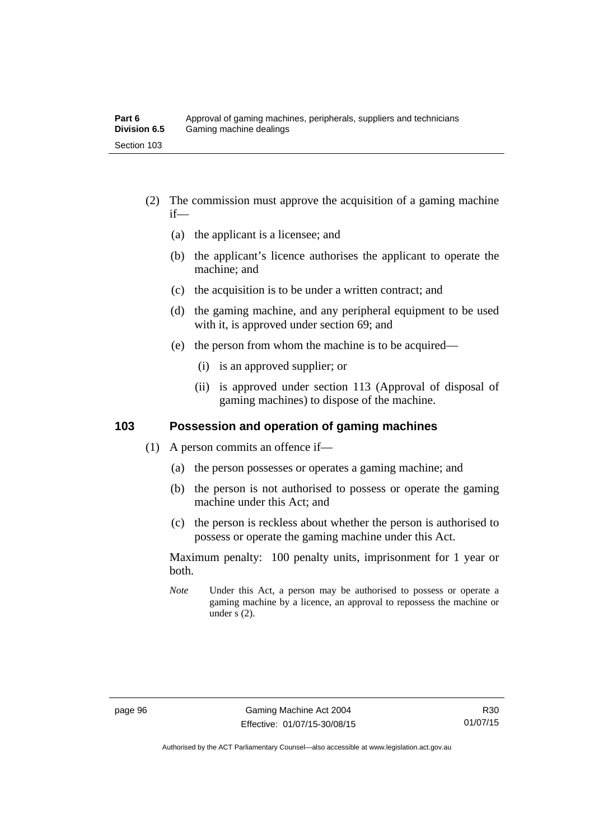- (2) The commission must approve the acquisition of a gaming machine if—
	- (a) the applicant is a licensee; and
	- (b) the applicant's licence authorises the applicant to operate the machine; and
	- (c) the acquisition is to be under a written contract; and
	- (d) the gaming machine, and any peripheral equipment to be used with it, is approved under section 69; and
	- (e) the person from whom the machine is to be acquired—
		- (i) is an approved supplier; or
		- (ii) is approved under section 113 (Approval of disposal of gaming machines) to dispose of the machine.

# **103 Possession and operation of gaming machines**

- (1) A person commits an offence if—
	- (a) the person possesses or operates a gaming machine; and
	- (b) the person is not authorised to possess or operate the gaming machine under this Act; and
	- (c) the person is reckless about whether the person is authorised to possess or operate the gaming machine under this Act.

Maximum penalty: 100 penalty units, imprisonment for 1 year or both.

*Note* Under this Act, a person may be authorised to possess or operate a gaming machine by a licence, an approval to repossess the machine or under s (2).

Authorised by the ACT Parliamentary Counsel—also accessible at www.legislation.act.gov.au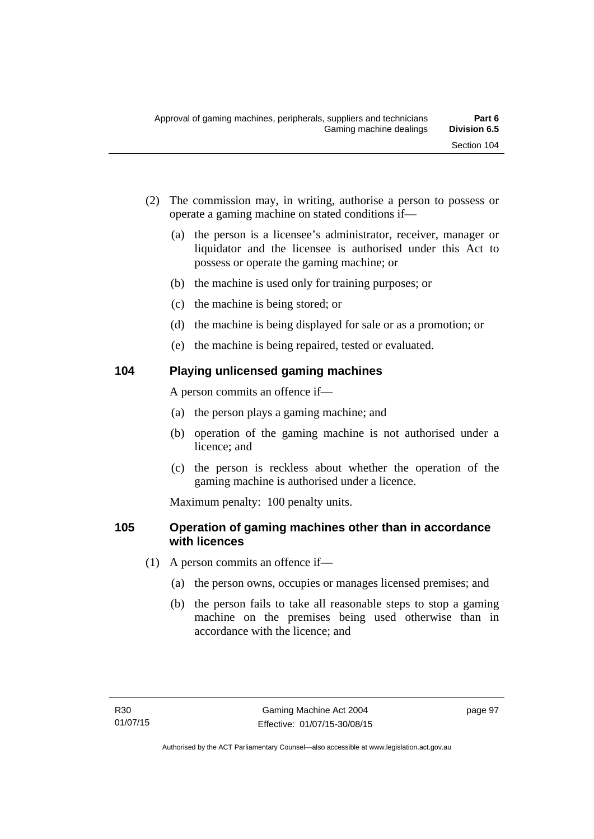- (2) The commission may, in writing, authorise a person to possess or operate a gaming machine on stated conditions if—
	- (a) the person is a licensee's administrator, receiver, manager or liquidator and the licensee is authorised under this Act to possess or operate the gaming machine; or
	- (b) the machine is used only for training purposes; or
	- (c) the machine is being stored; or
	- (d) the machine is being displayed for sale or as a promotion; or
	- (e) the machine is being repaired, tested or evaluated.

## **104 Playing unlicensed gaming machines**

A person commits an offence if—

- (a) the person plays a gaming machine; and
- (b) operation of the gaming machine is not authorised under a licence; and
- (c) the person is reckless about whether the operation of the gaming machine is authorised under a licence.

Maximum penalty: 100 penalty units.

## **105 Operation of gaming machines other than in accordance with licences**

- (1) A person commits an offence if—
	- (a) the person owns, occupies or manages licensed premises; and
	- (b) the person fails to take all reasonable steps to stop a gaming machine on the premises being used otherwise than in accordance with the licence; and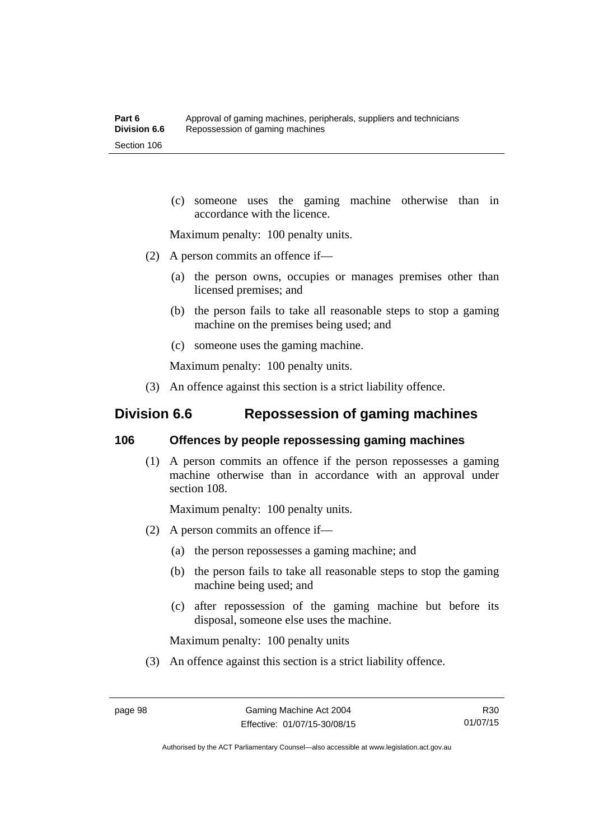(c) someone uses the gaming machine otherwise than in accordance with the licence.

Maximum penalty: 100 penalty units.

- (2) A person commits an offence if—
	- (a) the person owns, occupies or manages premises other than licensed premises; and
	- (b) the person fails to take all reasonable steps to stop a gaming machine on the premises being used; and
	- (c) someone uses the gaming machine.

Maximum penalty: 100 penalty units.

(3) An offence against this section is a strict liability offence.

# **Division 6.6 Repossession of gaming machines**

#### **106 Offences by people repossessing gaming machines**

 (1) A person commits an offence if the person repossesses a gaming machine otherwise than in accordance with an approval under section 108.

Maximum penalty: 100 penalty units.

- (2) A person commits an offence if—
	- (a) the person repossesses a gaming machine; and
	- (b) the person fails to take all reasonable steps to stop the gaming machine being used; and
	- (c) after repossession of the gaming machine but before its disposal, someone else uses the machine.

Maximum penalty: 100 penalty units

(3) An offence against this section is a strict liability offence.

R30 01/07/15

Authorised by the ACT Parliamentary Counsel—also accessible at www.legislation.act.gov.au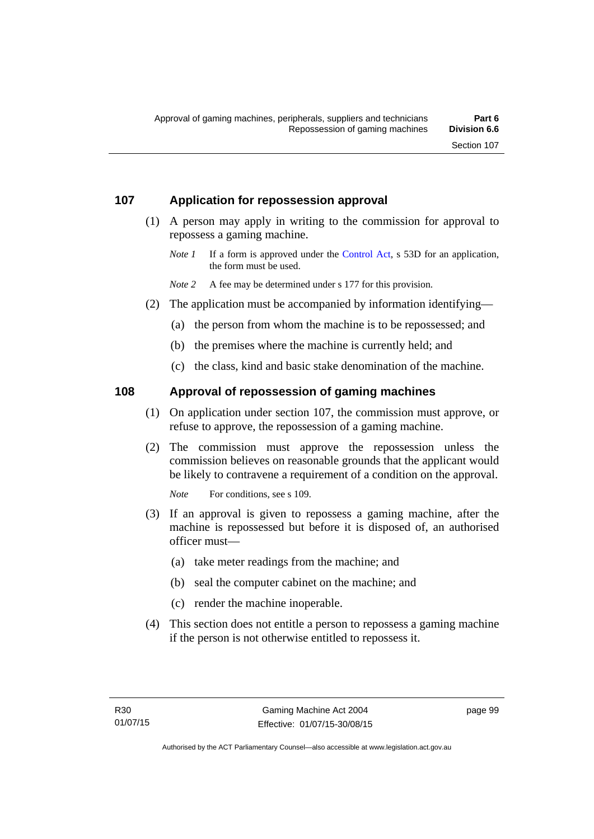## **107 Application for repossession approval**

- (1) A person may apply in writing to the commission for approval to repossess a gaming machine.
	- *Note 1* If a form is approved under the [Control Act,](http://www.legislation.act.gov.au/a/1999-46) s 53D for an application, the form must be used.

*Note* 2 A fee may be determined under s 177 for this provision.

- (2) The application must be accompanied by information identifying—
	- (a) the person from whom the machine is to be repossessed; and
	- (b) the premises where the machine is currently held; and
	- (c) the class, kind and basic stake denomination of the machine.

## **108 Approval of repossession of gaming machines**

- (1) On application under section 107, the commission must approve, or refuse to approve, the repossession of a gaming machine.
- (2) The commission must approve the repossession unless the commission believes on reasonable grounds that the applicant would be likely to contravene a requirement of a condition on the approval.

*Note* For conditions, see s 109.

- (3) If an approval is given to repossess a gaming machine, after the machine is repossessed but before it is disposed of, an authorised officer must—
	- (a) take meter readings from the machine; and
	- (b) seal the computer cabinet on the machine; and
	- (c) render the machine inoperable.
- (4) This section does not entitle a person to repossess a gaming machine if the person is not otherwise entitled to repossess it.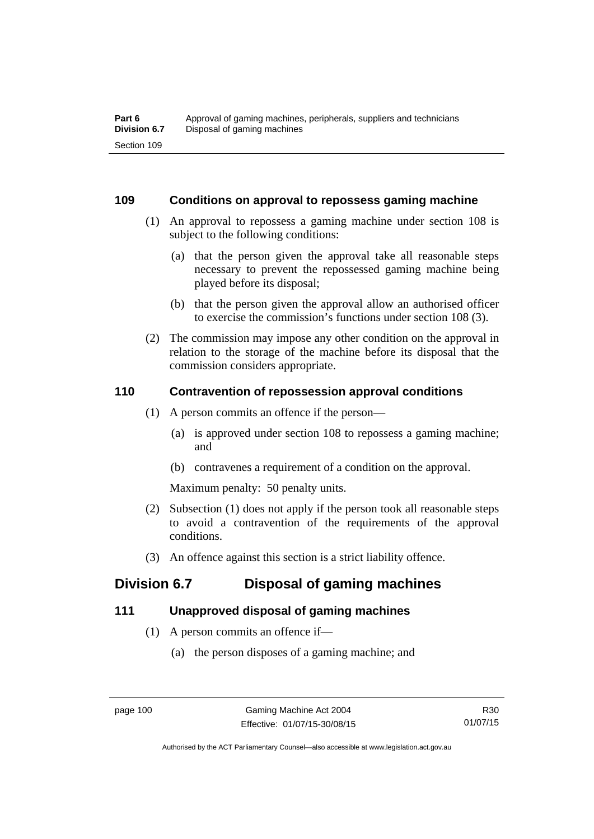### **109 Conditions on approval to repossess gaming machine**

- (1) An approval to repossess a gaming machine under section 108 is subject to the following conditions:
	- (a) that the person given the approval take all reasonable steps necessary to prevent the repossessed gaming machine being played before its disposal;
	- (b) that the person given the approval allow an authorised officer to exercise the commission's functions under section 108 (3).
- (2) The commission may impose any other condition on the approval in relation to the storage of the machine before its disposal that the commission considers appropriate.

## **110 Contravention of repossession approval conditions**

- (1) A person commits an offence if the person—
	- (a) is approved under section 108 to repossess a gaming machine; and
	- (b) contravenes a requirement of a condition on the approval.

Maximum penalty: 50 penalty units.

- (2) Subsection (1) does not apply if the person took all reasonable steps to avoid a contravention of the requirements of the approval conditions.
- (3) An offence against this section is a strict liability offence.

# **Division 6.7 Disposal of gaming machines**

## **111 Unapproved disposal of gaming machines**

- (1) A person commits an offence if—
	- (a) the person disposes of a gaming machine; and

Authorised by the ACT Parliamentary Counsel—also accessible at www.legislation.act.gov.au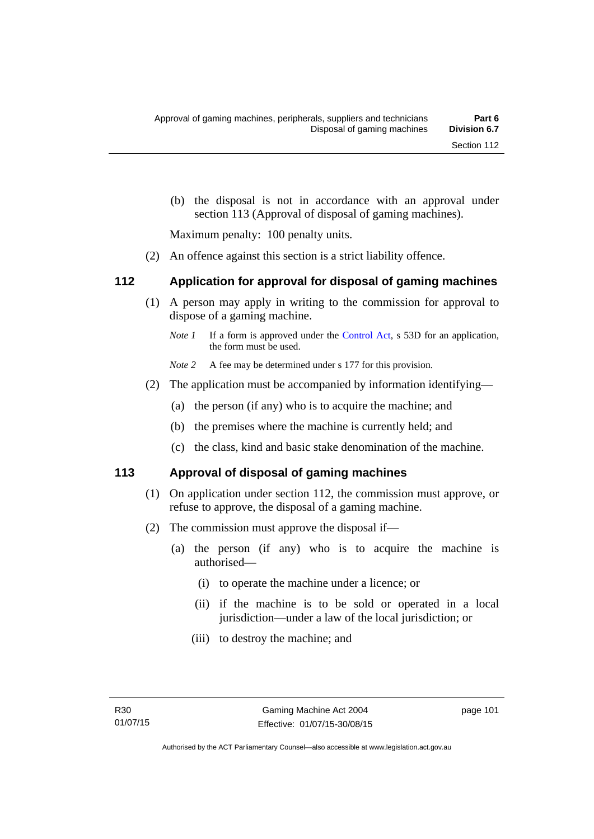(b) the disposal is not in accordance with an approval under section 113 (Approval of disposal of gaming machines).

Maximum penalty: 100 penalty units.

(2) An offence against this section is a strict liability offence.

## **112 Application for approval for disposal of gaming machines**

- (1) A person may apply in writing to the commission for approval to dispose of a gaming machine.
	- *Note 1* If a form is approved under the [Control Act,](http://www.legislation.act.gov.au/a/1999-46) s 53D for an application, the form must be used.
	- *Note* 2 A fee may be determined under s 177 for this provision.
- (2) The application must be accompanied by information identifying—
	- (a) the person (if any) who is to acquire the machine; and
	- (b) the premises where the machine is currently held; and
	- (c) the class, kind and basic stake denomination of the machine.

### **113 Approval of disposal of gaming machines**

- (1) On application under section 112, the commission must approve, or refuse to approve, the disposal of a gaming machine.
- (2) The commission must approve the disposal if—
	- (a) the person (if any) who is to acquire the machine is authorised—
		- (i) to operate the machine under a licence; or
		- (ii) if the machine is to be sold or operated in a local jurisdiction—under a law of the local jurisdiction; or
		- (iii) to destroy the machine; and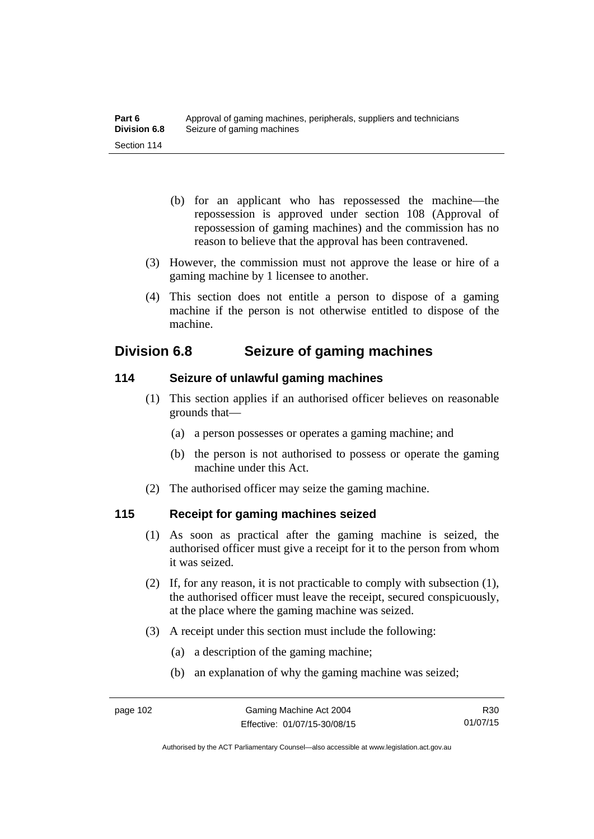- (b) for an applicant who has repossessed the machine—the repossession is approved under section 108 (Approval of repossession of gaming machines) and the commission has no reason to believe that the approval has been contravened.
- (3) However, the commission must not approve the lease or hire of a gaming machine by 1 licensee to another.
- (4) This section does not entitle a person to dispose of a gaming machine if the person is not otherwise entitled to dispose of the machine.

## **Division 6.8 Seizure of gaming machines**

## **114 Seizure of unlawful gaming machines**

- (1) This section applies if an authorised officer believes on reasonable grounds that—
	- (a) a person possesses or operates a gaming machine; and
	- (b) the person is not authorised to possess or operate the gaming machine under this Act.
- (2) The authorised officer may seize the gaming machine.

## **115 Receipt for gaming machines seized**

- (1) As soon as practical after the gaming machine is seized, the authorised officer must give a receipt for it to the person from whom it was seized.
- (2) If, for any reason, it is not practicable to comply with subsection (1), the authorised officer must leave the receipt, secured conspicuously, at the place where the gaming machine was seized.
- (3) A receipt under this section must include the following:
	- (a) a description of the gaming machine;
	- (b) an explanation of why the gaming machine was seized;

R30 01/07/15

Authorised by the ACT Parliamentary Counsel—also accessible at www.legislation.act.gov.au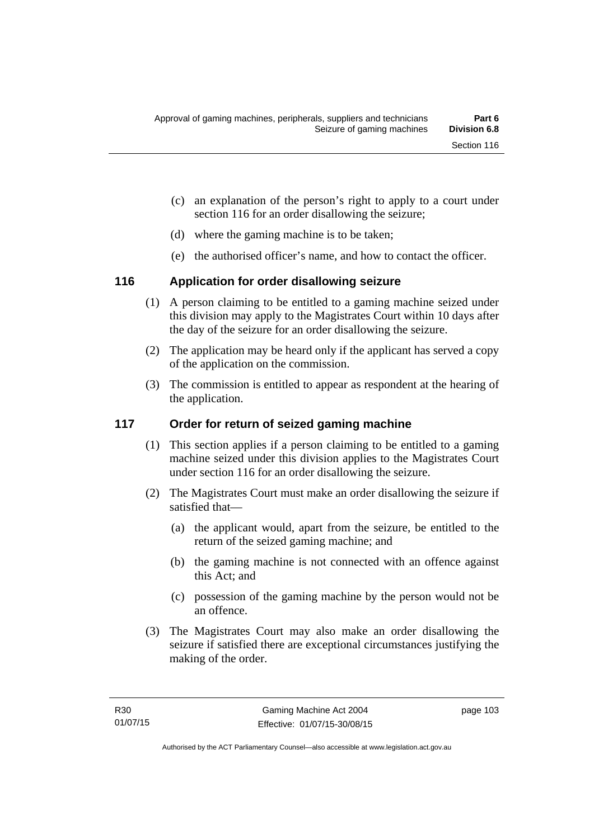- (c) an explanation of the person's right to apply to a court under section 116 for an order disallowing the seizure;
- (d) where the gaming machine is to be taken;
- (e) the authorised officer's name, and how to contact the officer.

## **116 Application for order disallowing seizure**

- (1) A person claiming to be entitled to a gaming machine seized under this division may apply to the Magistrates Court within 10 days after the day of the seizure for an order disallowing the seizure.
- (2) The application may be heard only if the applicant has served a copy of the application on the commission.
- (3) The commission is entitled to appear as respondent at the hearing of the application.

## **117 Order for return of seized gaming machine**

- (1) This section applies if a person claiming to be entitled to a gaming machine seized under this division applies to the Magistrates Court under section 116 for an order disallowing the seizure.
- (2) The Magistrates Court must make an order disallowing the seizure if satisfied that—
	- (a) the applicant would, apart from the seizure, be entitled to the return of the seized gaming machine; and
	- (b) the gaming machine is not connected with an offence against this Act; and
	- (c) possession of the gaming machine by the person would not be an offence.
- (3) The Magistrates Court may also make an order disallowing the seizure if satisfied there are exceptional circumstances justifying the making of the order.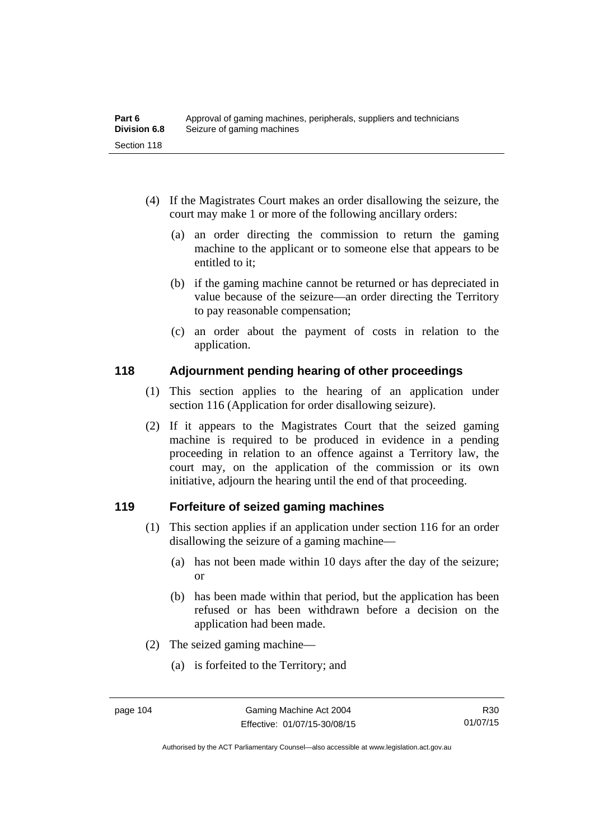- (4) If the Magistrates Court makes an order disallowing the seizure, the court may make 1 or more of the following ancillary orders:
	- (a) an order directing the commission to return the gaming machine to the applicant or to someone else that appears to be entitled to it;
	- (b) if the gaming machine cannot be returned or has depreciated in value because of the seizure—an order directing the Territory to pay reasonable compensation;
	- (c) an order about the payment of costs in relation to the application.

## **118 Adjournment pending hearing of other proceedings**

- (1) This section applies to the hearing of an application under section 116 (Application for order disallowing seizure).
- (2) If it appears to the Magistrates Court that the seized gaming machine is required to be produced in evidence in a pending proceeding in relation to an offence against a Territory law, the court may, on the application of the commission or its own initiative, adjourn the hearing until the end of that proceeding.

## **119 Forfeiture of seized gaming machines**

- (1) This section applies if an application under section 116 for an order disallowing the seizure of a gaming machine—
	- (a) has not been made within 10 days after the day of the seizure; or
	- (b) has been made within that period, but the application has been refused or has been withdrawn before a decision on the application had been made.
- (2) The seized gaming machine—
	- (a) is forfeited to the Territory; and

Authorised by the ACT Parliamentary Counsel—also accessible at www.legislation.act.gov.au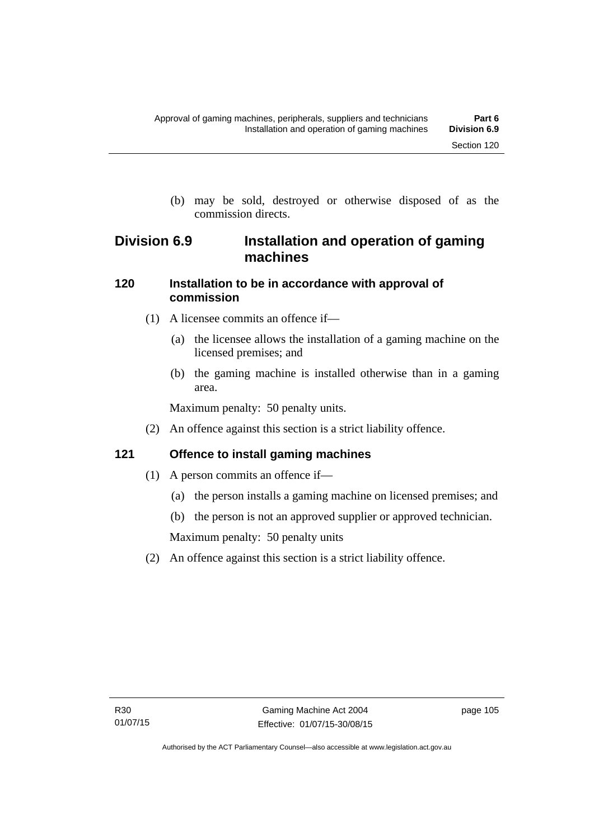(b) may be sold, destroyed or otherwise disposed of as the commission directs.

## **Division 6.9 Installation and operation of gaming machines**

## **120 Installation to be in accordance with approval of commission**

- (1) A licensee commits an offence if—
	- (a) the licensee allows the installation of a gaming machine on the licensed premises; and
	- (b) the gaming machine is installed otherwise than in a gaming area.

Maximum penalty: 50 penalty units.

(2) An offence against this section is a strict liability offence.

## **121 Offence to install gaming machines**

- (1) A person commits an offence if—
	- (a) the person installs a gaming machine on licensed premises; and
	- (b) the person is not an approved supplier or approved technician.

Maximum penalty: 50 penalty units

(2) An offence against this section is a strict liability offence.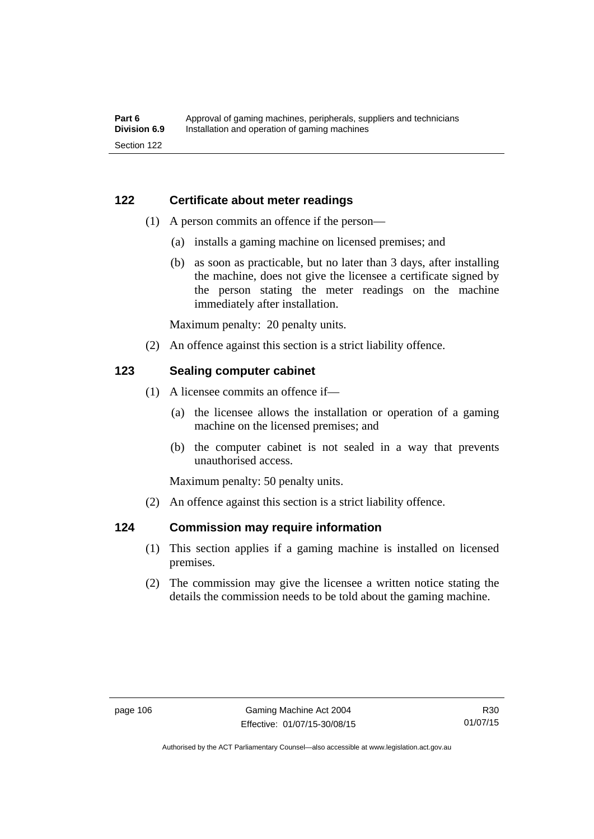## **122 Certificate about meter readings**

- (1) A person commits an offence if the person—
	- (a) installs a gaming machine on licensed premises; and
	- (b) as soon as practicable, but no later than 3 days, after installing the machine, does not give the licensee a certificate signed by the person stating the meter readings on the machine immediately after installation.

Maximum penalty: 20 penalty units.

(2) An offence against this section is a strict liability offence.

## **123 Sealing computer cabinet**

- (1) A licensee commits an offence if—
	- (a) the licensee allows the installation or operation of a gaming machine on the licensed premises; and
	- (b) the computer cabinet is not sealed in a way that prevents unauthorised access.

Maximum penalty: 50 penalty units.

(2) An offence against this section is a strict liability offence.

### **124 Commission may require information**

- (1) This section applies if a gaming machine is installed on licensed premises.
- (2) The commission may give the licensee a written notice stating the details the commission needs to be told about the gaming machine.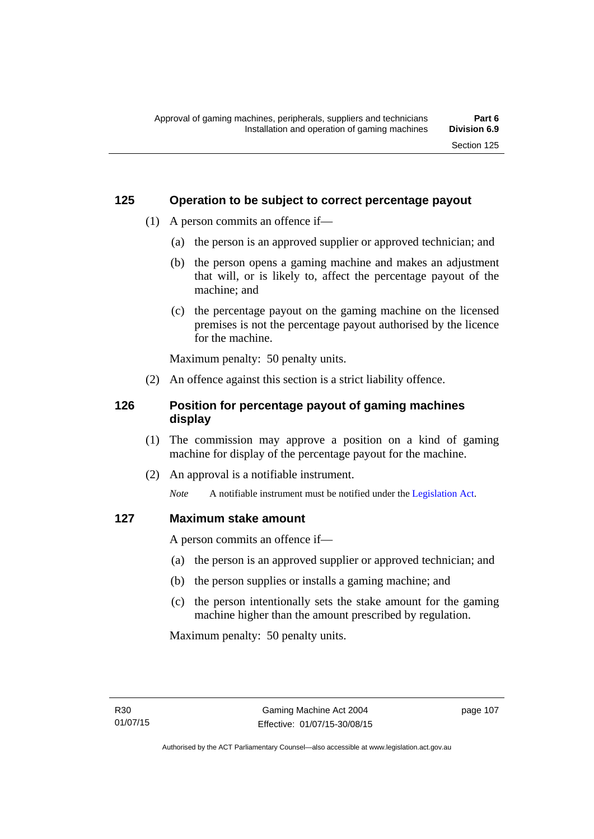### **125 Operation to be subject to correct percentage payout**

- (1) A person commits an offence if—
	- (a) the person is an approved supplier or approved technician; and
	- (b) the person opens a gaming machine and makes an adjustment that will, or is likely to, affect the percentage payout of the machine; and
	- (c) the percentage payout on the gaming machine on the licensed premises is not the percentage payout authorised by the licence for the machine.

Maximum penalty: 50 penalty units.

(2) An offence against this section is a strict liability offence.

## **126 Position for percentage payout of gaming machines display**

- (1) The commission may approve a position on a kind of gaming machine for display of the percentage payout for the machine.
- (2) An approval is a notifiable instrument.

*Note* A notifiable instrument must be notified under the [Legislation Act](http://www.legislation.act.gov.au/a/2001-14).

### **127 Maximum stake amount**

A person commits an offence if—

- (a) the person is an approved supplier or approved technician; and
- (b) the person supplies or installs a gaming machine; and
- (c) the person intentionally sets the stake amount for the gaming machine higher than the amount prescribed by regulation.

Maximum penalty: 50 penalty units.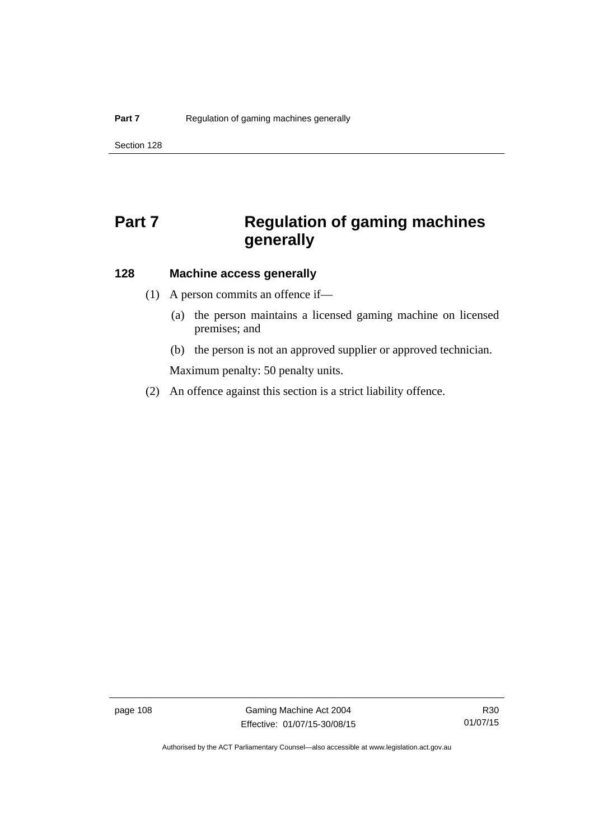# **Part 7** Regulation of gaming machines **generally**

## **128 Machine access generally**

- (1) A person commits an offence if—
	- (a) the person maintains a licensed gaming machine on licensed premises; and
	- (b) the person is not an approved supplier or approved technician.

Maximum penalty: 50 penalty units.

(2) An offence against this section is a strict liability offence.

page 108 Gaming Machine Act 2004 Effective: 01/07/15-30/08/15

Authorised by the ACT Parliamentary Counsel—also accessible at www.legislation.act.gov.au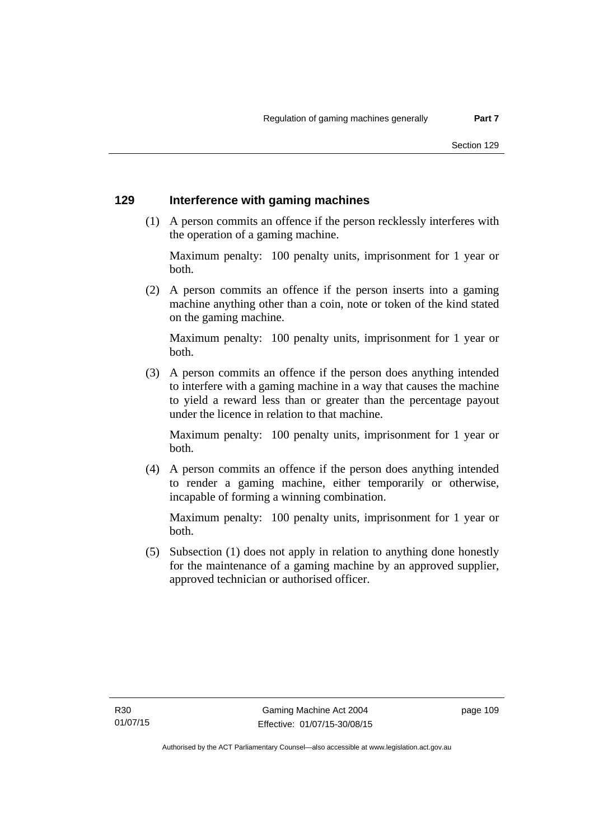#### **129 Interference with gaming machines**

 (1) A person commits an offence if the person recklessly interferes with the operation of a gaming machine.

Maximum penalty: 100 penalty units, imprisonment for 1 year or both.

 (2) A person commits an offence if the person inserts into a gaming machine anything other than a coin, note or token of the kind stated on the gaming machine.

Maximum penalty: 100 penalty units, imprisonment for 1 year or both.

 (3) A person commits an offence if the person does anything intended to interfere with a gaming machine in a way that causes the machine to yield a reward less than or greater than the percentage payout under the licence in relation to that machine.

Maximum penalty: 100 penalty units, imprisonment for 1 year or both.

 (4) A person commits an offence if the person does anything intended to render a gaming machine, either temporarily or otherwise, incapable of forming a winning combination.

Maximum penalty: 100 penalty units, imprisonment for 1 year or both.

 (5) Subsection (1) does not apply in relation to anything done honestly for the maintenance of a gaming machine by an approved supplier, approved technician or authorised officer.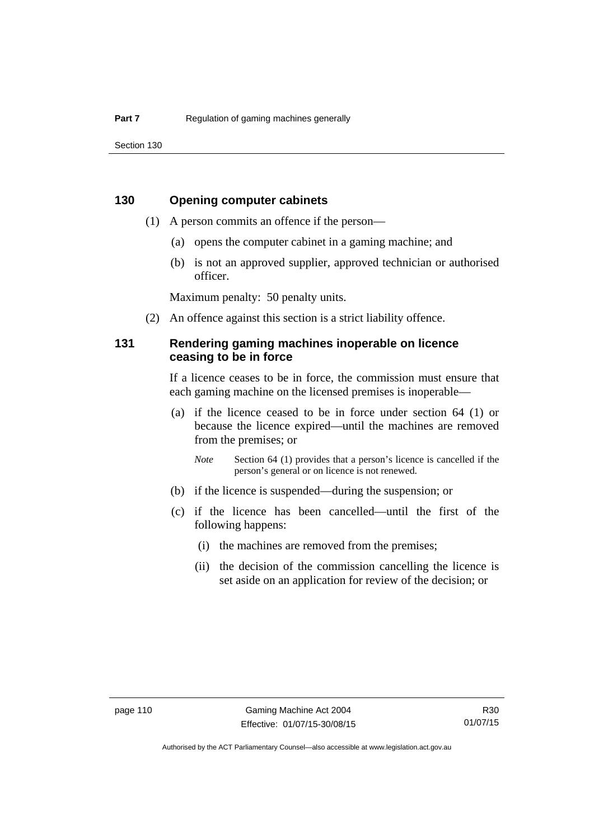Section 130

### **130 Opening computer cabinets**

- (1) A person commits an offence if the person—
	- (a) opens the computer cabinet in a gaming machine; and
	- (b) is not an approved supplier, approved technician or authorised officer.

Maximum penalty: 50 penalty units.

(2) An offence against this section is a strict liability offence.

### **131 Rendering gaming machines inoperable on licence ceasing to be in force**

If a licence ceases to be in force, the commission must ensure that each gaming machine on the licensed premises is inoperable—

 (a) if the licence ceased to be in force under section 64 (1) or because the licence expired—until the machines are removed from the premises; or

*Note* Section 64 (1) provides that a person's licence is cancelled if the person's general or on licence is not renewed.

- (b) if the licence is suspended—during the suspension; or
- (c) if the licence has been cancelled—until the first of the following happens:
	- (i) the machines are removed from the premises;
	- (ii) the decision of the commission cancelling the licence is set aside on an application for review of the decision; or

R30 01/07/15

Authorised by the ACT Parliamentary Counsel—also accessible at www.legislation.act.gov.au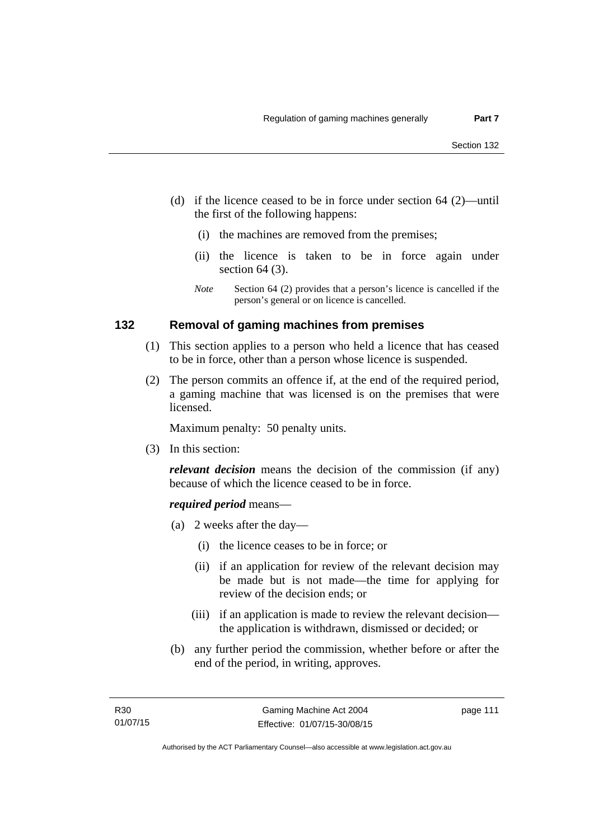- (d) if the licence ceased to be in force under section 64 (2)—until the first of the following happens:
	- (i) the machines are removed from the premises;
	- (ii) the licence is taken to be in force again under section 64 (3).
	- *Note* Section 64 (2) provides that a person's licence is cancelled if the person's general or on licence is cancelled.

### **132 Removal of gaming machines from premises**

- (1) This section applies to a person who held a licence that has ceased to be in force, other than a person whose licence is suspended.
- (2) The person commits an offence if, at the end of the required period, a gaming machine that was licensed is on the premises that were licensed.

Maximum penalty: 50 penalty units.

(3) In this section:

*relevant decision* means the decision of the commission (if any) because of which the licence ceased to be in force.

#### *required period* means—

- (a) 2 weeks after the day—
	- (i) the licence ceases to be in force; or
	- (ii) if an application for review of the relevant decision may be made but is not made—the time for applying for review of the decision ends; or
	- (iii) if an application is made to review the relevant decision the application is withdrawn, dismissed or decided; or
- (b) any further period the commission, whether before or after the end of the period, in writing, approves.

page 111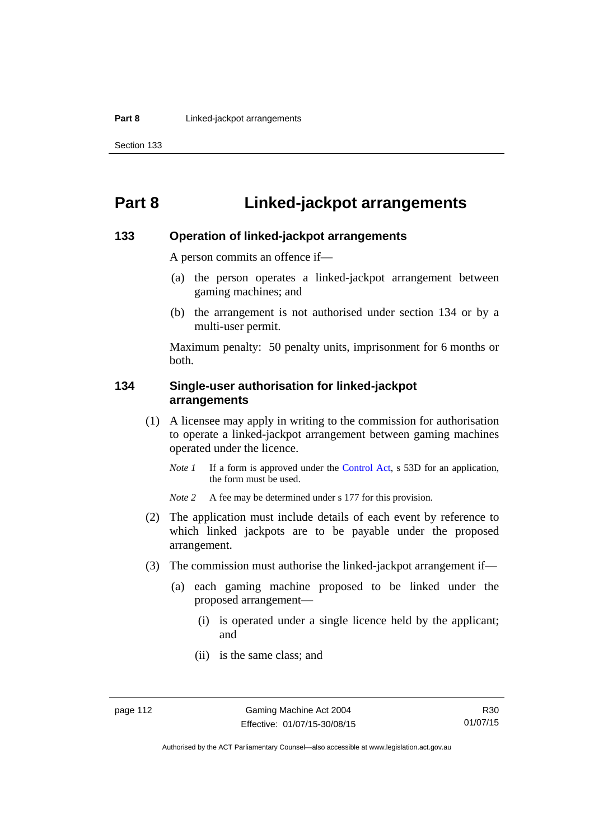# **Part 8 Linked-jackpot arrangements**

#### **133 Operation of linked-jackpot arrangements**

A person commits an offence if—

- (a) the person operates a linked-jackpot arrangement between gaming machines; and
- (b) the arrangement is not authorised under section 134 or by a multi-user permit.

Maximum penalty: 50 penalty units, imprisonment for 6 months or both.

### **134 Single-user authorisation for linked-jackpot arrangements**

- (1) A licensee may apply in writing to the commission for authorisation to operate a linked-jackpot arrangement between gaming machines operated under the licence.
	- *Note 1* If a form is approved under the [Control Act,](http://www.legislation.act.gov.au/a/1999-46) s 53D for an application, the form must be used.

*Note* 2 A fee may be determined under s 177 for this provision.

- (2) The application must include details of each event by reference to which linked jackpots are to be payable under the proposed arrangement.
- (3) The commission must authorise the linked-jackpot arrangement if—
	- (a) each gaming machine proposed to be linked under the proposed arrangement—
		- (i) is operated under a single licence held by the applicant; and
		- (ii) is the same class; and

Authorised by the ACT Parliamentary Counsel—also accessible at www.legislation.act.gov.au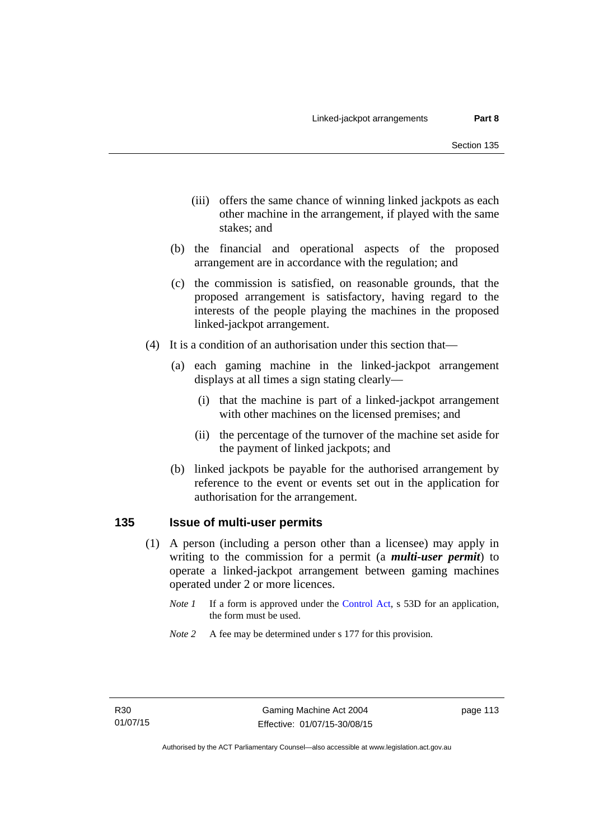- (iii) offers the same chance of winning linked jackpots as each other machine in the arrangement, if played with the same stakes; and
- (b) the financial and operational aspects of the proposed arrangement are in accordance with the regulation; and
- (c) the commission is satisfied, on reasonable grounds, that the proposed arrangement is satisfactory, having regard to the interests of the people playing the machines in the proposed linked-jackpot arrangement.
- (4) It is a condition of an authorisation under this section that—
	- (a) each gaming machine in the linked-jackpot arrangement displays at all times a sign stating clearly—
		- (i) that the machine is part of a linked-jackpot arrangement with other machines on the licensed premises; and
		- (ii) the percentage of the turnover of the machine set aside for the payment of linked jackpots; and
	- (b) linked jackpots be payable for the authorised arrangement by reference to the event or events set out in the application for authorisation for the arrangement.

#### **135 Issue of multi-user permits**

- (1) A person (including a person other than a licensee) may apply in writing to the commission for a permit (a *multi-user permit*) to operate a linked-jackpot arrangement between gaming machines operated under 2 or more licences.
	- *Note 1* If a form is approved under the [Control Act,](http://www.legislation.act.gov.au/a/1999-46) s 53D for an application, the form must be used.
	- *Note 2* A fee may be determined under s 177 for this provision.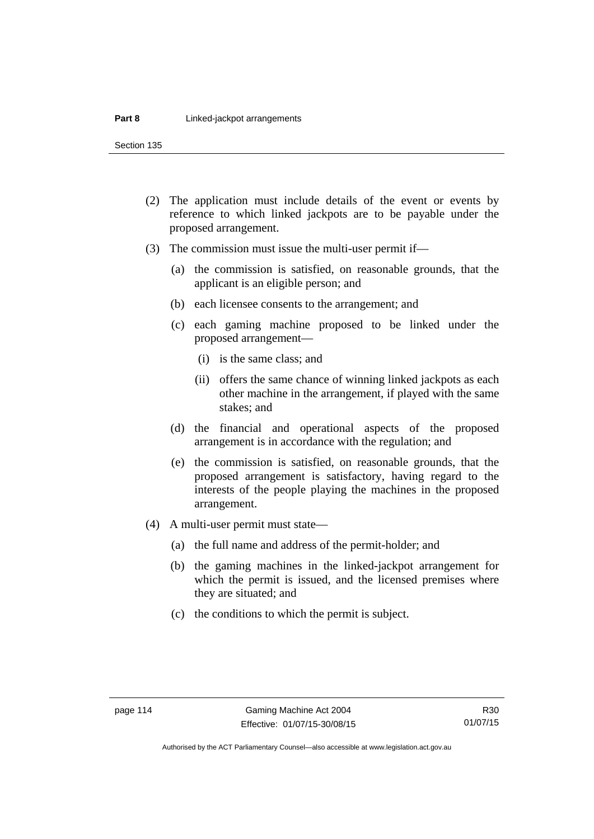Section 135

- (2) The application must include details of the event or events by reference to which linked jackpots are to be payable under the proposed arrangement.
- (3) The commission must issue the multi-user permit if—
	- (a) the commission is satisfied, on reasonable grounds, that the applicant is an eligible person; and
	- (b) each licensee consents to the arrangement; and
	- (c) each gaming machine proposed to be linked under the proposed arrangement—
		- (i) is the same class; and
		- (ii) offers the same chance of winning linked jackpots as each other machine in the arrangement, if played with the same stakes; and
	- (d) the financial and operational aspects of the proposed arrangement is in accordance with the regulation; and
	- (e) the commission is satisfied, on reasonable grounds, that the proposed arrangement is satisfactory, having regard to the interests of the people playing the machines in the proposed arrangement.
- (4) A multi-user permit must state—
	- (a) the full name and address of the permit-holder; and
	- (b) the gaming machines in the linked-jackpot arrangement for which the permit is issued, and the licensed premises where they are situated; and
	- (c) the conditions to which the permit is subject.

Authorised by the ACT Parliamentary Counsel—also accessible at www.legislation.act.gov.au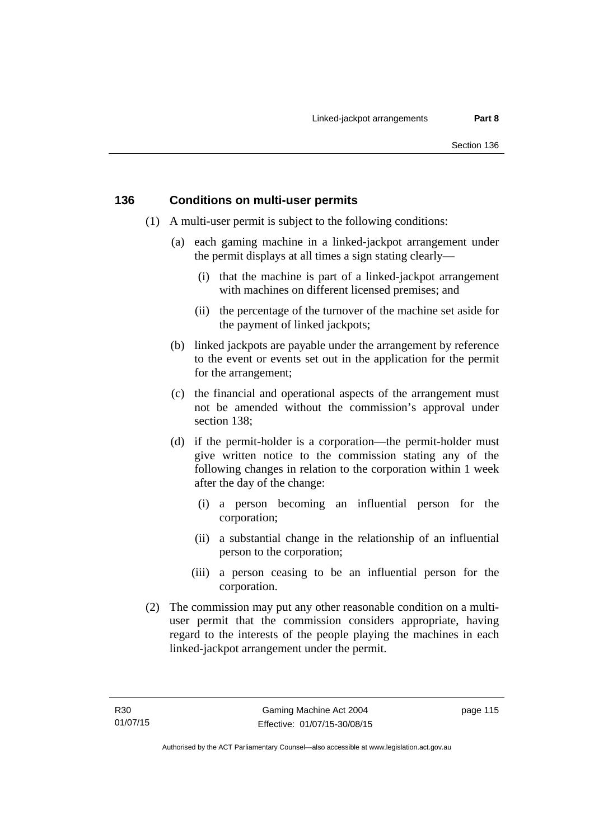### **136 Conditions on multi-user permits**

- (1) A multi-user permit is subject to the following conditions:
	- (a) each gaming machine in a linked-jackpot arrangement under the permit displays at all times a sign stating clearly—
		- (i) that the machine is part of a linked-jackpot arrangement with machines on different licensed premises; and
		- (ii) the percentage of the turnover of the machine set aside for the payment of linked jackpots;
	- (b) linked jackpots are payable under the arrangement by reference to the event or events set out in the application for the permit for the arrangement;
	- (c) the financial and operational aspects of the arrangement must not be amended without the commission's approval under section 138;
	- (d) if the permit-holder is a corporation—the permit-holder must give written notice to the commission stating any of the following changes in relation to the corporation within 1 week after the day of the change:
		- (i) a person becoming an influential person for the corporation;
		- (ii) a substantial change in the relationship of an influential person to the corporation;
		- (iii) a person ceasing to be an influential person for the corporation.
- (2) The commission may put any other reasonable condition on a multiuser permit that the commission considers appropriate, having regard to the interests of the people playing the machines in each linked-jackpot arrangement under the permit.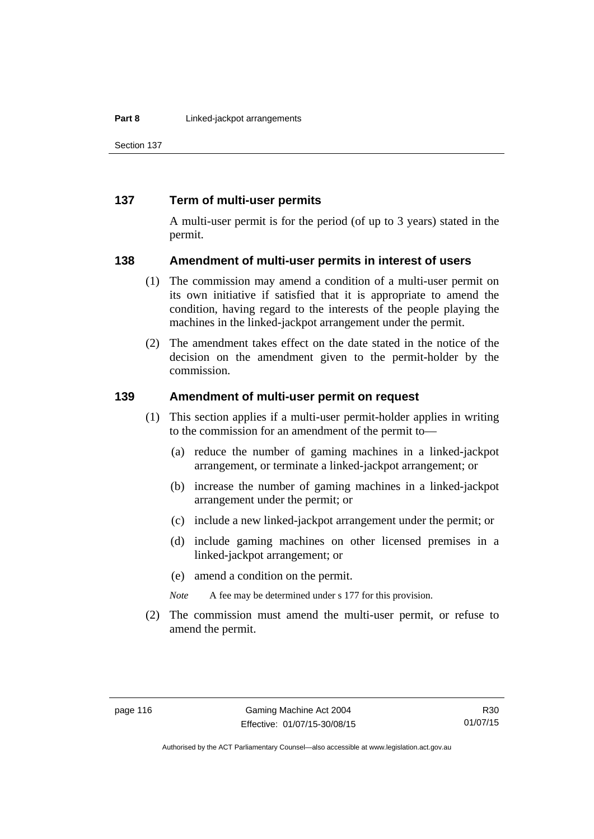Section 137

#### **137 Term of multi-user permits**

A multi-user permit is for the period (of up to 3 years) stated in the permit.

#### **138 Amendment of multi-user permits in interest of users**

- (1) The commission may amend a condition of a multi-user permit on its own initiative if satisfied that it is appropriate to amend the condition, having regard to the interests of the people playing the machines in the linked-jackpot arrangement under the permit.
- (2) The amendment takes effect on the date stated in the notice of the decision on the amendment given to the permit-holder by the commission.

#### **139 Amendment of multi-user permit on request**

- (1) This section applies if a multi-user permit-holder applies in writing to the commission for an amendment of the permit to—
	- (a) reduce the number of gaming machines in a linked-jackpot arrangement, or terminate a linked-jackpot arrangement; or
	- (b) increase the number of gaming machines in a linked-jackpot arrangement under the permit; or
	- (c) include a new linked-jackpot arrangement under the permit; or
	- (d) include gaming machines on other licensed premises in a linked-jackpot arrangement; or
	- (e) amend a condition on the permit.

*Note* A fee may be determined under s 177 for this provision.

 (2) The commission must amend the multi-user permit, or refuse to amend the permit.

Authorised by the ACT Parliamentary Counsel—also accessible at www.legislation.act.gov.au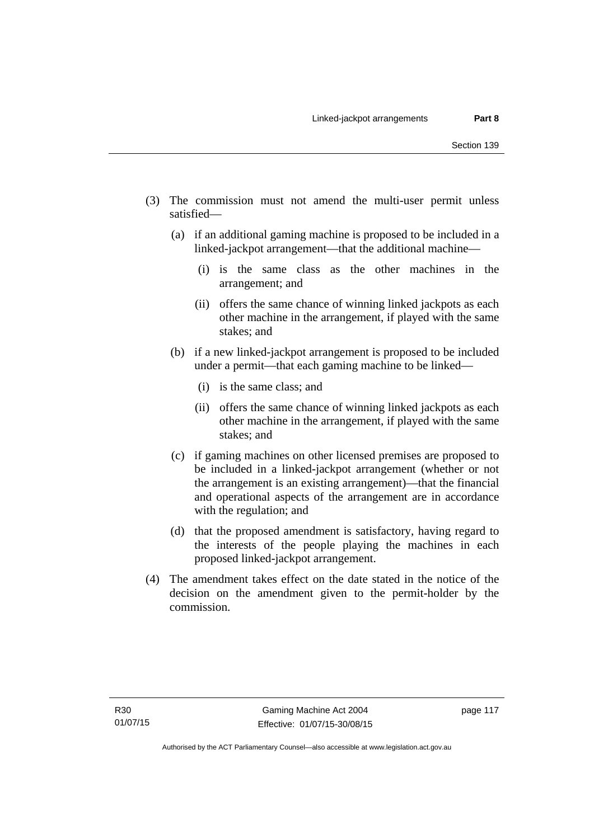- (3) The commission must not amend the multi-user permit unless satisfied—
	- (a) if an additional gaming machine is proposed to be included in a linked-jackpot arrangement—that the additional machine—
		- (i) is the same class as the other machines in the arrangement; and
		- (ii) offers the same chance of winning linked jackpots as each other machine in the arrangement, if played with the same stakes; and
	- (b) if a new linked-jackpot arrangement is proposed to be included under a permit—that each gaming machine to be linked—
		- (i) is the same class; and
		- (ii) offers the same chance of winning linked jackpots as each other machine in the arrangement, if played with the same stakes; and
	- (c) if gaming machines on other licensed premises are proposed to be included in a linked-jackpot arrangement (whether or not the arrangement is an existing arrangement)—that the financial and operational aspects of the arrangement are in accordance with the regulation; and
	- (d) that the proposed amendment is satisfactory, having regard to the interests of the people playing the machines in each proposed linked-jackpot arrangement.
- (4) The amendment takes effect on the date stated in the notice of the decision on the amendment given to the permit-holder by the commission.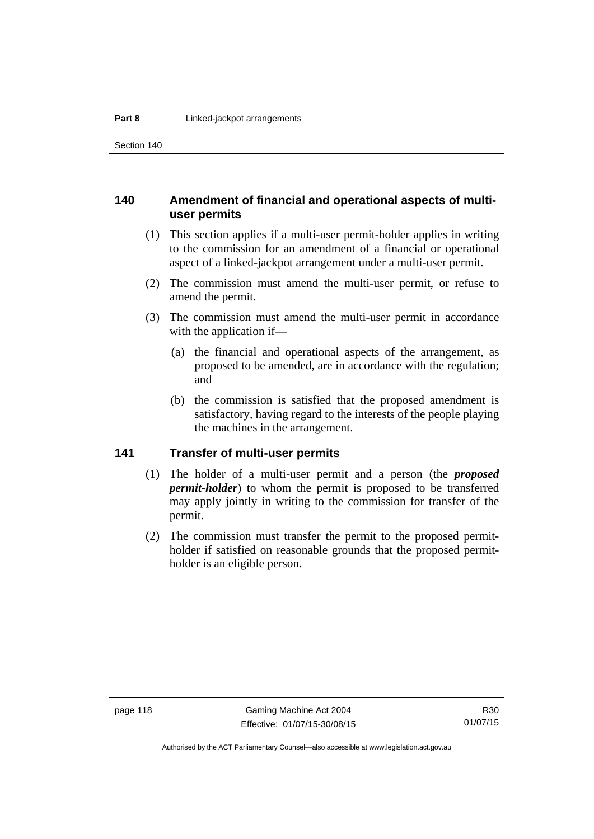Section 140

### **140 Amendment of financial and operational aspects of multiuser permits**

- (1) This section applies if a multi-user permit-holder applies in writing to the commission for an amendment of a financial or operational aspect of a linked-jackpot arrangement under a multi-user permit.
- (2) The commission must amend the multi-user permit, or refuse to amend the permit.
- (3) The commission must amend the multi-user permit in accordance with the application if—
	- (a) the financial and operational aspects of the arrangement, as proposed to be amended, are in accordance with the regulation; and
	- (b) the commission is satisfied that the proposed amendment is satisfactory, having regard to the interests of the people playing the machines in the arrangement.

## **141 Transfer of multi-user permits**

- (1) The holder of a multi-user permit and a person (the *proposed permit-holder*) to whom the permit is proposed to be transferred may apply jointly in writing to the commission for transfer of the permit.
- (2) The commission must transfer the permit to the proposed permitholder if satisfied on reasonable grounds that the proposed permitholder is an eligible person.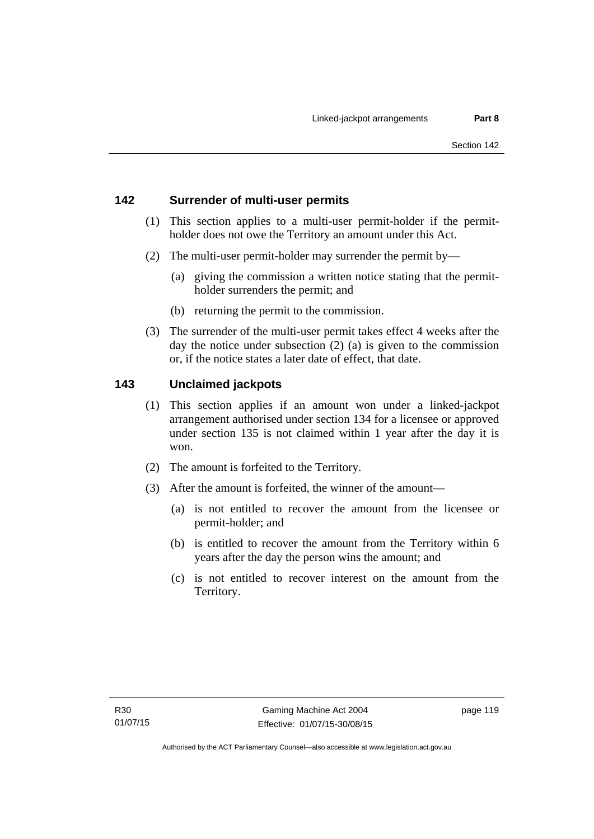## **142 Surrender of multi-user permits**

- (1) This section applies to a multi-user permit-holder if the permitholder does not owe the Territory an amount under this Act.
- (2) The multi-user permit-holder may surrender the permit by—
	- (a) giving the commission a written notice stating that the permitholder surrenders the permit; and
	- (b) returning the permit to the commission.
- (3) The surrender of the multi-user permit takes effect 4 weeks after the day the notice under subsection (2) (a) is given to the commission or, if the notice states a later date of effect, that date.

## **143 Unclaimed jackpots**

- (1) This section applies if an amount won under a linked-jackpot arrangement authorised under section 134 for a licensee or approved under section 135 is not claimed within 1 year after the day it is won.
- (2) The amount is forfeited to the Territory.
- (3) After the amount is forfeited, the winner of the amount—
	- (a) is not entitled to recover the amount from the licensee or permit-holder; and
	- (b) is entitled to recover the amount from the Territory within 6 years after the day the person wins the amount; and
	- (c) is not entitled to recover interest on the amount from the Territory.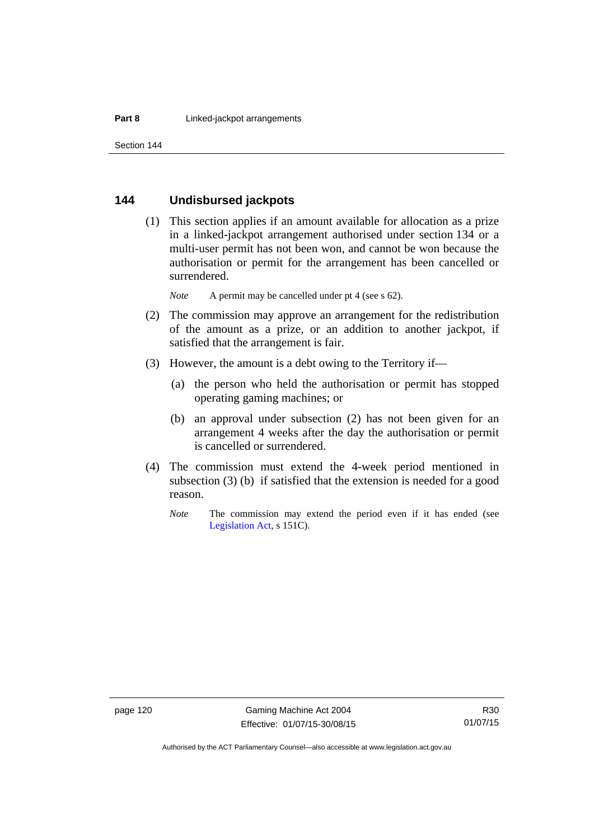#### **144 Undisbursed jackpots**

 (1) This section applies if an amount available for allocation as a prize in a linked-jackpot arrangement authorised under section 134 or a multi-user permit has not been won, and cannot be won because the authorisation or permit for the arrangement has been cancelled or surrendered.

*Note* A permit may be cancelled under pt 4 (see s 62).

- (2) The commission may approve an arrangement for the redistribution of the amount as a prize, or an addition to another jackpot, if satisfied that the arrangement is fair.
- (3) However, the amount is a debt owing to the Territory if—
	- (a) the person who held the authorisation or permit has stopped operating gaming machines; or
	- (b) an approval under subsection (2) has not been given for an arrangement 4 weeks after the day the authorisation or permit is cancelled or surrendered.
- (4) The commission must extend the 4-week period mentioned in subsection (3) (b) if satisfied that the extension is needed for a good reason.
	- *Note* The commission may extend the period even if it has ended (see [Legislation Act,](http://www.legislation.act.gov.au/a/2001-14) s 151C).

Authorised by the ACT Parliamentary Counsel—also accessible at www.legislation.act.gov.au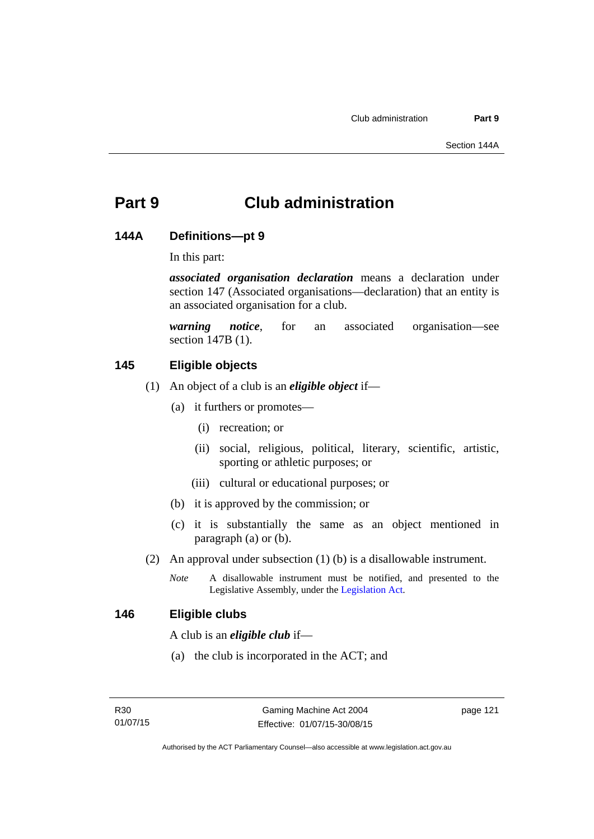# **Part 9 Club administration**

#### **144A Definitions—pt 9**

In this part:

*associated organisation declaration* means a declaration under section 147 (Associated organisations—declaration) that an entity is an associated organisation for a club.

*warning notice*, for an associated organisation—see section 147B (1).

## **145 Eligible objects**

- (1) An object of a club is an *eligible object* if—
	- (a) it furthers or promotes—
		- (i) recreation; or
		- (ii) social, religious, political, literary, scientific, artistic, sporting or athletic purposes; or
		- (iii) cultural or educational purposes; or
	- (b) it is approved by the commission; or
	- (c) it is substantially the same as an object mentioned in paragraph (a) or (b).
- (2) An approval under subsection (1) (b) is a disallowable instrument.
	- *Note* A disallowable instrument must be notified, and presented to the Legislative Assembly, under the [Legislation Act.](http://www.legislation.act.gov.au/a/2001-14)

#### **146 Eligible clubs**

A club is an *eligible club* if—

(a) the club is incorporated in the ACT; and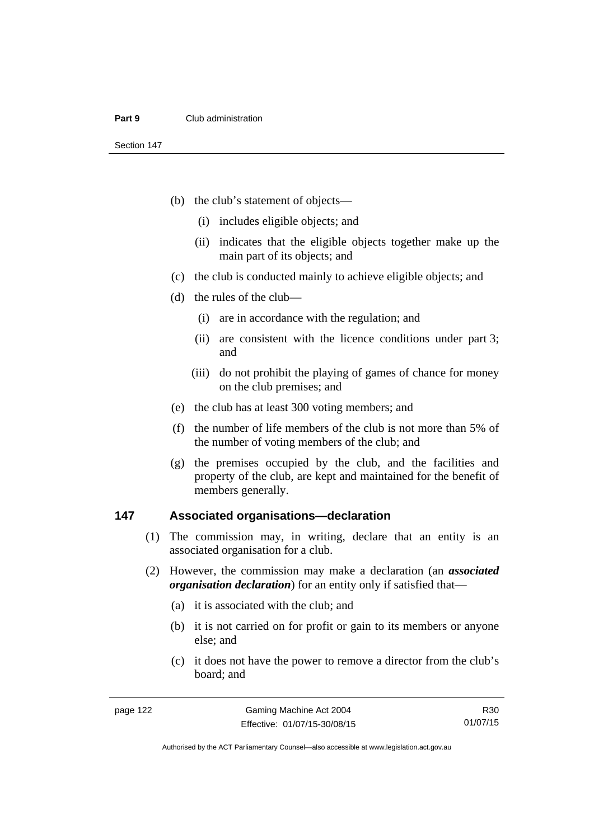- (b) the club's statement of objects—
	- (i) includes eligible objects; and
	- (ii) indicates that the eligible objects together make up the main part of its objects; and
- (c) the club is conducted mainly to achieve eligible objects; and
- (d) the rules of the club—
	- (i) are in accordance with the regulation; and
	- (ii) are consistent with the licence conditions under part 3; and
	- (iii) do not prohibit the playing of games of chance for money on the club premises; and
- (e) the club has at least 300 voting members; and
- (f) the number of life members of the club is not more than 5% of the number of voting members of the club; and
- (g) the premises occupied by the club, and the facilities and property of the club, are kept and maintained for the benefit of members generally.

#### **147 Associated organisations—declaration**

- (1) The commission may, in writing, declare that an entity is an associated organisation for a club.
- (2) However, the commission may make a declaration (an *associated organisation declaration*) for an entity only if satisfied that—
	- (a) it is associated with the club; and
	- (b) it is not carried on for profit or gain to its members or anyone else; and
	- (c) it does not have the power to remove a director from the club's board; and

R30 01/07/15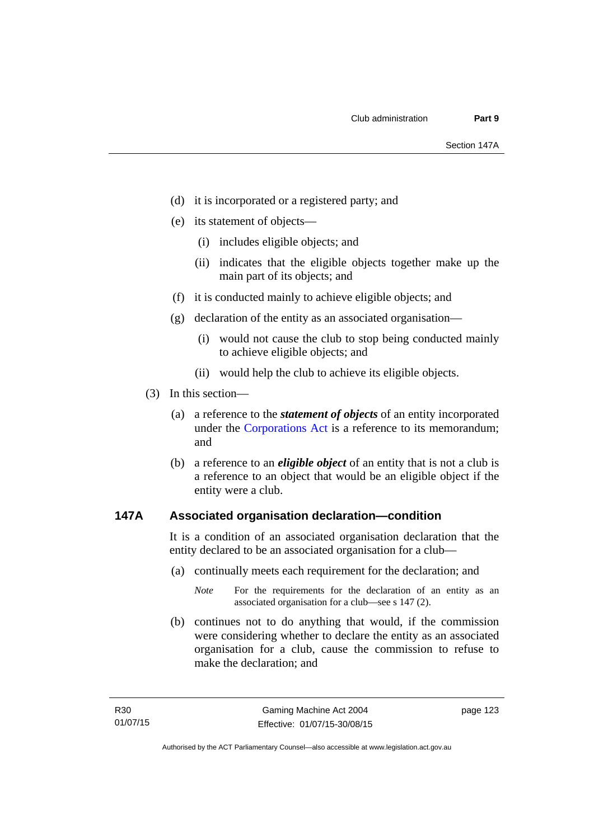- (d) it is incorporated or a registered party; and
- (e) its statement of objects—
	- (i) includes eligible objects; and
	- (ii) indicates that the eligible objects together make up the main part of its objects; and
- (f) it is conducted mainly to achieve eligible objects; and
- (g) declaration of the entity as an associated organisation—
	- (i) would not cause the club to stop being conducted mainly to achieve eligible objects; and
	- (ii) would help the club to achieve its eligible objects.
- (3) In this section—
	- (a) a reference to the *statement of objects* of an entity incorporated under the [Corporations Act](http://www.comlaw.gov.au/Series/C2004A00818) is a reference to its memorandum; and
	- (b) a reference to an *eligible object* of an entity that is not a club is a reference to an object that would be an eligible object if the entity were a club.

### **147A Associated organisation declaration—condition**

It is a condition of an associated organisation declaration that the entity declared to be an associated organisation for a club—

- (a) continually meets each requirement for the declaration; and
	- *Note* For the requirements for the declaration of an entity as an associated organisation for a club—see s 147 (2).
- (b) continues not to do anything that would, if the commission were considering whether to declare the entity as an associated organisation for a club, cause the commission to refuse to make the declaration; and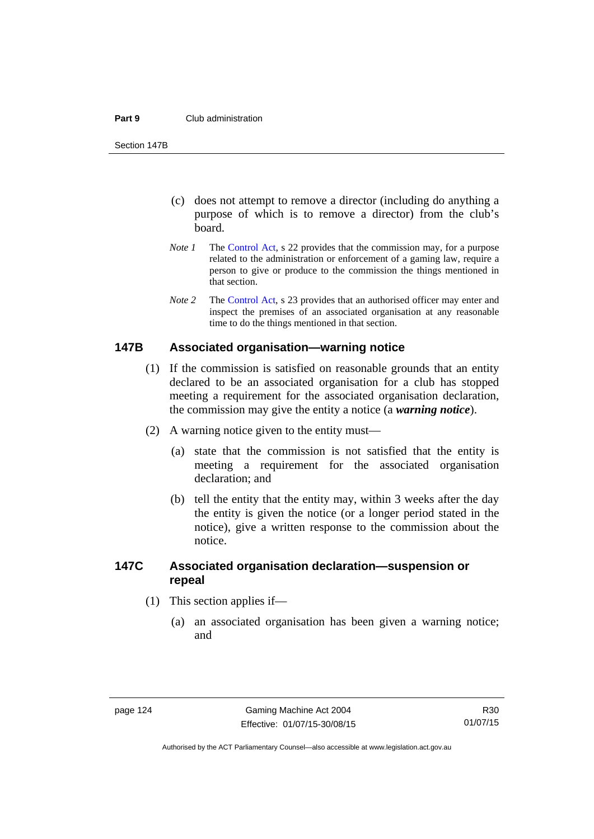#### **Part 9** Club administration

Section 147B

- (c) does not attempt to remove a director (including do anything a purpose of which is to remove a director) from the club's board.
- *Note 1* The [Control Act,](http://www.legislation.act.gov.au/a/1999-46) s 22 provides that the commission may, for a purpose related to the administration or enforcement of a gaming law, require a person to give or produce to the commission the things mentioned in that section.
- *Note 2* The [Control Act](http://www.legislation.act.gov.au/a/1999-46), s 23 provides that an authorised officer may enter and inspect the premises of an associated organisation at any reasonable time to do the things mentioned in that section.

#### **147B Associated organisation—warning notice**

- (1) If the commission is satisfied on reasonable grounds that an entity declared to be an associated organisation for a club has stopped meeting a requirement for the associated organisation declaration, the commission may give the entity a notice (a *warning notice*).
- (2) A warning notice given to the entity must—
	- (a) state that the commission is not satisfied that the entity is meeting a requirement for the associated organisation declaration; and
	- (b) tell the entity that the entity may, within 3 weeks after the day the entity is given the notice (or a longer period stated in the notice), give a written response to the commission about the notice.

## **147C Associated organisation declaration—suspension or repeal**

- (1) This section applies if—
	- (a) an associated organisation has been given a warning notice; and

Authorised by the ACT Parliamentary Counsel—also accessible at www.legislation.act.gov.au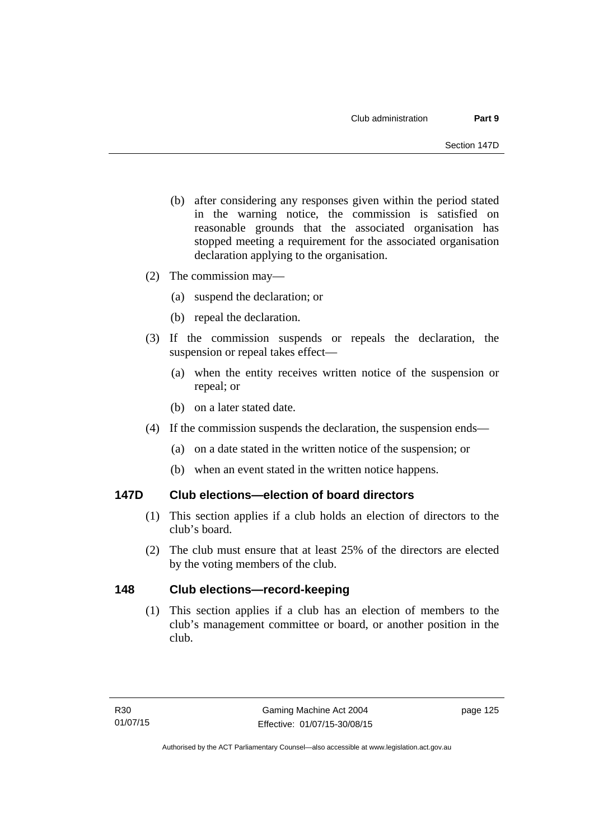- (b) after considering any responses given within the period stated in the warning notice, the commission is satisfied on reasonable grounds that the associated organisation has stopped meeting a requirement for the associated organisation declaration applying to the organisation.
- (2) The commission may—
	- (a) suspend the declaration; or
	- (b) repeal the declaration.
- (3) If the commission suspends or repeals the declaration, the suspension or repeal takes effect—
	- (a) when the entity receives written notice of the suspension or repeal; or
	- (b) on a later stated date.
- (4) If the commission suspends the declaration, the suspension ends—
	- (a) on a date stated in the written notice of the suspension; or
	- (b) when an event stated in the written notice happens.

### **147D Club elections—election of board directors**

- (1) This section applies if a club holds an election of directors to the club's board.
- (2) The club must ensure that at least 25% of the directors are elected by the voting members of the club.

### **148 Club elections—record-keeping**

(1) This section applies if a club has an election of members to the club's management committee or board, or another position in the club.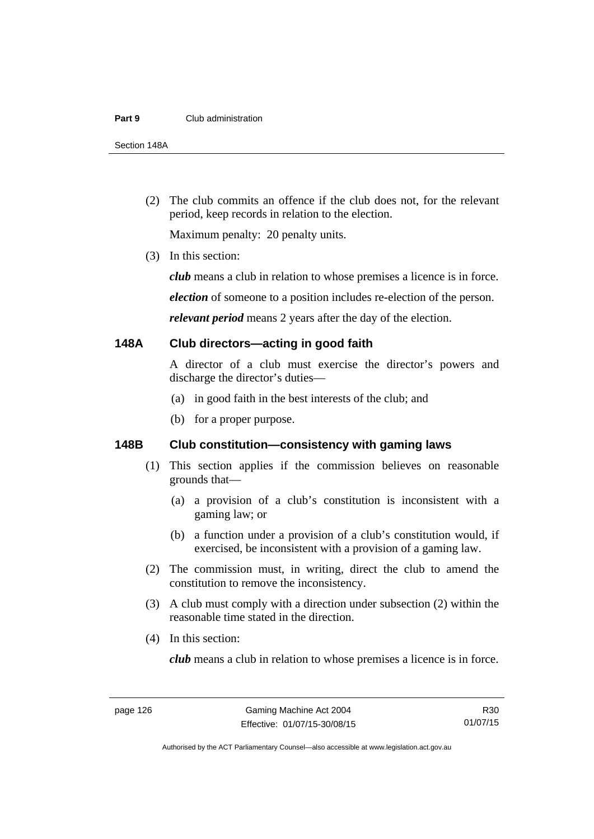#### **Part 9** Club administration

Section 148A

 (2) The club commits an offence if the club does not, for the relevant period, keep records in relation to the election.

Maximum penalty: 20 penalty units.

(3) In this section:

*club* means a club in relation to whose premises a licence is in force.

*election* of someone to a position includes re-election of the person.

*relevant period* means 2 years after the day of the election.

#### **148A Club directors—acting in good faith**

A director of a club must exercise the director's powers and discharge the director's duties—

- (a) in good faith in the best interests of the club; and
- (b) for a proper purpose.

## **148B Club constitution—consistency with gaming laws**

- (1) This section applies if the commission believes on reasonable grounds that—
	- (a) a provision of a club's constitution is inconsistent with a gaming law; or
	- (b) a function under a provision of a club's constitution would, if exercised, be inconsistent with a provision of a gaming law.
- (2) The commission must, in writing, direct the club to amend the constitution to remove the inconsistency.
- (3) A club must comply with a direction under subsection (2) within the reasonable time stated in the direction.
- (4) In this section:

*club* means a club in relation to whose premises a licence is in force.

Authorised by the ACT Parliamentary Counsel—also accessible at www.legislation.act.gov.au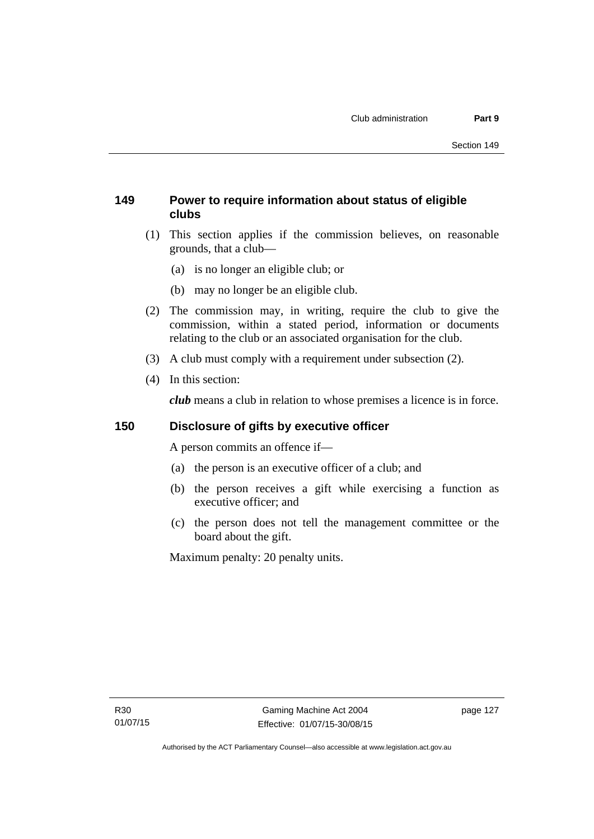## **149 Power to require information about status of eligible clubs**

- (1) This section applies if the commission believes, on reasonable grounds, that a club—
	- (a) is no longer an eligible club; or
	- (b) may no longer be an eligible club.
- (2) The commission may, in writing, require the club to give the commission, within a stated period, information or documents relating to the club or an associated organisation for the club.
- (3) A club must comply with a requirement under subsection (2).
- (4) In this section:

*club* means a club in relation to whose premises a licence is in force.

## **150 Disclosure of gifts by executive officer**

A person commits an offence if—

- (a) the person is an executive officer of a club; and
- (b) the person receives a gift while exercising a function as executive officer; and
- (c) the person does not tell the management committee or the board about the gift.

Maximum penalty: 20 penalty units.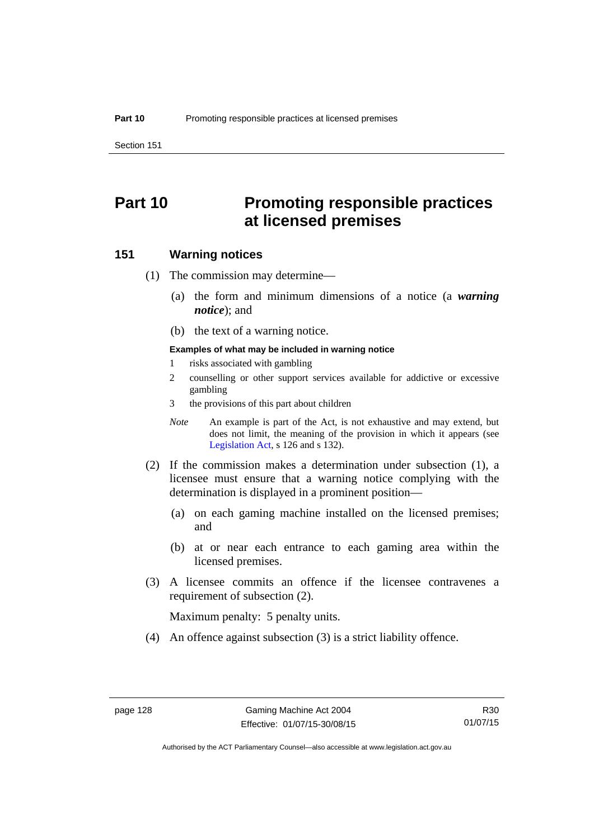Section 151

# **Part 10 Promoting responsible practices at licensed premises**

#### **151 Warning notices**

- (1) The commission may determine—
	- (a) the form and minimum dimensions of a notice (a *warning notice*); and
	- (b) the text of a warning notice.

#### **Examples of what may be included in warning notice**

- 1 risks associated with gambling
- 2 counselling or other support services available for addictive or excessive gambling
- 3 the provisions of this part about children
- *Note* An example is part of the Act, is not exhaustive and may extend, but does not limit, the meaning of the provision in which it appears (see [Legislation Act,](http://www.legislation.act.gov.au/a/2001-14) s 126 and s 132).
- (2) If the commission makes a determination under subsection (1), a licensee must ensure that a warning notice complying with the determination is displayed in a prominent position—
	- (a) on each gaming machine installed on the licensed premises; and
	- (b) at or near each entrance to each gaming area within the licensed premises.
- (3) A licensee commits an offence if the licensee contravenes a requirement of subsection (2).

Maximum penalty: 5 penalty units.

(4) An offence against subsection (3) is a strict liability offence.

Authorised by the ACT Parliamentary Counsel—also accessible at www.legislation.act.gov.au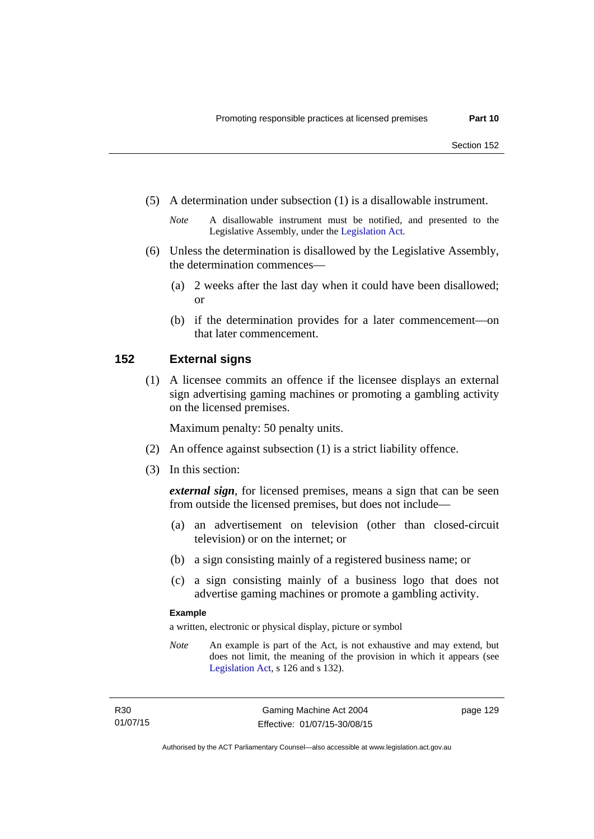(5) A determination under subsection (1) is a disallowable instrument.

- (6) Unless the determination is disallowed by the Legislative Assembly, the determination commences—
	- (a) 2 weeks after the last day when it could have been disallowed; or
	- (b) if the determination provides for a later commencement—on that later commencement.

#### **152 External signs**

(1) A licensee commits an offence if the licensee displays an external sign advertising gaming machines or promoting a gambling activity on the licensed premises.

Maximum penalty: 50 penalty units.

- (2) An offence against subsection (1) is a strict liability offence.
- (3) In this section:

*external sign*, for licensed premises, means a sign that can be seen from outside the licensed premises, but does not include—

- (a) an advertisement on television (other than closed-circuit television) or on the internet; or
- (b) a sign consisting mainly of a registered business name; or
- (c) a sign consisting mainly of a business logo that does not advertise gaming machines or promote a gambling activity.

#### **Example**

a written, electronic or physical display, picture or symbol

*Note* An example is part of the Act, is not exhaustive and may extend, but does not limit, the meaning of the provision in which it appears (see [Legislation Act,](http://www.legislation.act.gov.au/a/2001-14) s 126 and s 132).

*Note* A disallowable instrument must be notified, and presented to the Legislative Assembly, under the [Legislation Act.](http://www.legislation.act.gov.au/a/2001-14)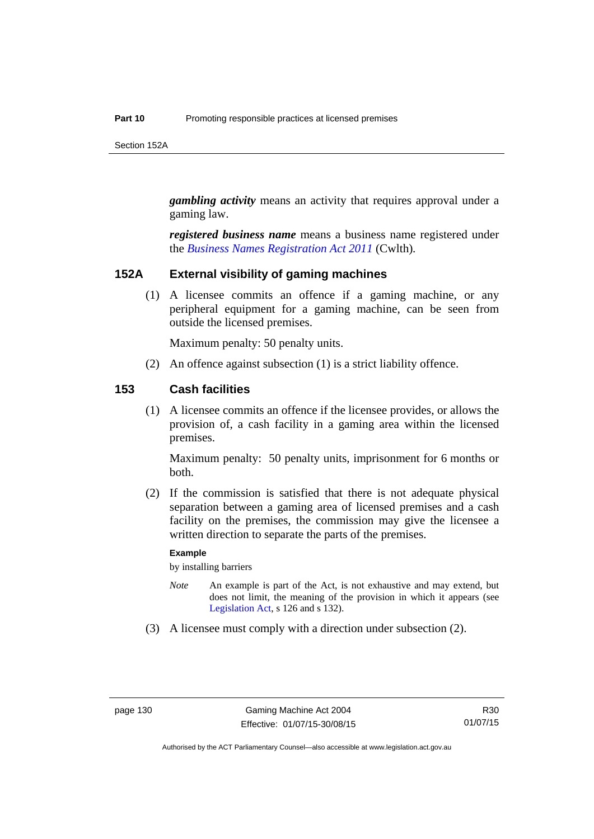Section 152A

*gambling activity* means an activity that requires approval under a gaming law.

*registered business name* means a business name registered under the *[Business Names Registration Act 2011](http://www.comlaw.gov.au/Series/C2011A00126)* (Cwlth)*.*

#### **152A External visibility of gaming machines**

(1) A licensee commits an offence if a gaming machine, or any peripheral equipment for a gaming machine, can be seen from outside the licensed premises.

Maximum penalty: 50 penalty units.

(2) An offence against subsection (1) is a strict liability offence.

#### **153 Cash facilities**

(1) A licensee commits an offence if the licensee provides, or allows the provision of, a cash facility in a gaming area within the licensed premises.

Maximum penalty: 50 penalty units, imprisonment for 6 months or both.

 (2) If the commission is satisfied that there is not adequate physical separation between a gaming area of licensed premises and a cash facility on the premises, the commission may give the licensee a written direction to separate the parts of the premises.

#### **Example**

by installing barriers

- *Note* An example is part of the Act, is not exhaustive and may extend, but does not limit, the meaning of the provision in which it appears (see [Legislation Act,](http://www.legislation.act.gov.au/a/2001-14) s 126 and s 132).
- (3) A licensee must comply with a direction under subsection (2).

Authorised by the ACT Parliamentary Counsel—also accessible at www.legislation.act.gov.au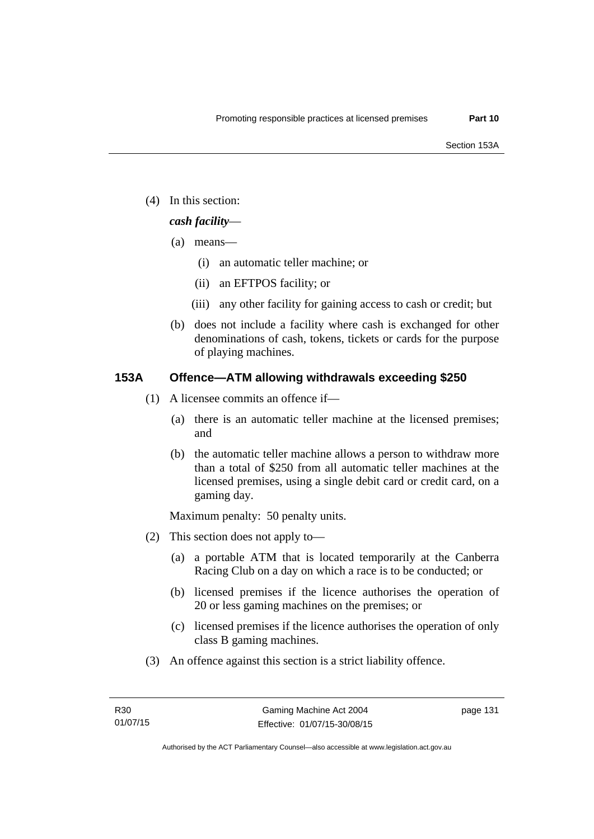(4) In this section:

## *cash facility*—

- (a) means—
	- (i) an automatic teller machine; or
	- (ii) an EFTPOS facility; or
	- (iii) any other facility for gaining access to cash or credit; but
- (b) does not include a facility where cash is exchanged for other denominations of cash, tokens, tickets or cards for the purpose of playing machines.

## **153A Offence—ATM allowing withdrawals exceeding \$250**

- (1) A licensee commits an offence if—
	- (a) there is an automatic teller machine at the licensed premises; and
	- (b) the automatic teller machine allows a person to withdraw more than a total of \$250 from all automatic teller machines at the licensed premises, using a single debit card or credit card, on a gaming day.

Maximum penalty: 50 penalty units.

- (2) This section does not apply to—
	- (a) a portable ATM that is located temporarily at the Canberra Racing Club on a day on which a race is to be conducted; or
	- (b) licensed premises if the licence authorises the operation of 20 or less gaming machines on the premises; or
	- (c) licensed premises if the licence authorises the operation of only class B gaming machines.
- (3) An offence against this section is a strict liability offence.

page 131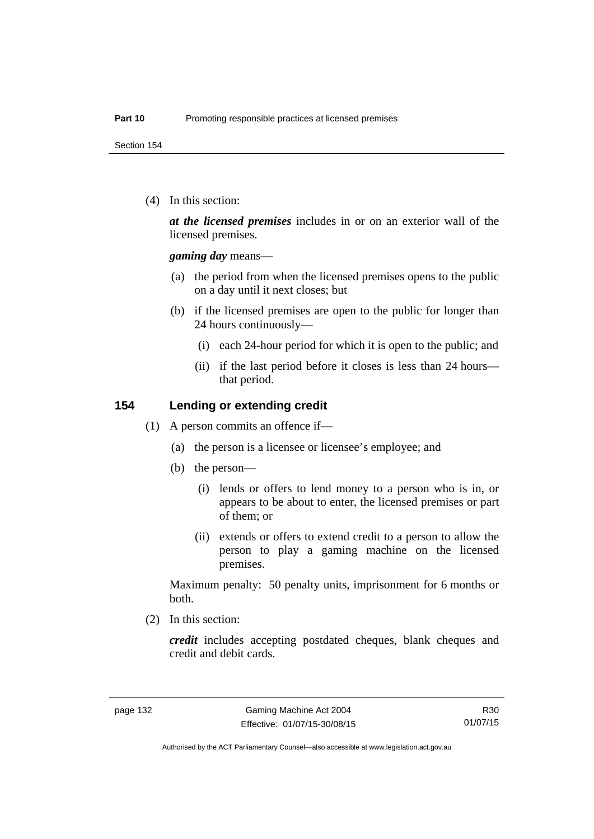Section 154

(4) In this section:

*at the licensed premises* includes in or on an exterior wall of the licensed premises.

*gaming day* means—

- (a) the period from when the licensed premises opens to the public on a day until it next closes; but
- (b) if the licensed premises are open to the public for longer than 24 hours continuously—
	- (i) each 24-hour period for which it is open to the public; and
	- (ii) if the last period before it closes is less than 24 hours that period.

#### **154 Lending or extending credit**

- (1) A person commits an offence if—
	- (a) the person is a licensee or licensee's employee; and
	- (b) the person—
		- (i) lends or offers to lend money to a person who is in, or appears to be about to enter, the licensed premises or part of them; or
		- (ii) extends or offers to extend credit to a person to allow the person to play a gaming machine on the licensed premises.

Maximum penalty: 50 penalty units, imprisonment for 6 months or both.

(2) In this section:

*credit* includes accepting postdated cheques, blank cheques and credit and debit cards.

R30 01/07/15

Authorised by the ACT Parliamentary Counsel—also accessible at www.legislation.act.gov.au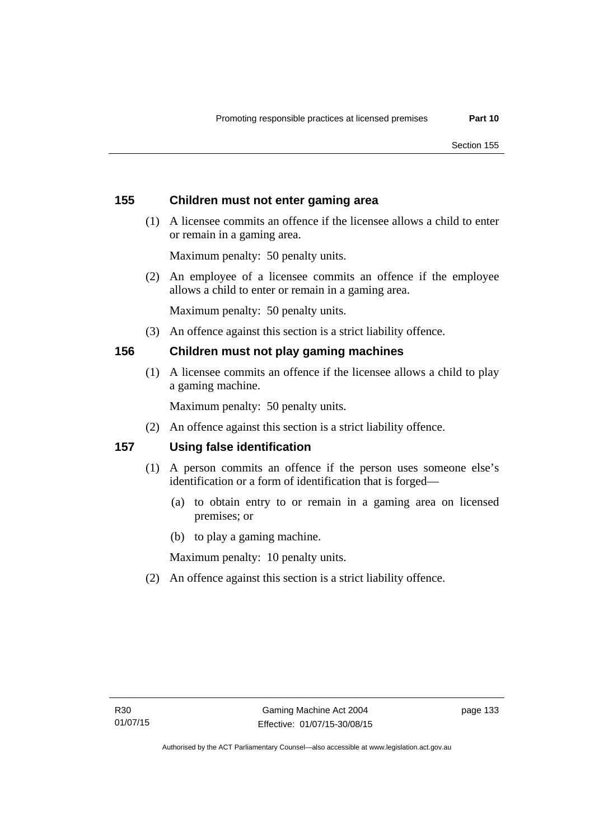## **155 Children must not enter gaming area**

 (1) A licensee commits an offence if the licensee allows a child to enter or remain in a gaming area.

Maximum penalty: 50 penalty units.

 (2) An employee of a licensee commits an offence if the employee allows a child to enter or remain in a gaming area.

Maximum penalty: 50 penalty units.

(3) An offence against this section is a strict liability offence.

## **156 Children must not play gaming machines**

(1) A licensee commits an offence if the licensee allows a child to play a gaming machine.

Maximum penalty: 50 penalty units.

(2) An offence against this section is a strict liability offence.

## **157 Using false identification**

- (1) A person commits an offence if the person uses someone else's identification or a form of identification that is forged—
	- (a) to obtain entry to or remain in a gaming area on licensed premises; or
	- (b) to play a gaming machine.

Maximum penalty: 10 penalty units.

(2) An offence against this section is a strict liability offence.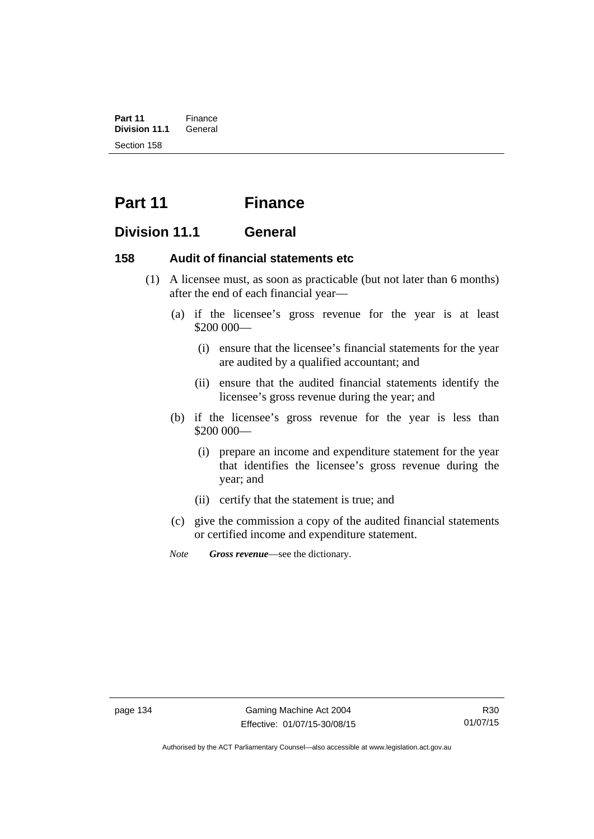**Part 11** Finance<br>**Division 11.1** General **Division 11.1** Section 158

# **Part 11 Finance**

## **Division 11.1 General**

## **158 Audit of financial statements etc**

- (1) A licensee must, as soon as practicable (but not later than 6 months) after the end of each financial year—
	- (a) if the licensee's gross revenue for the year is at least \$200 000—
		- (i) ensure that the licensee's financial statements for the year are audited by a qualified accountant; and
		- (ii) ensure that the audited financial statements identify the licensee's gross revenue during the year; and
	- (b) if the licensee's gross revenue for the year is less than \$200 000—
		- (i) prepare an income and expenditure statement for the year that identifies the licensee's gross revenue during the year; and
		- (ii) certify that the statement is true; and
	- (c) give the commission a copy of the audited financial statements or certified income and expenditure statement.
	- *Note Gross revenue*—see the dictionary.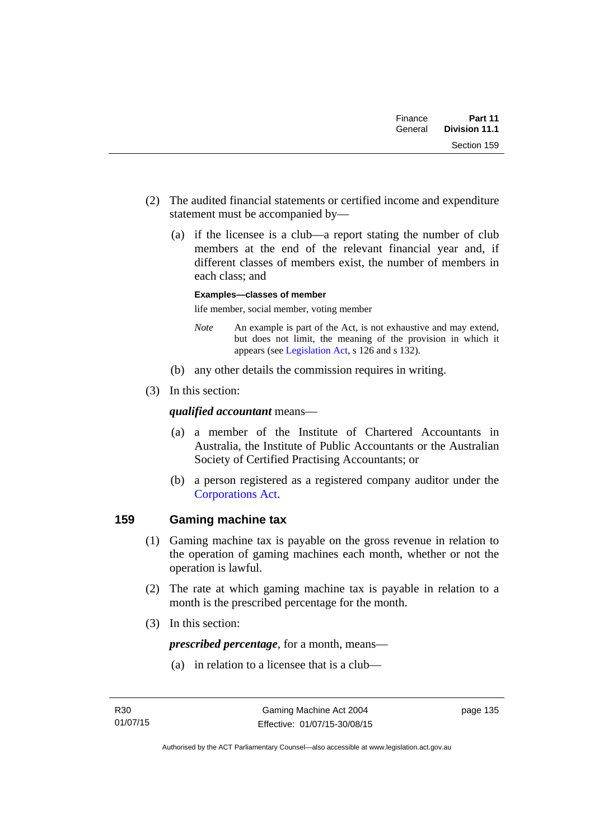| Finance | Part 11       |
|---------|---------------|
| General | Division 11.1 |
|         | Section 159   |

- (2) The audited financial statements or certified income and expenditure statement must be accompanied by—
	- (a) if the licensee is a club—a report stating the number of club members at the end of the relevant financial year and, if different classes of members exist, the number of members in each class; and

#### **Examples—classes of member**

life member, social member, voting member

- *Note* An example is part of the Act, is not exhaustive and may extend, but does not limit, the meaning of the provision in which it appears (see [Legislation Act,](http://www.legislation.act.gov.au/a/2001-14) s 126 and s 132).
- (b) any other details the commission requires in writing.
- (3) In this section:

## *qualified accountant* means—

- (a) a member of the Institute of Chartered Accountants in Australia, the Institute of Public Accountants or the Australian Society of Certified Practising Accountants; or
- (b) a person registered as a registered company auditor under the [Corporations Act.](http://www.comlaw.gov.au/Series/C2004A00818)

## **159 Gaming machine tax**

- (1) Gaming machine tax is payable on the gross revenue in relation to the operation of gaming machines each month, whether or not the operation is lawful.
- (2) The rate at which gaming machine tax is payable in relation to a month is the prescribed percentage for the month.
- (3) In this section:

*prescribed percentage*, for a month, means—

(a) in relation to a licensee that is a club—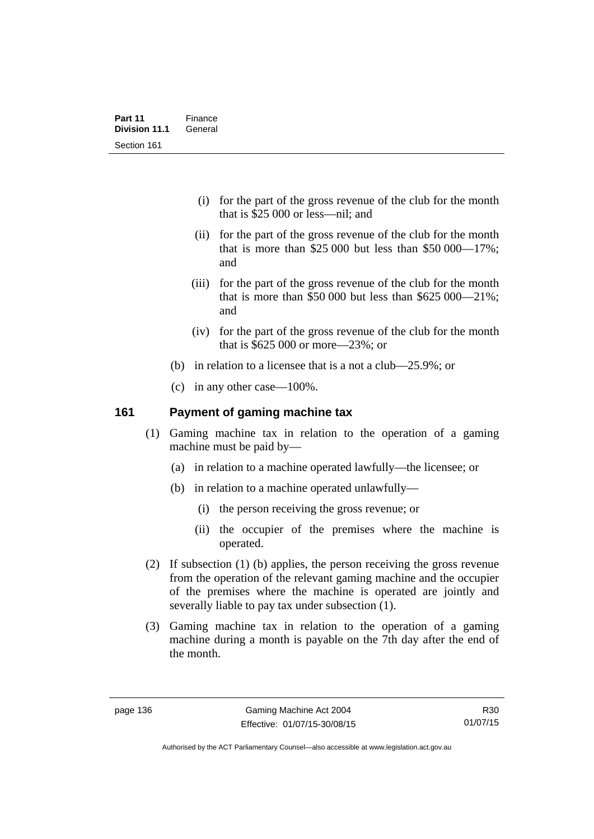- (i) for the part of the gross revenue of the club for the month that is \$25 000 or less—nil; and
- (ii) for the part of the gross revenue of the club for the month that is more than \$25,000 but less than \$50,000  $-17\%$ ; and
- (iii) for the part of the gross revenue of the club for the month that is more than \$50,000 but less than  $$625,000-21\%$ ; and
- (iv) for the part of the gross revenue of the club for the month that is \$625 000 or more—23%; or
- (b) in relation to a licensee that is a not a club—25.9%; or
- (c) in any other case—100%.

## **161 Payment of gaming machine tax**

- (1) Gaming machine tax in relation to the operation of a gaming machine must be paid by—
	- (a) in relation to a machine operated lawfully—the licensee; or
	- (b) in relation to a machine operated unlawfully—
		- (i) the person receiving the gross revenue; or
		- (ii) the occupier of the premises where the machine is operated.
- (2) If subsection (1) (b) applies, the person receiving the gross revenue from the operation of the relevant gaming machine and the occupier of the premises where the machine is operated are jointly and severally liable to pay tax under subsection (1).
- (3) Gaming machine tax in relation to the operation of a gaming machine during a month is payable on the 7th day after the end of the month.

R30 01/07/15

Authorised by the ACT Parliamentary Counsel—also accessible at www.legislation.act.gov.au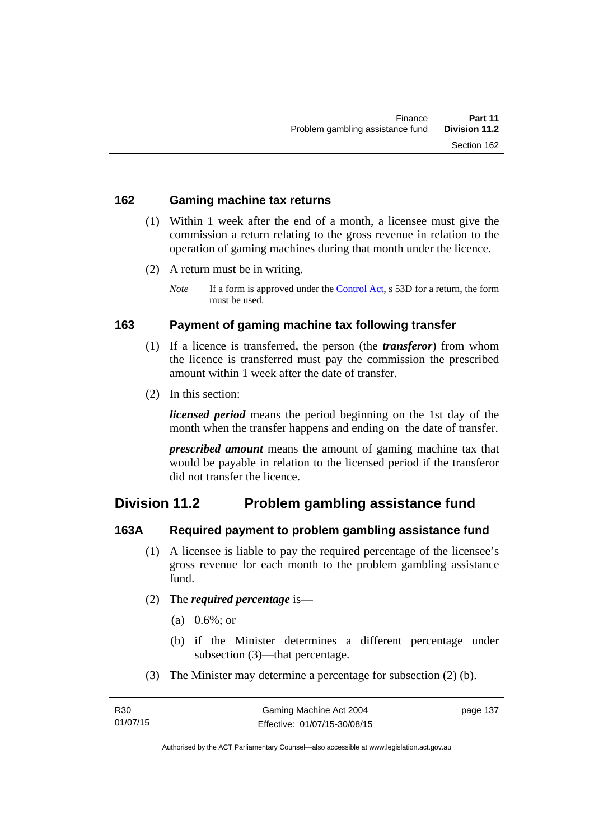#### **162 Gaming machine tax returns**

- (1) Within 1 week after the end of a month, a licensee must give the commission a return relating to the gross revenue in relation to the operation of gaming machines during that month under the licence.
- (2) A return must be in writing.
	- *Note* If a form is approved under the [Control Act,](http://www.legislation.act.gov.au/a/1999-46) s 53D for a return, the form must be used.

## **163 Payment of gaming machine tax following transfer**

- (1) If a licence is transferred, the person (the *transferor*) from whom the licence is transferred must pay the commission the prescribed amount within 1 week after the date of transfer.
- (2) In this section:

*licensed period* means the period beginning on the 1st day of the month when the transfer happens and ending on the date of transfer.

*prescribed amount* means the amount of gaming machine tax that would be payable in relation to the licensed period if the transferor did not transfer the licence.

## **Division 11.2 Problem gambling assistance fund**

## **163A Required payment to problem gambling assistance fund**

- (1) A licensee is liable to pay the required percentage of the licensee's gross revenue for each month to the problem gambling assistance fund.
- (2) The *required percentage* is—
	- (a) 0.6%; or
	- (b) if the Minister determines a different percentage under subsection (3)—that percentage.
- (3) The Minister may determine a percentage for subsection (2) (b).

page 137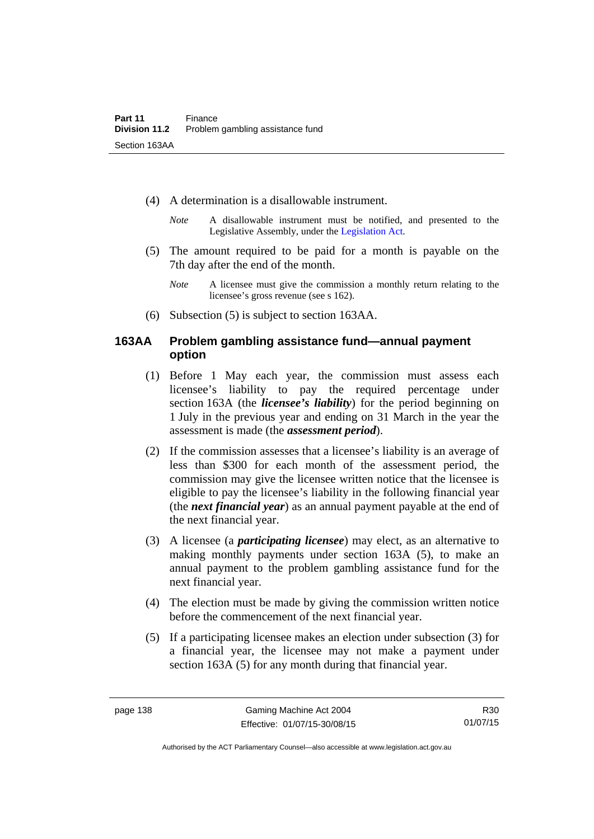- (4) A determination is a disallowable instrument.
	- *Note* A disallowable instrument must be notified, and presented to the Legislative Assembly, under the [Legislation Act.](http://www.legislation.act.gov.au/a/2001-14)
- (5) The amount required to be paid for a month is payable on the 7th day after the end of the month.
	- *Note* A licensee must give the commission a monthly return relating to the licensee's gross revenue (see s 162).
- (6) Subsection (5) is subject to section 163AA.

## **163AA Problem gambling assistance fund—annual payment option**

- (1) Before 1 May each year, the commission must assess each licensee's liability to pay the required percentage under section 163A (the *licensee's liability*) for the period beginning on 1 July in the previous year and ending on 31 March in the year the assessment is made (the *assessment period*).
- (2) If the commission assesses that a licensee's liability is an average of less than \$300 for each month of the assessment period, the commission may give the licensee written notice that the licensee is eligible to pay the licensee's liability in the following financial year (the *next financial year*) as an annual payment payable at the end of the next financial year.
- (3) A licensee (a *participating licensee*) may elect, as an alternative to making monthly payments under section 163A (5), to make an annual payment to the problem gambling assistance fund for the next financial year.
- (4) The election must be made by giving the commission written notice before the commencement of the next financial year.
- (5) If a participating licensee makes an election under subsection (3) for a financial year, the licensee may not make a payment under section 163A (5) for any month during that financial year.

Authorised by the ACT Parliamentary Counsel—also accessible at www.legislation.act.gov.au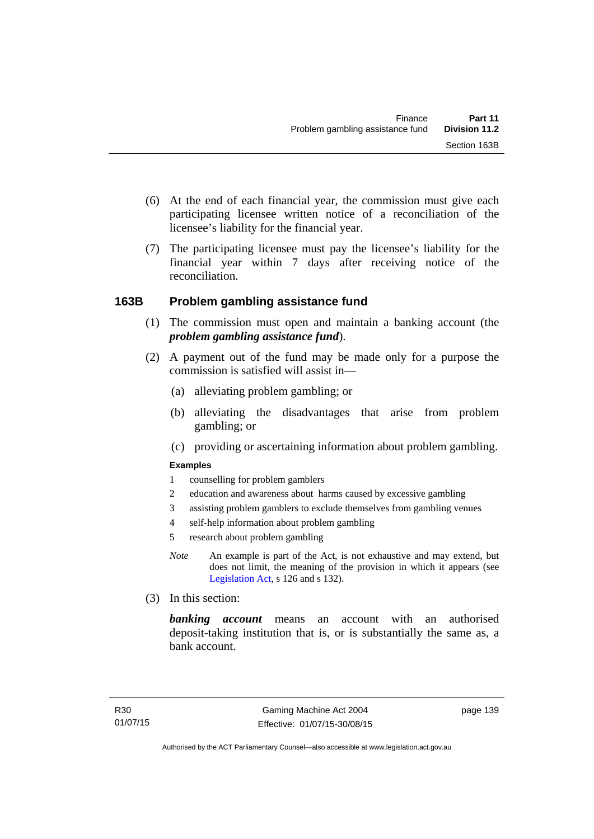- (6) At the end of each financial year, the commission must give each participating licensee written notice of a reconciliation of the licensee's liability for the financial year.
- (7) The participating licensee must pay the licensee's liability for the financial year within 7 days after receiving notice of the reconciliation.

## **163B Problem gambling assistance fund**

- (1) The commission must open and maintain a banking account (the *problem gambling assistance fund*).
- (2) A payment out of the fund may be made only for a purpose the commission is satisfied will assist in—
	- (a) alleviating problem gambling; or
	- (b) alleviating the disadvantages that arise from problem gambling; or
	- (c) providing or ascertaining information about problem gambling.

#### **Examples**

- 1 counselling for problem gamblers
- 2 education and awareness about harms caused by excessive gambling
- 3 assisting problem gamblers to exclude themselves from gambling venues
- 4 self-help information about problem gambling
- 5 research about problem gambling
- *Note* An example is part of the Act, is not exhaustive and may extend, but does not limit, the meaning of the provision in which it appears (see [Legislation Act,](http://www.legislation.act.gov.au/a/2001-14) s 126 and s 132).
- (3) In this section:

*banking account* means an account with an authorised deposit-taking institution that is, or is substantially the same as, a bank account.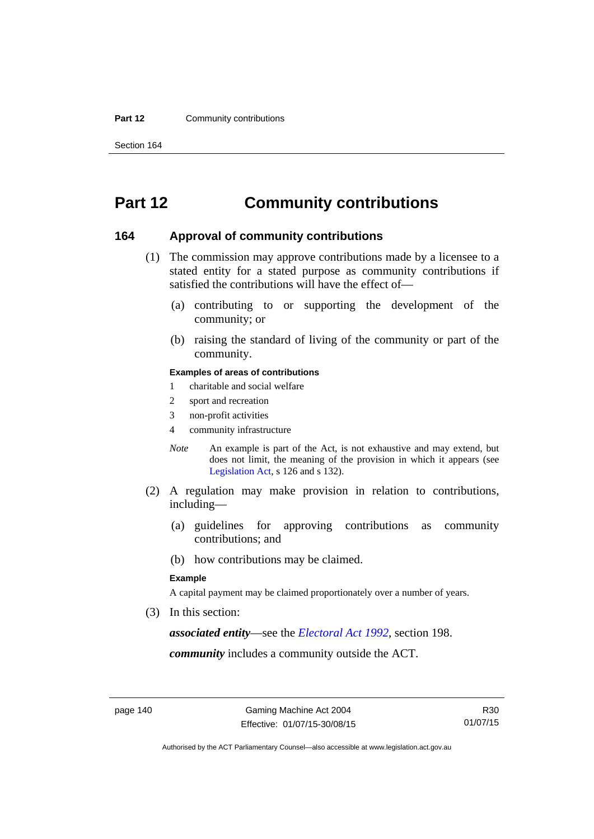#### **Part 12 Community contributions**

Section 164

# **Part 12 Community contributions**

#### **164 Approval of community contributions**

- (1) The commission may approve contributions made by a licensee to a stated entity for a stated purpose as community contributions if satisfied the contributions will have the effect of—
	- (a) contributing to or supporting the development of the community; or
	- (b) raising the standard of living of the community or part of the community.

#### **Examples of areas of contributions**

- 1 charitable and social welfare
- 2 sport and recreation
- 3 non-profit activities
- 4 community infrastructure
- *Note* An example is part of the Act, is not exhaustive and may extend, but does not limit, the meaning of the provision in which it appears (see [Legislation Act,](http://www.legislation.act.gov.au/a/2001-14) s 126 and s 132).
- (2) A regulation may make provision in relation to contributions, including—
	- (a) guidelines for approving contributions as community contributions; and
	- (b) how contributions may be claimed.

#### **Example**

A capital payment may be claimed proportionately over a number of years.

(3) In this section:

*associated entity*—see the *[Electoral Act 1992](http://www.legislation.act.gov.au/a/1992-71)*, section 198.

*community* includes a community outside the ACT.

Authorised by the ACT Parliamentary Counsel—also accessible at www.legislation.act.gov.au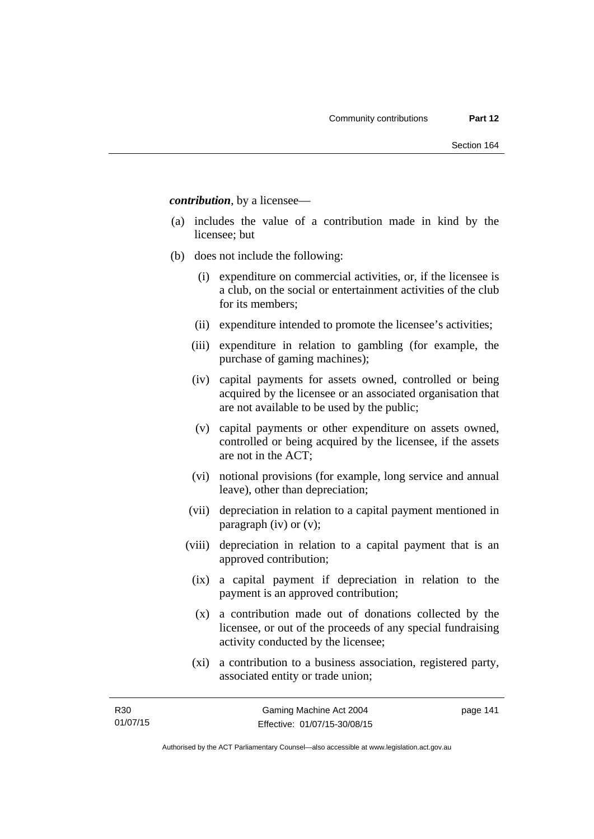*contribution*, by a licensee—

- (a) includes the value of a contribution made in kind by the licensee; but
- (b) does not include the following:
	- (i) expenditure on commercial activities, or, if the licensee is a club, on the social or entertainment activities of the club for its members;
	- (ii) expenditure intended to promote the licensee's activities;
	- (iii) expenditure in relation to gambling (for example, the purchase of gaming machines);
	- (iv) capital payments for assets owned, controlled or being acquired by the licensee or an associated organisation that are not available to be used by the public;
	- (v) capital payments or other expenditure on assets owned, controlled or being acquired by the licensee, if the assets are not in the ACT;
	- (vi) notional provisions (for example, long service and annual leave), other than depreciation;
	- (vii) depreciation in relation to a capital payment mentioned in paragraph (iv) or (v);
	- (viii) depreciation in relation to a capital payment that is an approved contribution;
		- (ix) a capital payment if depreciation in relation to the payment is an approved contribution;
		- (x) a contribution made out of donations collected by the licensee, or out of the proceeds of any special fundraising activity conducted by the licensee;
		- (xi) a contribution to a business association, registered party, associated entity or trade union;

page 141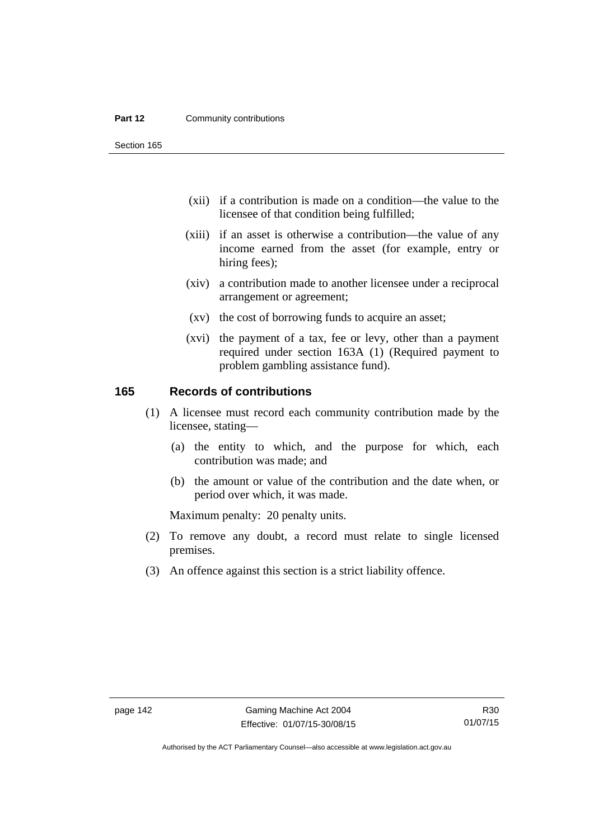#### **Part 12 Community contributions**

Section 165

- (xii) if a contribution is made on a condition—the value to the licensee of that condition being fulfilled;
- (xiii) if an asset is otherwise a contribution—the value of any income earned from the asset (for example, entry or hiring fees);
- (xiv) a contribution made to another licensee under a reciprocal arrangement or agreement;
- (xv) the cost of borrowing funds to acquire an asset;
- (xvi) the payment of a tax, fee or levy, other than a payment required under section 163A (1) (Required payment to problem gambling assistance fund).

## **165 Records of contributions**

- (1) A licensee must record each community contribution made by the licensee, stating—
	- (a) the entity to which, and the purpose for which, each contribution was made; and
	- (b) the amount or value of the contribution and the date when, or period over which, it was made.

Maximum penalty: 20 penalty units.

- (2) To remove any doubt, a record must relate to single licensed premises.
- (3) An offence against this section is a strict liability offence.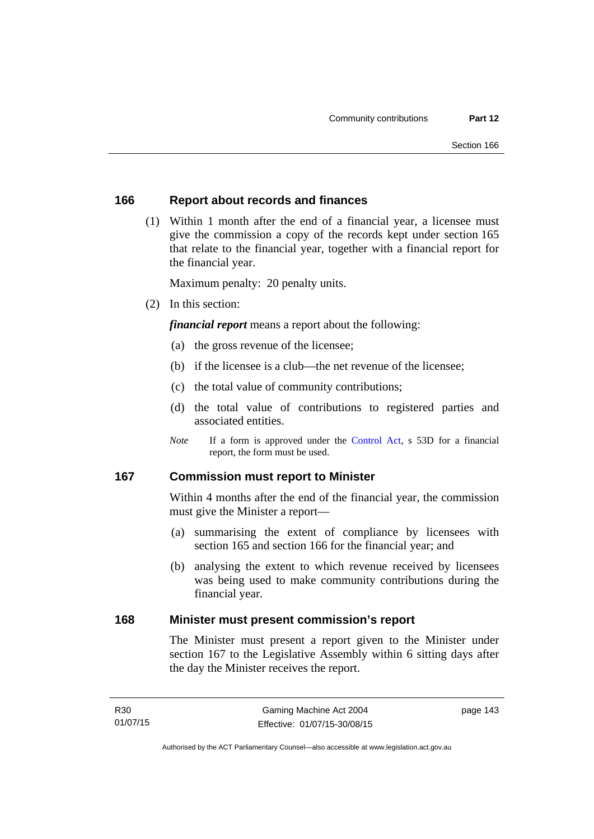#### **166 Report about records and finances**

 (1) Within 1 month after the end of a financial year, a licensee must give the commission a copy of the records kept under section 165 that relate to the financial year, together with a financial report for the financial year.

Maximum penalty: 20 penalty units.

(2) In this section:

*financial report* means a report about the following:

- (a) the gross revenue of the licensee;
- (b) if the licensee is a club—the net revenue of the licensee;
- (c) the total value of community contributions;
- (d) the total value of contributions to registered parties and associated entities.
- *Note* If a form is approved under the [Control Act](http://www.legislation.act.gov.au/a/1999-46), s 53D for a financial report, the form must be used.

## **167 Commission must report to Minister**

Within 4 months after the end of the financial year, the commission must give the Minister a report—

- (a) summarising the extent of compliance by licensees with section 165 and section 166 for the financial year; and
- (b) analysing the extent to which revenue received by licensees was being used to make community contributions during the financial year.

#### **168 Minister must present commission's report**

The Minister must present a report given to the Minister under section 167 to the Legislative Assembly within 6 sitting days after the day the Minister receives the report.

page 143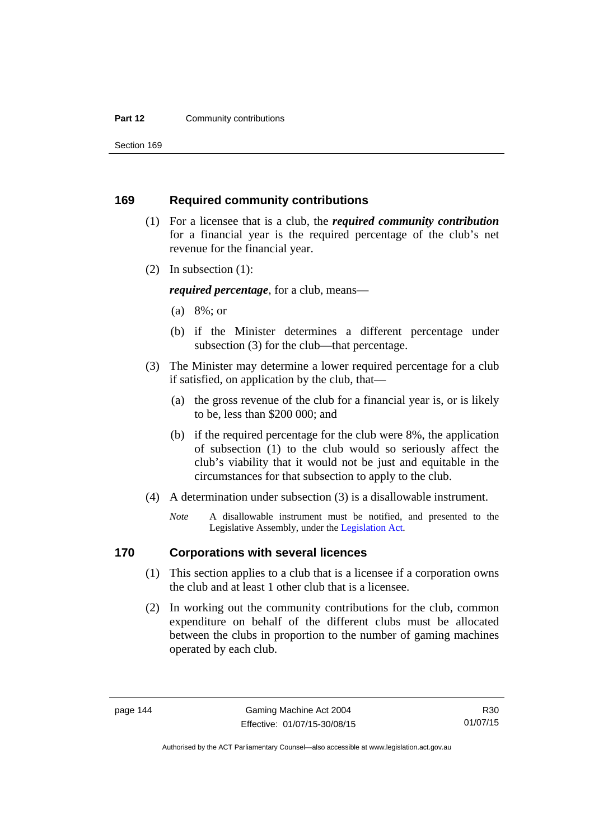#### **Part 12 Community contributions**

Section 169

## **169 Required community contributions**

- (1) For a licensee that is a club, the *required community contribution* for a financial year is the required percentage of the club's net revenue for the financial year.
- (2) In subsection (1):

*required percentage*, for a club, means—

- (a) 8%; or
- (b) if the Minister determines a different percentage under subsection (3) for the club—that percentage.
- (3) The Minister may determine a lower required percentage for a club if satisfied, on application by the club, that—
	- (a) the gross revenue of the club for a financial year is, or is likely to be, less than \$200 000; and
	- (b) if the required percentage for the club were 8%, the application of subsection (1) to the club would so seriously affect the club's viability that it would not be just and equitable in the circumstances for that subsection to apply to the club.
- (4) A determination under subsection (3) is a disallowable instrument.
	- *Note* A disallowable instrument must be notified, and presented to the Legislative Assembly, under the [Legislation Act.](http://www.legislation.act.gov.au/a/2001-14)

## **170 Corporations with several licences**

- (1) This section applies to a club that is a licensee if a corporation owns the club and at least 1 other club that is a licensee.
- (2) In working out the community contributions for the club, common expenditure on behalf of the different clubs must be allocated between the clubs in proportion to the number of gaming machines operated by each club.

R30 01/07/15

Authorised by the ACT Parliamentary Counsel—also accessible at www.legislation.act.gov.au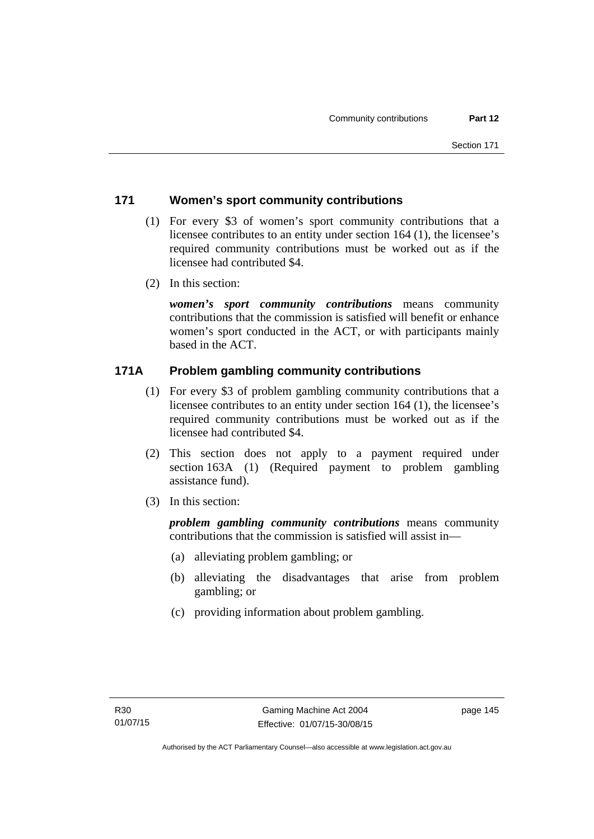## **171 Women's sport community contributions**

- (1) For every \$3 of women's sport community contributions that a licensee contributes to an entity under section 164 (1), the licensee's required community contributions must be worked out as if the licensee had contributed \$4.
- (2) In this section:

*women's sport community contributions* means community contributions that the commission is satisfied will benefit or enhance women's sport conducted in the ACT, or with participants mainly based in the ACT.

## **171A Problem gambling community contributions**

- (1) For every \$3 of problem gambling community contributions that a licensee contributes to an entity under section 164 (1), the licensee's required community contributions must be worked out as if the licensee had contributed \$4.
- (2) This section does not apply to a payment required under section 163A (1) (Required payment to problem gambling assistance fund).
- (3) In this section:

*problem gambling community contributions* means community contributions that the commission is satisfied will assist in—

- (a) alleviating problem gambling; or
- (b) alleviating the disadvantages that arise from problem gambling; or
- (c) providing information about problem gambling.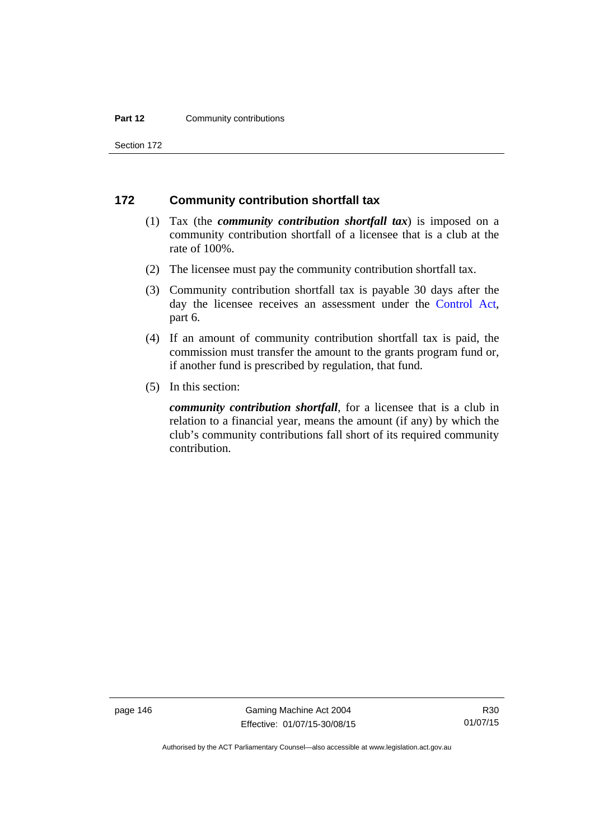#### **Part 12 Community contributions**

Section 172

## **172 Community contribution shortfall tax**

- (1) Tax (the *community contribution shortfall tax*) is imposed on a community contribution shortfall of a licensee that is a club at the rate of 100%.
- (2) The licensee must pay the community contribution shortfall tax.
- (3) Community contribution shortfall tax is payable 30 days after the day the licensee receives an assessment under the [Control Act](http://www.legislation.act.gov.au/a/1999-46), part 6.
- (4) If an amount of community contribution shortfall tax is paid, the commission must transfer the amount to the grants program fund or, if another fund is prescribed by regulation, that fund.
- (5) In this section:

*community contribution shortfall*, for a licensee that is a club in relation to a financial year, means the amount (if any) by which the club's community contributions fall short of its required community contribution.

page 146 Gaming Machine Act 2004 Effective: 01/07/15-30/08/15

Authorised by the ACT Parliamentary Counsel—also accessible at www.legislation.act.gov.au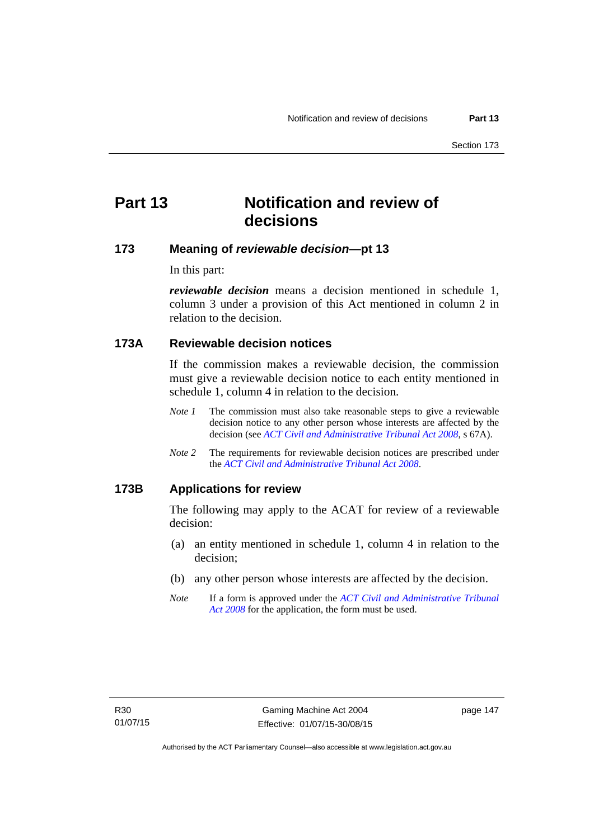# **Part 13 Notification and review of decisions**

## **173 Meaning of** *reviewable decision***—pt 13**

In this part:

*reviewable decision* means a decision mentioned in schedule 1, column 3 under a provision of this Act mentioned in column 2 in relation to the decision.

## **173A Reviewable decision notices**

If the commission makes a reviewable decision, the commission must give a reviewable decision notice to each entity mentioned in schedule 1, column 4 in relation to the decision.

- *Note 1* The commission must also take reasonable steps to give a reviewable decision notice to any other person whose interests are affected by the decision (see *[ACT Civil and Administrative Tribunal Act 2008](http://www.legislation.act.gov.au/a/2008-35)*, s 67A).
- *Note 2* The requirements for reviewable decision notices are prescribed under the *[ACT Civil and Administrative Tribunal Act 2008](http://www.legislation.act.gov.au/a/2008-35)*.

#### **173B Applications for review**

The following may apply to the ACAT for review of a reviewable decision:

- (a) an entity mentioned in schedule 1, column 4 in relation to the decision;
- (b) any other person whose interests are affected by the decision.
- *Note* If a form is approved under the *[ACT Civil and Administrative Tribunal](http://www.legislation.act.gov.au/a/2008-35)  [Act 2008](http://www.legislation.act.gov.au/a/2008-35)* for the application, the form must be used.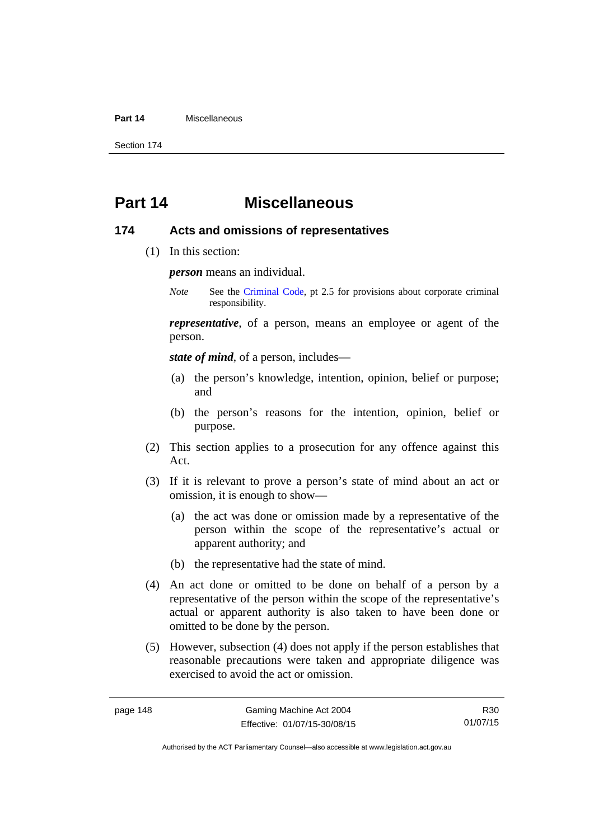#### **Part 14** Miscellaneous

Section 174

# **Part 14 Miscellaneous**

#### **174 Acts and omissions of representatives**

(1) In this section:

*person* means an individual.

*Note* See the [Criminal Code,](http://www.legislation.act.gov.au/a/2002-51) pt 2.5 for provisions about corporate criminal responsibility.

*representative*, of a person, means an employee or agent of the person.

*state of mind*, of a person, includes—

- (a) the person's knowledge, intention, opinion, belief or purpose; and
- (b) the person's reasons for the intention, opinion, belief or purpose.
- (2) This section applies to a prosecution for any offence against this Act.
- (3) If it is relevant to prove a person's state of mind about an act or omission, it is enough to show—
	- (a) the act was done or omission made by a representative of the person within the scope of the representative's actual or apparent authority; and
	- (b) the representative had the state of mind.
- (4) An act done or omitted to be done on behalf of a person by a representative of the person within the scope of the representative's actual or apparent authority is also taken to have been done or omitted to be done by the person.
- (5) However, subsection (4) does not apply if the person establishes that reasonable precautions were taken and appropriate diligence was exercised to avoid the act or omission.

R30 01/07/15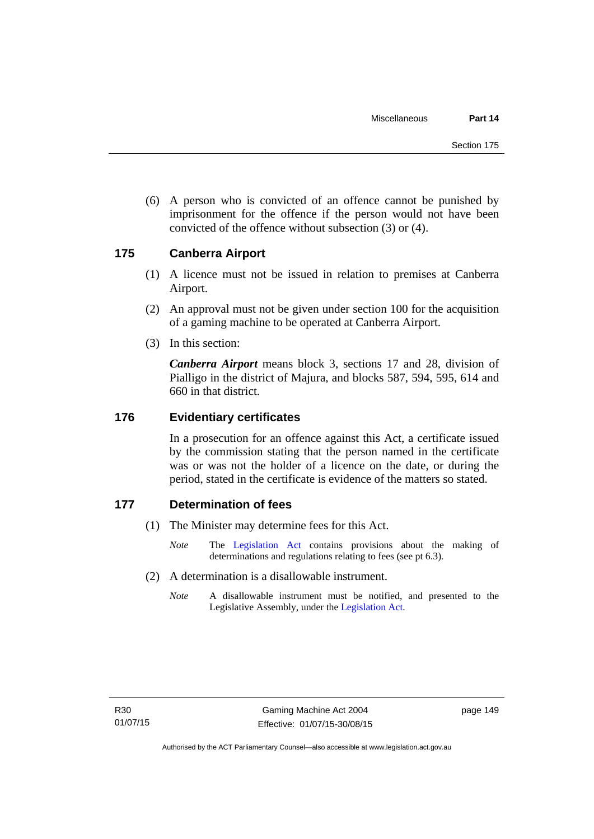(6) A person who is convicted of an offence cannot be punished by imprisonment for the offence if the person would not have been convicted of the offence without subsection (3) or (4).

## **175 Canberra Airport**

- (1) A licence must not be issued in relation to premises at Canberra Airport.
- (2) An approval must not be given under section 100 for the acquisition of a gaming machine to be operated at Canberra Airport.
- (3) In this section:

*Canberra Airport* means block 3, sections 17 and 28, division of Pialligo in the district of Majura, and blocks 587, 594, 595, 614 and 660 in that district.

#### **176 Evidentiary certificates**

In a prosecution for an offence against this Act, a certificate issued by the commission stating that the person named in the certificate was or was not the holder of a licence on the date, or during the period, stated in the certificate is evidence of the matters so stated.

## **177 Determination of fees**

- (1) The Minister may determine fees for this Act.
	- *Note* The [Legislation Act](http://www.legislation.act.gov.au/a/2001-14) contains provisions about the making of determinations and regulations relating to fees (see pt 6.3).
- (2) A determination is a disallowable instrument.
	- *Note* A disallowable instrument must be notified, and presented to the Legislative Assembly, under the [Legislation Act.](http://www.legislation.act.gov.au/a/2001-14)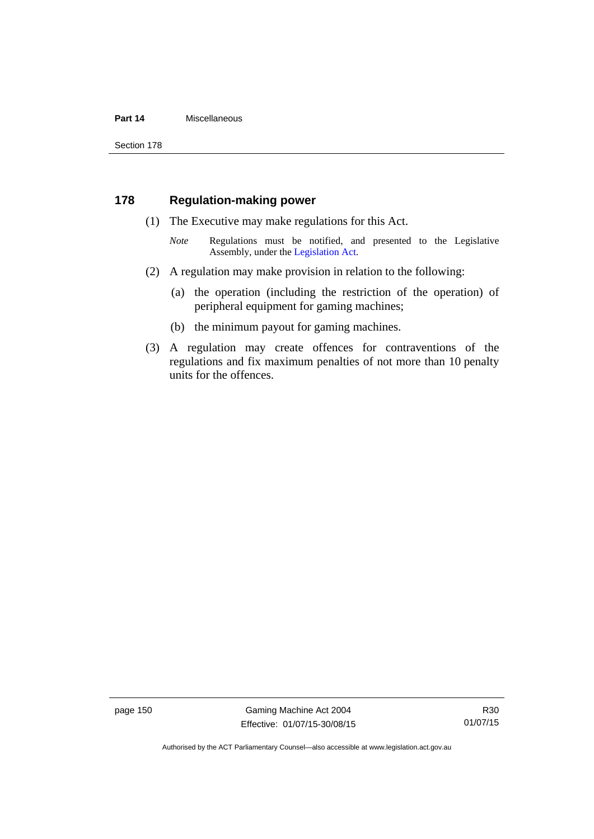#### **Part 14** Miscellaneous

Section 178

## **178 Regulation-making power**

- (1) The Executive may make regulations for this Act.
	- *Note* **Regulations** must be notified, and presented to the Legislative Assembly, under the [Legislation Act](http://www.legislation.act.gov.au/a/2001-14).
- (2) A regulation may make provision in relation to the following:
	- (a) the operation (including the restriction of the operation) of peripheral equipment for gaming machines;
	- (b) the minimum payout for gaming machines.
- (3) A regulation may create offences for contraventions of the regulations and fix maximum penalties of not more than 10 penalty units for the offences.

page 150 Gaming Machine Act 2004 Effective: 01/07/15-30/08/15

R30 01/07/15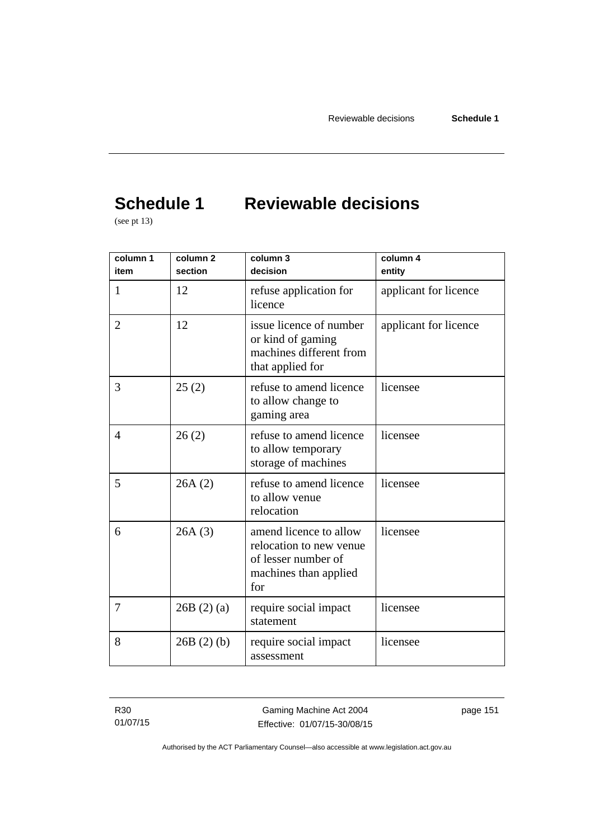# **Schedule 1 Reviewable decisions**

(see pt 13)

| column 1<br>item | column <sub>2</sub><br>section | column 3<br>decision                                                                                     | column 4<br>entity    |
|------------------|--------------------------------|----------------------------------------------------------------------------------------------------------|-----------------------|
| 1                | 12                             | refuse application for<br>licence                                                                        | applicant for licence |
| $\overline{2}$   | 12                             | issue licence of number<br>or kind of gaming<br>machines different from<br>that applied for              | applicant for licence |
| 3                | 25(2)                          | refuse to amend licence<br>to allow change to<br>gaming area                                             | licensee              |
| $\overline{4}$   | 26(2)                          | refuse to amend licence<br>to allow temporary<br>storage of machines                                     | licensee              |
| 5                | 26A(2)                         | refuse to amend licence<br>to allow venue<br>relocation                                                  | licensee              |
| 6                | 26A(3)                         | amend licence to allow<br>relocation to new venue<br>of lesser number of<br>machines than applied<br>for | licensee              |
| 7                | 26B(2)(a)                      | require social impact<br>statement                                                                       | licensee              |
| 8                | 26B(2)(b)                      | require social impact<br>assessment                                                                      | licensee              |

R30 01/07/15 page 151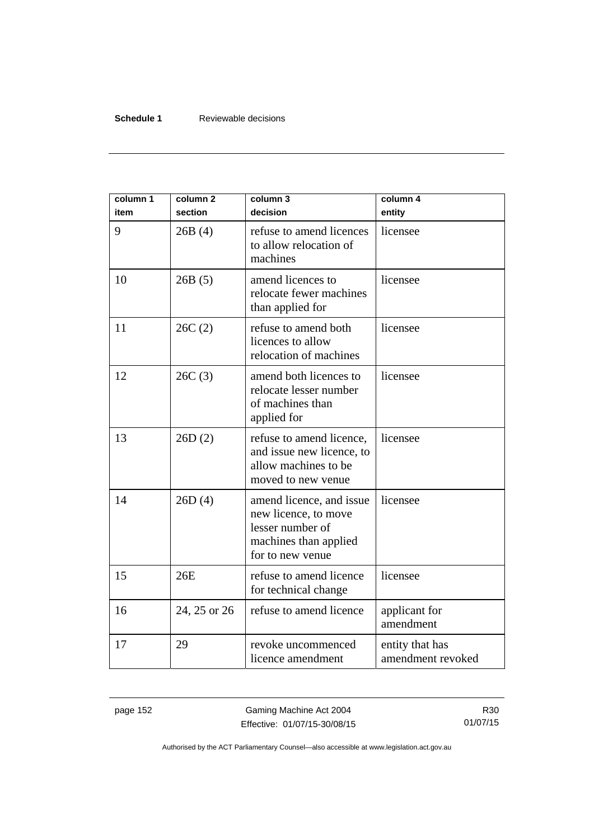#### **Schedule 1** Reviewable decisions

| column 1<br>item | column <sub>2</sub><br>section | column 3<br>decision                                                                                              | column 4<br>entity                   |
|------------------|--------------------------------|-------------------------------------------------------------------------------------------------------------------|--------------------------------------|
| 9                | 26B(4)                         | refuse to amend licences<br>to allow relocation of<br>machines                                                    | licensee                             |
| 10               | 26B(5)                         | amend licences to<br>relocate fewer machines<br>than applied for                                                  | licensee                             |
| 11               | 26C(2)                         | refuse to amend both<br>licences to allow<br>relocation of machines                                               | licensee                             |
| 12               | 26C(3)                         | amend both licences to<br>relocate lesser number<br>of machines than<br>applied for                               | licensee                             |
| 13               | 26D(2)                         | refuse to amend licence,<br>and issue new licence, to<br>allow machines to be<br>moved to new venue               | licensee                             |
| 14               | 26D(4)                         | amend licence, and issue<br>new licence, to move<br>lesser number of<br>machines than applied<br>for to new venue | licensee                             |
| 15               | 26E                            | refuse to amend licence<br>for technical change                                                                   | licensee                             |
| 16               | 24, 25 or 26                   | refuse to amend licence                                                                                           | applicant for<br>amendment           |
| 17               | 29                             | revoke uncommenced<br>licence amendment                                                                           | entity that has<br>amendment revoked |

page 152 Gaming Machine Act 2004 Effective: 01/07/15-30/08/15

R30 01/07/15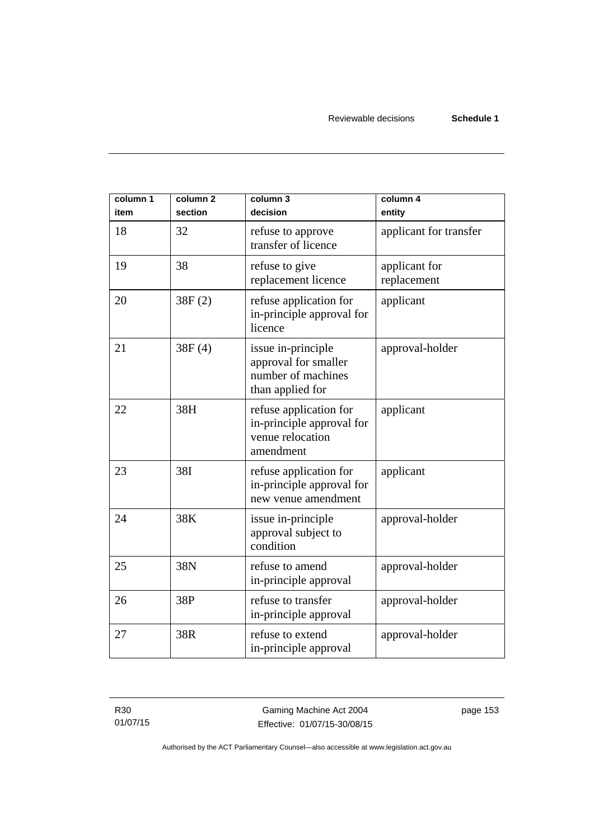| column 1<br>item | column <sub>2</sub><br>section | column 3<br>decision                                                                 | column 4<br>entity           |
|------------------|--------------------------------|--------------------------------------------------------------------------------------|------------------------------|
| 18               | 32                             | refuse to approve<br>transfer of licence                                             | applicant for transfer       |
| 19               | 38                             | refuse to give<br>replacement licence                                                | applicant for<br>replacement |
| 20               | 38F(2)                         | refuse application for<br>in-principle approval for<br>licence                       | applicant                    |
| 21               | 38F(4)                         | issue in-principle<br>approval for smaller<br>number of machines<br>than applied for | approval-holder              |
| 22               | 38H                            | refuse application for<br>in-principle approval for<br>venue relocation<br>amendment | applicant                    |
| 23               | 38I                            | refuse application for<br>in-principle approval for<br>new venue amendment           | applicant                    |
| 24               | 38K                            | issue in-principle<br>approval subject to<br>condition                               | approval-holder              |
| 25               | 38N                            | refuse to amend<br>in-principle approval                                             | approval-holder              |
| 26               | 38P                            | refuse to transfer<br>in-principle approval                                          | approval-holder              |
| 27               | 38R                            | refuse to extend<br>in-principle approval                                            | approval-holder              |

R30 01/07/15

Gaming Machine Act 2004 Effective: 01/07/15-30/08/15 page 153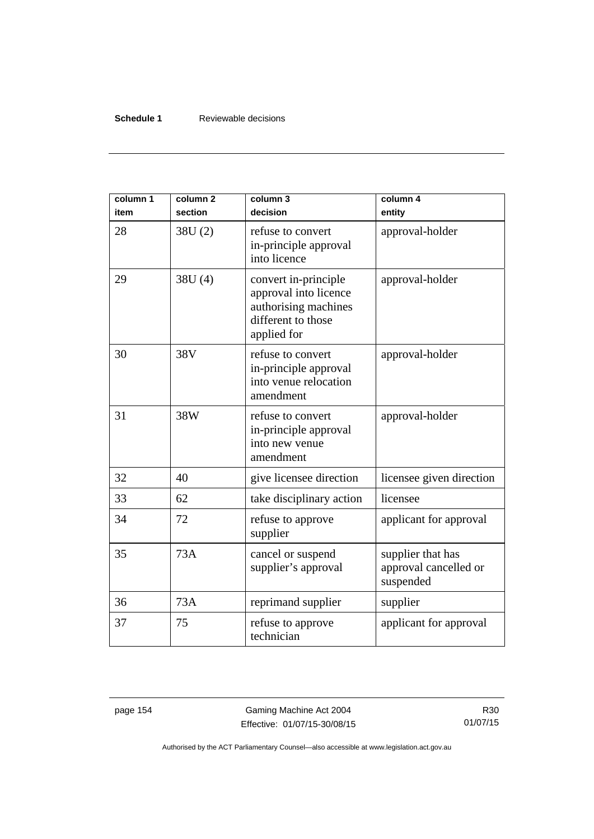#### **Schedule 1** Reviewable decisions

| column 1<br>item | column <sub>2</sub><br>section | column 3<br>decision                                                                                       | column 4<br>entity                                      |
|------------------|--------------------------------|------------------------------------------------------------------------------------------------------------|---------------------------------------------------------|
| 28               | 38U(2)                         | refuse to convert<br>in-principle approval<br>into licence                                                 | approval-holder                                         |
| 29               | 38U (4)                        | convert in-principle<br>approval into licence<br>authorising machines<br>different to those<br>applied for | approval-holder                                         |
| 30               | 38V                            | refuse to convert<br>in-principle approval<br>into venue relocation<br>amendment                           | approval-holder                                         |
| 31               | 38W                            | refuse to convert<br>in-principle approval<br>into new venue<br>amendment                                  | approval-holder                                         |
| 32               | 40                             | give licensee direction                                                                                    | licensee given direction                                |
| 33               | 62                             | take disciplinary action                                                                                   | licensee                                                |
| 34               | 72                             | refuse to approve<br>supplier                                                                              | applicant for approval                                  |
| 35               | 73A                            | cancel or suspend<br>supplier's approval                                                                   | supplier that has<br>approval cancelled or<br>suspended |
| 36               | 73A                            | reprimand supplier                                                                                         | supplier                                                |
| 37               | 75                             | refuse to approve<br>technician                                                                            | applicant for approval                                  |

page 154 Gaming Machine Act 2004 Effective: 01/07/15-30/08/15

R30 01/07/15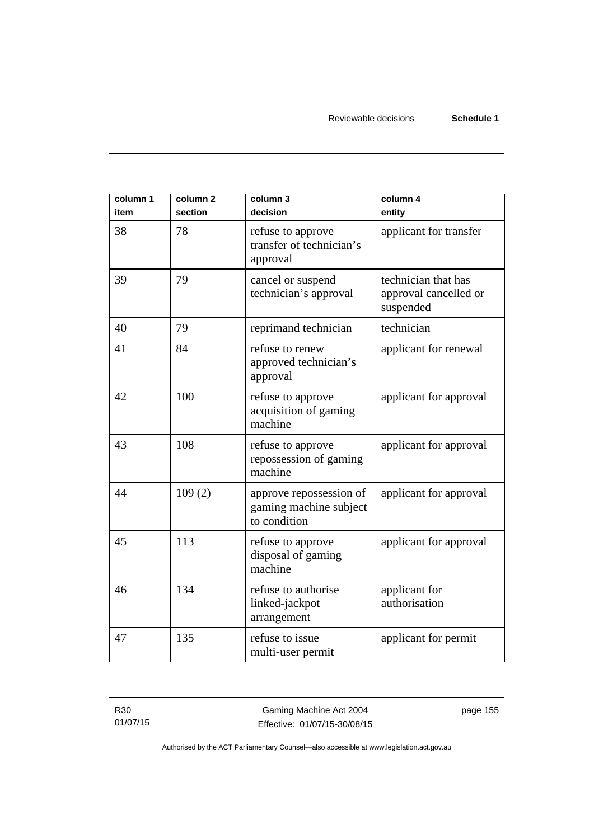| column 1<br>item | column 2<br>section | column 3<br>decision                                              | column 4<br>entity                                        |
|------------------|---------------------|-------------------------------------------------------------------|-----------------------------------------------------------|
| 38               | 78                  | refuse to approve<br>transfer of technician's<br>approval         | applicant for transfer                                    |
| 39               | 79                  | cancel or suspend<br>technician's approval                        | technician that has<br>approval cancelled or<br>suspended |
| 40               | 79                  | reprimand technician                                              | technician                                                |
| 41               | 84                  | refuse to renew<br>approved technician's<br>approval              | applicant for renewal                                     |
| 42               | 100                 | refuse to approve<br>acquisition of gaming<br>machine             | applicant for approval                                    |
| 43               | 108                 | refuse to approve<br>repossession of gaming<br>machine            | applicant for approval                                    |
| 44               | 109(2)              | approve repossession of<br>gaming machine subject<br>to condition | applicant for approval                                    |
| 45               | 113                 | refuse to approve<br>disposal of gaming<br>machine                | applicant for approval                                    |
| 46               | 134                 | refuse to authorise<br>linked-jackpot<br>arrangement              | applicant for<br>authorisation                            |
| 47               | 135                 | refuse to issue<br>multi-user permit                              | applicant for permit                                      |

R30 01/07/15 page 155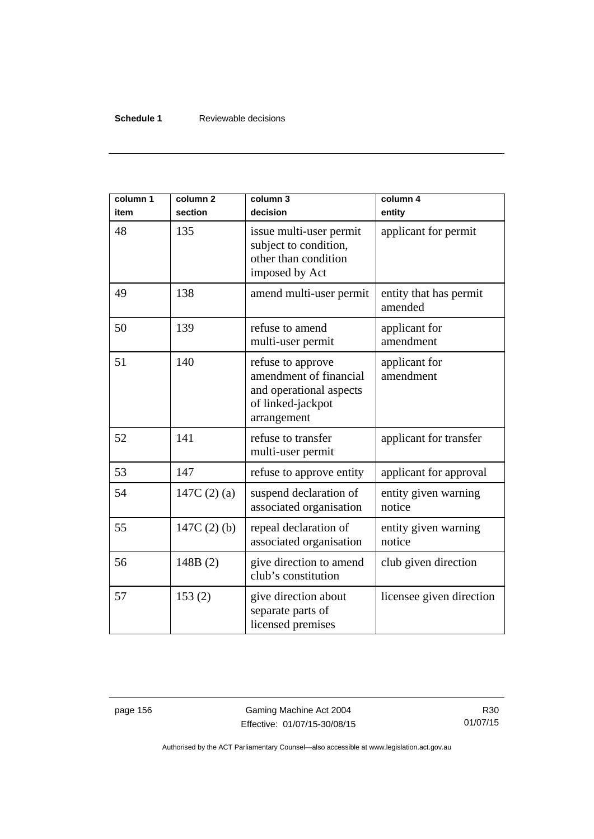#### **Schedule 1** Reviewable decisions

| column 1<br>item | column <sub>2</sub><br>section | column 3<br>decision                                                                                       | column 4<br>entity                |
|------------------|--------------------------------|------------------------------------------------------------------------------------------------------------|-----------------------------------|
| 48               | 135                            | issue multi-user permit<br>subject to condition,<br>other than condition<br>imposed by Act                 | applicant for permit              |
| 49               | 138                            | amend multi-user permit                                                                                    | entity that has permit<br>amended |
| 50               | 139                            | refuse to amend<br>multi-user permit                                                                       | applicant for<br>amendment        |
| 51               | 140                            | refuse to approve<br>amendment of financial<br>and operational aspects<br>of linked-jackpot<br>arrangement | applicant for<br>amendment        |
| 52               | 141                            | refuse to transfer<br>multi-user permit                                                                    | applicant for transfer            |
| 53               | 147                            | refuse to approve entity                                                                                   | applicant for approval            |
| 54               | 147C $(2)(a)$                  | suspend declaration of<br>associated organisation                                                          | entity given warning<br>notice    |
| 55               | 147C $(2)$ $(b)$               | repeal declaration of<br>associated organisation                                                           | entity given warning<br>notice    |
| 56               | 148B(2)                        | give direction to amend<br>club's constitution                                                             | club given direction              |
| 57               | 153(2)                         | give direction about<br>separate parts of<br>licensed premises                                             | licensee given direction          |

page 156 Gaming Machine Act 2004 Effective: 01/07/15-30/08/15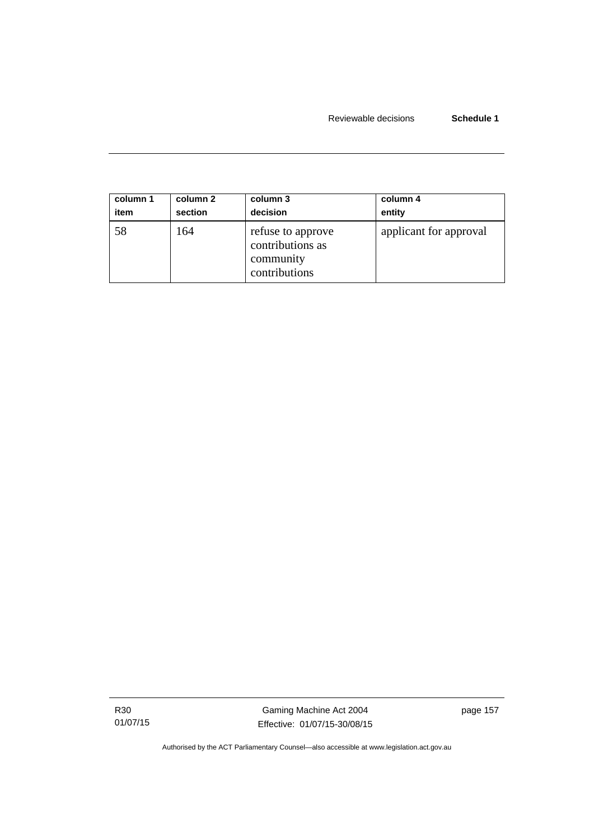| column 1 | column 2 | column 3                                                            | column 4               |
|----------|----------|---------------------------------------------------------------------|------------------------|
| item     | section  | decision                                                            | entity                 |
| 58       | 164      | refuse to approve<br>contributions as<br>community<br>contributions | applicant for approval |

R30 01/07/15

Gaming Machine Act 2004 Effective: 01/07/15-30/08/15 page 157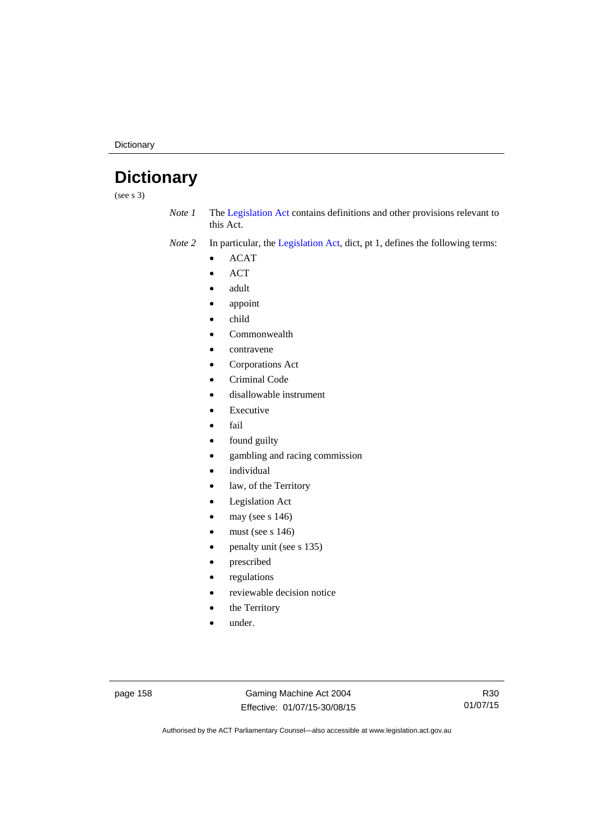**Dictionary** 

# **Dictionary**

(see s 3)

*Note 1* The [Legislation Act](http://www.legislation.act.gov.au/a/2001-14) contains definitions and other provisions relevant to this Act.

*Note 2* In particular, the [Legislation Act,](http://www.legislation.act.gov.au/a/2001-14) dict, pt 1, defines the following terms:

- ACAT
- ACT
- adult
- appoint
- child
- Commonwealth
- contravene
- Corporations Act
- Criminal Code
- disallowable instrument
- Executive
- fail
- found guilty
- gambling and racing commission
- individual
- law, of the Territory
- Legislation Act
- may (see s 146)
- must (see s 146)
- penalty unit (see s 135)
- prescribed
- regulations
- reviewable decision notice
- the Territory
- under.

page 158 Gaming Machine Act 2004 Effective: 01/07/15-30/08/15

R30 01/07/15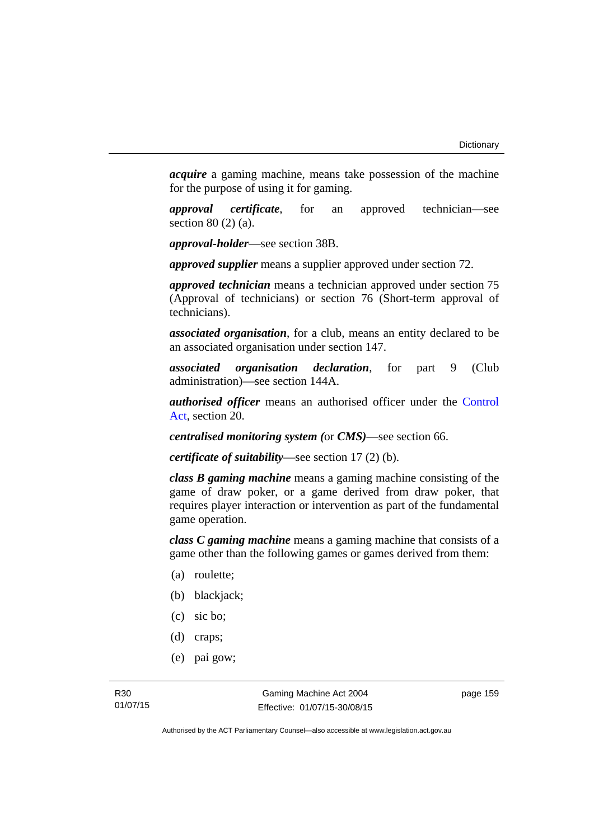*acquire* a gaming machine, means take possession of the machine for the purpose of using it for gaming.

*approval certificate*, for an approved technician—see section 80 (2) (a).

*approval-holder*—see section 38B.

*approved supplier* means a supplier approved under section 72.

*approved technician* means a technician approved under section 75 (Approval of technicians) or section 76 (Short-term approval of technicians).

*associated organisation*, for a club, means an entity declared to be an associated organisation under section 147.

*associated organisation declaration*, for part 9 (Club administration)—see section 144A.

*authorised officer* means an authorised officer under the [Control](http://www.legislation.act.gov.au/a/1999-46)  [Act](http://www.legislation.act.gov.au/a/1999-46), section 20.

*centralised monitoring system (*or *CMS)*—see section 66.

*certificate of suitability*—see section 17 (2) (b).

*class B gaming machine* means a gaming machine consisting of the game of draw poker, or a game derived from draw poker, that requires player interaction or intervention as part of the fundamental game operation.

*class C gaming machine* means a gaming machine that consists of a game other than the following games or games derived from them:

- (a) roulette;
- (b) blackjack;
- (c) sic bo;
- (d) craps;
- (e) pai gow;

page 159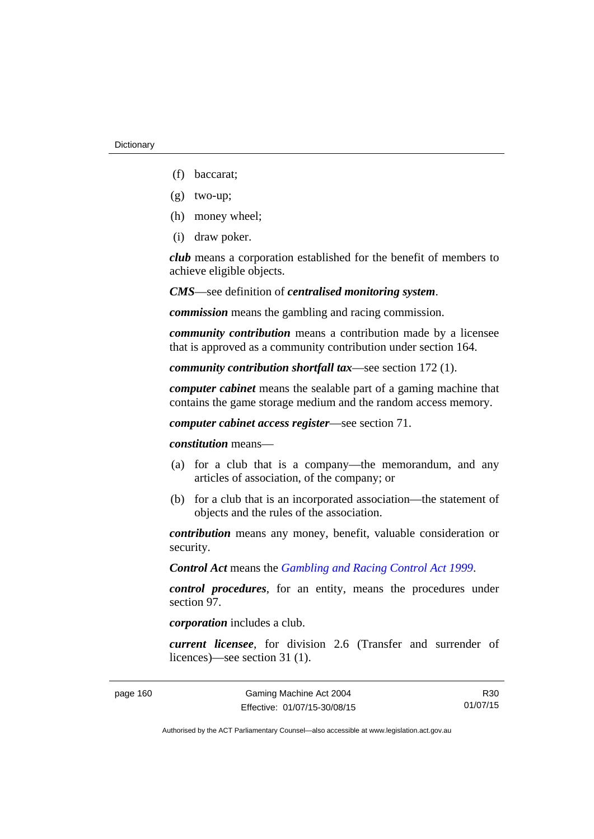- (f) baccarat;
- (g) two-up;
- (h) money wheel;
- (i) draw poker.

*club* means a corporation established for the benefit of members to achieve eligible objects.

*CMS*—see definition of *centralised monitoring system*.

*commission* means the gambling and racing commission.

*community contribution* means a contribution made by a licensee that is approved as a community contribution under section 164.

*community contribution shortfall tax*—see section 172 (1).

*computer cabinet* means the sealable part of a gaming machine that contains the game storage medium and the random access memory.

*computer cabinet access register*—see section 71.

*constitution* means—

- (a) for a club that is a company—the memorandum, and any articles of association, of the company; or
- (b) for a club that is an incorporated association—the statement of objects and the rules of the association.

*contribution* means any money, benefit, valuable consideration or security.

*Control Act* means the *[Gambling and Racing Control Act 1999](http://www.legislation.act.gov.au/a/1999-46)*.

*control procedures*, for an entity, means the procedures under section 97.

*corporation* includes a club.

*current licensee*, for division 2.6 (Transfer and surrender of licences)—see section 31 (1).

R30 01/07/15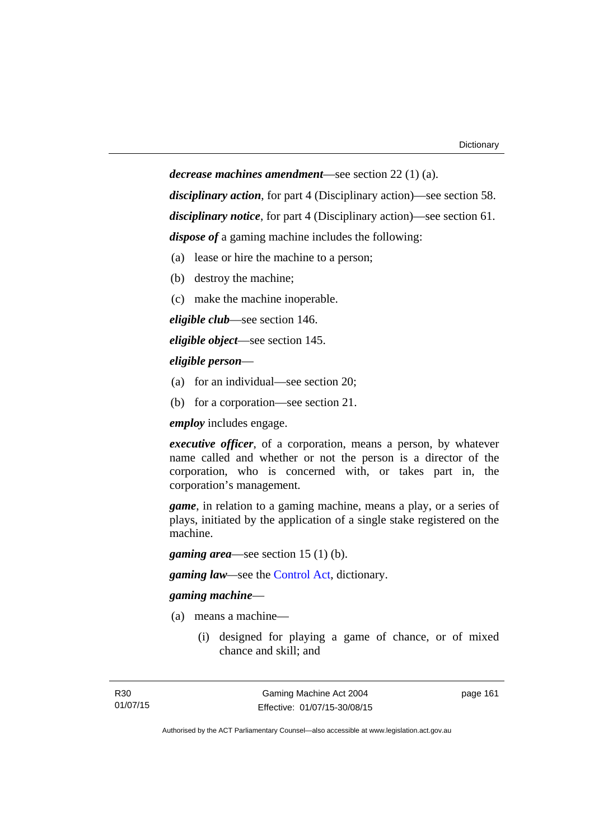*decrease machines amendment*—see section 22 (1) (a). *disciplinary action*, for part 4 (Disciplinary action)—see section 58. *disciplinary notice*, for part 4 (Disciplinary action)—see section 61. *dispose of* a gaming machine includes the following:

- (a) lease or hire the machine to a person;
- (b) destroy the machine;
- (c) make the machine inoperable.

*eligible club*—see section 146.

*eligible object*—see section 145.

#### *eligible person*—

- (a) for an individual—see section 20;
- (b) for a corporation—see section 21.

*employ* includes engage.

*executive officer*, of a corporation, means a person, by whatever name called and whether or not the person is a director of the corporation, who is concerned with, or takes part in, the corporation's management.

*game*, in relation to a gaming machine, means a play, or a series of plays, initiated by the application of a single stake registered on the machine.

*gaming area*—see section 15 (1) (b).

*gaming law—*see the [Control Act](http://www.legislation.act.gov.au/a/1999-46), dictionary.

#### *gaming machine*—

- (a) means a machine—
	- (i) designed for playing a game of chance, or of mixed chance and skill; and

Gaming Machine Act 2004 Effective: 01/07/15-30/08/15 page 161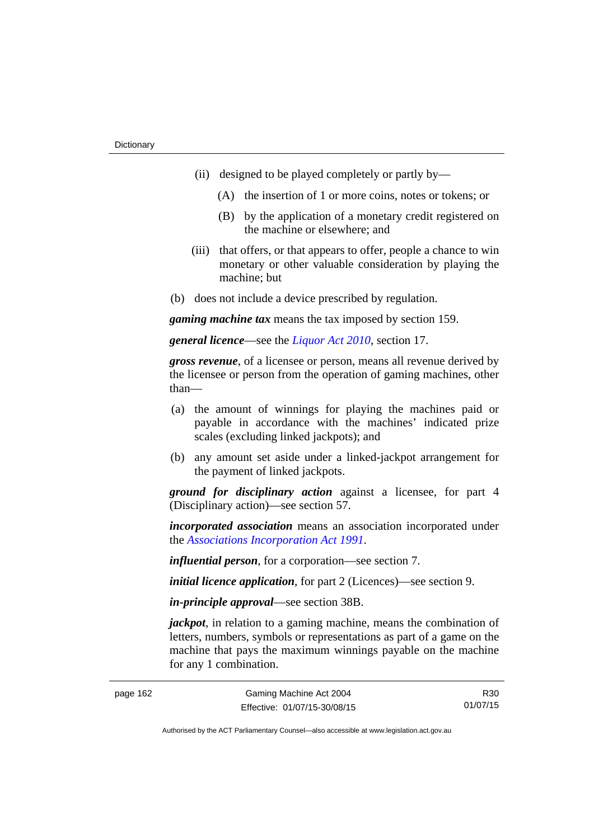- (ii) designed to be played completely or partly by—
	- (A) the insertion of 1 or more coins, notes or tokens; or
	- (B) by the application of a monetary credit registered on the machine or elsewhere; and
- (iii) that offers, or that appears to offer, people a chance to win monetary or other valuable consideration by playing the machine; but
- (b) does not include a device prescribed by regulation.

*gaming machine tax* means the tax imposed by section 159.

*general licence*—see the *[Liquor Act 2010](http://www.legislation.act.gov.au/a/2010-35)*, section 17.

*gross revenue*, of a licensee or person, means all revenue derived by the licensee or person from the operation of gaming machines, other than—

- (a) the amount of winnings for playing the machines paid or payable in accordance with the machines' indicated prize scales (excluding linked jackpots); and
- (b) any amount set aside under a linked-jackpot arrangement for the payment of linked jackpots.

*ground for disciplinary action* against a licensee, for part 4 (Disciplinary action)—see section 57.

*incorporated association* means an association incorporated under the *[Associations Incorporation Act 1991](http://www.legislation.act.gov.au/a/1991-46)*.

*influential person*, for a corporation—see section 7.

*initial licence application*, for part 2 (Licences)—see section 9.

*in-principle approval*—see section 38B.

*jackpot*, in relation to a gaming machine, means the combination of letters, numbers, symbols or representations as part of a game on the machine that pays the maximum winnings payable on the machine for any 1 combination.

R30 01/07/15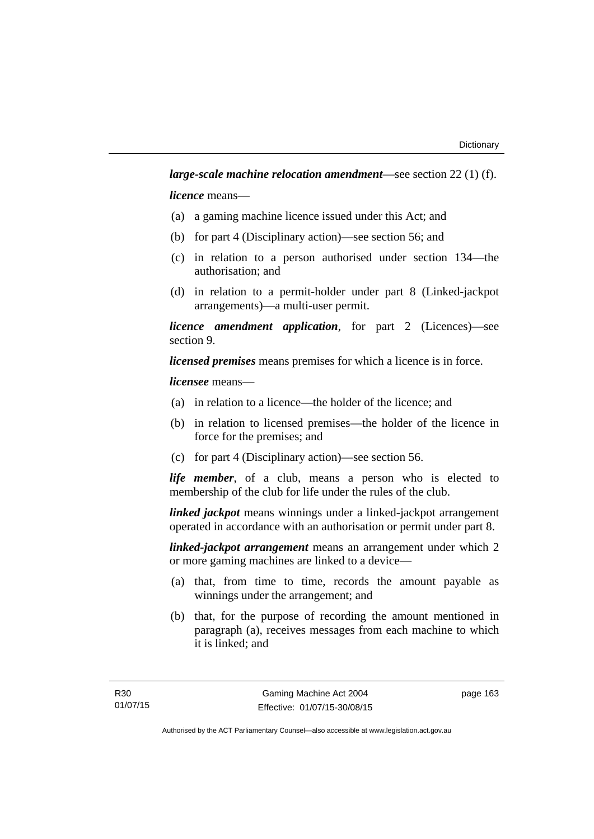*licence* means—

- (a) a gaming machine licence issued under this Act; and
- (b) for part 4 (Disciplinary action)—see section 56; and
- (c) in relation to a person authorised under section 134—the authorisation; and
- (d) in relation to a permit-holder under part 8 (Linked-jackpot arrangements)—a multi-user permit.

*licence amendment application*, for part 2 (Licences)—see section 9.

*licensed premises* means premises for which a licence is in force.

*licensee* means—

- (a) in relation to a licence—the holder of the licence; and
- (b) in relation to licensed premises—the holder of the licence in force for the premises; and
- (c) for part 4 (Disciplinary action)—see section 56.

*life member*, of a club, means a person who is elected to membership of the club for life under the rules of the club.

*linked jackpot* means winnings under a linked-jackpot arrangement operated in accordance with an authorisation or permit under part 8.

*linked-jackpot arrangement* means an arrangement under which 2 or more gaming machines are linked to a device—

- (a) that, from time to time, records the amount payable as winnings under the arrangement; and
- (b) that, for the purpose of recording the amount mentioned in paragraph (a), receives messages from each machine to which it is linked; and

page 163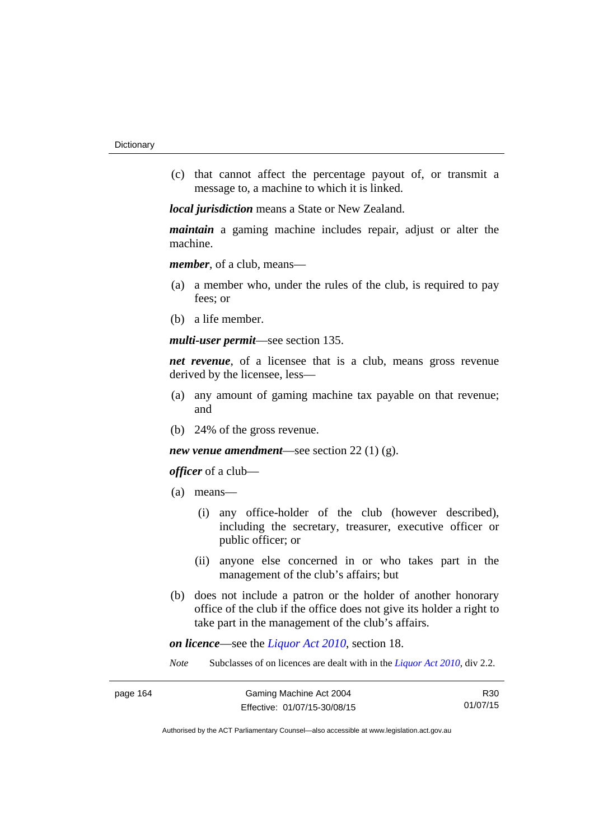(c) that cannot affect the percentage payout of, or transmit a message to, a machine to which it is linked.

*local jurisdiction* means a State or New Zealand.

*maintain* a gaming machine includes repair, adjust or alter the machine.

*member*, of a club, means—

- (a) a member who, under the rules of the club, is required to pay fees; or
- (b) a life member.

*multi-user permit*—see section 135.

*net revenue*, of a licensee that is a club, means gross revenue derived by the licensee, less—

- (a) any amount of gaming machine tax payable on that revenue; and
- (b) 24% of the gross revenue.

#### *new venue amendment*—see section 22 (1) (g).

*officer* of a club—

- (a) means—
	- (i) any office-holder of the club (however described), including the secretary, treasurer, executive officer or public officer; or
	- (ii) anyone else concerned in or who takes part in the management of the club's affairs; but
- (b) does not include a patron or the holder of another honorary office of the club if the office does not give its holder a right to take part in the management of the club's affairs.

*on licence*—see the *[Liquor Act 2010](http://www.legislation.act.gov.au/a/2010-35)*, section 18.

*Note* Subclasses of on licences are dealt with in the *[Liquor Act 2010](http://www.legislation.act.gov.au/a/2010-35)*, div 2.2.

R30 01/07/15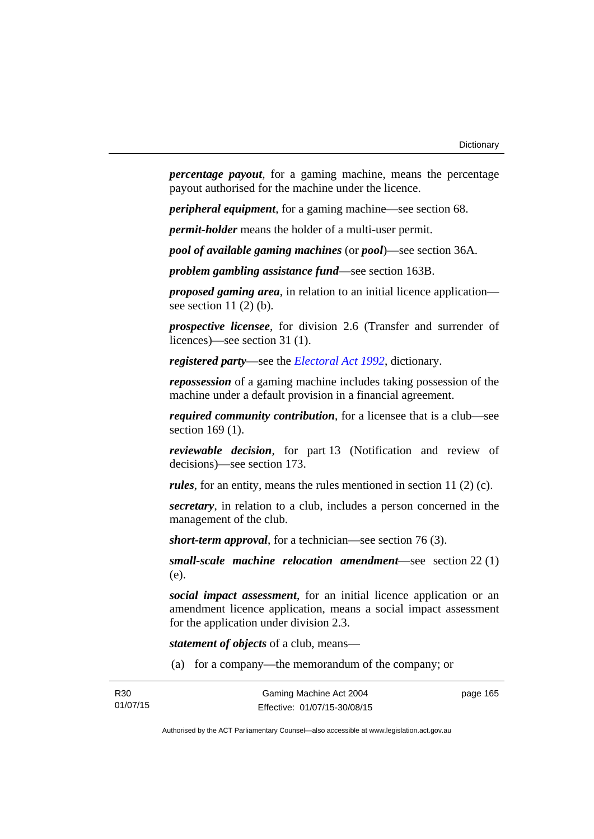*percentage payout*, for a gaming machine, means the percentage payout authorised for the machine under the licence.

*peripheral equipment*, for a gaming machine—see section 68.

*permit-holder* means the holder of a multi-user permit.

*pool of available gaming machines* (or *pool*)—see section 36A.

*problem gambling assistance fund*—see section 163B.

*proposed gaming area*, in relation to an initial licence application see section  $11(2)$  (b).

*prospective licensee*, for division 2.6 (Transfer and surrender of licences)—see section 31 (1).

*registered party*—see the *[Electoral Act 1992](http://www.legislation.act.gov.au/a/1992-71)*, dictionary.

*repossession* of a gaming machine includes taking possession of the machine under a default provision in a financial agreement.

*required community contribution*, for a licensee that is a club—see section 169 (1).

*reviewable decision*, for part 13 (Notification and review of decisions)—see section 173.

*rules*, for an entity, means the rules mentioned in section 11 (2) (c).

*secretary*, in relation to a club, includes a person concerned in the management of the club.

*short-term approval*, for a technician—see section 76 (3).

*small-scale machine relocation amendment*—see section 22 (1) (e).

*social impact assessment*, for an initial licence application or an amendment licence application, means a social impact assessment for the application under division 2.3.

*statement of objects* of a club, means—

(a) for a company—the memorandum of the company; or

page 165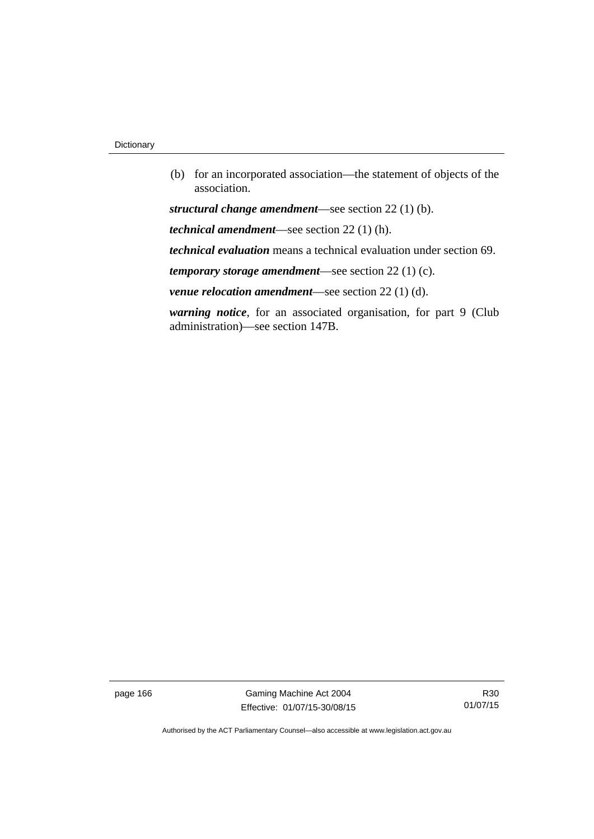(b) for an incorporated association—the statement of objects of the association.

*structural change amendment*—see section 22 (1) (b).

*technical amendment*—see section 22 (1) (h).

*technical evaluation* means a technical evaluation under section 69.

*temporary storage amendment*—see section 22 (1) (c).

*venue relocation amendment*—see section 22 (1) (d).

*warning notice*, for an associated organisation, for part 9 (Club administration)—see section 147B.

page 166 Gaming Machine Act 2004 Effective: 01/07/15-30/08/15

R30 01/07/15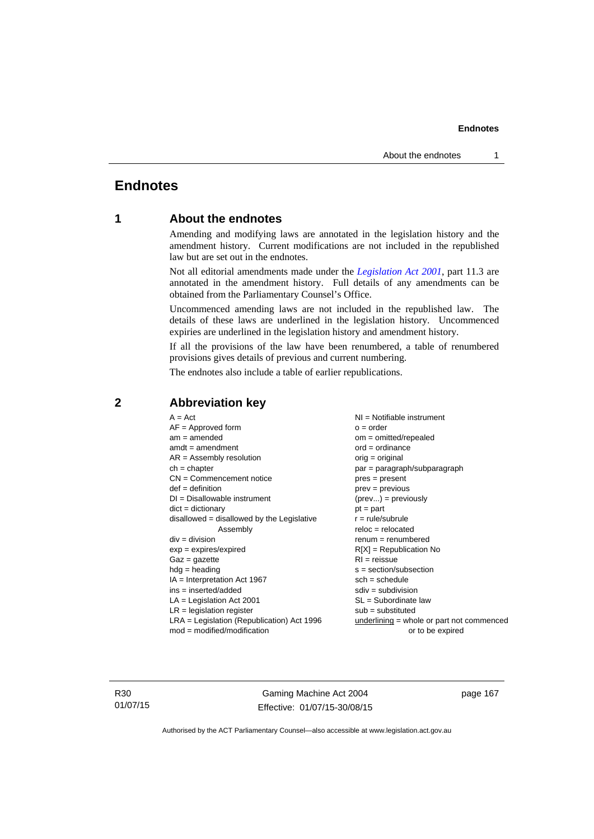#### **Endnotes**

## **Endnotes**

## **1 About the endnotes**

Amending and modifying laws are annotated in the legislation history and the amendment history. Current modifications are not included in the republished law but are set out in the endnotes.

Not all editorial amendments made under the *[Legislation Act 2001](http://www.legislation.act.gov.au/a/2001-14)*, part 11.3 are annotated in the amendment history. Full details of any amendments can be obtained from the Parliamentary Counsel's Office.

Uncommenced amending laws are not included in the republished law. The details of these laws are underlined in the legislation history. Uncommenced expiries are underlined in the legislation history and amendment history.

If all the provisions of the law have been renumbered, a table of renumbered provisions gives details of previous and current numbering.

The endnotes also include a table of earlier republications.

| $A = Act$                                    | NI = Notifiable instrument                  |
|----------------------------------------------|---------------------------------------------|
| $AF =$ Approved form                         | $o = order$                                 |
| $am = amended$                               | $om = omitted/repealed$                     |
| $amdt = amendment$                           | $ord = ordinance$                           |
| $AR = Assembly resolution$                   | $orig = original$                           |
| $ch = chapter$                               | par = paragraph/subparagraph                |
| $CN =$ Commencement notice                   | $pres = present$                            |
| $def = definition$                           | $prev = previous$                           |
| $DI = Disallowable instrument$               | $(\text{prev}) = \text{previously}$         |
| $dict = dictionary$                          | $pt = part$                                 |
| $disallowed = disallowed by the Legislative$ | $r = rule/subrule$                          |
| Assembly                                     | $reloc = relocated$                         |
| $div = division$                             | $renum = renumbered$                        |
| $exp = expires/expired$                      | $R[X]$ = Republication No                   |
| $Gaz = gazette$                              | $RI = reissue$                              |
| $hdg = heading$                              | $s = section/subsection$                    |
| $IA = Interpretation Act 1967$               | $sch = schedule$                            |
| ins = inserted/added                         | $sdiv = subdivision$                        |
| $LA =$ Legislation Act 2001                  | $SL = Subordinate$ law                      |
| $LR =$ legislation register                  | $sub =$ substituted                         |
| $LRA =$ Legislation (Republication) Act 1996 | $underlining = whole or part not commenced$ |
| $mod = modified/modification$                | or to be expired                            |
|                                              |                                             |

### **2 Abbreviation key**

R30 01/07/15

Gaming Machine Act 2004 Effective: 01/07/15-30/08/15 page 167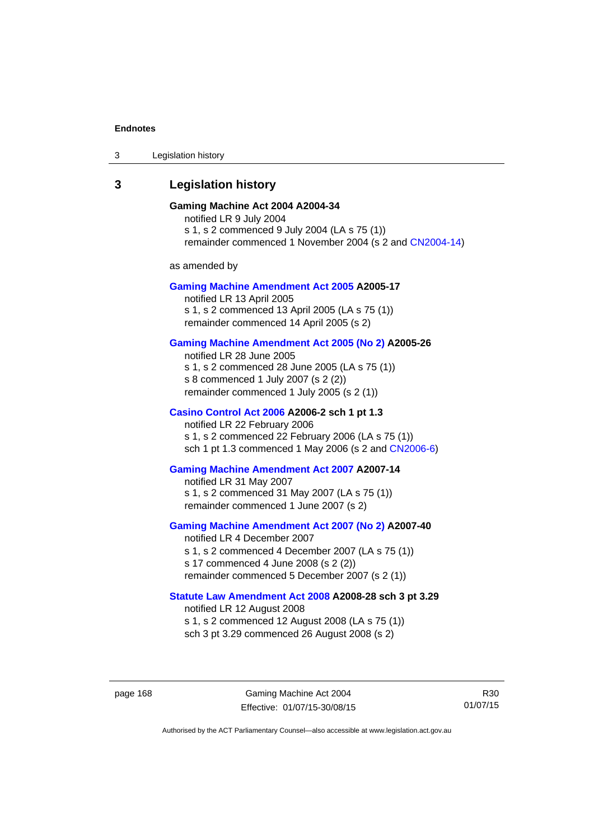#### **Endnotes**

3 Legislation history

## **3 Legislation history**

## **Gaming Machine Act 2004 A2004-34**

notified LR 9 July 2004 s 1, s 2 commenced 9 July 2004 (LA s 75 (1)) remainder commenced 1 November 2004 (s 2 and [CN2004-14](http://www.legislation.act.gov.au/cn/2004-14/default.asp))

as amended by

#### **[Gaming Machine Amendment Act 2005](http://www.legislation.act.gov.au/a/2005-17) A2005-17**

notified LR 13 April 2005 s 1, s 2 commenced 13 April 2005 (LA s 75 (1)) remainder commenced 14 April 2005 (s 2)

#### **[Gaming Machine Amendment Act 2005 \(No 2\)](http://www.legislation.act.gov.au/a/2005-26) A2005-26**

notified LR 28 June 2005 s 1, s 2 commenced 28 June 2005 (LA s 75 (1)) s 8 commenced 1 July 2007 (s 2 (2)) remainder commenced 1 July 2005 (s 2 (1))

#### **[Casino Control Act 2006](http://www.legislation.act.gov.au/a/2006-2) A2006-2 sch 1 pt 1.3**

notified LR 22 February 2006 s 1, s 2 commenced 22 February 2006 (LA s 75 (1)) sch 1 pt 1.3 commenced 1 May 2006 (s 2 and [CN2006-6](http://www.legislation.act.gov.au/cn/2006-6/default.asp))

#### **[Gaming Machine Amendment Act 2007](http://www.legislation.act.gov.au/a/2007-14) A2007-14**

notified LR 31 May 2007 s 1, s 2 commenced 31 May 2007 (LA s 75 (1)) remainder commenced 1 June 2007 (s 2)

#### **[Gaming Machine Amendment Act 2007 \(No 2\)](http://www.legislation.act.gov.au/a/2007-40) A2007-40**

notified LR 4 December 2007 s 1, s 2 commenced 4 December 2007 (LA s 75 (1)) s 17 commenced 4 June 2008 (s 2 (2)) remainder commenced 5 December 2007 (s 2 (1))

## **[Statute Law Amendment Act 2008](http://www.legislation.act.gov.au/a/2008-28) A2008-28 sch 3 pt 3.29**

notified LR 12 August 2008 s 1, s 2 commenced 12 August 2008 (LA s 75 (1))

sch 3 pt 3.29 commenced 26 August 2008 (s 2)

page 168 Gaming Machine Act 2004 Effective: 01/07/15-30/08/15

R30 01/07/15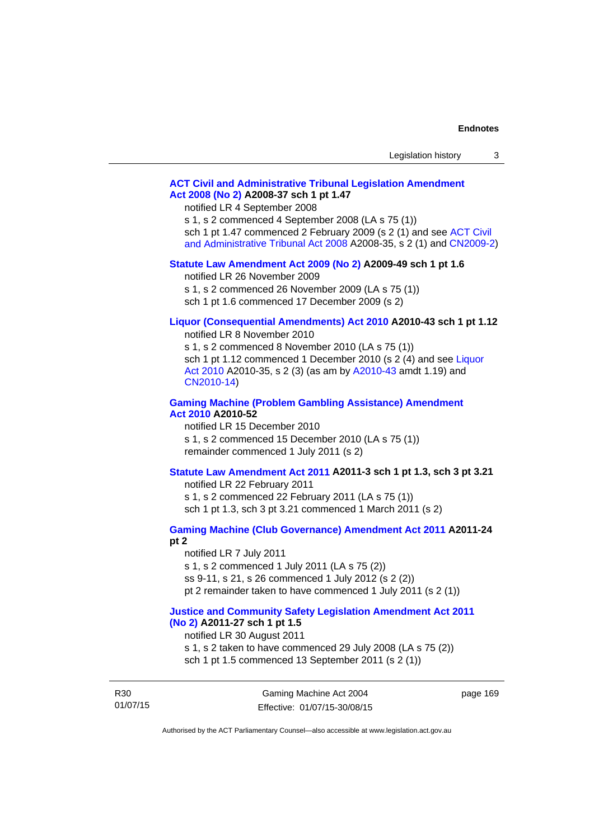| Legislation history |  |
|---------------------|--|
|---------------------|--|

## **[ACT Civil and Administrative Tribunal Legislation Amendment](http://www.legislation.act.gov.au/a/2008-37)  [Act 2008 \(No 2\)](http://www.legislation.act.gov.au/a/2008-37) A2008-37 sch 1 pt 1.47**

notified LR 4 September 2008

s 1, s 2 commenced 4 September 2008 (LA s 75 (1))

sch 1 pt 1.47 commenced 2 February 2009 (s 2 (1) and see [ACT Civil](http://www.legislation.act.gov.au/a/2008-35) 

[and Administrative Tribunal Act 2008](http://www.legislation.act.gov.au/a/2008-35) A2008-35, s 2 (1) and [CN2009-2](http://www.legislation.act.gov.au/cn/2009-2/default.asp))

### **[Statute Law Amendment Act 2009 \(No 2\)](http://www.legislation.act.gov.au/a/2009-49) A2009-49 sch 1 pt 1.6**

notified LR 26 November 2009

s 1, s 2 commenced 26 November 2009 (LA s 75 (1))

sch 1 pt 1.6 commenced 17 December 2009 (s 2)

## **[Liquor \(Consequential Amendments\) Act 2010](http://www.legislation.act.gov.au/a/2010-43) A2010-43 sch 1 pt 1.12**

notified LR 8 November 2010

s 1, s 2 commenced 8 November 2010 (LA s 75 (1)) sch 1 pt 1.12 commenced 1 December 2010 (s 2 (4) and see Liquor [Act 2010](http://www.legislation.act.gov.au/a/2010-35) A2010-35, s 2 (3) (as am by [A2010-43](http://www.legislation.act.gov.au/a/2010-43) amdt 1.19) and [CN2010-14](http://www.legislation.act.gov.au/cn/2010-14/default.asp))

### **[Gaming Machine \(Problem Gambling Assistance\) Amendment](http://www.legislation.act.gov.au/a/2010-52)  [Act 2010](http://www.legislation.act.gov.au/a/2010-52) A2010-52**

notified LR 15 December 2010 s 1, s 2 commenced 15 December 2010 (LA s 75 (1)) remainder commenced 1 July 2011 (s 2)

## **[Statute Law Amendment Act 2011](http://www.legislation.act.gov.au/a/2011-3) A2011-3 sch 1 pt 1.3, sch 3 pt 3.21**

notified LR 22 February 2011 s 1, s 2 commenced 22 February 2011 (LA s 75 (1)) sch 1 pt 1.3, sch 3 pt 3.21 commenced 1 March 2011 (s 2)

# **[Gaming Machine \(Club Governance\) Amendment Act 2011](http://www.legislation.act.gov.au/a/2011-24) A2011-24**

**pt 2** 

notified LR 7 July 2011 s 1, s 2 commenced 1 July 2011 (LA s 75 (2)) ss 9-11, s 21, s 26 commenced 1 July 2012 (s 2 (2)) pt 2 remainder taken to have commenced 1 July 2011 (s 2 (1))

### **[Justice and Community Safety Legislation Amendment Act 2011](http://www.legislation.act.gov.au/a/2011-27)  [\(No 2\)](http://www.legislation.act.gov.au/a/2011-27) A2011-27 sch 1 pt 1.5**

notified LR 30 August 2011

s 1, s 2 taken to have commenced 29 July 2008 (LA s 75 (2)) sch 1 pt 1.5 commenced 13 September 2011 (s 2 (1))

R30 01/07/15 page 169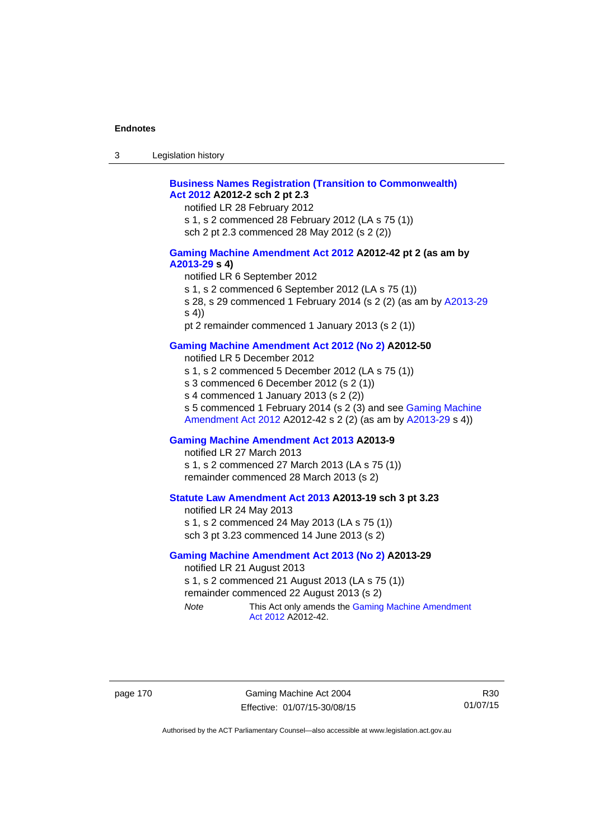| $\sqrt{2}$<br>- 3 | Legislation history |  |
|-------------------|---------------------|--|
|-------------------|---------------------|--|

## **[Business Names Registration \(Transition to Commonwealth\)](http://www.legislation.act.gov.au/a/2012-2)  [Act 2012](http://www.legislation.act.gov.au/a/2012-2) A2012-2 sch 2 pt 2.3**

notified LR 28 February 2012

s 1, s 2 commenced 28 February 2012 (LA s 75 (1))

sch 2 pt 2.3 commenced 28 May 2012 (s 2 (2))

### **[Gaming Machine Amendment Act 2012](http://www.legislation.act.gov.au/a/2012-42) A2012-42 pt 2 (as am by [A2013-29](http://www.legislation.act.gov.au/a/2013-29) s 4)**

notified LR 6 September 2012

s 1, s 2 commenced 6 September 2012 (LA s 75 (1))

s 28, s 29 commenced 1 February 2014 (s 2 (2) (as am by [A2013-29](http://www.legislation.act.gov.au/a/2013-29) s 4))

pt 2 remainder commenced 1 January 2013 (s 2 (1))

## **[Gaming Machine Amendment Act 2012 \(No 2\)](http://www.legislation.act.gov.au/a/2012-50/default.asp) A2012-50**

notified LR 5 December 2012

s 1, s 2 commenced 5 December 2012 (LA s 75 (1))

s 3 commenced 6 December 2012 (s 2 (1))

s 4 commenced 1 January 2013 (s 2 (2))

s 5 commenced 1 February 2014 (s 2 (3) and see [Gaming Machine](http://www.legislation.act.gov.au/a/2012-42)  [Amendment Act 2012](http://www.legislation.act.gov.au/a/2012-42) A2012-42 s 2 (2) (as am by [A2013-29](http://www.legislation.act.gov.au/a/2013-29) s 4))

## **[Gaming Machine Amendment Act 2013](http://www.legislation.act.gov.au/a/2013-9) A2013-9**

notified LR 27 March 2013

s 1, s 2 commenced 27 March 2013 (LA s 75 (1)) remainder commenced 28 March 2013 (s 2)

## **[Statute Law Amendment Act 2013](http://www.legislation.act.gov.au/a/2013-19) A2013-19 sch 3 pt 3.23**

notified LR 24 May 2013 s 1, s 2 commenced 24 May 2013 (LA s 75 (1)) sch 3 pt 3.23 commenced 14 June 2013 (s 2)

#### **[Gaming Machine Amendment Act 2013 \(No 2\)](http://www.legislation.act.gov.au/a/2013-29) A2013-29**

notified LR 21 August 2013 s 1, s 2 commenced 21 August 2013 (LA s 75 (1)) remainder commenced 22 August 2013 (s 2) *Note* This Act only amends the Gaming Machine Amendment

[Act 2012](http://www.legislation.act.gov.au/a/2012-42) A2012-42.

page 170 Gaming Machine Act 2004 Effective: 01/07/15-30/08/15

R30 01/07/15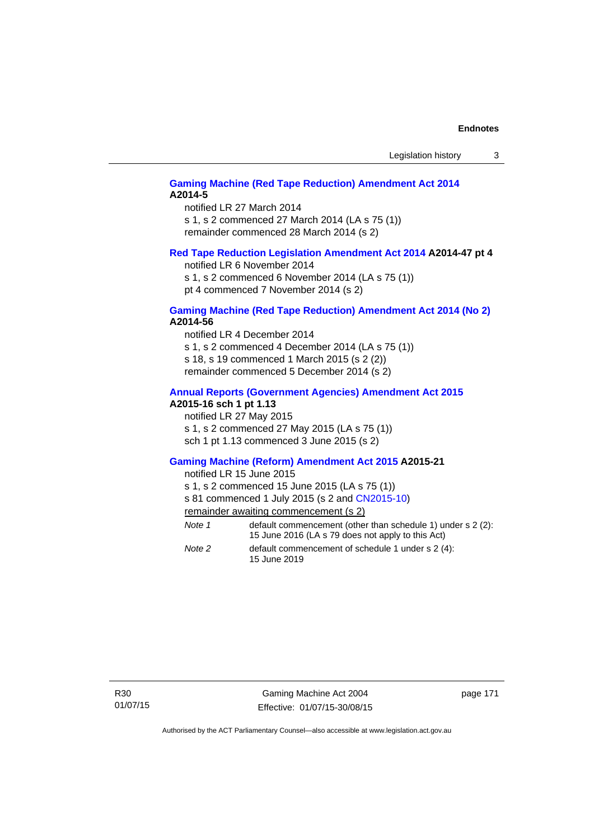## **[Gaming Machine \(Red Tape Reduction\) Amendment Act 2014](http://www.legislation.act.gov.au/a/2014-5) A2014-5**

notified LR 27 March 2014 s 1, s 2 commenced 27 March 2014 (LA s 75 (1)) remainder commenced 28 March 2014 (s 2)

### **[Red Tape Reduction Legislation Amendment Act 2014](http://www.legislation.act.gov.au/a/2014-47) A2014-47 pt 4**

notified LR 6 November 2014

s 1, s 2 commenced 6 November 2014 (LA s 75 (1)) pt 4 commenced 7 November 2014 (s 2)

### **[Gaming Machine \(Red Tape Reduction\) Amendment Act 2014 \(No 2\)](http://www.legislation.act.gov.au/a/2014-56) A2014-56**

notified LR 4 December 2014

s 1, s 2 commenced 4 December 2014 (LA s 75 (1))

s 18, s 19 commenced 1 March 2015 (s 2 (2))

remainder commenced 5 December 2014 (s 2)

## **[Annual Reports \(Government Agencies\) Amendment Act 2015](http://www.legislation.act.gov.au/a/2015-16)**

## **A2015-16 sch 1 pt 1.13**

notified LR 27 May 2015 s 1, s 2 commenced 27 May 2015 (LA s 75 (1)) sch 1 pt 1.13 commenced 3 June 2015 (s 2)

### **[Gaming Machine \(Reform\) Amendment Act 2015](http://www.legislation.act.gov.au/a/2015-21/default.asp) A2015-21**

notified LR 15 June 2015

s 1, s 2 commenced 15 June 2015 (LA s 75 (1))

s 81 commenced 1 July 2015 (s 2 and [CN2015-10\)](http://www.legislation.act.gov.au/cn/2015-10/default.asp)

remainder awaiting commencement (s 2)

| Note 1 | default commencement (other than schedule 1) under s 2 (2):<br>15 June 2016 (LA s 79 does not apply to this Act) |
|--------|------------------------------------------------------------------------------------------------------------------|
| Note 2 | default commencement of schedule 1 under $s \geq (4)$ :<br>15 June 2019                                          |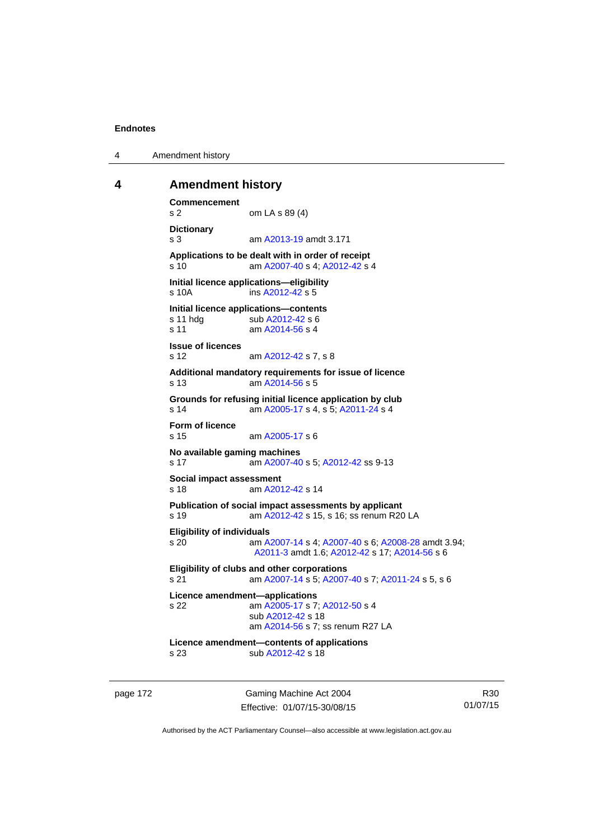4 Amendment history

### **4 Amendment history**

```
Commencement 
s 2 om LA s 89 (4) 
Dictionary 
s 3 am A2013-19 amdt 3.171
Applications to be dealt with in order of receipt 
s 10 am A2007-40 s 4; A2012-42 s 4 
Initial licence applications—eligibility 
s 10A ins A2012-42 s 5
Initial licence applications—contents<br>
s 11 hdg sub A2012-42 s 6
                A2012-42 s 6
 A2014-56 s 4
Issue of licences 
s 12 am A2012-42 s 7, s 8 
Additional mandatory requirements for issue of licence 
s 13 am A2014-56 s 5 
Grounds for refusing initial licence application by club 
s 14 am A2005-17 s 4, s 5; A2011-24 s 4 
Form of licence 
s 15 am A2005-17 s 6 
No available gaming machines 
s 17 am A2007-40 s 5; A2012-42 ss 9-13 
Social impact assessment 
s 18 am A2012-42 s 14 
Publication of social impact assessments by applicant 
s 19 am A2012-42 s 15, s 16; ss renum R20 LA 
Eligibility of individuals 
s 20 am A2007-14 s 4; A2007-40 s 6; A2008-28 amdt 3.94; 
                 A2011-3 amdt 1.6; A2012-42 s 17; A2014-56 s 6 
Eligibility of clubs and other corporations 
s 21 am A2007-14 s 5; A2007-40 s 7; A2011-24 s 5, s 6 
Licence amendment—applications 
s 22 am A2005-17 s 7; A2012-50 s 4 
                 sub A2012-42 s 18 
                 am A2014-56 s 7; ss renum R27 LA
Licence amendment—contents of applications 
s 23 sub A2012-42 s 18
```
page 172 Gaming Machine Act 2004 Effective: 01/07/15-30/08/15

R30 01/07/15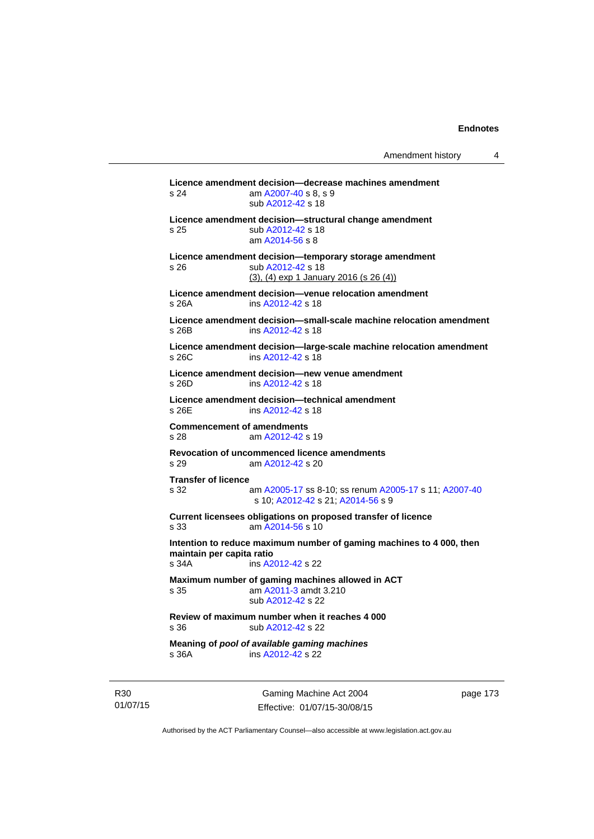**Licence amendment decision—decrease machines amendment**  s 24 am [A2007-40](http://www.legislation.act.gov.au/a/2007-40) s 8, s 9 sub [A2012-42](http://www.legislation.act.gov.au/a/2012-42) s 18 **Licence amendment decision—structural change amendment**  s 25 sub [A2012-42](http://www.legislation.act.gov.au/a/2012-42) s 18 am [A2014-56](http://www.legislation.act.gov.au/a/2014-56) s 8 **Licence amendment decision—temporary storage amendment**  s 26 sub [A2012-42](http://www.legislation.act.gov.au/a/2012-42) s 18 (3), (4) exp 1 January 2016 (s 26 (4)) **Licence amendment decision—venue relocation amendment**  s 26A ins [A2012-42](http://www.legislation.act.gov.au/a/2012-42) s 18 **Licence amendment decision—small-scale machine relocation amendment**  s 26B ins [A2012-42](http://www.legislation.act.gov.au/a/2012-42) s 18 **Licence amendment decision—large-scale machine relocation amendment**  s 26C ins [A2012-42](http://www.legislation.act.gov.au/a/2012-42) s 18 **Licence amendment decision—new venue amendment**  s 26D ins [A2012-42](http://www.legislation.act.gov.au/a/2012-42) s 18 **Licence amendment decision—technical amendment**  s 26E ins [A2012-42](http://www.legislation.act.gov.au/a/2012-42) s 18 **Commencement of amendments**  s 28 am [A2012-42](http://www.legislation.act.gov.au/a/2012-42) s 19 **Revocation of uncommenced licence amendments**  s 29 am [A2012-42](http://www.legislation.act.gov.au/a/2012-42) s 20 **Transfer of licence**  s 32 am [A2005-17](http://www.legislation.act.gov.au/a/2005-17) ss 8-10; ss renum [A2005-17](http://www.legislation.act.gov.au/a/2005-17) s 11; [A2007-40](http://www.legislation.act.gov.au/a/2007-40) s 10; [A2012-42](http://www.legislation.act.gov.au/a/2012-42) s 21; [A2014-56](http://www.legislation.act.gov.au/a/2014-56) s 9 **Current licensees obligations on proposed transfer of licence**  s 33 am [A2014-56](http://www.legislation.act.gov.au/a/2014-56) s 10 **Intention to reduce maximum number of gaming machines to 4 000, then maintain per capita ratio**  s 34A ins [A2012-42](http://www.legislation.act.gov.au/a/2012-42) s 22 **Maximum number of gaming machines allowed in ACT**  s 35 am [A2011-3](http://www.legislation.act.gov.au/a/2011-3) amdt 3.210 sub [A2012-42](http://www.legislation.act.gov.au/a/2012-42) s 22 **Review of maximum number when it reaches 4 000**  s 36 sub [A2012-42](http://www.legislation.act.gov.au/a/2012-42) s 22 **Meaning of** *pool of available gaming machines* s 36A ins [A2012-42](http://www.legislation.act.gov.au/a/2012-42) s 22

R30 01/07/15

Gaming Machine Act 2004 Effective: 01/07/15-30/08/15 page 173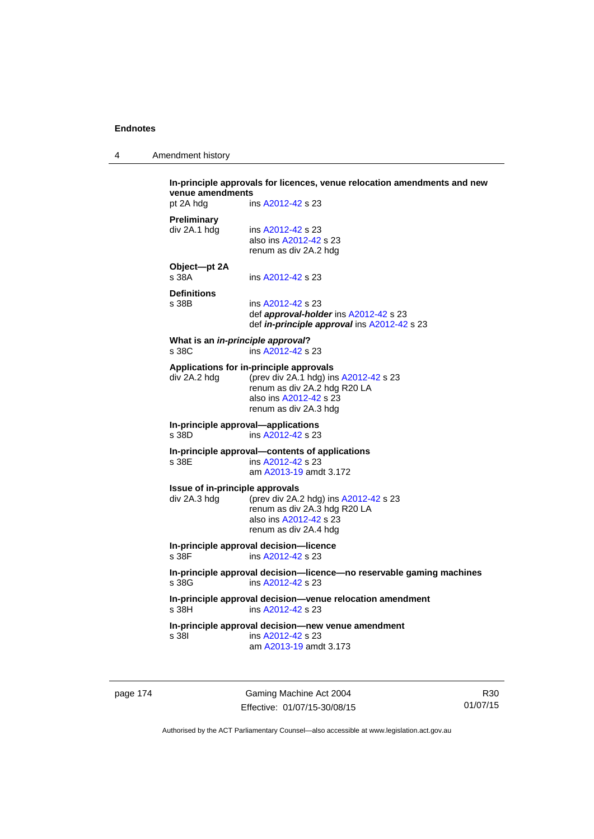4 Amendment history

| pt 2A hdg                                       | venue amendments<br>ins A2012-42 s 23                                                                                                                               |
|-------------------------------------------------|---------------------------------------------------------------------------------------------------------------------------------------------------------------------|
|                                                 |                                                                                                                                                                     |
| <b>Preliminary</b><br>div 2A.1 hdg              | ins A2012-42 s 23<br>also ins A2012-42 s 23<br>renum as div 2A.2 hdg                                                                                                |
| Object-pt 2A<br>s 38A                           | ins A2012-42 s 23                                                                                                                                                   |
| <b>Definitions</b><br>s 38B                     | ins A2012-42 s 23<br>def approval-holder ins A2012-42 s 23<br>def in-principle approval ins A2012-42 s 23                                                           |
| s 38C                                           | What is an in-principle approval?<br>ins A2012-42 s 23                                                                                                              |
| div 2A.2 hdg                                    | Applications for in-principle approvals<br>(prev div 2A.1 hdg) ins A2012-42 s 23<br>renum as div 2A.2 hdg R20 LA<br>also ins A2012-42 s 23<br>renum as div 2A.3 hdg |
| s 38D                                           | In-principle approval-applications<br>ins A2012-42 s 23                                                                                                             |
| s 38E                                           | In-principle approval-contents of applications<br>ins A2012-42 s 23<br>am A2013-19 amdt 3.172                                                                       |
| Issue of in-principle approvals<br>div 2A.3 hdg | (prev div 2A.2 hdg) ins A2012-42 s 23<br>renum as div 2A.3 hdg R20 LA<br>also ins A2012-42 s 23<br>renum as div 2A.4 hdg                                            |
| s 38F                                           | In-principle approval decision-licence<br>ins A2012-42 s 23                                                                                                         |
| s 38G                                           | In-principle approval decision-licence-no reservable gaming machines<br>ins A2012-42 s 23                                                                           |
| s 38H                                           | In-principle approval decision-venue relocation amendment<br>ins A2012-42 s 23                                                                                      |
| s 381                                           | In-principle approval decision-new venue amendment<br>ins A2012-42 s 23<br>am A2013-19 amdt 3.173                                                                   |

page 174 Gaming Machine Act 2004 Effective: 01/07/15-30/08/15

R30 01/07/15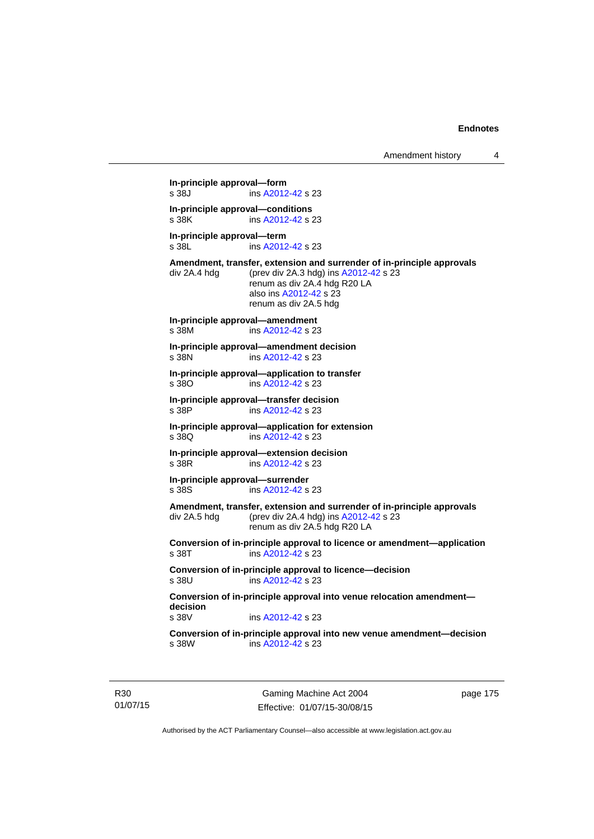**In-principle approval—form**  s 38J ins [A2012-42](http://www.legislation.act.gov.au/a/2012-42) s 23 **In-principle approval—conditions**  s 38K ins [A2012-42](http://www.legislation.act.gov.au/a/2012-42) s 23 **In-principle approval—term**  s 38L ins [A2012-42](http://www.legislation.act.gov.au/a/2012-42) s 23 **Amendment, transfer, extension and surrender of in-principle approvals**  div 2A.4 hdg (prev div 2A.3 hdg) ins [A2012-42](http://www.legislation.act.gov.au/a/2012-42) s 23 renum as div 2A.4 hdg R20 LA also ins [A2012-42](http://www.legislation.act.gov.au/a/2012-42) s 23 renum as div 2A.5 hdg **In-principle approval—amendment**  s 38M ins [A2012-42](http://www.legislation.act.gov.au/a/2012-42) s 23 **In-principle approval—amendment decision**  s 38N ins [A2012-42](http://www.legislation.act.gov.au/a/2012-42) s 23 **In-principle approval—application to transfer**  s 38O ins [A2012-42](http://www.legislation.act.gov.au/a/2012-42) s 23 **In-principle approval—transfer decision**  s 38P ins [A2012-42](http://www.legislation.act.gov.au/a/2012-42) s 23 **In-principle approval—application for extension**  s 38Q ins [A2012-42](http://www.legislation.act.gov.au/a/2012-42) s 23 **In-principle approval—extension decision**  s 38R ins [A2012-42](http://www.legislation.act.gov.au/a/2012-42) s 23 **In-principle approval—surrender**  s 38S ins [A2012-42](http://www.legislation.act.gov.au/a/2012-42) s 23 **Amendment, transfer, extension and surrender of in-principle approvals**  div 2A.5 hdg (prev div 2A.4 hdg) ins [A2012-42](http://www.legislation.act.gov.au/a/2012-42) s 23 renum as div 2A.5 hdg R20 LA **Conversion of in-principle approval to licence or amendment—application**  s 38T ins [A2012-42](http://www.legislation.act.gov.au/a/2012-42) s 23 **Conversion of in-principle approval to licence—decision**  s 38U ins [A2012-42](http://www.legislation.act.gov.au/a/2012-42) s 23 **Conversion of in-principle approval into venue relocation amendment decision**  ins [A2012-42](http://www.legislation.act.gov.au/a/2012-42) s 23 **Conversion of in-principle approval into new venue amendment—decision**  ins [A2012-42](http://www.legislation.act.gov.au/a/2012-42) s 23

R30 01/07/15

Gaming Machine Act 2004 Effective: 01/07/15-30/08/15 page 175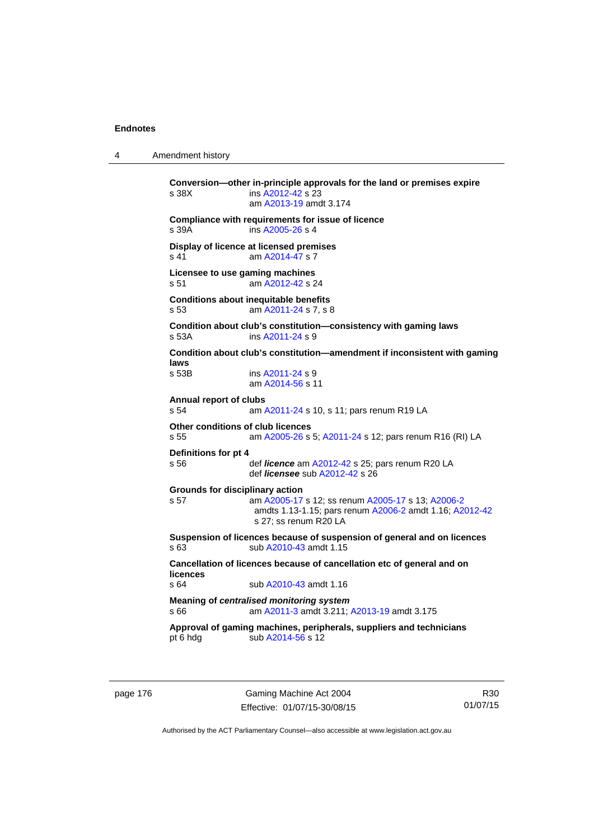4 Amendment history

**Conversion—other in-principle approvals for the land or premises expire**  s 38X ins [A2012-42](http://www.legislation.act.gov.au/a/2012-42) s 23 am [A2013-19](http://www.legislation.act.gov.au/a/2013-19) amdt 3.174 **Compliance with requirements for issue of licence**  s 39A ins [A2005-26](http://www.legislation.act.gov.au/a/2005-26) s 4 **Display of licence at licensed premises**  s 41 am [A2014-47](http://www.legislation.act.gov.au/a/2014-47) s 7 **Licensee to use gaming machines**  s 51 am [A2012-42](http://www.legislation.act.gov.au/a/2012-42) s 24 **Conditions about inequitable benefits**  s 53 am [A2011-24](http://www.legislation.act.gov.au/a/2011-24) s 7, s 8 **Condition about club's constitution—consistency with gaming laws**  s 53A ins [A2011-24](http://www.legislation.act.gov.au/a/2011-24) s 9 **Condition about club's constitution—amendment if inconsistent with gaming laws**  s 53B ins [A2011-24](http://www.legislation.act.gov.au/a/2011-24) s 9 am [A2014-56](http://www.legislation.act.gov.au/a/2014-56) s 11 **Annual report of clubs**  s 54 am [A2011-24](http://www.legislation.act.gov.au/a/2011-24) s 10, s 11; pars renum R19 LA **Other conditions of club licences**  s 55 am [A2005-26](http://www.legislation.act.gov.au/a/2005-26) s 5; [A2011-24](http://www.legislation.act.gov.au/a/2011-24) s 12; pars renum R16 (RI) LA **Definitions for pt 4**  s 56 def *licence* am [A2012-42](http://www.legislation.act.gov.au/a/2012-42) s 25; pars renum R20 LA def *licensee* sub [A2012-42](http://www.legislation.act.gov.au/a/2012-42) s 26 **Grounds for disciplinary action**  s 57 am [A2005-17](http://www.legislation.act.gov.au/a/2005-17) s 12; ss renum [A2005-17](http://www.legislation.act.gov.au/a/2005-17) s 13; [A2006-2](http://www.legislation.act.gov.au/a/2006-2) amdts 1.13-1.15; pars renum [A2006-2](http://www.legislation.act.gov.au/a/2006-2) amdt 1.16; [A2012-42](http://www.legislation.act.gov.au/a/2012-42) s 27; ss renum R20 LA **Suspension of licences because of suspension of general and on licences**  s 63 sub [A2010-43](http://www.legislation.act.gov.au/a/2010-43) amdt 1.15 **Cancellation of licences because of cancellation etc of general and on licences**  sub [A2010-43](http://www.legislation.act.gov.au/a/2010-43) amdt 1.16 **Meaning of** *centralised monitoring system* s 66 am [A2011-3](http://www.legislation.act.gov.au/a/2011-3) amdt 3.211; [A2013-19](http://www.legislation.act.gov.au/a/2013-19) amdt 3.175 **Approval of gaming machines, peripherals, suppliers and technicians**  pt 6 hdg sub [A2014-56](http://www.legislation.act.gov.au/a/2014-56) s 12

page 176 Gaming Machine Act 2004 Effective: 01/07/15-30/08/15

R30 01/07/15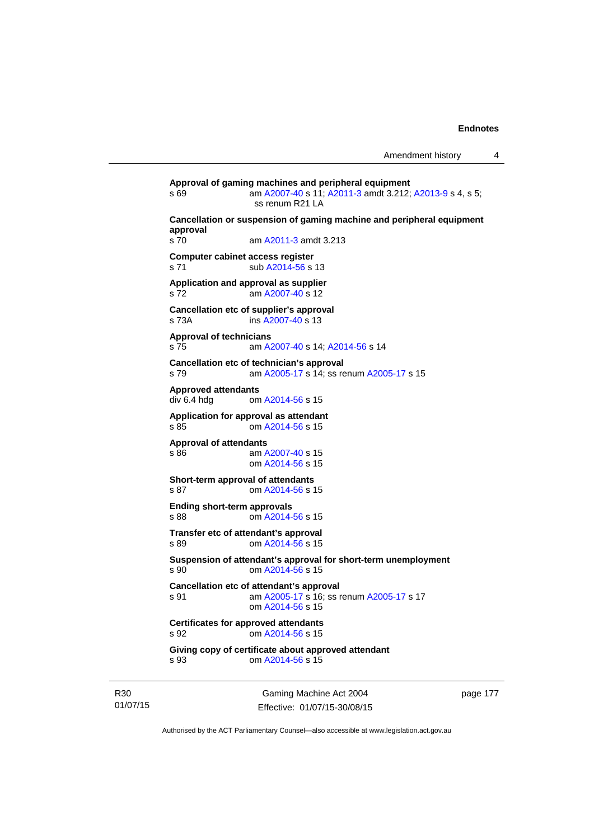```
Approval of gaming machines and peripheral equipment 
s 69 am A2007-40 s 11; A2011-3 amdt 3.212; A2013-9 s 4, s 5; 
                ss renum R21 LA 
Cancellation or suspension of gaming machine and peripheral equipment 
approval 
s 70 am A2011-3 amdt 3.213 
Computer cabinet access register 
A2014-56 s 13
Application and approval as supplier 
s 72 am A2007-40 s 12 
Cancellation etc of supplier's approval 
s 73A ins A2007-40 s 13 
Approval of technicians 
s 75 am A2007-40 s 14; A2014-56 s 14 
Cancellation etc of technician's approval 
s 79 am A2005-17 s 14; ss renum A2005-17 s 15 
Approved attendants 
               A2014-56 s 15
Application for approval as attendant 
s 85 om A2014-56 s 15 
Approval of attendants 
s 86 am A2007-40 s 15 
                om A2014-56 s 15 
Short-term approval of attendants 
s 87 om A2014-56 s 15 
Ending short-term approvals 
s 88 om A2014-56 s 15 
Transfer etc of attendant's approval 
s 89 om A2014-56 s 15 
Suspension of attendant's approval for short-term unemployment 
s 90 om A2014-56 s 15 
Cancellation etc of attendant's approval 
s 91 am A2005-17 s 16; ss renum A2005-17 s 17 
                om A2014-56 s 15 
Certificates for approved attendants 
s 92 om A2014-56 s 15 
Giving copy of certificate about approved attendant 
s 93 om A2014-56 s 15
```
R30 01/07/15

Gaming Machine Act 2004 Effective: 01/07/15-30/08/15 page 177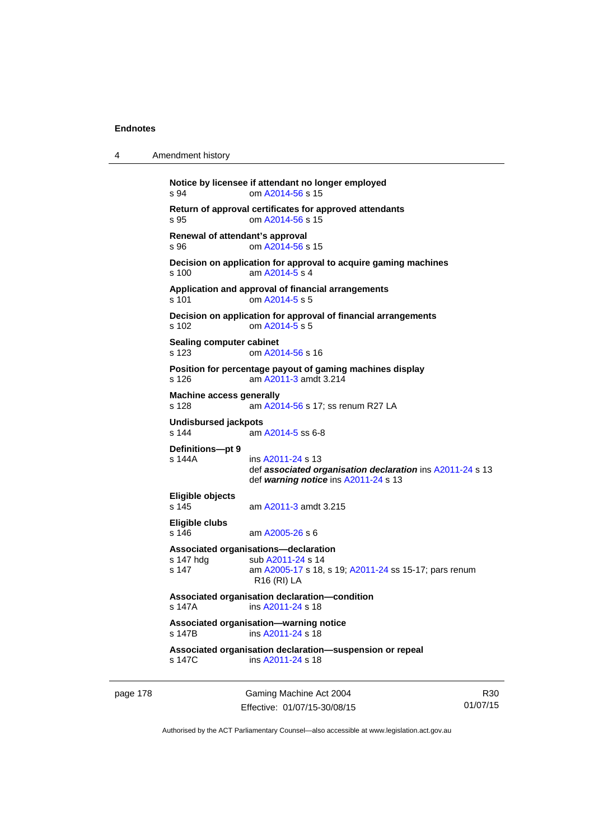4 Amendment history

```
Notice by licensee if attendant no longer employed 
s 94 om A2014-56 s 15 
Return of approval certificates for approved attendants 
s 95 om A2014-56 s 15 
Renewal of attendant's approval 
s 96 om A2014-56 s 15 
Decision on application for approval to acquire gaming machines 
s 100 am A2014-5 s 4 
Application and approval of financial arrangements 
A2014-5 s 5
Decision on application for approval of financial arrangements 
s 102 om A2014-5 s 5 
Sealing computer cabinet 
s 123 om A2014-56 s 16 
Position for percentage payout of gaming machines display 
s 126 am A2011-3 amdt 3.214 
Machine access generally 
s 128 am A2014-56 s 17; ss renum R27 LA
Undisbursed jackpots 
s 144 am A2014-5 ss 6-8 
Definitions—pt 9 
s 144A ins A2011-24 s 13 
                 def associated organisation declaration ins A2011-24 s 13 
                 def warning notice ins A2011-24 s 13 
Eligible objects 
                A2011-3 amdt 3.215
Eligible clubs 
s 146 am A2005-26 s 6 
Associated organisations—declaration 
A2011-24 s 14
s 147 am A2005-17 s 18, s 19; A2011-24 ss 15-17; pars renum 
                R16 (RI) LA 
Associated organisation declaration—condition 
s 147A ins A2011-24 s 18 
Associated organisation—warning notice 
s 147B ins A2011-24 s 18 
Associated organisation declaration—suspension or repeal 
               A2011-24 s 18
```
page 178 Gaming Machine Act 2004 Effective: 01/07/15-30/08/15

R30 01/07/15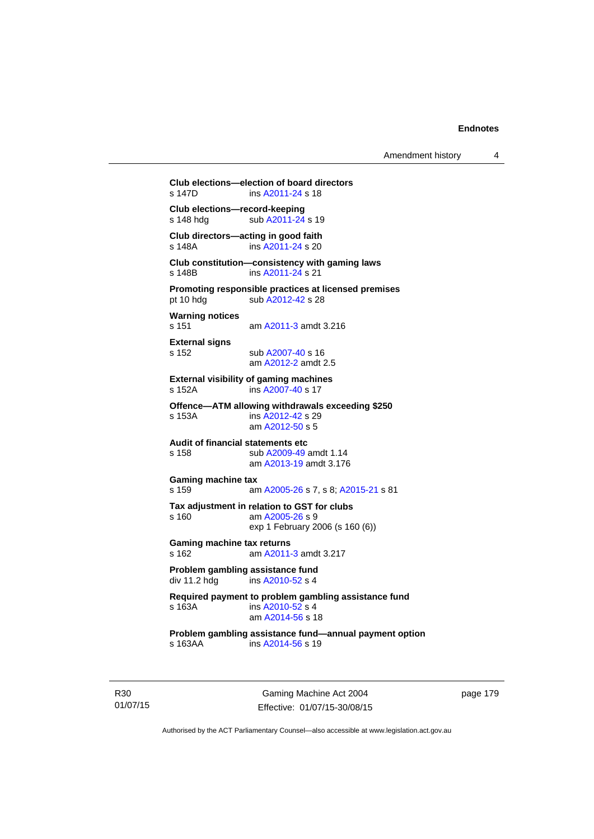Amendment history 4

```
Club elections—election of board directors 
                A2011-24 s 18
Club elections—record-keeping 
A2011-24 s 19
Club directors—acting in good faith 
s 148A ins A2011-24 s 20 
Club constitution—consistency with gaming laws 
s 148B ins A2011-24 s 21 
Promoting responsible practices at licensed premises 
A2012-42 s 28
Warning notices 
s 151 am A2011-3 amdt 3.216 
External signs 
s 152 sub A2007-40 s 16 
                 am A2012-2 amdt 2.5 
External visibility of gaming machines 
s 152A ins A2007-40 s 17 
Offence—ATM allowing withdrawals exceeding $250 
s 153A ins A2012-42 s 29 
                am A2012-50 s 5 
Audit of financial statements etc 
                A2009-49 amdt 1.14
                 am A2013-19 amdt 3.176
Gaming machine tax 
s 159 am A2005-26 s 7, s 8; A2015-21 s 81 
Tax adjustment in relation to GST for clubs 
A2005-26 s 9
                exp 1 February 2006 (s 160 (6)) 
Gaming machine tax returns 
s 162 am A2011-3 amdt 3.217 
Problem gambling assistance fund 
A2010-52 s 4
Required payment to problem gambling assistance fund 
s 163A ins A2010-52 s 4
                 am A2014-56 s 18 
Problem gambling assistance fund—annual payment option<br>s 163AA ins A2014-56 s 19
                A2014-56 s 19
```
page 179

Authorised by the ACT Parliamentary Counsel—also accessible at www.legislation.act.gov.au

Gaming Machine Act 2004 Effective: 01/07/15-30/08/15

R30 01/07/15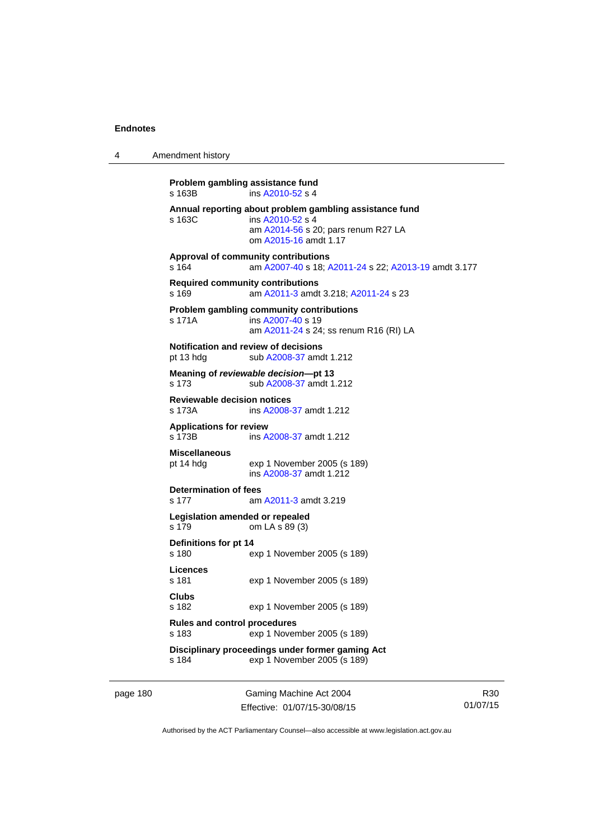4 Amendment history

**Problem gambling assistance fund**  s 163B ins [A2010-52](http://www.legislation.act.gov.au/a/2010-52) s 4 **Annual reporting about problem gambling assistance fund**  ins [A2010-52](http://www.legislation.act.gov.au/a/2010-52) s 4 am [A2014-56](http://www.legislation.act.gov.au/a/2014-56) s 20; pars renum R27 LA om [A2015-16](http://www.legislation.act.gov.au/a/2015-16) amdt 1.17 **Approval of community contributions**  s 164 am [A2007-40](http://www.legislation.act.gov.au/a/2007-40) s 18; [A2011-24](http://www.legislation.act.gov.au/a/2011-24) s 22; [A2013-19](http://www.legislation.act.gov.au/a/2013-19) amdt 3.177 **Required community contributions**  s 169 am [A2011-3](http://www.legislation.act.gov.au/a/2011-3) amdt 3.218; [A2011-24](http://www.legislation.act.gov.au/a/2011-24) s 23 **Problem gambling community contributions**  s 171A ins [A2007-40](http://www.legislation.act.gov.au/a/2007-40) s 19 am [A2011-24](http://www.legislation.act.gov.au/a/2011-24) s 24; ss renum R16 (RI) LA **Notification and review of decisions**  pt 13 hdg sub [A2008-37](http://www.legislation.act.gov.au/a/2008-37) amdt 1.212 **Meaning of** *reviewable decision***—pt 13**  s 173 sub [A2008-37](http://www.legislation.act.gov.au/a/2008-37) amdt 1.212 **Reviewable decision notices**  s 173A ins [A2008-37](http://www.legislation.act.gov.au/a/2008-37) amdt 1.212 **Applications for review**  s 173B ins [A2008-37](http://www.legislation.act.gov.au/a/2008-37) amdt 1.212 **Miscellaneous**  pt 14 hdg exp 1 November 2005 (s 189) ins [A2008-37](http://www.legislation.act.gov.au/a/2008-37) amdt 1.212 **Determination of fees**  s 177 am [A2011-3](http://www.legislation.act.gov.au/a/2011-3) amdt 3.219 **Legislation amended or repealed**  s 179 om LA s 89 (3) **Definitions for pt 14**  s 180 exp 1 November 2005 (s 189) **Licences**  s 181 exp 1 November 2005 (s 189) **Clubs**  s 182 exp 1 November 2005 (s 189) **Rules and control procedures**  s 183 exp 1 November 2005 (s 189) **Disciplinary proceedings under former gaming Act** <br>s 184 **exp 1 November 2005 (s 189)** exp 1 November 2005 (s 189)

page 180 Gaming Machine Act 2004 Effective: 01/07/15-30/08/15

R30 01/07/15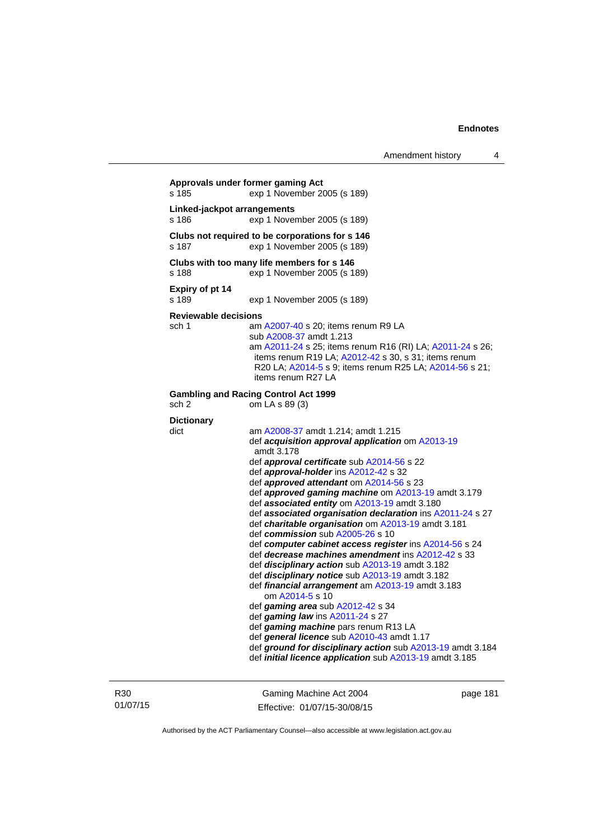```
Approvals under former gaming Act 
s 185 exp 1 November 2005 (s 189) 
Linked-jackpot arrangements 
s 186 exp 1 November 2005 (s 189) 
Clubs not required to be corporations for s 146 
s 187 exp 1 November 2005 (s 189) 
Clubs with too many life members for s 146 
s 188 exp 1 November 2005 (s 189) 
Expiry of pt 14 
                  exp 1 November 2005 (s 189)
Reviewable decisions 
 A2007-40 s 20; items renum R9 LA
                   sub A2008-37 amdt 1.213 
                   am A2011-24 s 25; items renum R16 (RI) LA; A2011-24 s 26; 
                   items renum R19 LA; A2012-42 s 30, s 31; items renum 
                   R20 LA; A2014-5 s 9; items renum R25 LA; A2014-56 s 21; 
                   items renum R27 LA 
Gambling and Racing Control Act 1999 
sch 2 om LA s 89 (3) 
Dictionary 
dict am A2008-37 amdt 1.214; amdt 1.215 
                   def acquisition approval application om A2013-19
                   amdt 3.178
                   def approval certificate sub A2014-56 s 22 
                   def approval-holder ins A2012-42 s 32 
                   def approved attendant om A2014-56 s 23 
                   def approved gaming machine om A2013-19 amdt 3.179 
                   def associated entity om A2013-19 amdt 3.180 
                   def associated organisation declaration ins A2011-24 s 27 
                   def charitable organisation om A2013-19 amdt 3.181
                   def commission sub A2005-26 s 10 
                   def computer cabinet access register ins A2014-56 s 24 
                   def decrease machines amendment ins A2012-42 s 33 
                   def disciplinary action sub A2013-19 amdt 3.182 
                   def disciplinary notice sub A2013-19 amdt 3.182 
                   def financial arrangement am A2013-19 amdt 3.183 
                      om A2014-5 s 10 
                   def gaming area sub A2012-42 s 34 
                   def gaming law ins A2011-24 s 27 
                   def gaming machine pars renum R13 LA 
                   def general licence sub A2010-43 amdt 1.17 
                   def ground for disciplinary action sub A2013-19 amdt 3.184 
                   def initial licence application sub A2013-19 amdt 3.185
```
R30 01/07/15

Gaming Machine Act 2004 Effective: 01/07/15-30/08/15 page 181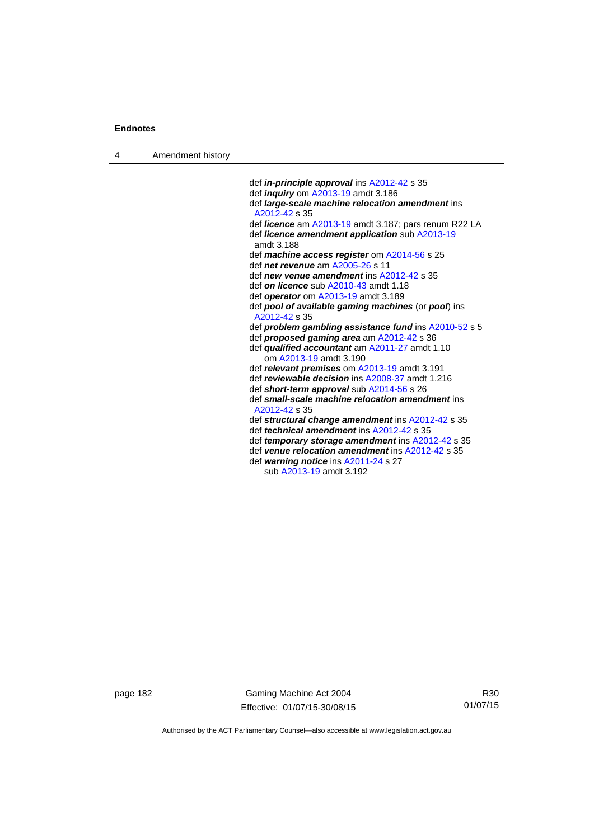4 Amendment history

 def *in-principle approval* ins [A2012-42](http://www.legislation.act.gov.au/a/2012-42) s 35 def *inquiry* om [A2013-19](http://www.legislation.act.gov.au/a/2013-19) amdt 3.186 def *large-scale machine relocation amendment* ins [A2012-42](http://www.legislation.act.gov.au/a/2012-42) s 35 def *licence* am [A2013-19](http://www.legislation.act.gov.au/a/2013-19) amdt 3.187; pars renum R22 LA def *licence amendment application* sub [A2013-19](http://www.legislation.act.gov.au/a/2013-19) amdt 3.188 def *machine access register* om [A2014-56](http://www.legislation.act.gov.au/a/2014-56) s 25 def *net revenue* am [A2005-26](http://www.legislation.act.gov.au/a/2005-26) s 11 def *new venue amendment* ins [A2012-42](http://www.legislation.act.gov.au/a/2012-42) s 35 def *on licence* sub [A2010-43](http://www.legislation.act.gov.au/a/2010-43) amdt 1.18 def *operator* om [A2013-19](http://www.legislation.act.gov.au/a/2013-19) amdt 3.189 def *pool of available gaming machines* (or *pool*) ins [A2012-42](http://www.legislation.act.gov.au/a/2012-42) s 35 def *problem gambling assistance fund* ins [A2010-52](http://www.legislation.act.gov.au/a/2010-52) s 5 def *proposed gaming area* am [A2012-42](http://www.legislation.act.gov.au/a/2012-42) s 36 def *qualified accountant* am [A2011-27](http://www.legislation.act.gov.au/a/2011-27) amdt 1.10 om [A2013-19](http://www.legislation.act.gov.au/a/2013-19) amdt 3.190 def *relevant premises* om [A2013-19](http://www.legislation.act.gov.au/a/2013-19) amdt 3.191 def *reviewable decision* ins [A2008-37](http://www.legislation.act.gov.au/a/2008-37) amdt 1.216 def *short-term approval* sub [A2014-56](http://www.legislation.act.gov.au/a/2014-56) s 26 def *small-scale machine relocation amendment* ins [A2012-42](http://www.legislation.act.gov.au/a/2012-42) s 35 def *structural change amendment* ins [A2012-42](http://www.legislation.act.gov.au/a/2012-42) s 35 def *technical amendment* ins [A2012-42](http://www.legislation.act.gov.au/a/2012-42) s 35 def *temporary storage amendment* ins [A2012-42](http://www.legislation.act.gov.au/a/2012-42) s 35 def *venue relocation amendment* ins [A2012-42](http://www.legislation.act.gov.au/a/2012-42) s 35 def *warning notice* ins [A2011-24](http://www.legislation.act.gov.au/a/2011-24) s 27 sub [A2013-19](http://www.legislation.act.gov.au/a/2013-19) amdt 3.192

page 182 Gaming Machine Act 2004 Effective: 01/07/15-30/08/15

R30 01/07/15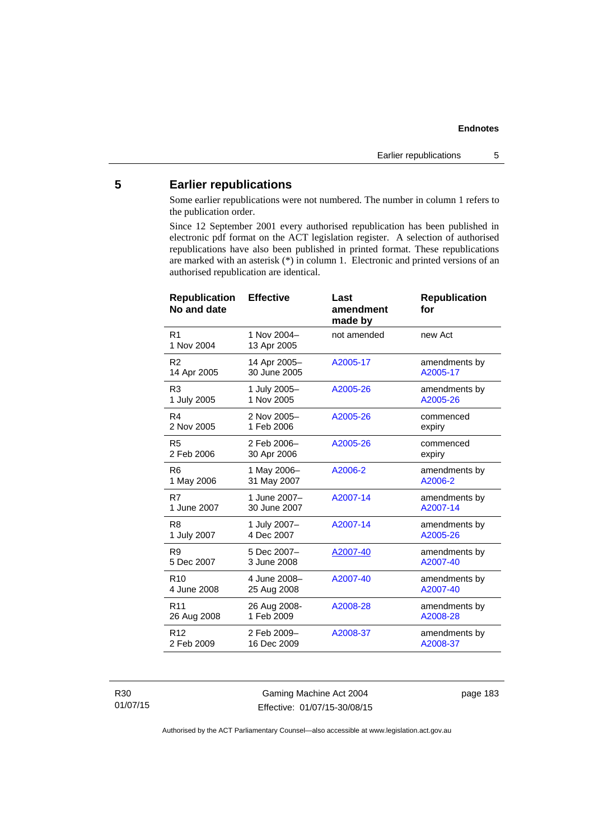## **5 Earlier republications**

Some earlier republications were not numbered. The number in column 1 refers to the publication order.

Since 12 September 2001 every authorised republication has been published in electronic pdf format on the ACT legislation register. A selection of authorised republications have also been published in printed format. These republications are marked with an asterisk (\*) in column 1. Electronic and printed versions of an authorised republication are identical.

| <b>Effective</b>             | Last<br>amendment<br>made by | <b>Republication</b><br>for |
|------------------------------|------------------------------|-----------------------------|
| 1 Nov 2004-<br>13 Apr 2005   | not amended                  | new Act                     |
| 14 Apr 2005-<br>30 June 2005 | A2005-17                     | amendments by<br>A2005-17   |
| 1 July 2005-<br>1 Nov 2005   | A2005-26                     | amendments by<br>A2005-26   |
| 2 Nov 2005-<br>1 Feb 2006    | A2005-26                     | commenced<br>expiry         |
| 2 Feb 2006-<br>30 Apr 2006   | A2005-26                     | commenced<br>expiry         |
| 1 May 2006-<br>31 May 2007   | A2006-2                      | amendments by<br>A2006-2    |
| 1 June 2007-<br>30 June 2007 | A2007-14                     | amendments by<br>A2007-14   |
| 1 July 2007-<br>4 Dec 2007   | A2007-14                     | amendments by<br>A2005-26   |
| 5 Dec 2007-<br>3 June 2008   | A2007-40                     | amendments by<br>A2007-40   |
| 4 June 2008-<br>25 Aug 2008  | A2007-40                     | amendments by<br>A2007-40   |
| 26 Aug 2008-<br>1 Feb 2009   | A2008-28                     | amendments by<br>A2008-28   |
| 2 Feb 2009-<br>16 Dec 2009   | A2008-37                     | amendments by<br>A2008-37   |
|                              |                              |                             |

R30 01/07/15

Gaming Machine Act 2004 Effective: 01/07/15-30/08/15 page 183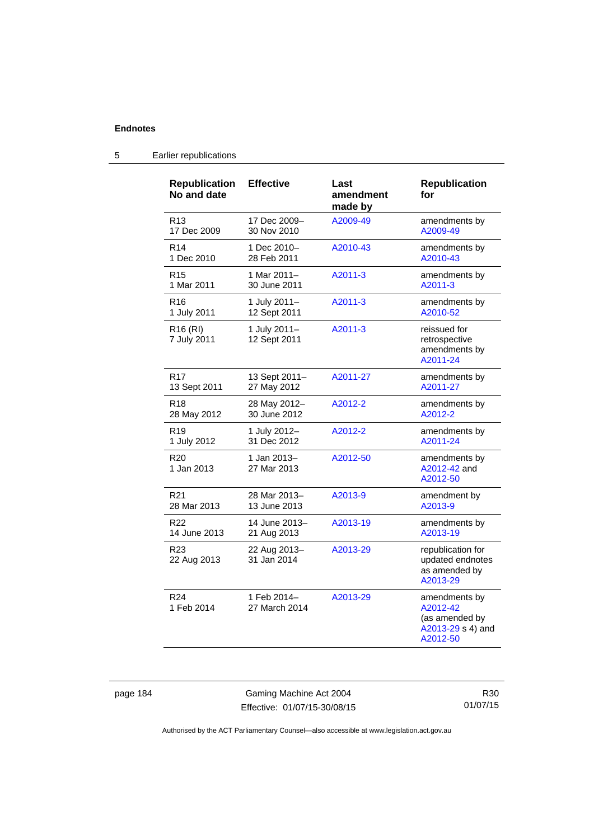| <b>Republication</b><br>No and date | <b>Effective</b>             | Last<br>amendment<br>made by | <b>Republication</b><br>for                                                  |
|-------------------------------------|------------------------------|------------------------------|------------------------------------------------------------------------------|
| R13                                 | 17 Dec 2009-                 | A2009-49                     | amendments by                                                                |
| 17 Dec 2009                         | 30 Nov 2010                  |                              | A2009-49                                                                     |
| R <sub>14</sub>                     | 1 Dec 2010-                  | A2010-43                     | amendments by                                                                |
| 1 Dec 2010                          | 28 Feb 2011                  |                              | A2010-43                                                                     |
| R <sub>15</sub>                     | 1 Mar 2011-                  | A2011-3                      | amendments by                                                                |
| 1 Mar 2011                          | 30 June 2011                 |                              | A2011-3                                                                      |
| R <sub>16</sub>                     | 1 July 2011-                 | A2011-3                      | amendments by                                                                |
| 1 July 2011                         | 12 Sept 2011                 |                              | A2010-52                                                                     |
| R <sub>16</sub> (RI)<br>7 July 2011 | 1 July 2011-<br>12 Sept 2011 | A2011-3                      | reissued for<br>retrospective<br>amendments by<br>A2011-24                   |
| R <sub>17</sub>                     | 13 Sept 2011-                | A2011-27                     | amendments by                                                                |
| 13 Sept 2011                        | 27 May 2012                  |                              | A2011-27                                                                     |
| R <sub>18</sub>                     | 28 May 2012-                 | A2012-2                      | amendments by                                                                |
| 28 May 2012                         | 30 June 2012                 |                              | A2012-2                                                                      |
| R <sub>19</sub>                     | 1 July 2012-                 | A2012-2                      | amendments by                                                                |
| 1 July 2012                         | 31 Dec 2012                  |                              | A2011-24                                                                     |
| R <sub>20</sub><br>1 Jan 2013       | 1 Jan 2013-<br>27 Mar 2013   | A2012-50                     | amendments by<br>A2012-42 and<br>A2012-50                                    |
| R <sub>21</sub>                     | 28 Mar 2013-                 | A2013-9                      | amendment by                                                                 |
| 28 Mar 2013                         | 13 June 2013                 |                              | A2013-9                                                                      |
| R <sub>22</sub>                     | 14 June 2013-                | A2013-19                     | amendments by                                                                |
| 14 June 2013                        | 21 Aug 2013                  |                              | A2013-19                                                                     |
| R <sub>23</sub><br>22 Aug 2013      | 22 Aug 2013-<br>31 Jan 2014  | A2013-29                     | republication for<br>updated endnotes<br>as amended by<br>A2013-29           |
| R <sub>24</sub><br>1 Feb 2014       | 1 Feb 2014-<br>27 March 2014 | A2013-29                     | amendments by<br>A2012-42<br>(as amended by<br>A2013-29 s 4) and<br>A2012-50 |

## 5 Earlier republications

page 184 Gaming Machine Act 2004 Effective: 01/07/15-30/08/15

R30 01/07/15